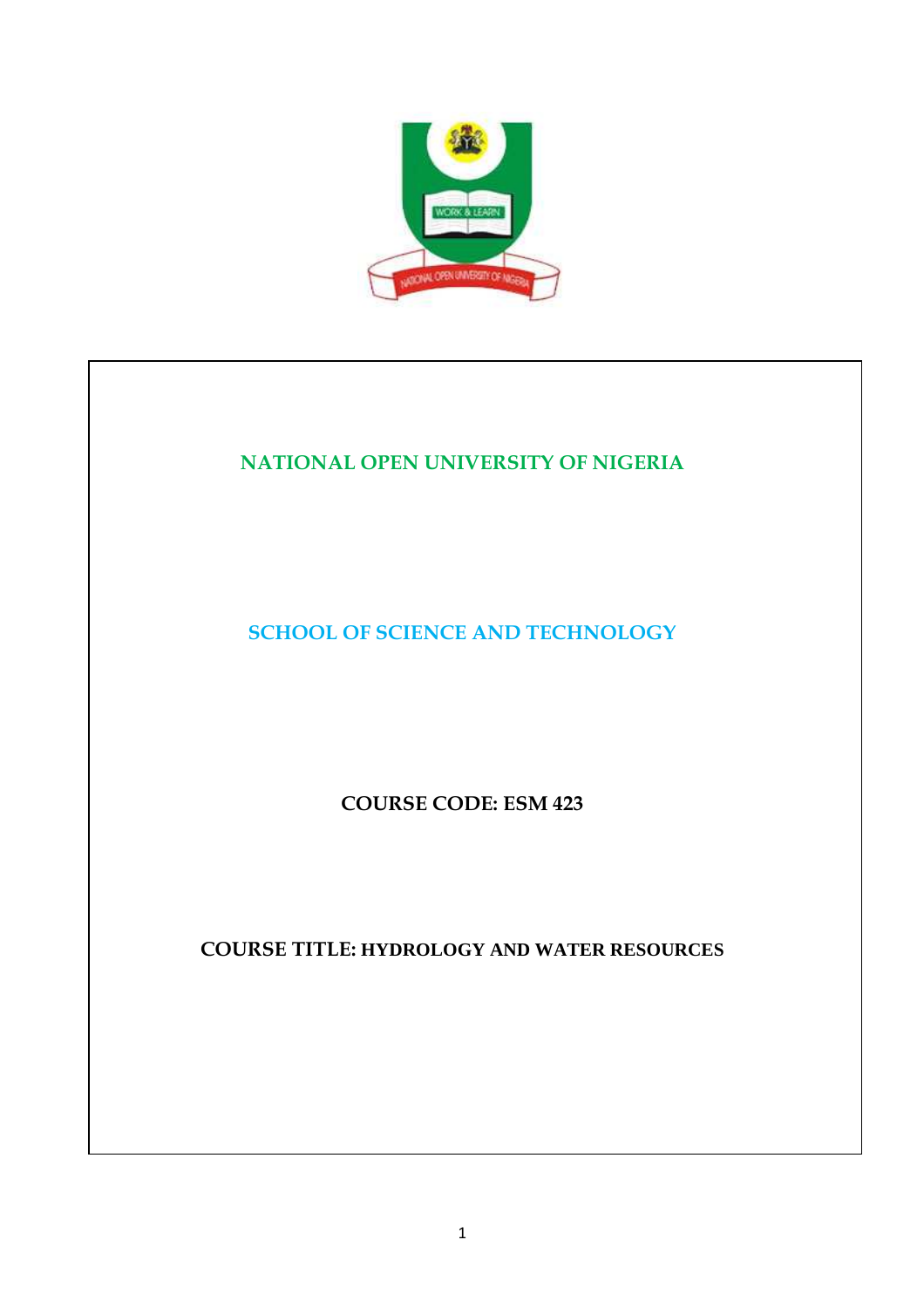

# **NATIONAL OPEN UNIVERSITY OF NIGERIA SCHOOL OF SCIENCE AND TECHNOLOGY COURSE CODE: ESM 423 COURSE TITLE: HYDROLOGY AND WATER RESOURCES**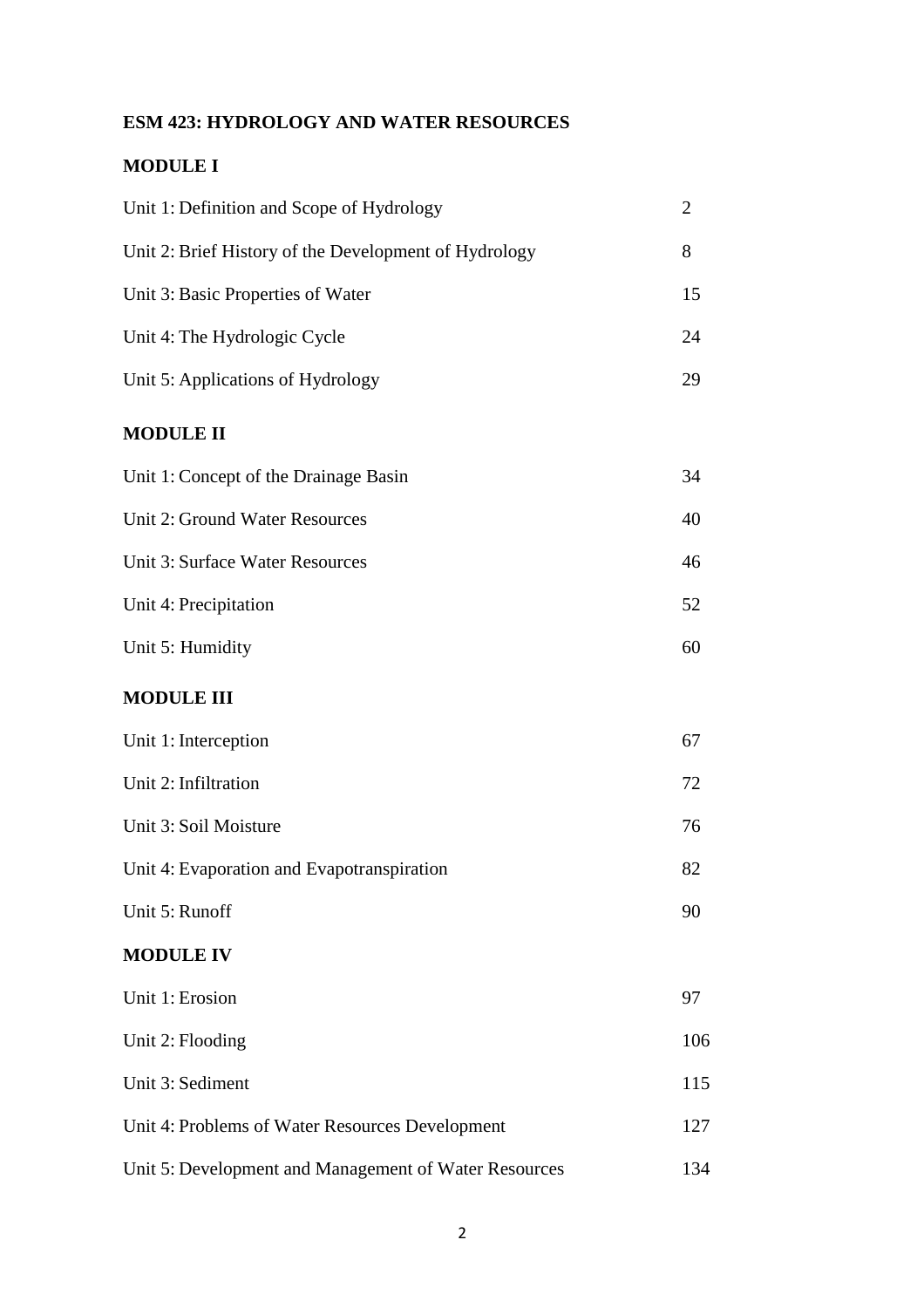# **ESM 423: HYDROLOGY AND WATER RESOURCES**

# **MODULE I**

| Unit 1: Definition and Scope of Hydrology             | $\overline{2}$ |
|-------------------------------------------------------|----------------|
| Unit 2: Brief History of the Development of Hydrology | 8              |
| Unit 3: Basic Properties of Water                     | 15             |
| Unit 4: The Hydrologic Cycle                          | 24             |
| Unit 5: Applications of Hydrology                     | 29             |
| <b>MODULE II</b>                                      |                |
| Unit 1: Concept of the Drainage Basin                 | 34             |
| Unit 2: Ground Water Resources                        | 40             |
| Unit 3: Surface Water Resources                       | 46             |
| Unit 4: Precipitation                                 | 52             |
| Unit 5: Humidity                                      | 60             |
| <b>MODULE III</b>                                     |                |
| Unit 1: Interception                                  | 67             |
| Unit 2: Infiltration                                  | 72             |
| Unit 3: Soil Moisture                                 | 76             |
| Unit 4: Evaporation and Evapotranspiration            | 82             |
| Unit 5: Runoff                                        | 90             |
| <b>MODULE IV</b>                                      |                |
| Unit 1: Erosion                                       | 97             |
| Unit 2: Flooding                                      | 106            |
| Unit 3: Sediment                                      | 115            |
| Unit 4: Problems of Water Resources Development       | 127            |
| Unit 5: Development and Management of Water Resources | 134            |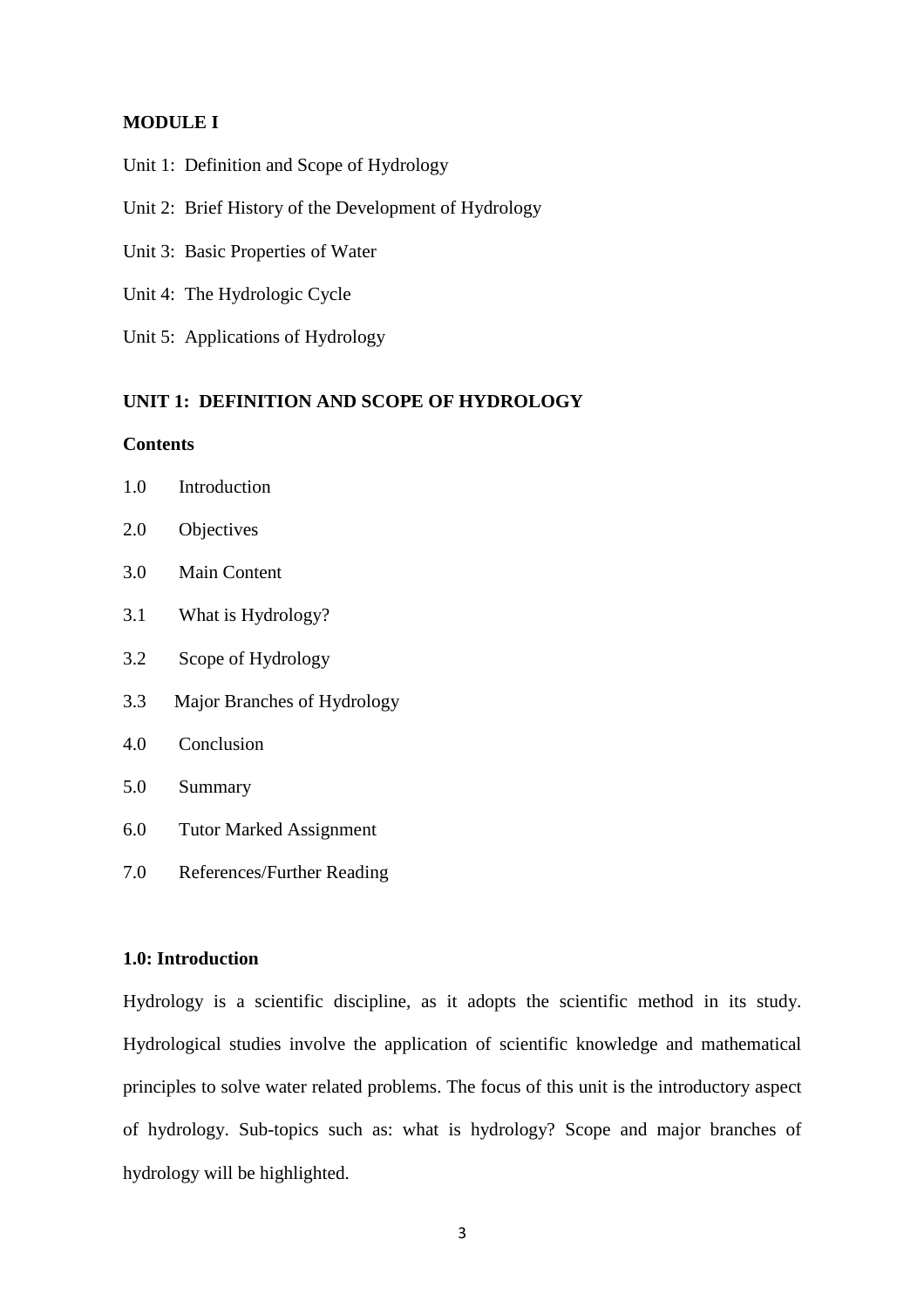#### **MODULE I**

- Unit 1: Definition and Scope of Hydrology
- Unit 2: Brief History of the Development of Hydrology
- Unit 3: Basic Properties of Water
- Unit 4: The Hydrologic Cycle
- Unit 5: Applications of Hydrology

## **UNIT 1: DEFINITION AND SCOPE OF HYDROLOGY**

#### **Contents**

| Introduction |
|--------------|
|              |

- 2.0 Objectives
- 3.0 Main Content
- 3.1 What is Hydrology?
- 3.2 Scope of Hydrology
- 3.3 Major Branches of Hydrology
- 4.0 Conclusion
- 5.0 Summary
- 6.0 Tutor Marked Assignment
- 7.0 References/Further Reading

## **1.0: Introduction**

Hydrology is a scientific discipline, as it adopts the scientific method in its study. Hydrological studies involve the application of scientific knowledge and mathematical principles to solve water related problems. The focus of this unit is the introductory aspect of hydrology. Sub-topics such as: what is hydrology? Scope and major branches of hydrology will be highlighted.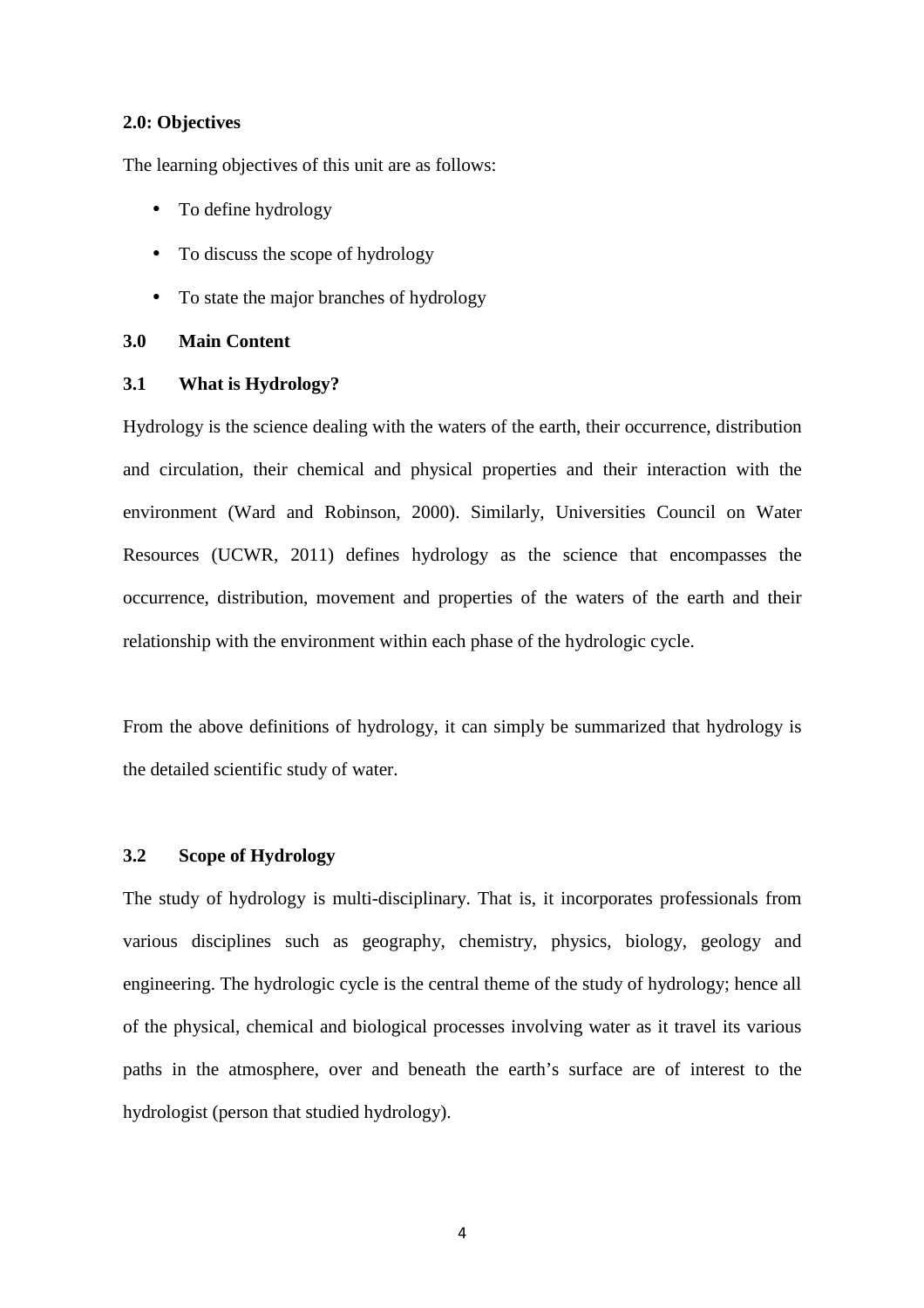#### **2.0: Objectives**

The learning objectives of this unit are as follows:

- To define hydrology
- To discuss the scope of hydrology
- To state the major branches of hydrology

## **3.0 Main Content**

## **3.1 What is Hydrology?**

Hydrology is the science dealing with the waters of the earth, their occurrence, distribution and circulation, their chemical and physical properties and their interaction with the environment (Ward and Robinson, 2000). Similarly, Universities Council on Water Resources (UCWR, 2011) defines hydrology as the science that encompasses the occurrence, distribution, movement and properties of the waters of the earth and their relationship with the environment within each phase of the hydrologic cycle.

From the above definitions of hydrology, it can simply be summarized that hydrology is the detailed scientific study of water.

#### **3.2 Scope of Hydrology**

The study of hydrology is multi-disciplinary. That is, it incorporates professionals from various disciplines such as geography, chemistry, physics, biology, geology and engineering. The hydrologic cycle is the central theme of the study of hydrology; hence all of the physical, chemical and biological processes involving water as it travel its various paths in the atmosphere, over and beneath the earth's surface are of interest to the hydrologist (person that studied hydrology).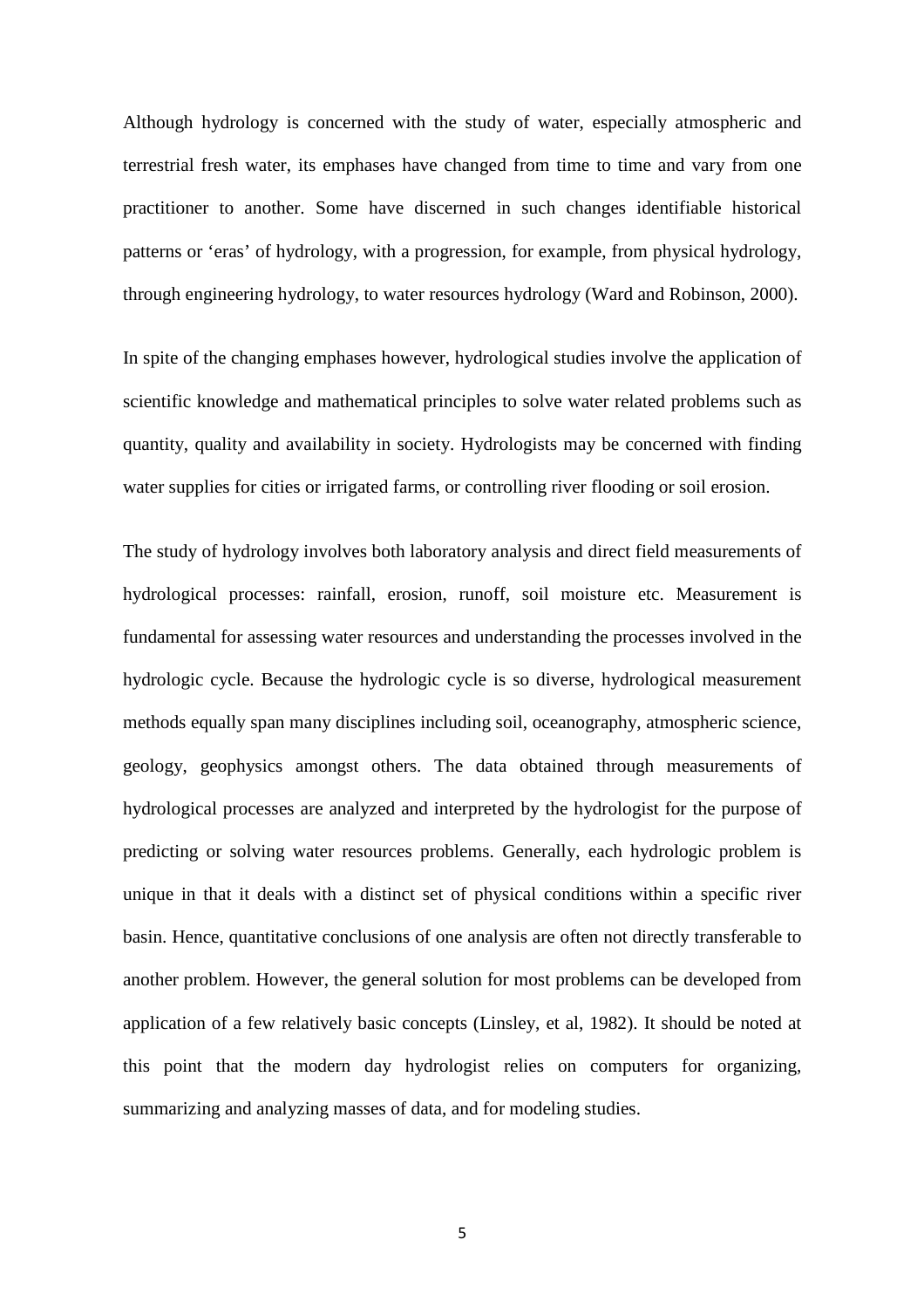Although hydrology is concerned with the study of water, especially atmospheric and terrestrial fresh water, its emphases have changed from time to time and vary from one practitioner to another. Some have discerned in such changes identifiable historical patterns or 'eras' of hydrology, with a progression, for example, from physical hydrology, through engineering hydrology, to water resources hydrology (Ward and Robinson, 2000).

In spite of the changing emphases however, hydrological studies involve the application of scientific knowledge and mathematical principles to solve water related problems such as quantity, quality and availability in society. Hydrologists may be concerned with finding water supplies for cities or irrigated farms, or controlling river flooding or soil erosion.

The study of hydrology involves both laboratory analysis and direct field measurements of hydrological processes: rainfall, erosion, runoff, soil moisture etc. Measurement is fundamental for assessing water resources and understanding the processes involved in the hydrologic cycle. Because the hydrologic cycle is so diverse, hydrological measurement methods equally span many disciplines including soil, oceanography, atmospheric science, geology, geophysics amongst others. The data obtained through measurements of hydrological processes are analyzed and interpreted by the hydrologist for the purpose of predicting or solving water resources problems. Generally, each hydrologic problem is unique in that it deals with a distinct set of physical conditions within a specific river basin. Hence, quantitative conclusions of one analysis are often not directly transferable to another problem. However, the general solution for most problems can be developed from application of a few relatively basic concepts (Linsley, et al, 1982). It should be noted at this point that the modern day hydrologist relies on computers for organizing, summarizing and analyzing masses of data, and for modeling studies.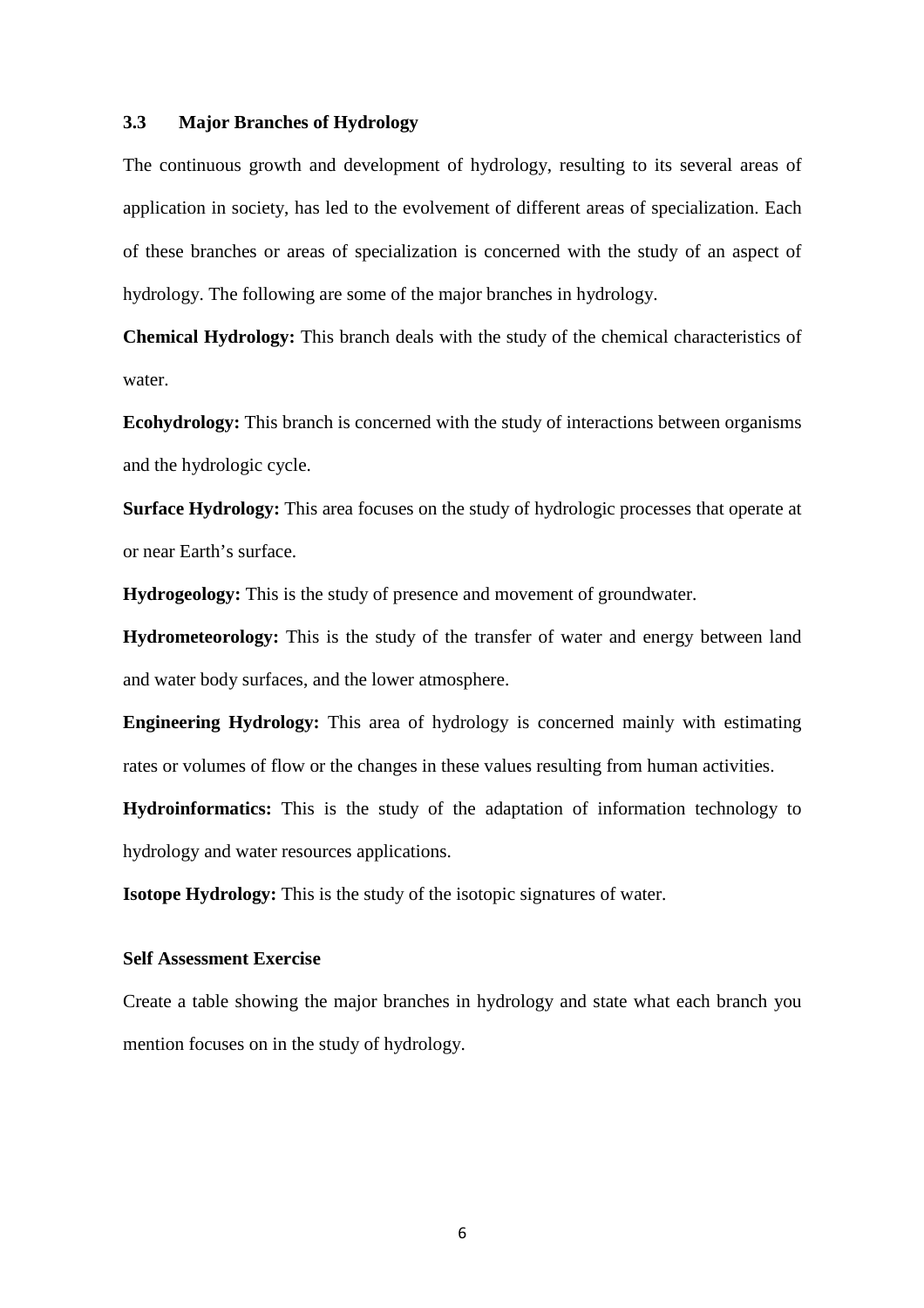## **3.3 Major Branches of Hydrology**

The continuous growth and development of hydrology, resulting to its several areas of application in society, has led to the evolvement of different areas of specialization. Each of these branches or areas of specialization is concerned with the study of an aspect of hydrology. The following are some of the major branches in hydrology.

**Chemical Hydrology:** This branch deals with the study of the chemical characteristics of water.

**Ecohydrology:** This branch is concerned with the study of interactions between organisms and the hydrologic cycle.

**Surface Hydrology:** This area focuses on the study of hydrologic processes that operate at or near Earth's surface.

**Hydrogeology:** This is the study of presence and movement of groundwater.

**Hydrometeorology:** This is the study of the transfer of water and energy between land and water body surfaces, and the lower atmosphere.

**Engineering Hydrology:** This area of hydrology is concerned mainly with estimating rates or volumes of flow or the changes in these values resulting from human activities.

**Hydroinformatics:** This is the study of the adaptation of information technology to hydrology and water resources applications.

**Isotope Hydrology:** This is the study of the isotopic signatures of water.

## **Self Assessment Exercise**

Create a table showing the major branches in hydrology and state what each branch you mention focuses on in the study of hydrology.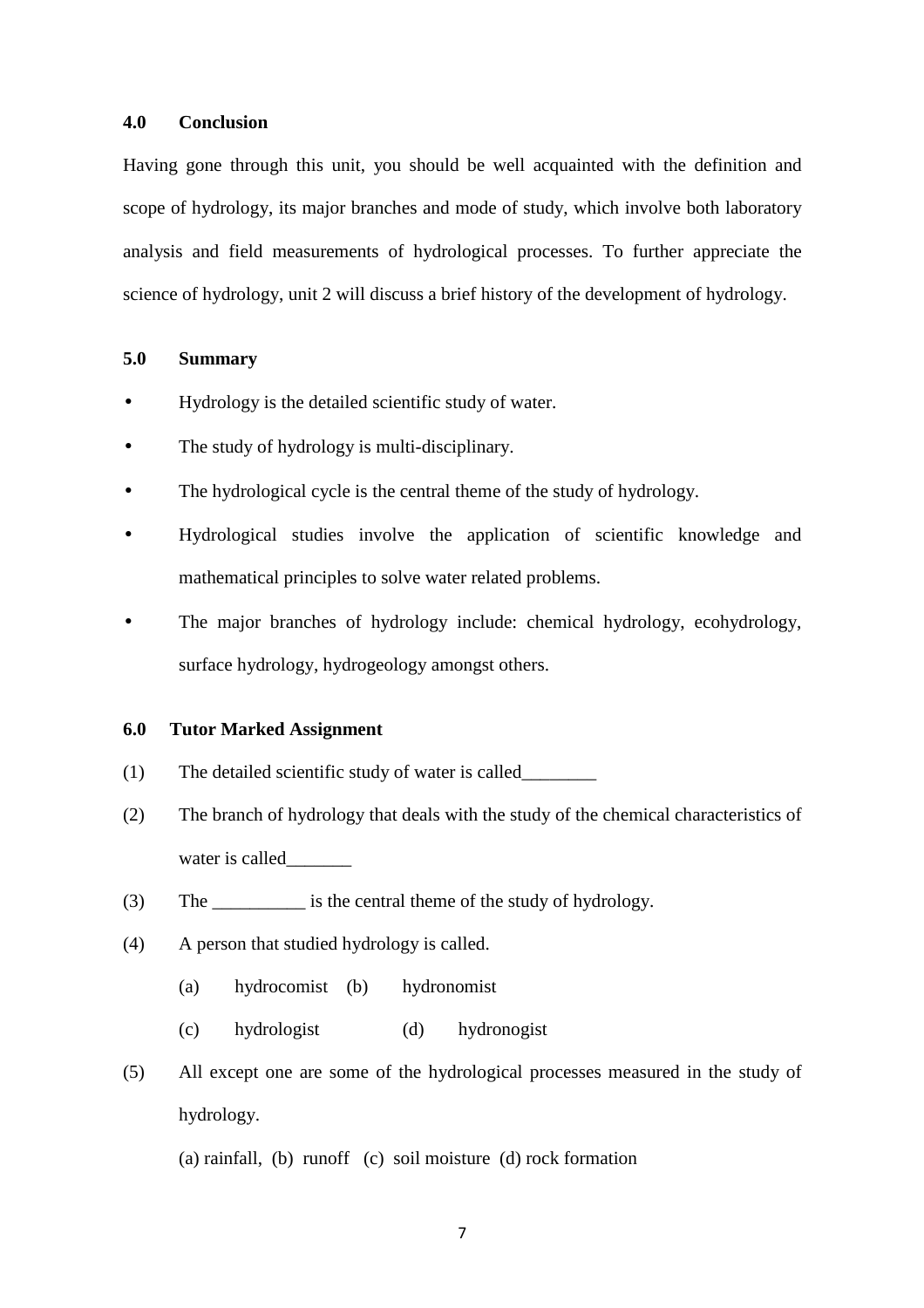#### **4.0 Conclusion**

Having gone through this unit, you should be well acquainted with the definition and scope of hydrology, its major branches and mode of study, which involve both laboratory analysis and field measurements of hydrological processes. To further appreciate the science of hydrology, unit 2 will discuss a brief history of the development of hydrology.

## **5.0 Summary**

- Hydrology is the detailed scientific study of water.
- The study of hydrology is multi-disciplinary.
- The hydrological cycle is the central theme of the study of hydrology.
- Hydrological studies involve the application of scientific knowledge and mathematical principles to solve water related problems.
- The major branches of hydrology include: chemical hydrology, ecohydrology, surface hydrology, hydrogeology amongst others.

#### **6.0 Tutor Marked Assignment**

- (1) The detailed scientific study of water is called\_\_\_\_\_\_\_\_
- (2) The branch of hydrology that deals with the study of the chemical characteristics of water is called
- (3) The \_\_\_\_\_\_\_\_\_\_ is the central theme of the study of hydrology.
- (4) A person that studied hydrology is called.
	- (a) hydrocomist (b) hydronomist
	- (c) hydrologist (d) hydronogist
- (5) All except one are some of the hydrological processes measured in the study of hydrology.

(a) rainfall, (b) runoff (c) soil moisture (d) rock formation

7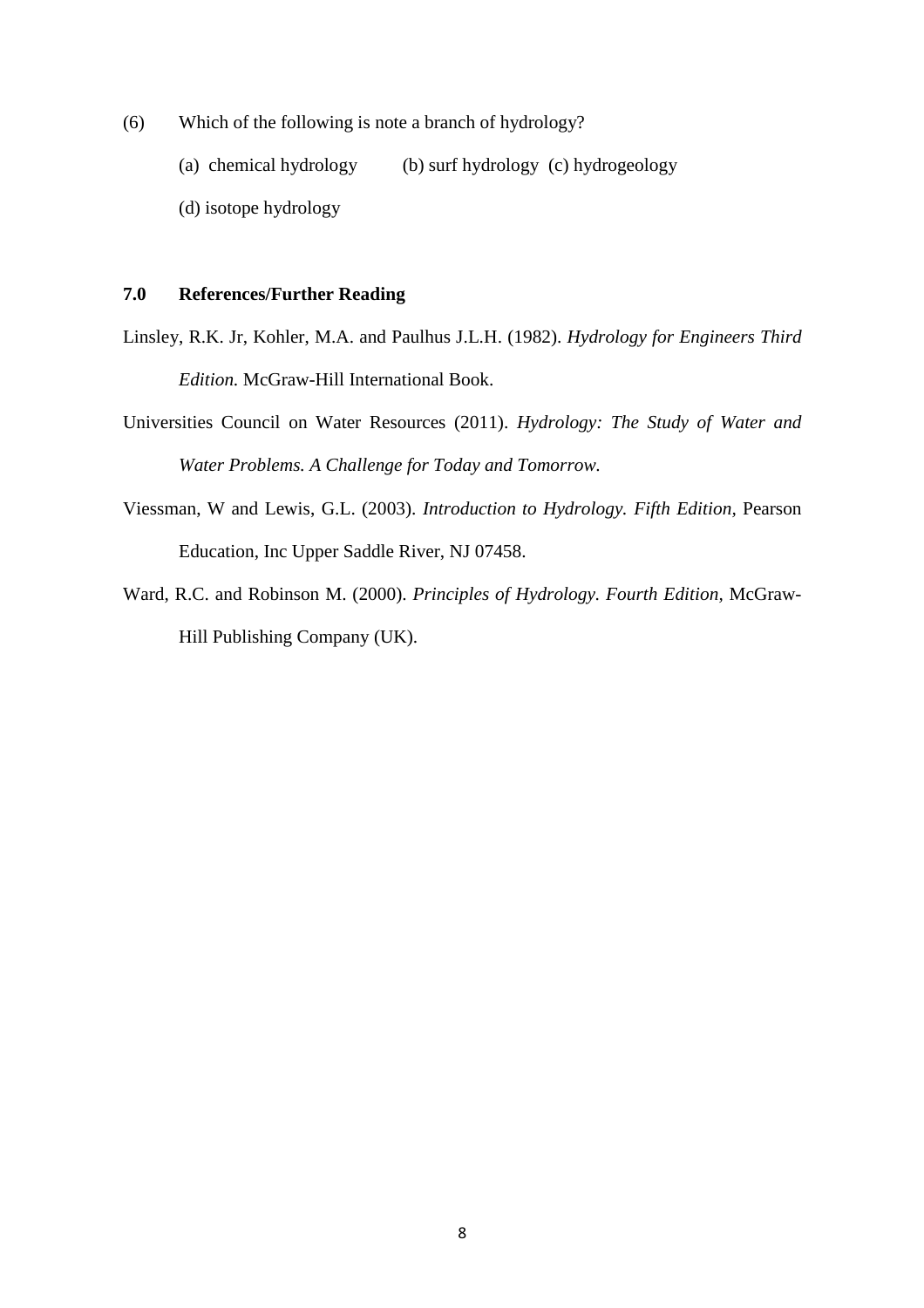- (6) Which of the following is note a branch of hydrology?
	- (a) chemical hydrology (b) surf hydrology (c) hydrogeology
	- (d) isotope hydrology

## **7.0 References/Further Reading**

- Linsley, R.K. Jr, Kohler, M.A. and Paulhus J.L.H. (1982). *Hydrology for Engineers Third Edition.* McGraw-Hill International Book.
- Universities Council on Water Resources (2011). *Hydrology: The Study of Water and Water Problems. A Challenge for Today and Tomorrow.*
- Viessman, W and Lewis, G.L. (2003). *Introduction to Hydrology. Fifth Edition,* Pearson Education, Inc Upper Saddle River, NJ 07458.
- Ward, R.C. and Robinson M. (2000). *Principles of Hydrology. Fourth Edition,* McGraw-Hill Publishing Company (UK).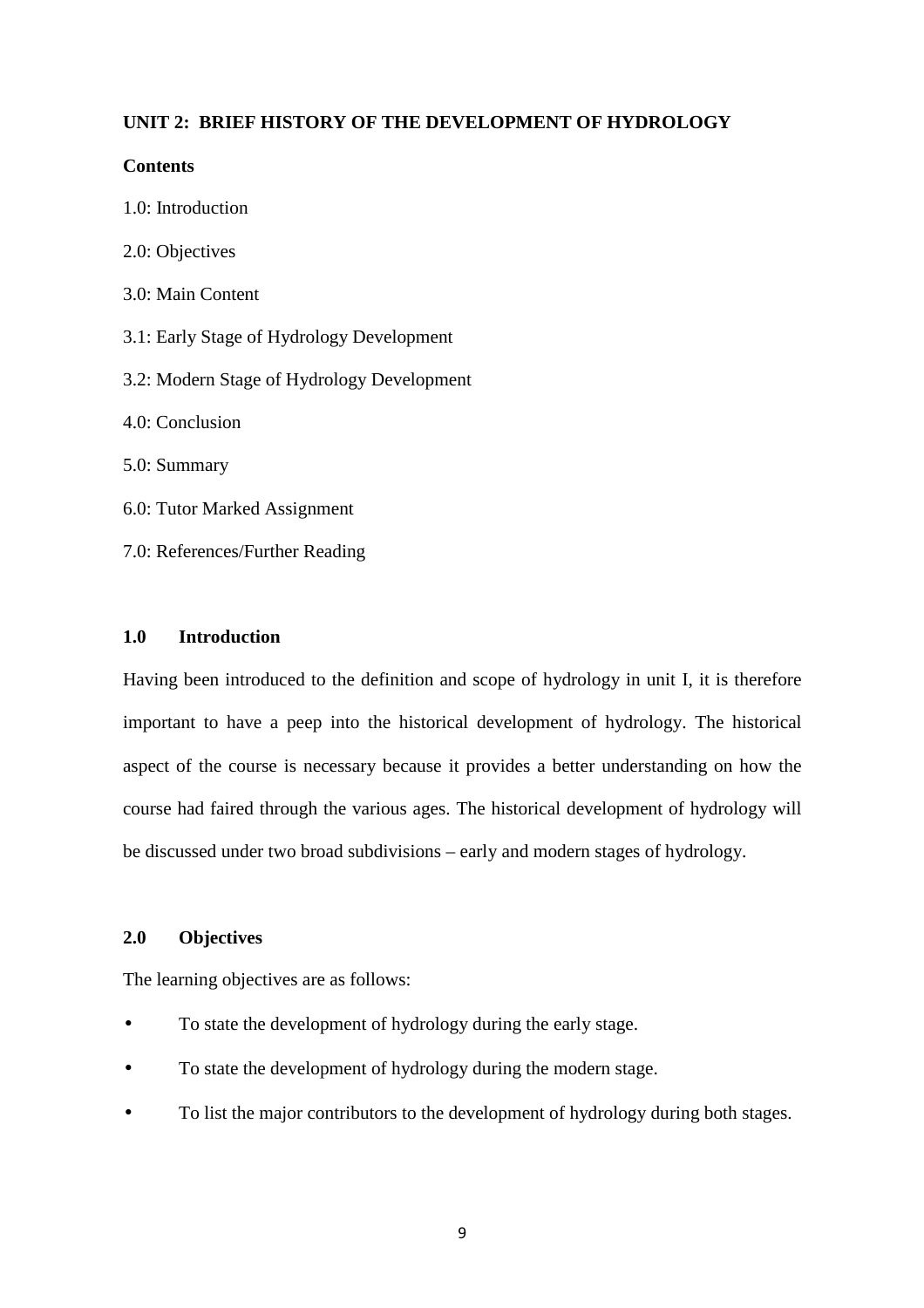## **UNIT 2: BRIEF HISTORY OF THE DEVELOPMENT OF HYDROLOGY**

#### **Contents**

1.0: Introduction

- 2.0: Objectives
- 3.0: Main Content
- 3.1: Early Stage of Hydrology Development
- 3.2: Modern Stage of Hydrology Development
- 4.0: Conclusion
- 5.0: Summary
- 6.0: Tutor Marked Assignment
- 7.0: References/Further Reading

## **1.0 Introduction**

Having been introduced to the definition and scope of hydrology in unit I, it is therefore important to have a peep into the historical development of hydrology. The historical aspect of the course is necessary because it provides a better understanding on how the course had faired through the various ages. The historical development of hydrology will be discussed under two broad subdivisions – early and modern stages of hydrology.

## **2.0 Objectives**

The learning objectives are as follows:

- To state the development of hydrology during the early stage.
- To state the development of hydrology during the modern stage.
- To list the major contributors to the development of hydrology during both stages.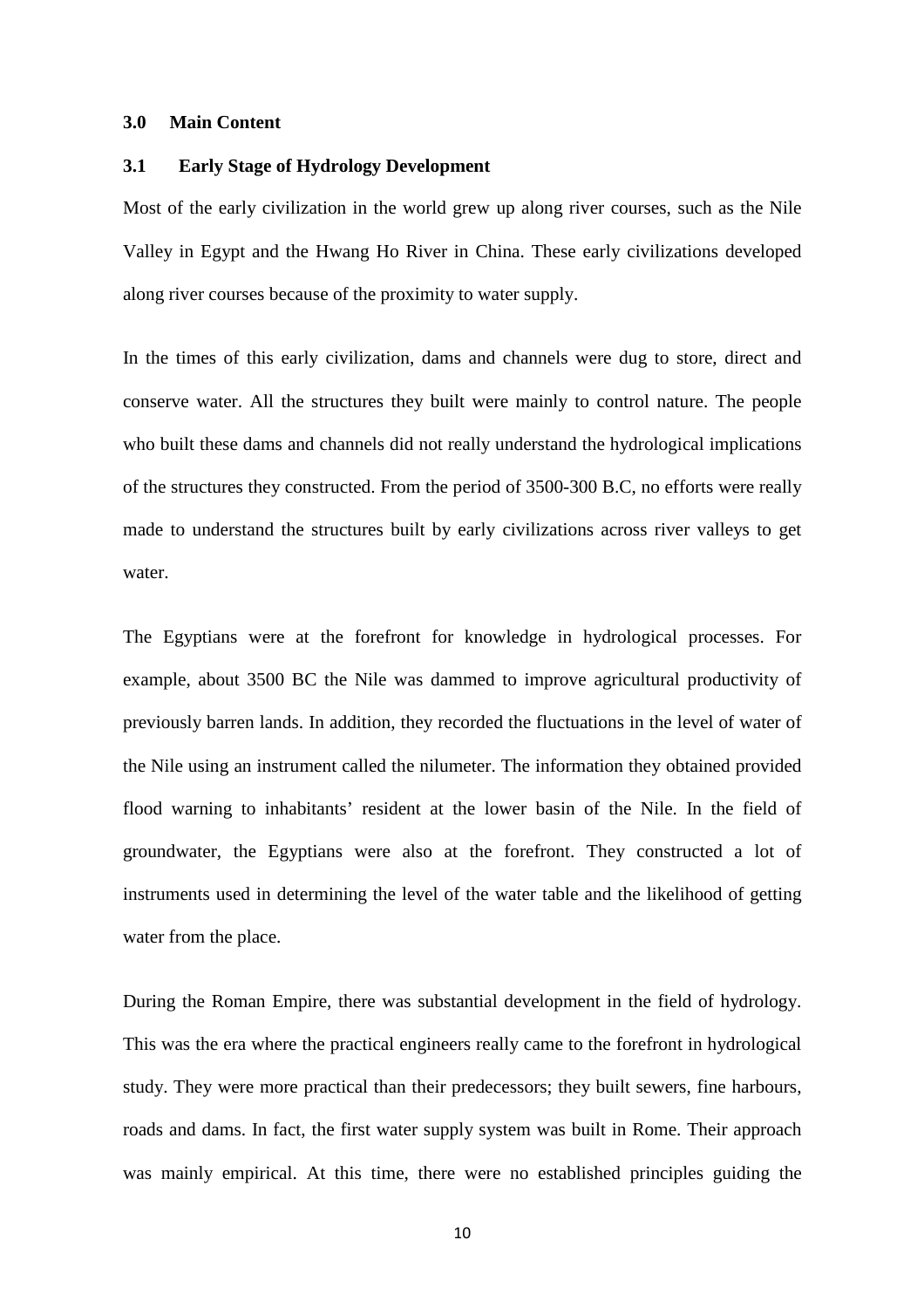#### **3.0 Main Content**

#### **3.1 Early Stage of Hydrology Development**

Most of the early civilization in the world grew up along river courses, such as the Nile Valley in Egypt and the Hwang Ho River in China. These early civilizations developed along river courses because of the proximity to water supply.

In the times of this early civilization, dams and channels were dug to store, direct and conserve water. All the structures they built were mainly to control nature. The people who built these dams and channels did not really understand the hydrological implications of the structures they constructed. From the period of 3500-300 B.C, no efforts were really made to understand the structures built by early civilizations across river valleys to get water.

The Egyptians were at the forefront for knowledge in hydrological processes. For example, about 3500 BC the Nile was dammed to improve agricultural productivity of previously barren lands. In addition, they recorded the fluctuations in the level of water of the Nile using an instrument called the nilumeter. The information they obtained provided flood warning to inhabitants' resident at the lower basin of the Nile. In the field of groundwater, the Egyptians were also at the forefront. They constructed a lot of instruments used in determining the level of the water table and the likelihood of getting water from the place.

During the Roman Empire, there was substantial development in the field of hydrology. This was the era where the practical engineers really came to the forefront in hydrological study. They were more practical than their predecessors; they built sewers, fine harbours, roads and dams. In fact, the first water supply system was built in Rome. Their approach was mainly empirical. At this time, there were no established principles guiding the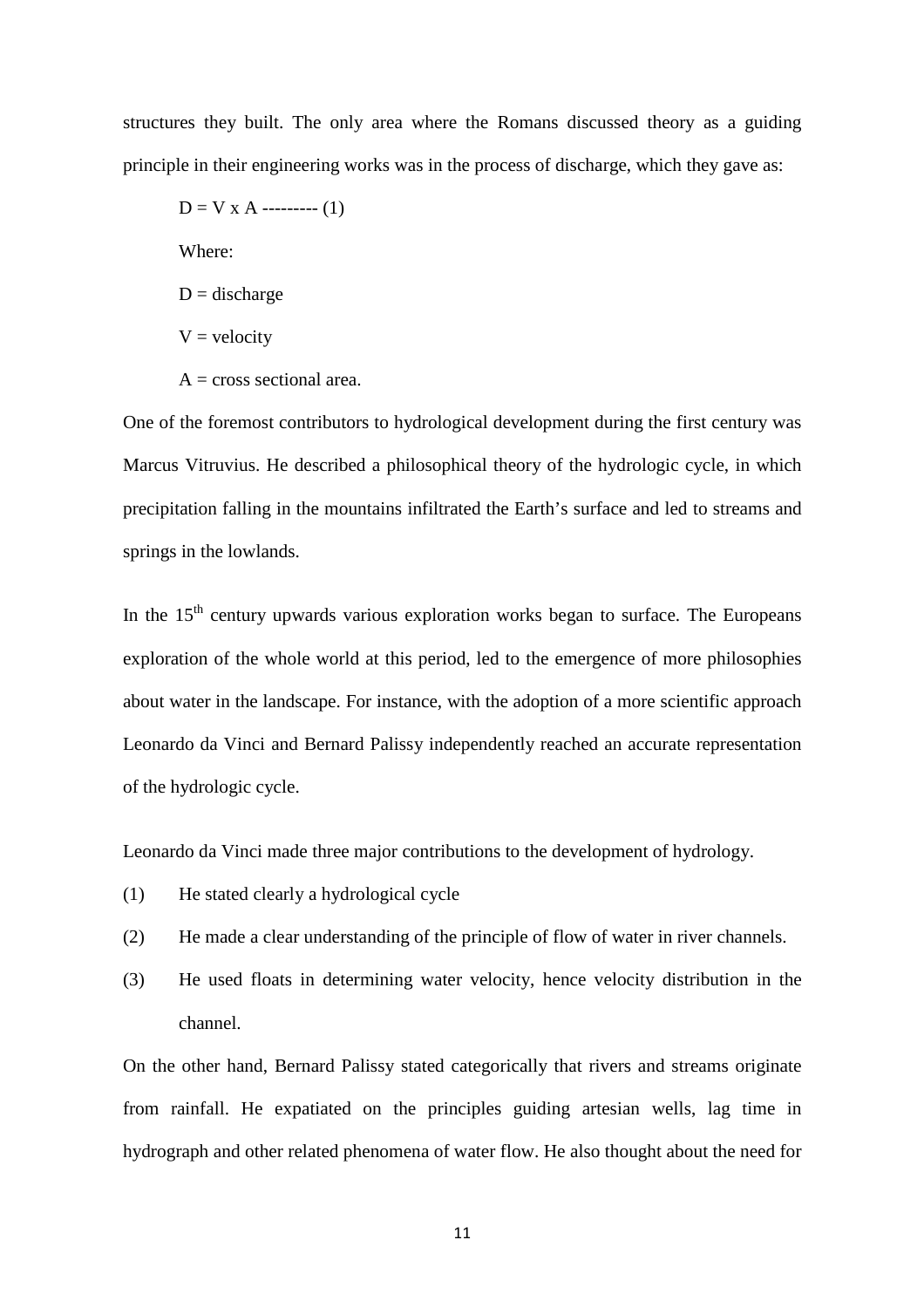structures they built. The only area where the Romans discussed theory as a guiding principle in their engineering works was in the process of discharge, which they gave as:

 $D = V \times A$  --------- (1) Where:  $D =$  discharge  $V =$  velocity  $A = cross sectional area.$ 

One of the foremost contributors to hydrological development during the first century was Marcus Vitruvius. He described a philosophical theory of the hydrologic cycle, in which precipitation falling in the mountains infiltrated the Earth's surface and led to streams and springs in the lowlands.

In the  $15<sup>th</sup>$  century upwards various exploration works began to surface. The Europeans exploration of the whole world at this period, led to the emergence of more philosophies about water in the landscape. For instance, with the adoption of a more scientific approach Leonardo da Vinci and Bernard Palissy independently reached an accurate representation of the hydrologic cycle.

Leonardo da Vinci made three major contributions to the development of hydrology.

- (1) He stated clearly a hydrological cycle
- (2) He made a clear understanding of the principle of flow of water in river channels.
- (3) He used floats in determining water velocity, hence velocity distribution in the channel.

On the other hand, Bernard Palissy stated categorically that rivers and streams originate from rainfall. He expatiated on the principles guiding artesian wells, lag time in hydrograph and other related phenomena of water flow. He also thought about the need for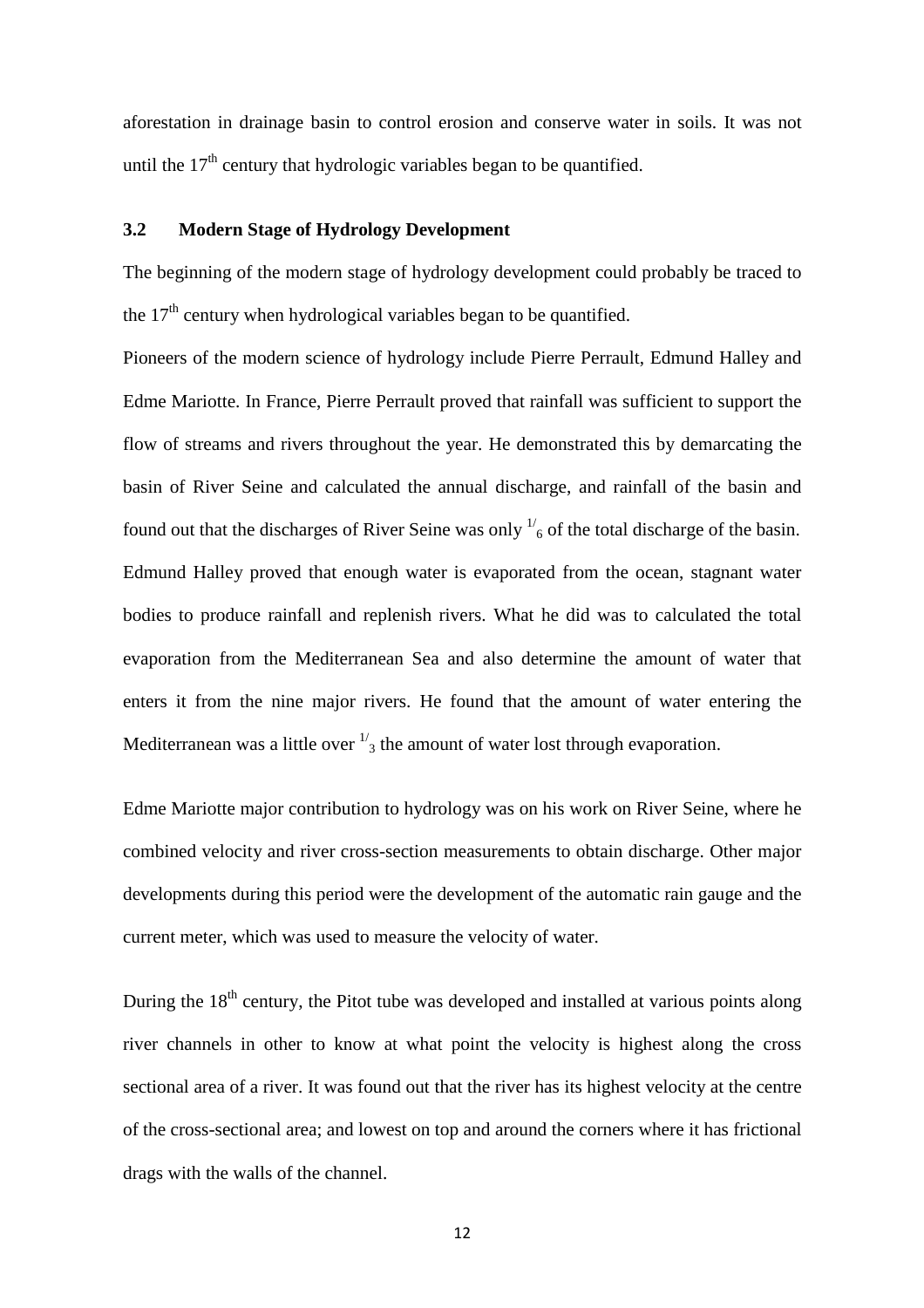aforestation in drainage basin to control erosion and conserve water in soils. It was not until the  $17<sup>th</sup>$  century that hydrologic variables began to be quantified.

## **3.2 Modern Stage of Hydrology Development**

The beginning of the modern stage of hydrology development could probably be traced to the  $17<sup>th</sup>$  century when hydrological variables began to be quantified.

Pioneers of the modern science of hydrology include Pierre Perrault, Edmund Halley and Edme Mariotte. In France, Pierre Perrault proved that rainfall was sufficient to support the flow of streams and rivers throughout the year. He demonstrated this by demarcating the basin of River Seine and calculated the annual discharge, and rainfall of the basin and found out that the discharges of River Seine was only  $\frac{1}{6}$  of the total discharge of the basin. Edmund Halley proved that enough water is evaporated from the ocean, stagnant water bodies to produce rainfall and replenish rivers. What he did was to calculated the total evaporation from the Mediterranean Sea and also determine the amount of water that enters it from the nine major rivers. He found that the amount of water entering the Mediterranean was a little over  $\frac{1}{3}$  the amount of water lost through evaporation.

Edme Mariotte major contribution to hydrology was on his work on River Seine, where he combined velocity and river cross-section measurements to obtain discharge. Other major developments during this period were the development of the automatic rain gauge and the current meter, which was used to measure the velocity of water.

During the  $18<sup>th</sup>$  century, the Pitot tube was developed and installed at various points along river channels in other to know at what point the velocity is highest along the cross sectional area of a river. It was found out that the river has its highest velocity at the centre of the cross-sectional area; and lowest on top and around the corners where it has frictional drags with the walls of the channel.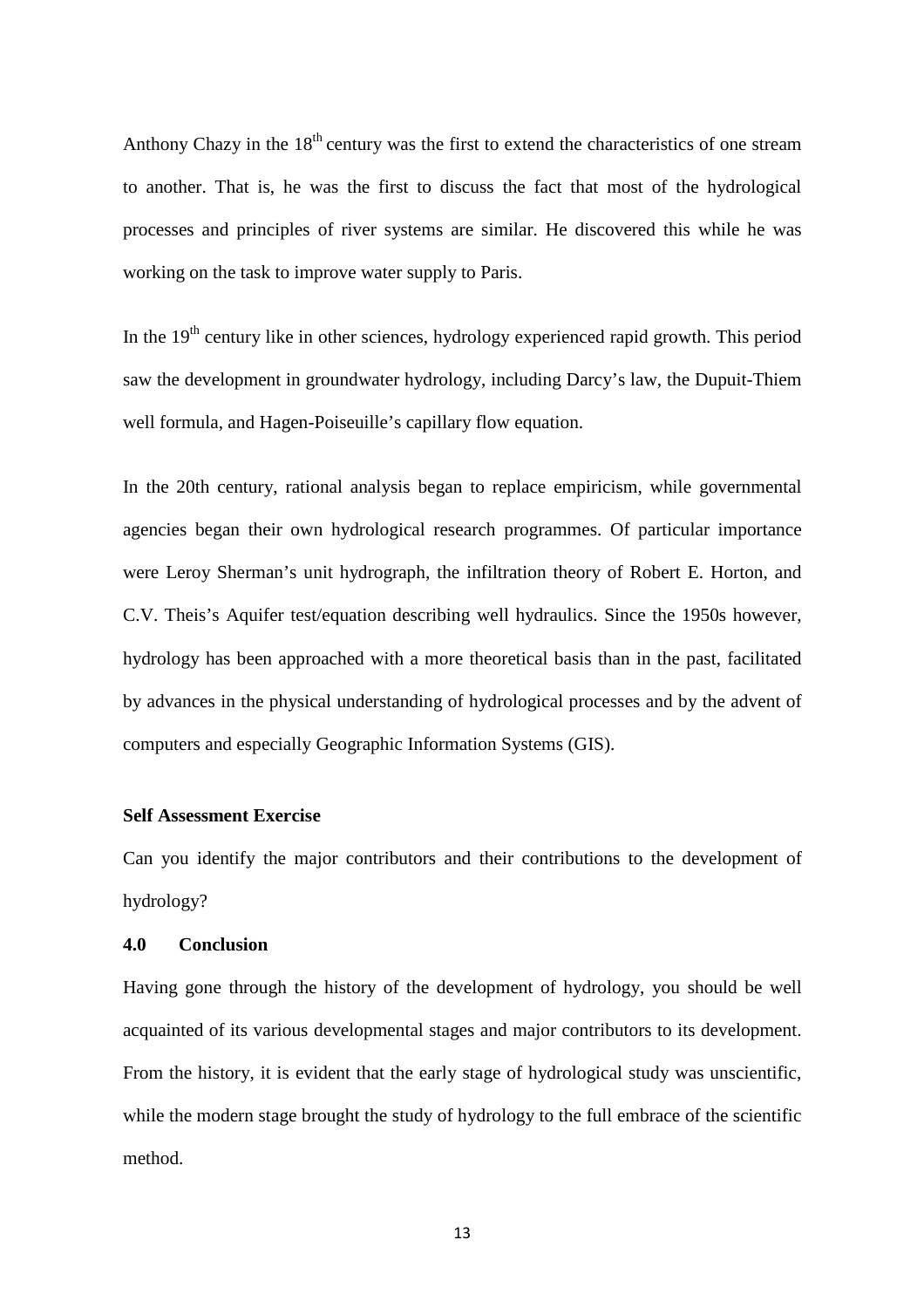Anthony Chazy in the 18<sup>th</sup> century was the first to extend the characteristics of one stream to another. That is, he was the first to discuss the fact that most of the hydrological processes and principles of river systems are similar. He discovered this while he was working on the task to improve water supply to Paris.

In the  $19<sup>th</sup>$  century like in other sciences, hydrology experienced rapid growth. This period saw the development in groundwater hydrology, including Darcy's law, the Dupuit-Thiem well formula, and Hagen-Poiseuille's capillary flow equation.

In the 20th century, rational analysis began to replace empiricism, while governmental agencies began their own hydrological research programmes. Of particular importance were Leroy Sherman's unit hydrograph, the infiltration theory of Robert E. Horton, and C.V. Theis's Aquifer test/equation describing well hydraulics. Since the 1950s however, hydrology has been approached with a more theoretical basis than in the past, facilitated by advances in the physical understanding of hydrological processes and by the advent of computers and especially Geographic Information Systems (GIS).

#### **Self Assessment Exercise**

Can you identify the major contributors and their contributions to the development of hydrology?

## **4.0 Conclusion**

Having gone through the history of the development of hydrology, you should be well acquainted of its various developmental stages and major contributors to its development. From the history, it is evident that the early stage of hydrological study was unscientific, while the modern stage brought the study of hydrology to the full embrace of the scientific method.

13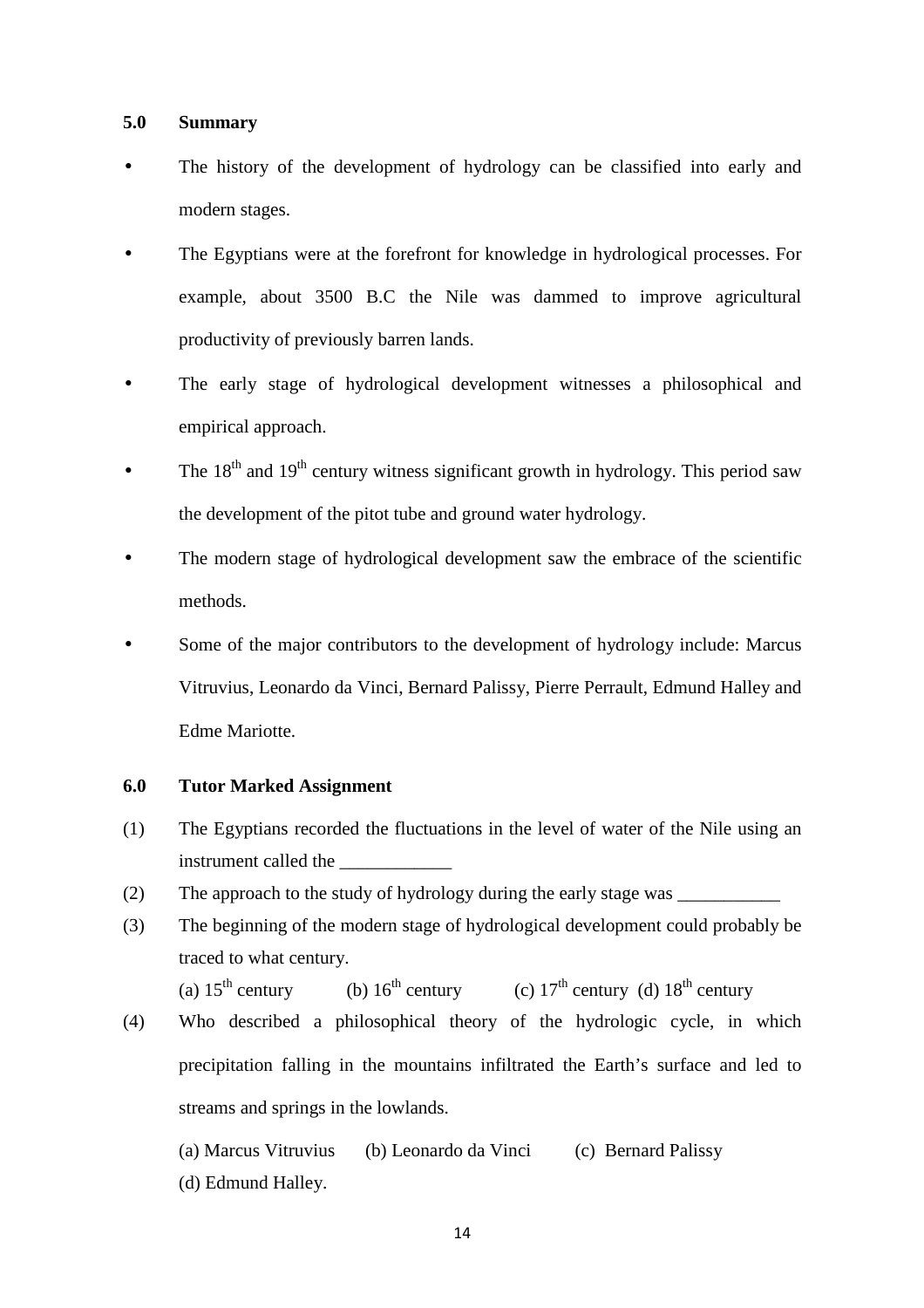#### **5.0 Summary**

- The history of the development of hydrology can be classified into early and modern stages.
- The Egyptians were at the forefront for knowledge in hydrological processes. For example, about 3500 B.C the Nile was dammed to improve agricultural productivity of previously barren lands.
- The early stage of hydrological development witnesses a philosophical and empirical approach.
- The  $18<sup>th</sup>$  and  $19<sup>th</sup>$  century witness significant growth in hydrology. This period saw the development of the pitot tube and ground water hydrology.
- The modern stage of hydrological development saw the embrace of the scientific methods.
- Some of the major contributors to the development of hydrology include: Marcus Vitruvius, Leonardo da Vinci, Bernard Palissy, Pierre Perrault, Edmund Halley and Edme Mariotte.

#### **6.0 Tutor Marked Assignment**

- (1) The Egyptians recorded the fluctuations in the level of water of the Nile using an instrument called the
- (2) The approach to the study of hydrology during the early stage was
- (3) The beginning of the modern stage of hydrological development could probably be traced to what century.
	- (a)  $15^{th}$  century (b)  $16^{th}$  century (c)  $17^{th}$  century (d)  $18^{th}$  century
- (4) Who described a philosophical theory of the hydrologic cycle, in which precipitation falling in the mountains infiltrated the Earth's surface and led to streams and springs in the lowlands.
	- (a) Marcus Vitruvius (b) Leonardo da Vinci (c) Bernard Palissy (d) Edmund Halley.

14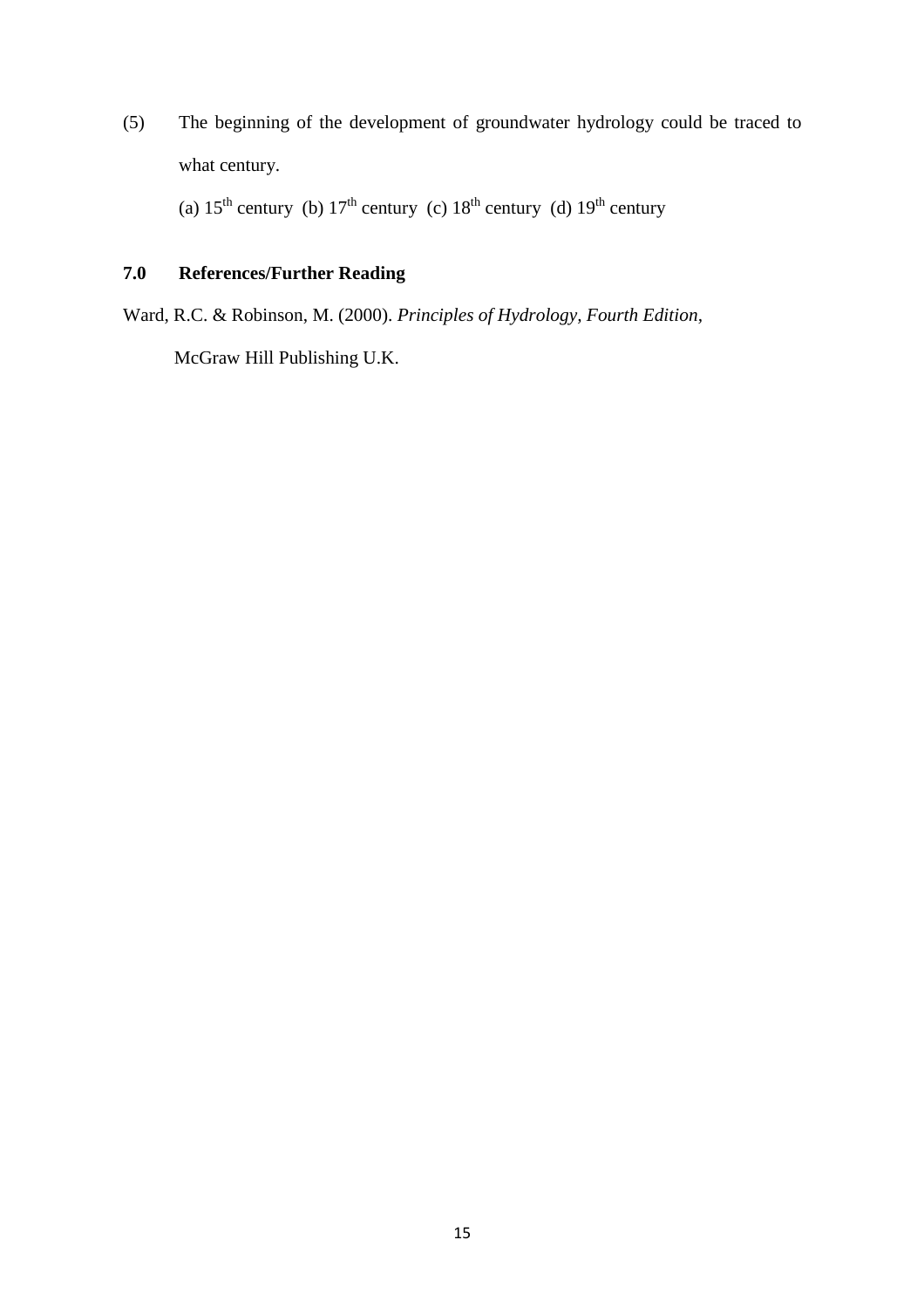(5) The beginning of the development of groundwater hydrology could be traced to what century.

(a)  $15^{th}$  century (b)  $17^{th}$  century (c)  $18^{th}$  century (d)  $19^{th}$  century

# **7.0 References/Further Reading**

Ward, R.C. & Robinson, M. (2000). *Principles of Hydrology, Fourth Edition,*

McGraw Hill Publishing U.K.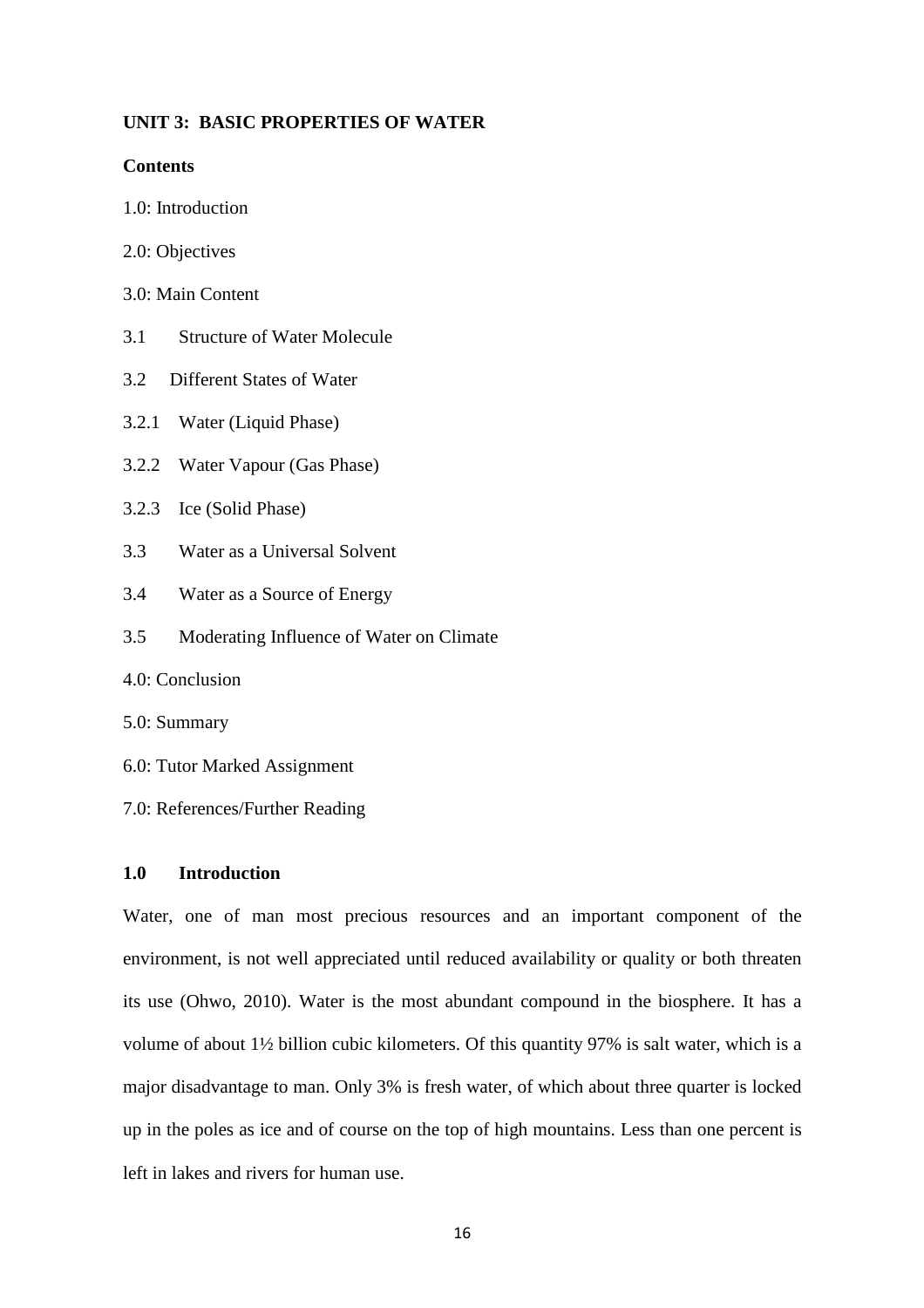#### **UNIT 3: BASIC PROPERTIES OF WATER**

#### **Contents**

- 1.0: Introduction
- 2.0: Objectives
- 3.0: Main Content
- 3.1 Structure of Water Molecule
- 3.2 Different States of Water
- 3.2.1 Water (Liquid Phase)
- 3.2.2 Water Vapour (Gas Phase)
- 3.2.3 Ice (Solid Phase)
- 3.3 Water as a Universal Solvent
- 3.4 Water as a Source of Energy
- 3.5 Moderating Influence of Water on Climate
- 4.0: Conclusion
- 5.0: Summary
- 6.0: Tutor Marked Assignment
- 7.0: References/Further Reading

## **1.0 Introduction**

Water, one of man most precious resources and an important component of the environment, is not well appreciated until reduced availability or quality or both threaten its use (Ohwo, 2010). Water is the most abundant compound in the biosphere. It has a volume of about 1½ billion cubic kilometers. Of this quantity 97% is salt water, which is a major disadvantage to man. Only 3% is fresh water, of which about three quarter is locked up in the poles as ice and of course on the top of high mountains. Less than one percent is left in lakes and rivers for human use.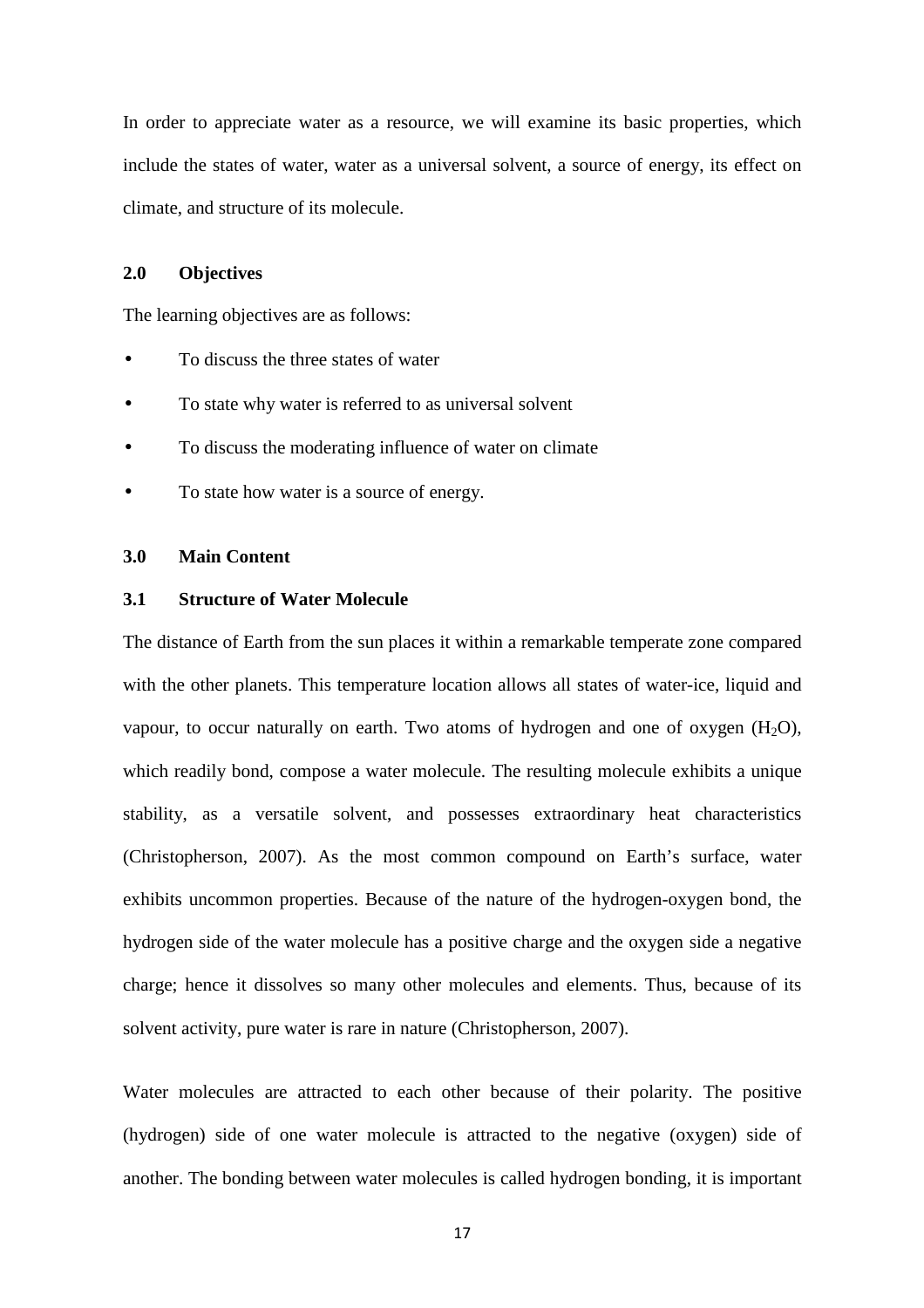In order to appreciate water as a resource, we will examine its basic properties, which include the states of water, water as a universal solvent, a source of energy, its effect on climate, and structure of its molecule.

## **2.0 Objectives**

The learning objectives are as follows:

- To discuss the three states of water
- To state why water is referred to as universal solvent
- To discuss the moderating influence of water on climate
- To state how water is a source of energy.

#### **3.0 Main Content**

#### **3.1 Structure of Water Molecule**

The distance of Earth from the sun places it within a remarkable temperate zone compared with the other planets. This temperature location allows all states of water-ice, liquid and vapour, to occur naturally on earth. Two atoms of hydrogen and one of oxygen  $(H_2O)$ , which readily bond, compose a water molecule. The resulting molecule exhibits a unique stability, as a versatile solvent, and possesses extraordinary heat characteristics (Christopherson, 2007). As the most common compound on Earth's surface, water exhibits uncommon properties. Because of the nature of the hydrogen-oxygen bond, the hydrogen side of the water molecule has a positive charge and the oxygen side a negative charge; hence it dissolves so many other molecules and elements. Thus, because of its solvent activity, pure water is rare in nature (Christopherson, 2007).

Water molecules are attracted to each other because of their polarity. The positive (hydrogen) side of one water molecule is attracted to the negative (oxygen) side of another. The bonding between water molecules is called hydrogen bonding, it is important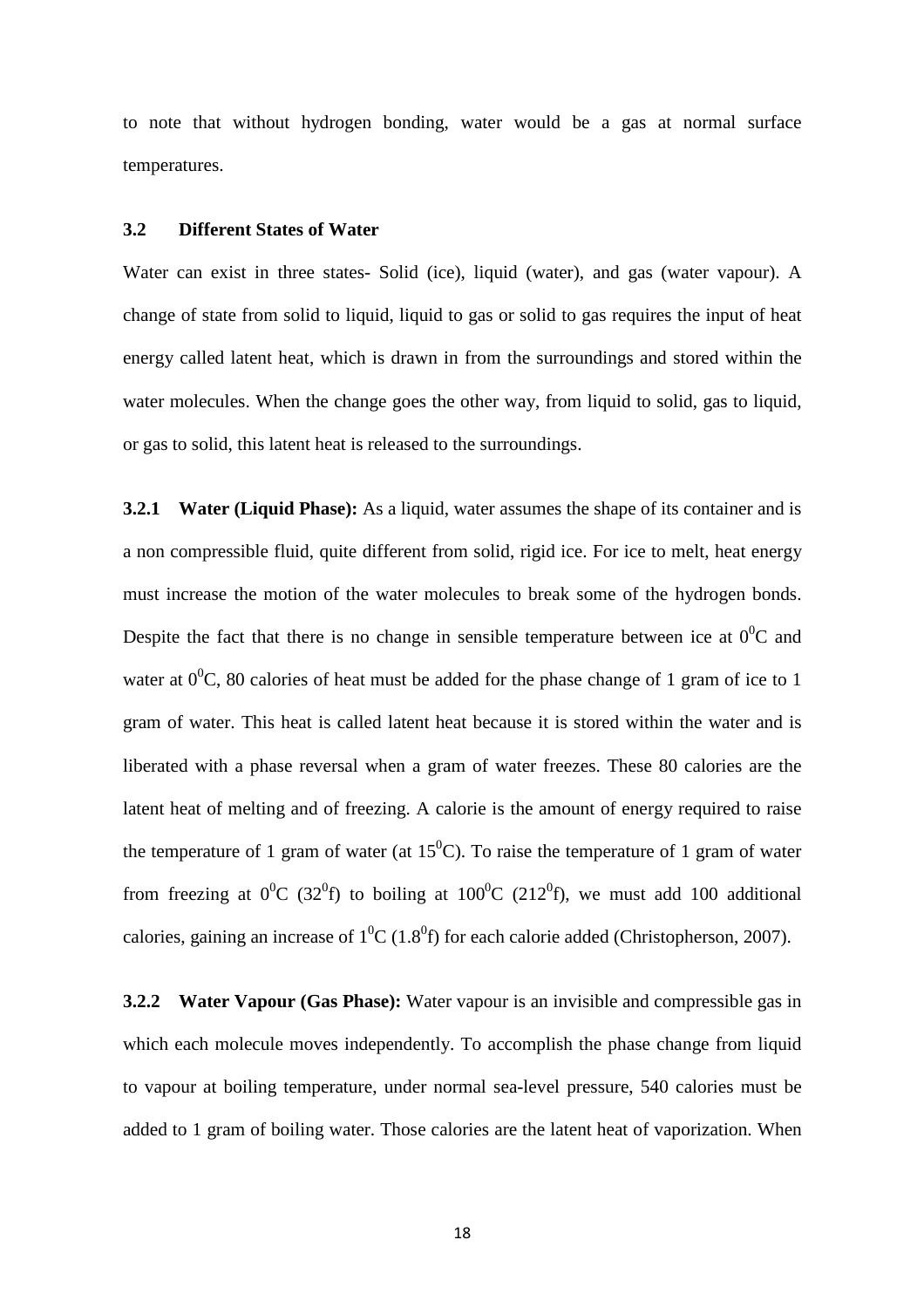to note that without hydrogen bonding, water would be a gas at normal surface temperatures.

## **3.2 Different States of Water**

Water can exist in three states- Solid (ice), liquid (water), and gas (water vapour). A change of state from solid to liquid, liquid to gas or solid to gas requires the input of heat energy called latent heat, which is drawn in from the surroundings and stored within the water molecules. When the change goes the other way, from liquid to solid, gas to liquid, or gas to solid, this latent heat is released to the surroundings.

**3.2.1 Water (Liquid Phase):** As a liquid, water assumes the shape of its container and is a non compressible fluid, quite different from solid, rigid ice. For ice to melt, heat energy must increase the motion of the water molecules to break some of the hydrogen bonds. Despite the fact that there is no change in sensible temperature between ice at  $0^0C$  and water at  $0^0$ C, 80 calories of heat must be added for the phase change of 1 gram of ice to 1 gram of water. This heat is called latent heat because it is stored within the water and is liberated with a phase reversal when a gram of water freezes. These 80 calories are the latent heat of melting and of freezing. A calorie is the amount of energy required to raise the temperature of 1 gram of water (at  $15^{\circ}$ C). To raise the temperature of 1 gram of water from freezing at  $0^0C$  (32<sup>0</sup>f) to boiling at 100<sup>0</sup>C (212<sup>0</sup>f), we must add 100 additional calories, gaining an increase of  $1^{0}C(1.8^{0}f)$  for each calorie added (Christopherson, 2007).

**3.2.2 Water Vapour (Gas Phase):** Water vapour is an invisible and compressible gas in which each molecule moves independently. To accomplish the phase change from liquid to vapour at boiling temperature, under normal sea-level pressure, 540 calories must be added to 1 gram of boiling water. Those calories are the latent heat of vaporization. When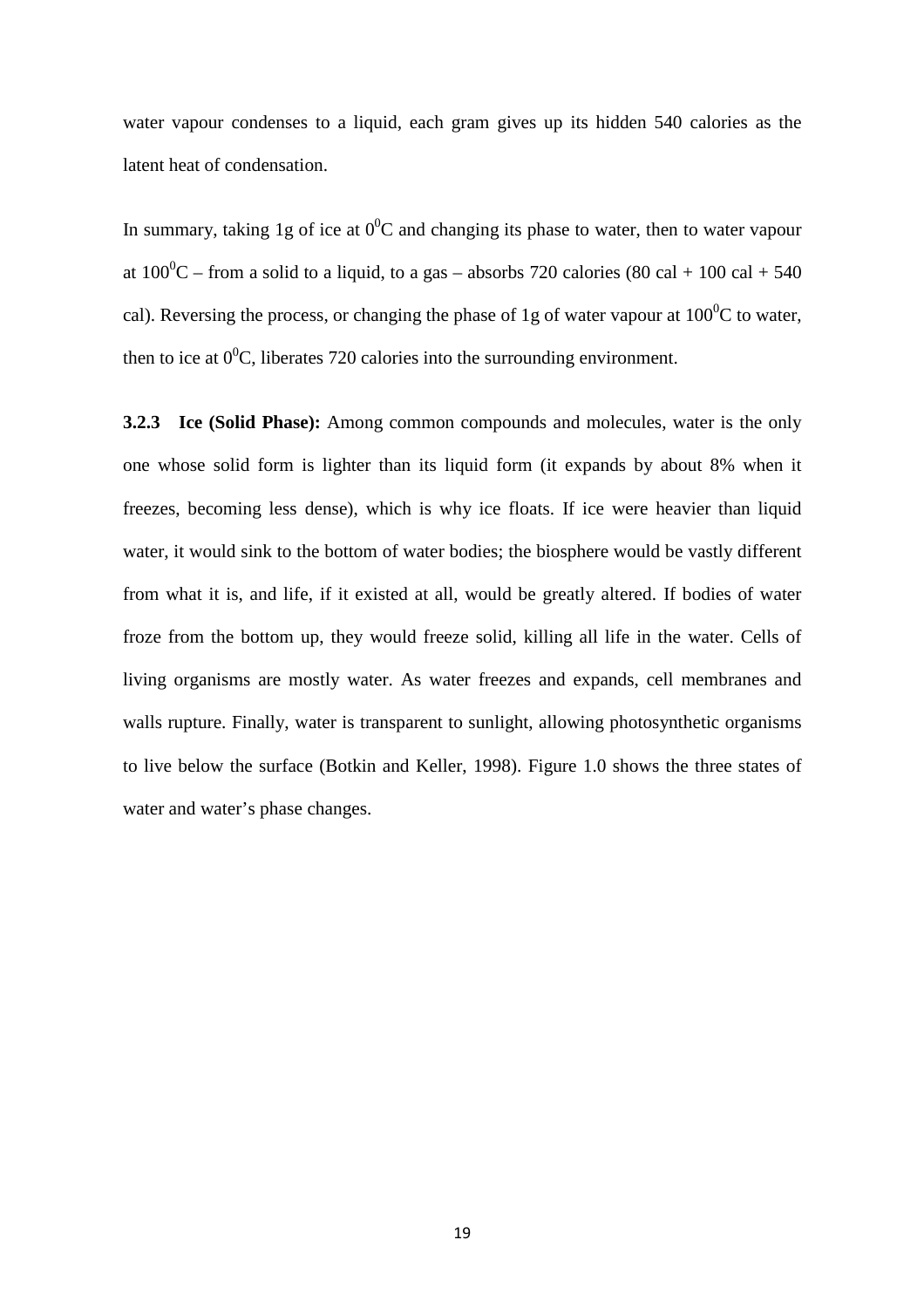water vapour condenses to a liquid, each gram gives up its hidden 540 calories as the latent heat of condensation.

In summary, taking 1g of ice at  $0^0C$  and changing its phase to water, then to water vapour at  $100^{\circ}$ C – from a solid to a liquid, to a gas – absorbs 720 calories (80 cal + 100 cal + 540 cal). Reversing the process, or changing the phase of 1g of water vapour at  $100^{\circ}$ C to water, then to ice at  $0^0$ C, liberates 720 calories into the surrounding environment.

**3.2.3 Ice (Solid Phase):** Among common compounds and molecules, water is the only one whose solid form is lighter than its liquid form (it expands by about 8% when it freezes, becoming less dense), which is why ice floats. If ice were heavier than liquid water, it would sink to the bottom of water bodies; the biosphere would be vastly different from what it is, and life, if it existed at all, would be greatly altered. If bodies of water froze from the bottom up, they would freeze solid, killing all life in the water. Cells of living organisms are mostly water. As water freezes and expands, cell membranes and walls rupture. Finally, water is transparent to sunlight, allowing photosynthetic organisms to live below the surface (Botkin and Keller, 1998). Figure 1.0 shows the three states of water and water's phase changes.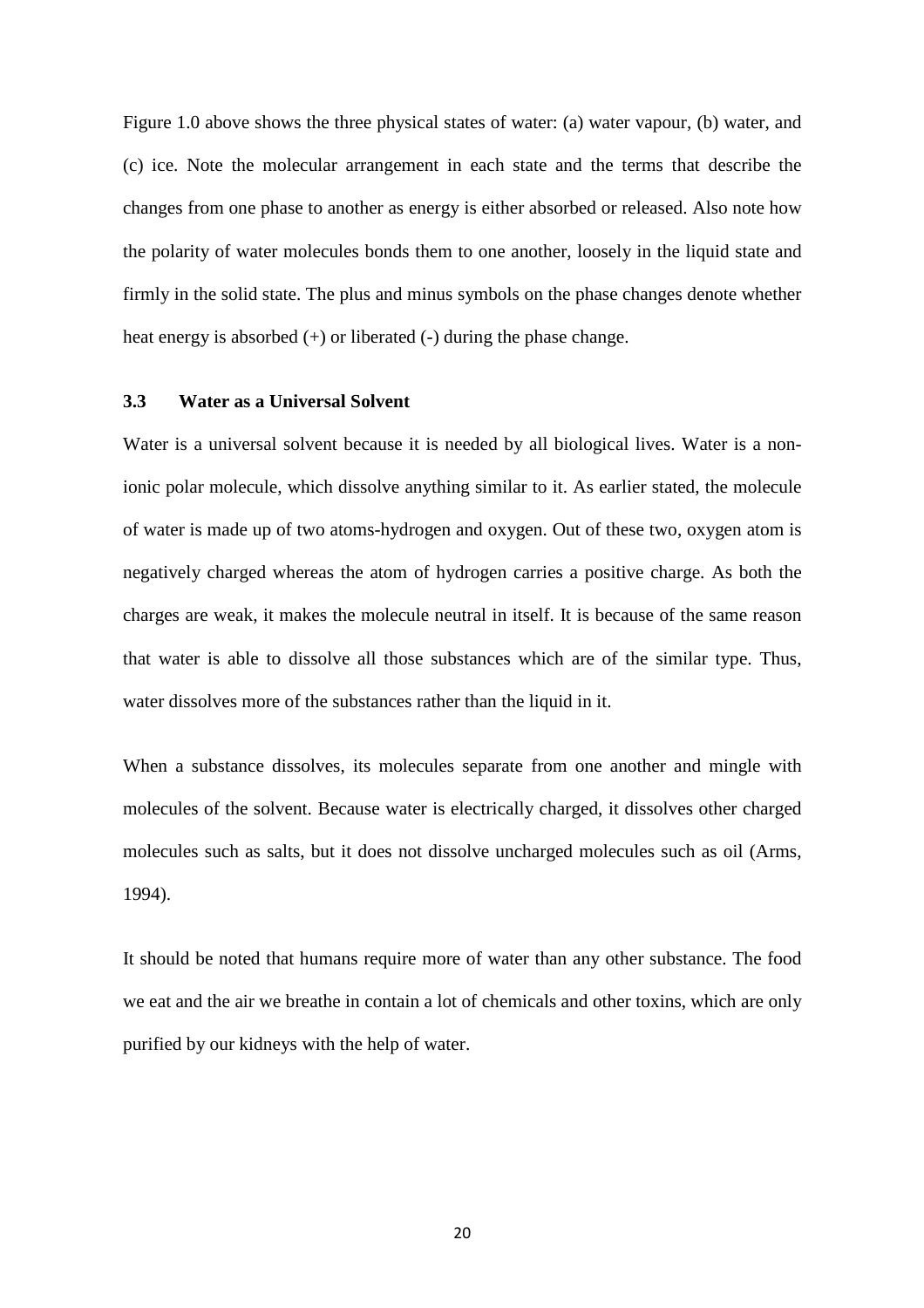Figure 1.0 above shows the three physical states of water: (a) water vapour, (b) water, and (c) ice. Note the molecular arrangement in each state and the terms that describe the changes from one phase to another as energy is either absorbed or released. Also note how the polarity of water molecules bonds them to one another, loosely in the liquid state and firmly in the solid state. The plus and minus symbols on the phase changes denote whether heat energy is absorbed (+) or liberated (-) during the phase change.

## **3.3 Water as a Universal Solvent**

Water is a universal solvent because it is needed by all biological lives. Water is a nonionic polar molecule, which dissolve anything similar to it. As earlier stated, the molecule of water is made up of two atoms-hydrogen and oxygen. Out of these two, oxygen atom is negatively charged whereas the atom of hydrogen carries a positive charge. As both the charges are weak, it makes the molecule neutral in itself. It is because of the same reason that water is able to dissolve all those substances which are of the similar type. Thus, water dissolves more of the substances rather than the liquid in it.

When a substance dissolves, its molecules separate from one another and mingle with molecules of the solvent. Because water is electrically charged, it dissolves other charged molecules such as salts, but it does not dissolve uncharged molecules such as oil (Arms, 1994).

It should be noted that humans require more of water than any other substance. The food we eat and the air we breathe in contain a lot of chemicals and other toxins, which are only purified by our kidneys with the help of water.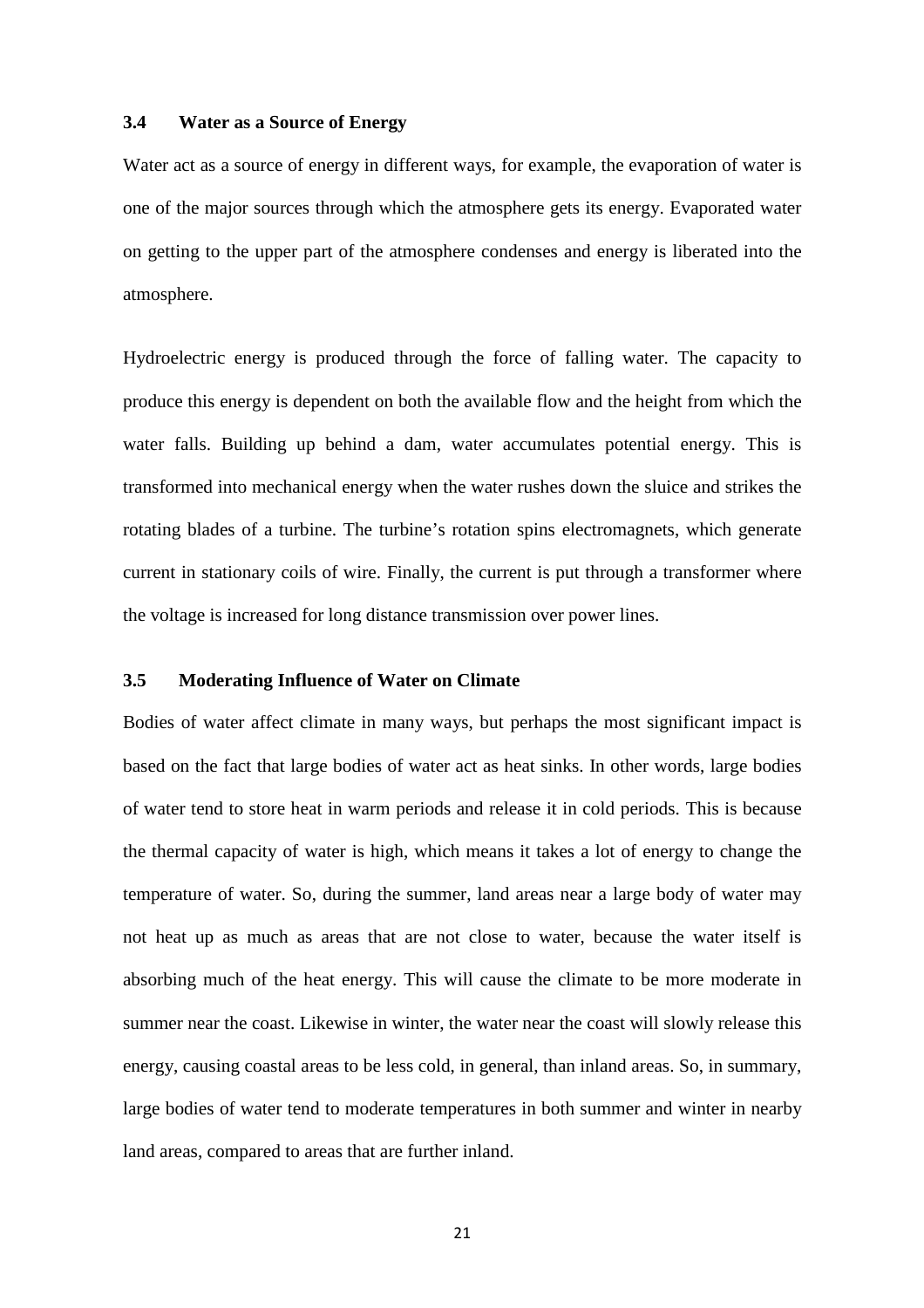#### **3.4 Water as a Source of Energy**

Water act as a source of energy in different ways, for example, the evaporation of water is one of the major sources through which the atmosphere gets its energy. Evaporated water on getting to the upper part of the atmosphere condenses and energy is liberated into the atmosphere.

Hydroelectric energy is produced through the force of falling water. The capacity to produce this energy is dependent on both the available flow and the height from which the water falls. Building up behind a dam, water accumulates potential energy. This is transformed into mechanical energy when the water rushes down the sluice and strikes the rotating blades of a turbine. The turbine's rotation spins electromagnets, which generate current in stationary coils of wire. Finally, the current is put through a transformer where the voltage is increased for long distance transmission over power lines.

## **3.5 Moderating Influence of Water on Climate**

Bodies of water affect climate in many ways, but perhaps the most significant impact is based on the fact that large bodies of water act as heat sinks. In other words, large bodies of water tend to store heat in warm periods and release it in cold periods. This is because the thermal capacity of water is high, which means it takes a lot of energy to change the temperature of water. So, during the summer, land areas near a large body of water may not heat up as much as areas that are not close to water, because the water itself is absorbing much of the heat energy. This will cause the climate to be more moderate in summer near the coast. Likewise in winter, the water near the coast will slowly release this energy, causing coastal areas to be less cold, in general, than inland areas. So, in summary, large bodies of water tend to moderate temperatures in both summer and winter in nearby land areas, compared to areas that are further inland.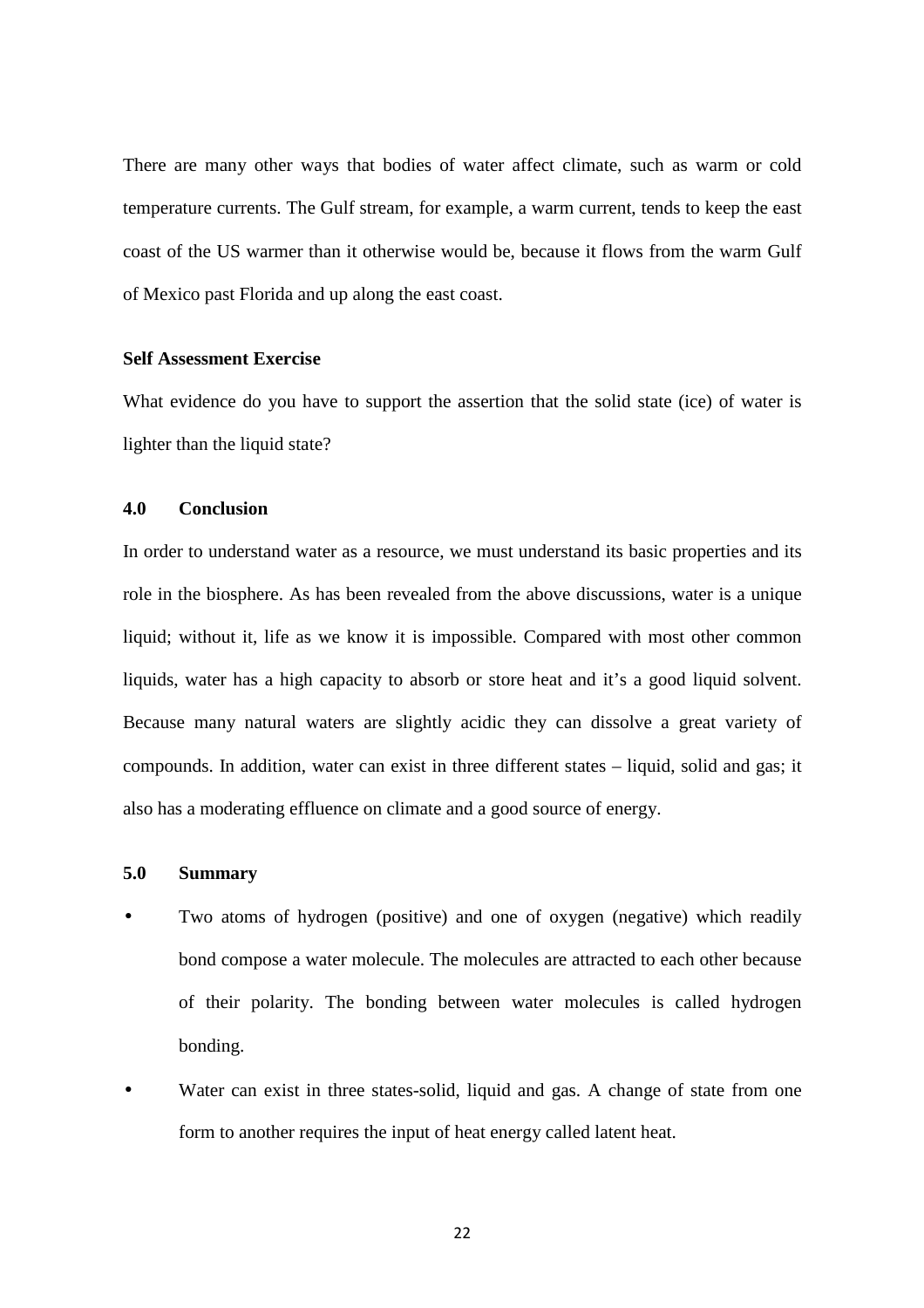There are many other ways that bodies of water affect climate, such as warm or cold temperature currents. The Gulf stream, for example, a warm current, tends to keep the east coast of the US warmer than it otherwise would be, because it flows from the warm Gulf of Mexico past Florida and up along the east coast.

#### **Self Assessment Exercise**

What evidence do you have to support the assertion that the solid state (ice) of water is lighter than the liquid state?

#### **4.0 Conclusion**

In order to understand water as a resource, we must understand its basic properties and its role in the biosphere. As has been revealed from the above discussions, water is a unique liquid; without it, life as we know it is impossible. Compared with most other common liquids, water has a high capacity to absorb or store heat and it's a good liquid solvent. Because many natural waters are slightly acidic they can dissolve a great variety of compounds. In addition, water can exist in three different states – liquid, solid and gas; it also has a moderating effluence on climate and a good source of energy.

#### **5.0 Summary**

- Two atoms of hydrogen (positive) and one of oxygen (negative) which readily bond compose a water molecule. The molecules are attracted to each other because of their polarity. The bonding between water molecules is called hydrogen bonding.
- Water can exist in three states-solid, liquid and gas. A change of state from one form to another requires the input of heat energy called latent heat.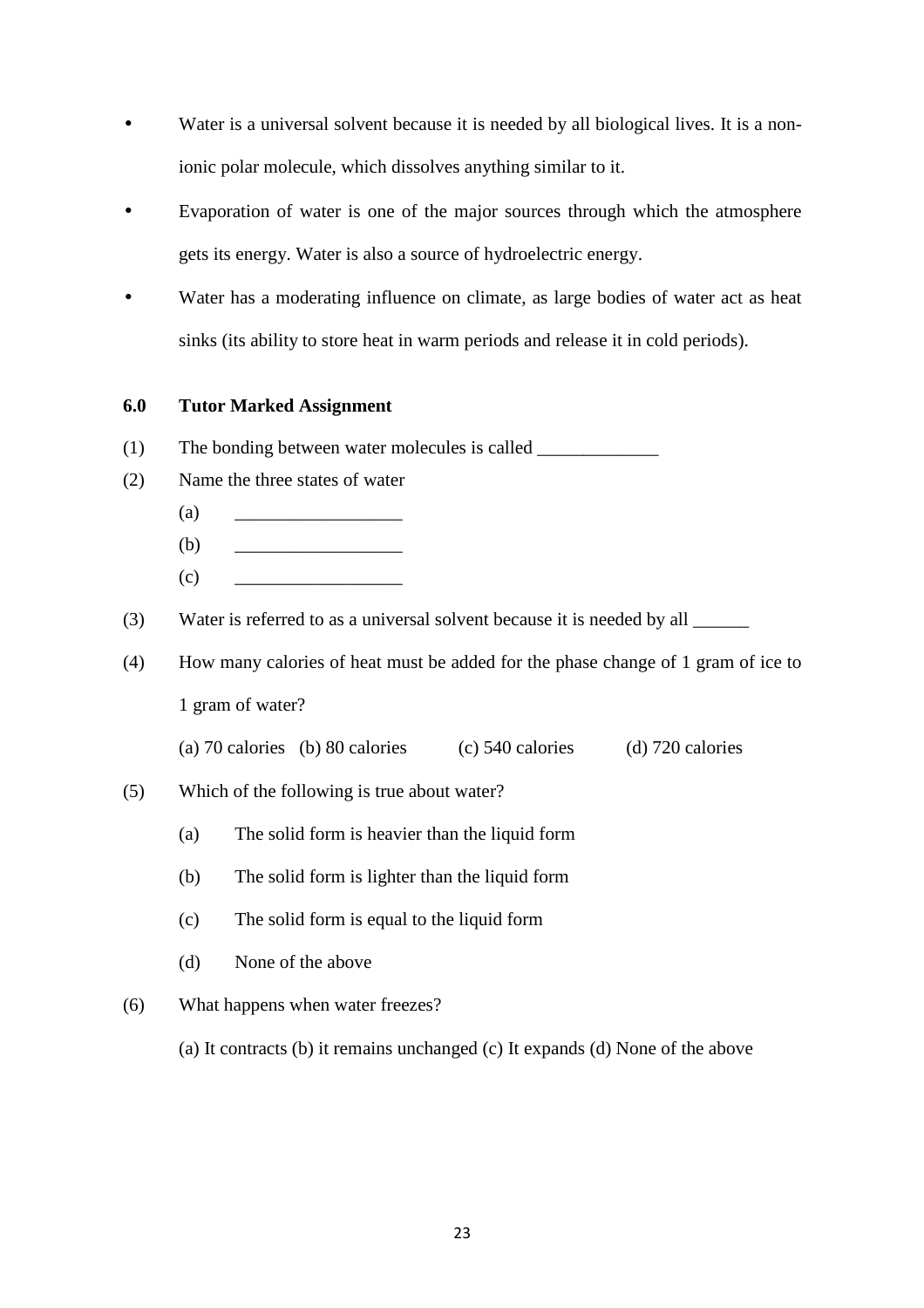- Water is a universal solvent because it is needed by all biological lives. It is a nonionic polar molecule, which dissolves anything similar to it.
- Evaporation of water is one of the major sources through which the atmosphere gets its energy. Water is also a source of hydroelectric energy.
- Water has a moderating influence on climate, as large bodies of water act as heat sinks (its ability to store heat in warm periods and release it in cold periods).

## **6.0 Tutor Marked Assignment**

- (1) The bonding between water molecules is called \_\_\_\_\_\_\_\_\_\_\_\_\_\_\_\_\_\_\_\_\_\_\_\_\_\_\_\_\_\_\_
- (2) Name the three states of water
	- (a)  $\qquad \qquad$
	- $(b)$
	- $(c)$
- (3) Water is referred to as a universal solvent because it is needed by all
- (4) How many calories of heat must be added for the phase change of 1 gram of ice to 1 gram of water?
	- (a) 70 calories (b) 80 calories (c) 540 calories (d) 720 calories
- (5) Which of the following is true about water?
	- (a) The solid form is heavier than the liquid form
	- (b) The solid form is lighter than the liquid form
	- (c) The solid form is equal to the liquid form
	- (d) None of the above
- (6) What happens when water freezes?
	- (a) It contracts (b) it remains unchanged (c) It expands (d) None of the above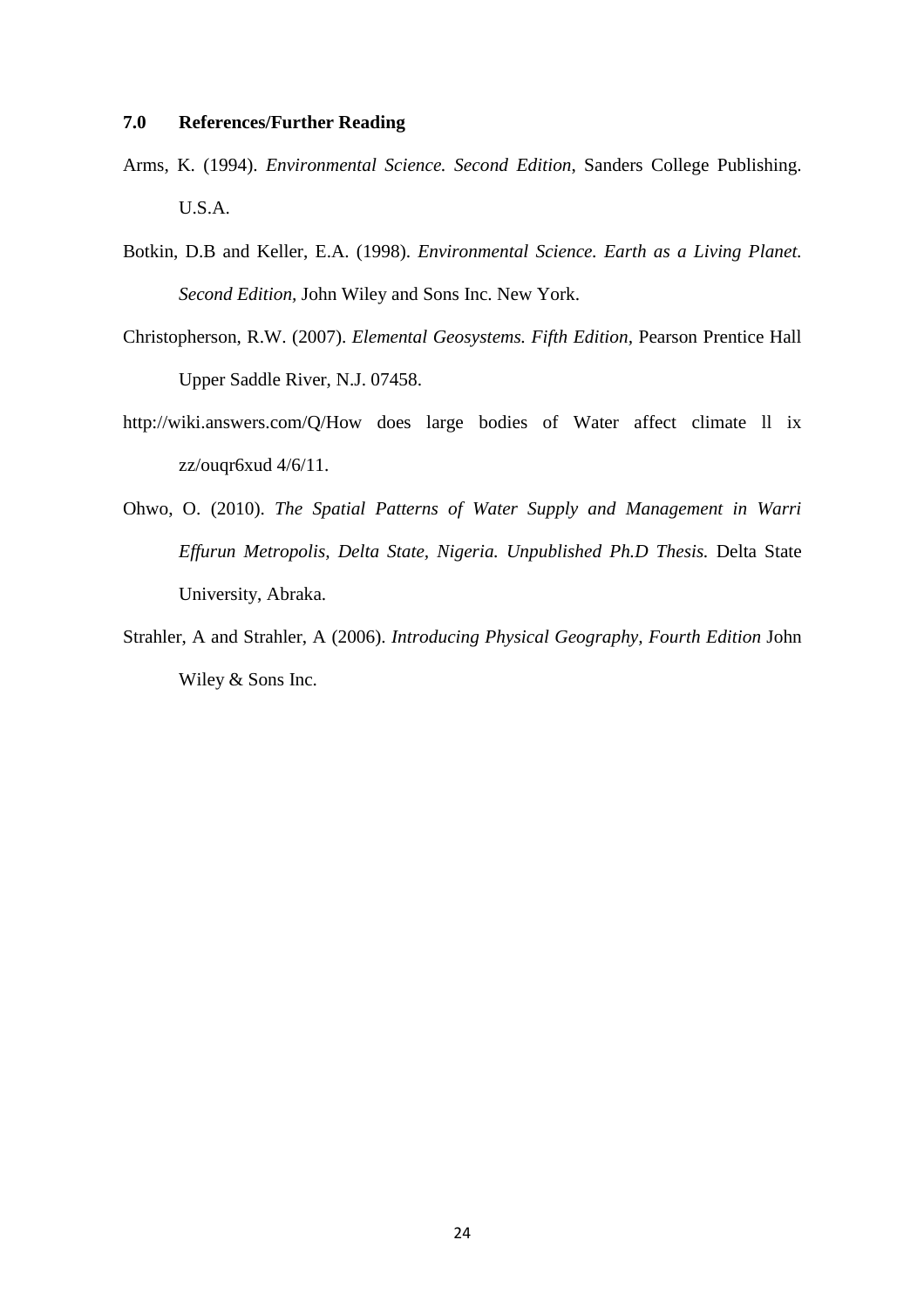#### **7.0 References/Further Reading**

- Arms, K. (1994). *Environmental Science. Second Edition*, Sanders College Publishing. U.S.A.
- Botkin, D.B and Keller, E.A. (1998). *Environmental Science. Earth as a Living Planet. Second Edition,* John Wiley and Sons Inc. New York.
- Christopherson, R.W. (2007). *Elemental Geosystems. Fifth Edition,* Pearson Prentice Hall Upper Saddle River, N.J. 07458.
- http://wiki.answers.com/Q/How does large bodies of Water affect climate ll ix zz/ouqr6xud 4/6/11.
- Ohwo, O. (2010). *The Spatial Patterns of Water Supply and Management in Warri Effurun Metropolis, Delta State, Nigeria. Unpublished Ph.D Thesis.* Delta State University, Abraka.
- Strahler, A and Strahler, A (2006). *Introducing Physical Geography, Fourth Edition* John Wiley & Sons Inc.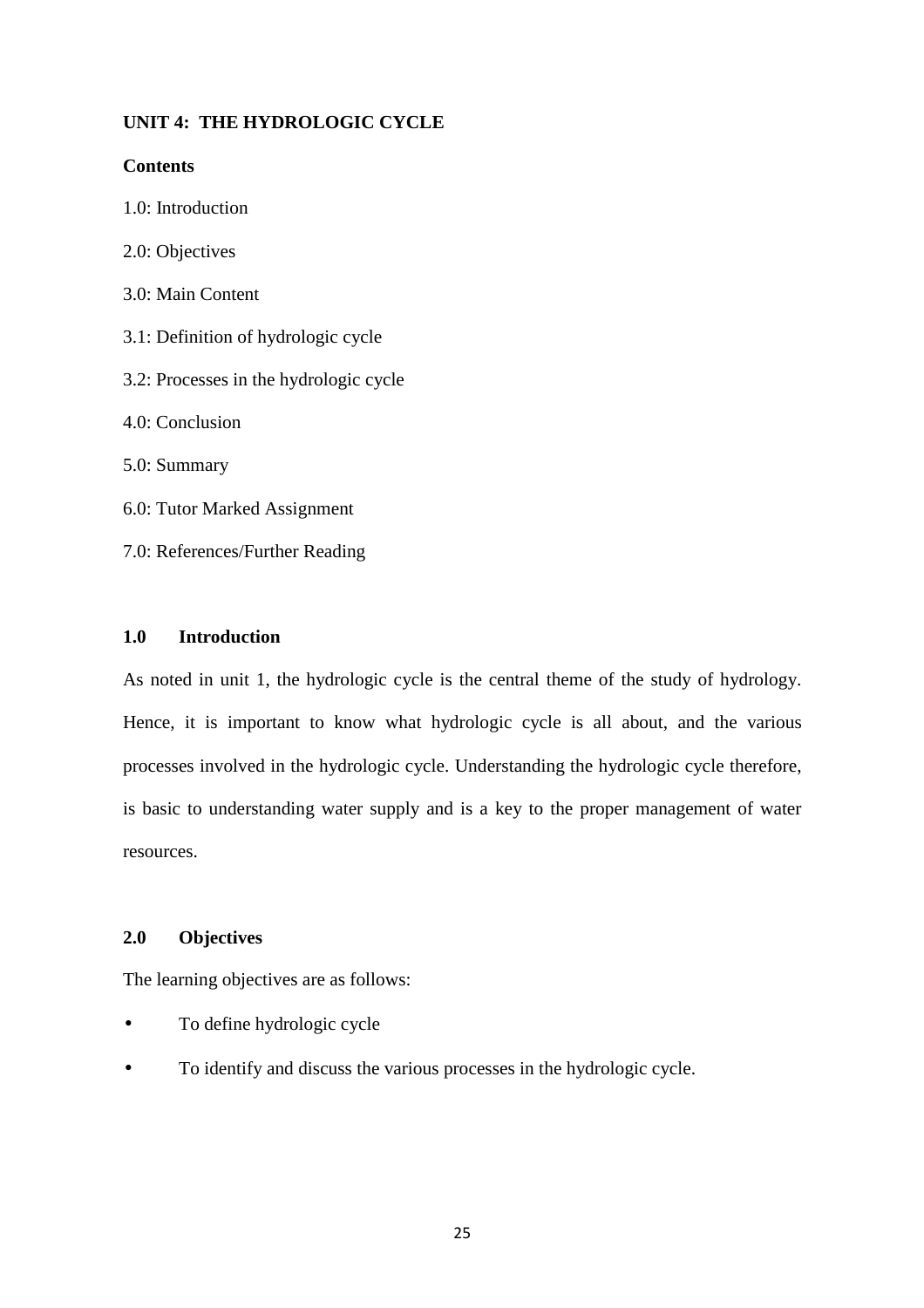## **UNIT 4: THE HYDROLOGIC CYCLE**

#### **Contents**

- 1.0: Introduction
- 2.0: Objectives
- 3.0: Main Content
- 3.1: Definition of hydrologic cycle
- 3.2: Processes in the hydrologic cycle
- 4.0: Conclusion
- 5.0: Summary
- 6.0: Tutor Marked Assignment
- 7.0: References/Further Reading

## **1.0 Introduction**

As noted in unit 1, the hydrologic cycle is the central theme of the study of hydrology. Hence, it is important to know what hydrologic cycle is all about, and the various processes involved in the hydrologic cycle. Understanding the hydrologic cycle therefore, is basic to understanding water supply and is a key to the proper management of water resources.

## **2.0 Objectives**

The learning objectives are as follows:

- To define hydrologic cycle
- To identify and discuss the various processes in the hydrologic cycle.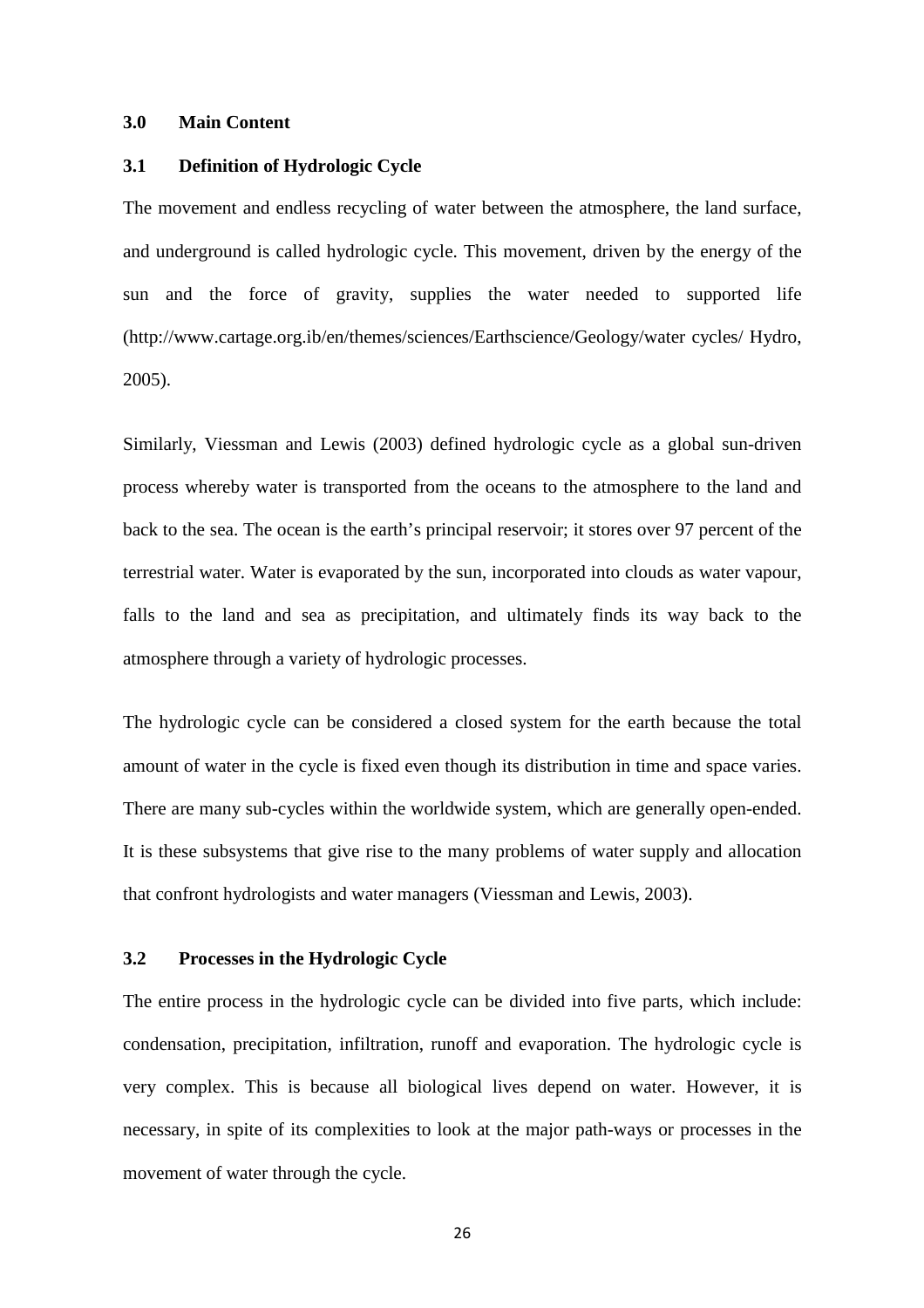#### **3.0 Main Content**

#### **3.1 Definition of Hydrologic Cycle**

The movement and endless recycling of water between the atmosphere, the land surface, and underground is called hydrologic cycle. This movement, driven by the energy of the sun and the force of gravity, supplies the water needed to supported life (http://www.cartage.org.ib/en/themes/sciences/Earthscience/Geology/water cycles/ Hydro, 2005).

Similarly, Viessman and Lewis (2003) defined hydrologic cycle as a global sun-driven process whereby water is transported from the oceans to the atmosphere to the land and back to the sea. The ocean is the earth's principal reservoir; it stores over 97 percent of the terrestrial water. Water is evaporated by the sun, incorporated into clouds as water vapour, falls to the land and sea as precipitation, and ultimately finds its way back to the atmosphere through a variety of hydrologic processes.

The hydrologic cycle can be considered a closed system for the earth because the total amount of water in the cycle is fixed even though its distribution in time and space varies. There are many sub-cycles within the worldwide system, which are generally open-ended. It is these subsystems that give rise to the many problems of water supply and allocation that confront hydrologists and water managers (Viessman and Lewis, 2003).

#### **3.2 Processes in the Hydrologic Cycle**

The entire process in the hydrologic cycle can be divided into five parts, which include: condensation, precipitation, infiltration, runoff and evaporation. The hydrologic cycle is very complex. This is because all biological lives depend on water. However, it is necessary, in spite of its complexities to look at the major path-ways or processes in the movement of water through the cycle.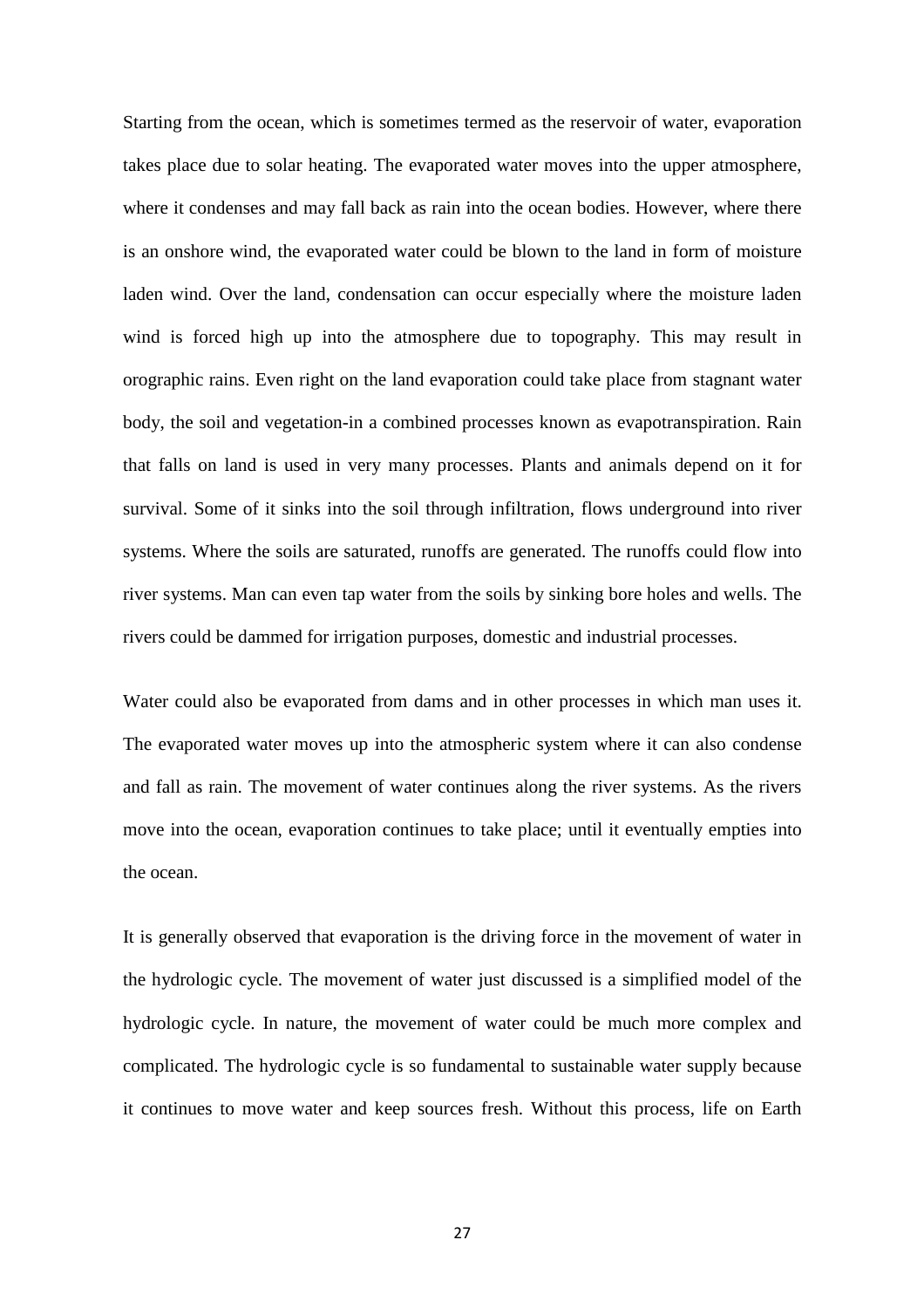Starting from the ocean, which is sometimes termed as the reservoir of water, evaporation takes place due to solar heating. The evaporated water moves into the upper atmosphere, where it condenses and may fall back as rain into the ocean bodies. However, where there is an onshore wind, the evaporated water could be blown to the land in form of moisture laden wind. Over the land, condensation can occur especially where the moisture laden wind is forced high up into the atmosphere due to topography. This may result in orographic rains. Even right on the land evaporation could take place from stagnant water body, the soil and vegetation-in a combined processes known as evapotranspiration. Rain that falls on land is used in very many processes. Plants and animals depend on it for survival. Some of it sinks into the soil through infiltration, flows underground into river systems. Where the soils are saturated, runoffs are generated. The runoffs could flow into river systems. Man can even tap water from the soils by sinking bore holes and wells. The rivers could be dammed for irrigation purposes, domestic and industrial processes.

Water could also be evaporated from dams and in other processes in which man uses it. The evaporated water moves up into the atmospheric system where it can also condense and fall as rain. The movement of water continues along the river systems. As the rivers move into the ocean, evaporation continues to take place; until it eventually empties into the ocean.

It is generally observed that evaporation is the driving force in the movement of water in the hydrologic cycle. The movement of water just discussed is a simplified model of the hydrologic cycle. In nature, the movement of water could be much more complex and complicated. The hydrologic cycle is so fundamental to sustainable water supply because it continues to move water and keep sources fresh. Without this process, life on Earth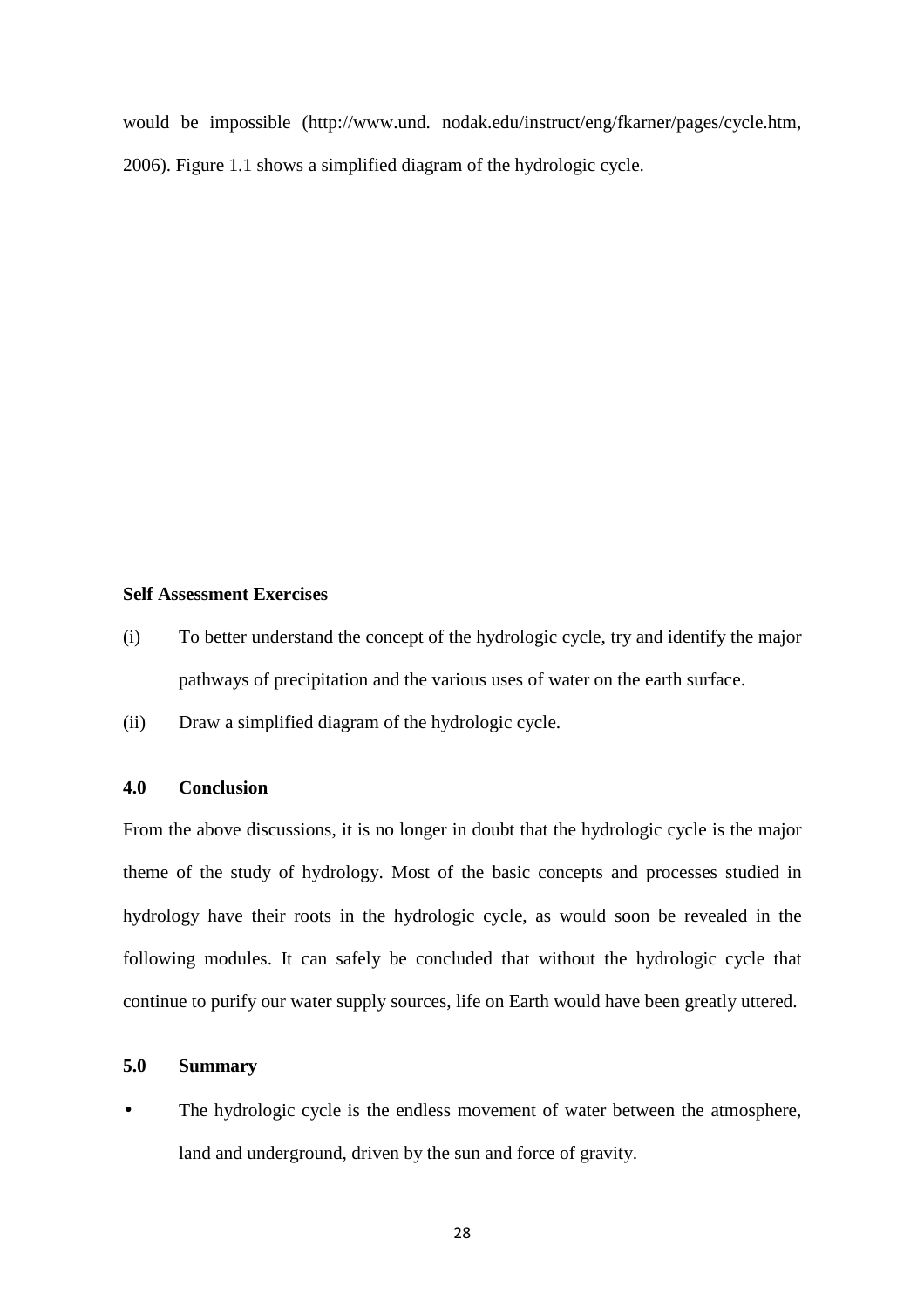would be impossible (http://www.und. nodak.edu/instruct/eng/fkarner/pages/cycle.htm, 2006). Figure 1.1 shows a simplified diagram of the hydrologic cycle.

## **Self Assessment Exercises**

- (i) To better understand the concept of the hydrologic cycle, try and identify the major pathways of precipitation and the various uses of water on the earth surface.
- (ii) Draw a simplified diagram of the hydrologic cycle.

#### **4.0 Conclusion**

From the above discussions, it is no longer in doubt that the hydrologic cycle is the major theme of the study of hydrology. Most of the basic concepts and processes studied in hydrology have their roots in the hydrologic cycle, as would soon be revealed in the following modules. It can safely be concluded that without the hydrologic cycle that continue to purify our water supply sources, life on Earth would have been greatly uttered.

## **5.0 Summary**

• The hydrologic cycle is the endless movement of water between the atmosphere, land and underground, driven by the sun and force of gravity.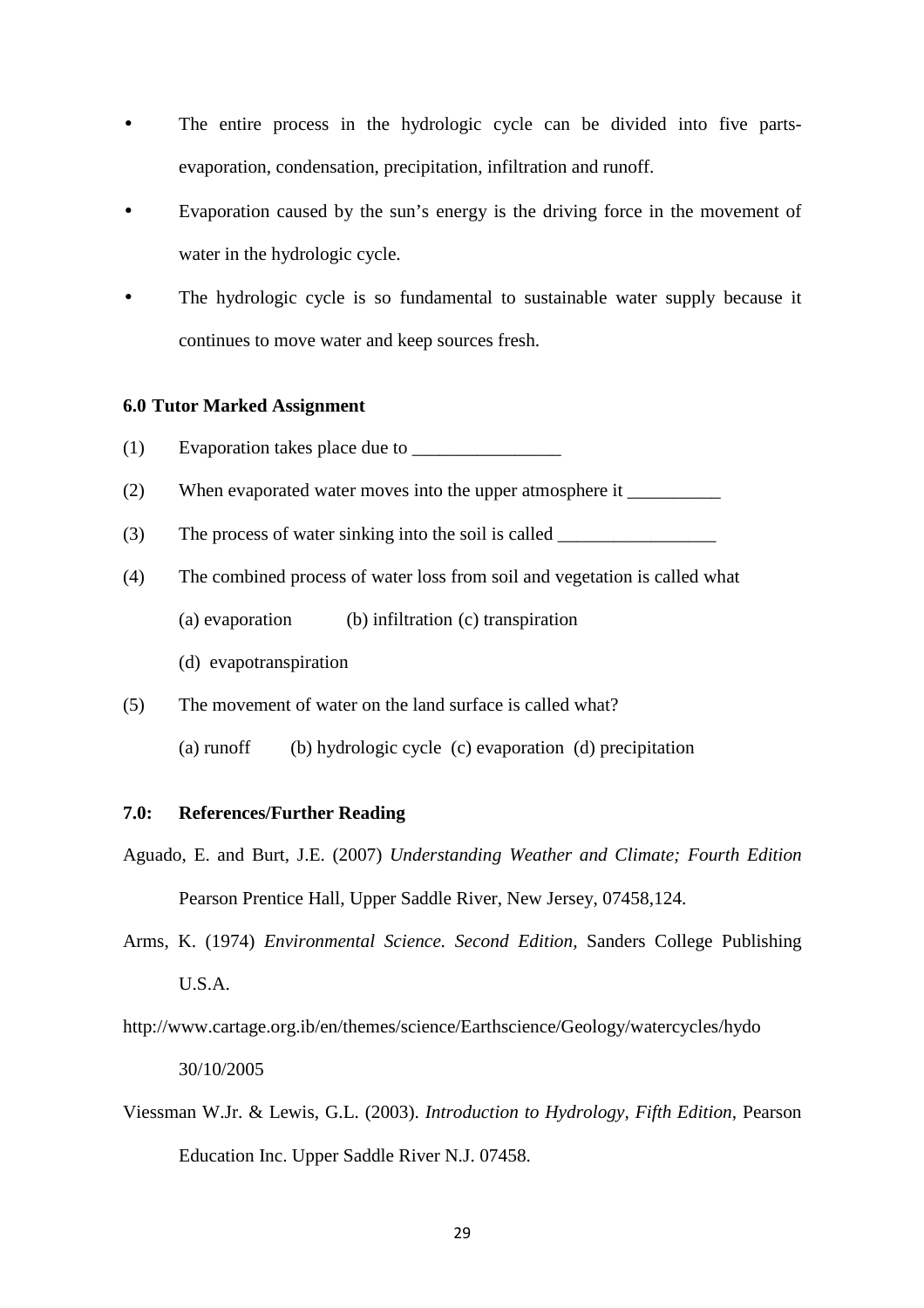- The entire process in the hydrologic cycle can be divided into five partsevaporation, condensation, precipitation, infiltration and runoff.
- Evaporation caused by the sun's energy is the driving force in the movement of water in the hydrologic cycle.
- The hydrologic cycle is so fundamental to sustainable water supply because it continues to move water and keep sources fresh.

#### **6.0 Tutor Marked Assignment**

- (1) Evaporation takes place due to  $\frac{1}{\sqrt{1-\frac{1}{\sqrt{1-\frac{1}{\sqrt{1-\frac{1}{\sqrt{1-\frac{1}{\sqrt{1-\frac{1}{\sqrt{1-\frac{1}{\sqrt{1-\frac{1}{\sqrt{1-\frac{1}{\sqrt{1-\frac{1}{\sqrt{1-\frac{1}{\sqrt{1-\frac{1}{\sqrt{1-\frac{1}{\sqrt{1-\frac{1}{\sqrt{1-\frac{1}{\sqrt{1-\frac{1}{\sqrt{1-\frac{1}{\sqrt{1-\frac{1}{\sqrt{1-\frac{1}{\sqrt{1-\frac{1}{\sqrt{1-\frac{1}{$
- (2) When evaporated water moves into the upper atmosphere it
- (3) The process of water sinking into the soil is called  $\Box$
- (4) The combined process of water loss from soil and vegetation is called what
	- (a) evaporation (b) infiltration (c) transpiration
	- (d) evapotranspiration
- (5) The movement of water on the land surface is called what?
	- (a) runoff (b) hydrologic cycle (c) evaporation (d) precipitation

## **7.0: References/Further Reading**

- Aguado, E. and Burt, J.E. (2007) *Understanding Weather and Climate; Fourth Edition* Pearson Prentice Hall, Upper Saddle River, New Jersey, 07458,124.
- Arms, K. (1974) *Environmental Science. Second Edition,* Sanders College Publishing U.S.A.
- http://www.cartage.org.ib/en/themes/science/Earthscience/Geology/watercycles/hydo 30/10/2005
- Viessman W.Jr. & Lewis, G.L. (2003). *Introduction to Hydrology, Fifth Edition*, Pearson Education Inc. Upper Saddle River N.J. 07458.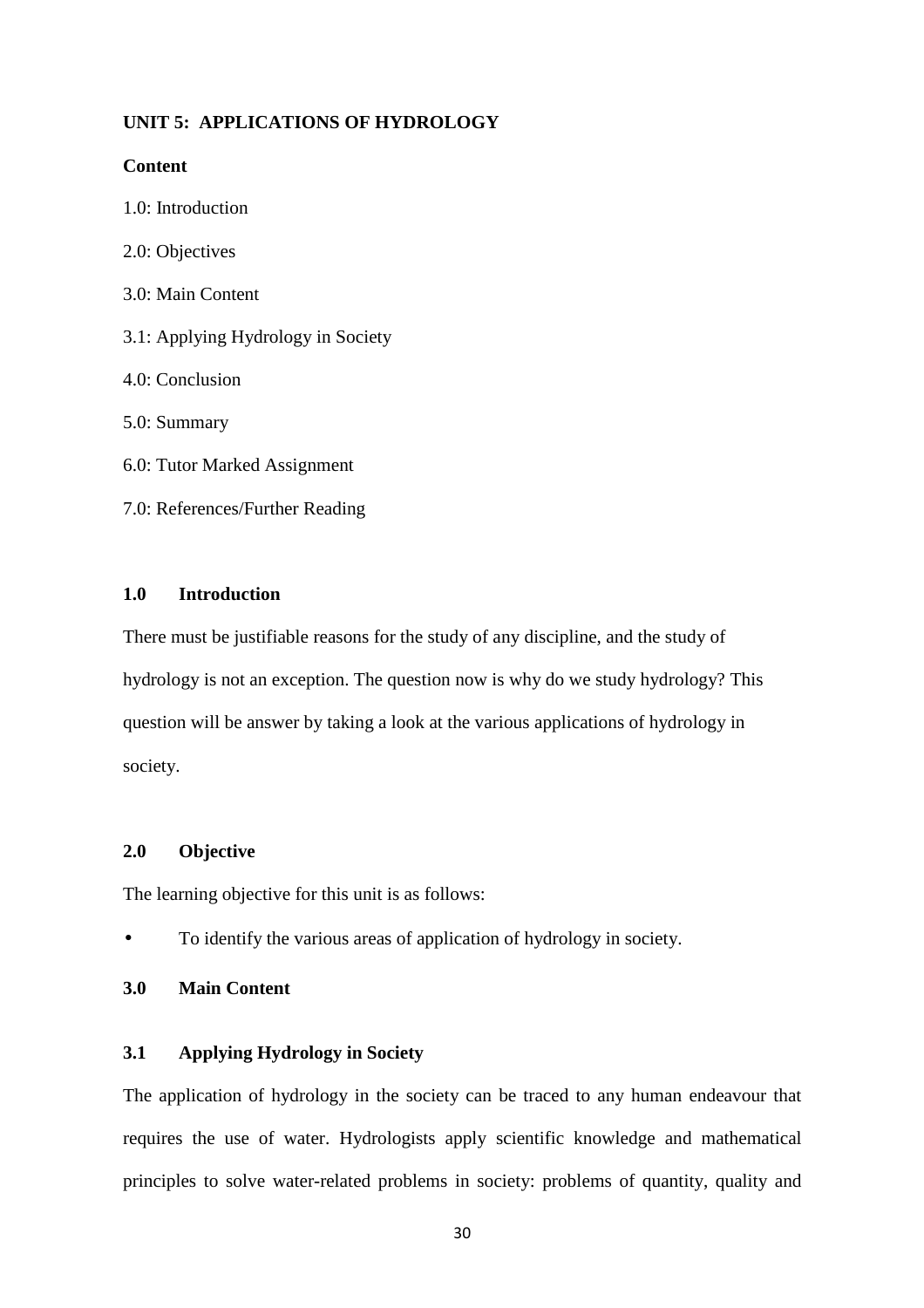## **UNIT 5: APPLICATIONS OF HYDROLOGY**

#### **Content**

1.0: Introduction

- 2.0: Objectives
- 3.0: Main Content

3.1: Applying Hydrology in Society

- 4.0: Conclusion
- 5.0: Summary
- 6.0: Tutor Marked Assignment
- 7.0: References/Further Reading

## **1.0 Introduction**

There must be justifiable reasons for the study of any discipline, and the study of hydrology is not an exception. The question now is why do we study hydrology? This question will be answer by taking a look at the various applications of hydrology in society.

## **2.0 Objective**

The learning objective for this unit is as follows:

- To identify the various areas of application of hydrology in society.
- **3.0 Main Content**

## **3.1 Applying Hydrology in Society**

The application of hydrology in the society can be traced to any human endeavour that requires the use of water. Hydrologists apply scientific knowledge and mathematical principles to solve water-related problems in society: problems of quantity, quality and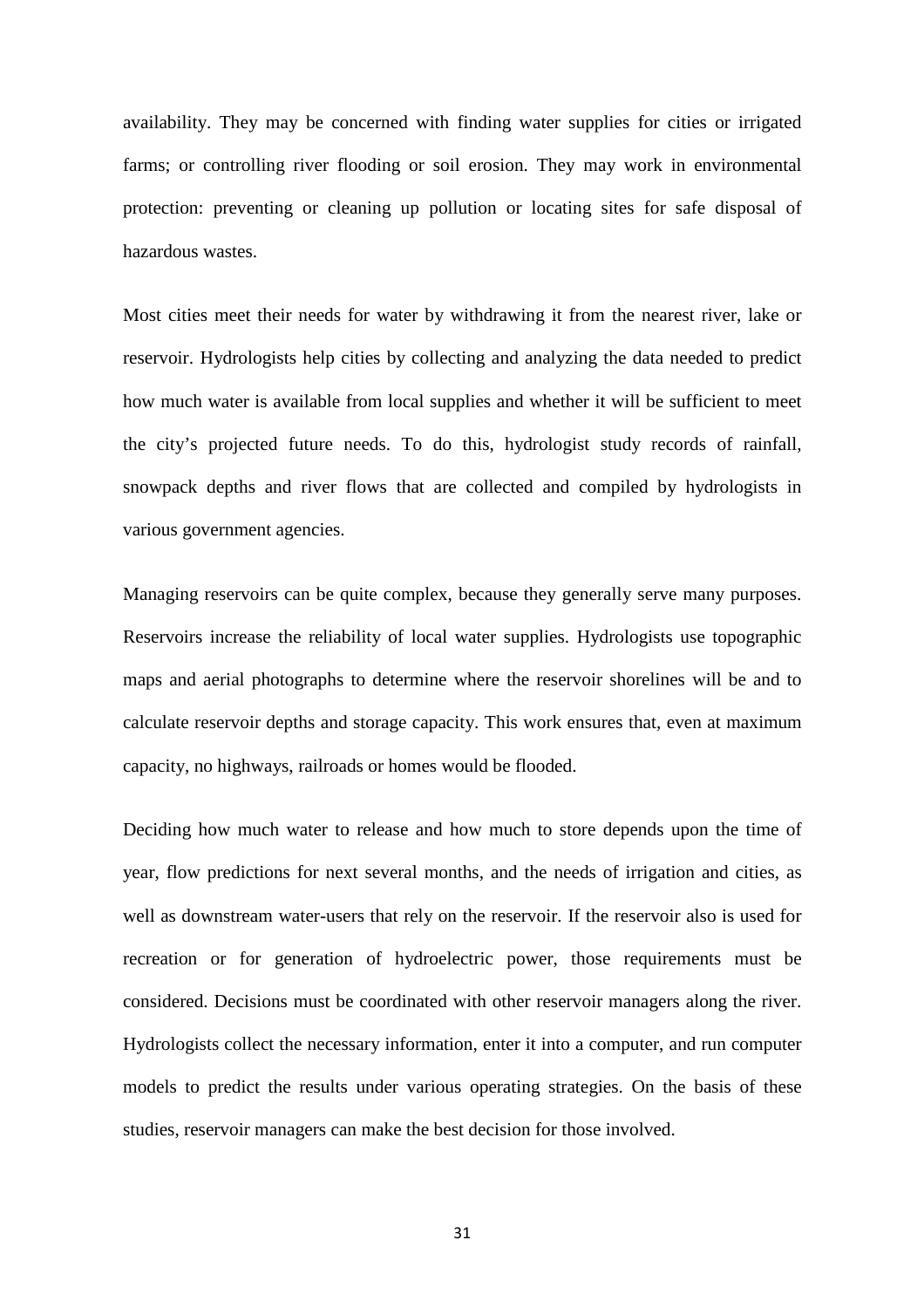availability. They may be concerned with finding water supplies for cities or irrigated farms; or controlling river flooding or soil erosion. They may work in environmental protection: preventing or cleaning up pollution or locating sites for safe disposal of hazardous wastes.

Most cities meet their needs for water by withdrawing it from the nearest river, lake or reservoir. Hydrologists help cities by collecting and analyzing the data needed to predict how much water is available from local supplies and whether it will be sufficient to meet the city's projected future needs. To do this, hydrologist study records of rainfall, snowpack depths and river flows that are collected and compiled by hydrologists in various government agencies.

Managing reservoirs can be quite complex, because they generally serve many purposes. Reservoirs increase the reliability of local water supplies. Hydrologists use topographic maps and aerial photographs to determine where the reservoir shorelines will be and to calculate reservoir depths and storage capacity. This work ensures that, even at maximum capacity, no highways, railroads or homes would be flooded.

Deciding how much water to release and how much to store depends upon the time of year, flow predictions for next several months, and the needs of irrigation and cities, as well as downstream water-users that rely on the reservoir. If the reservoir also is used for recreation or for generation of hydroelectric power, those requirements must be considered. Decisions must be coordinated with other reservoir managers along the river. Hydrologists collect the necessary information, enter it into a computer, and run computer models to predict the results under various operating strategies. On the basis of these studies, reservoir managers can make the best decision for those involved.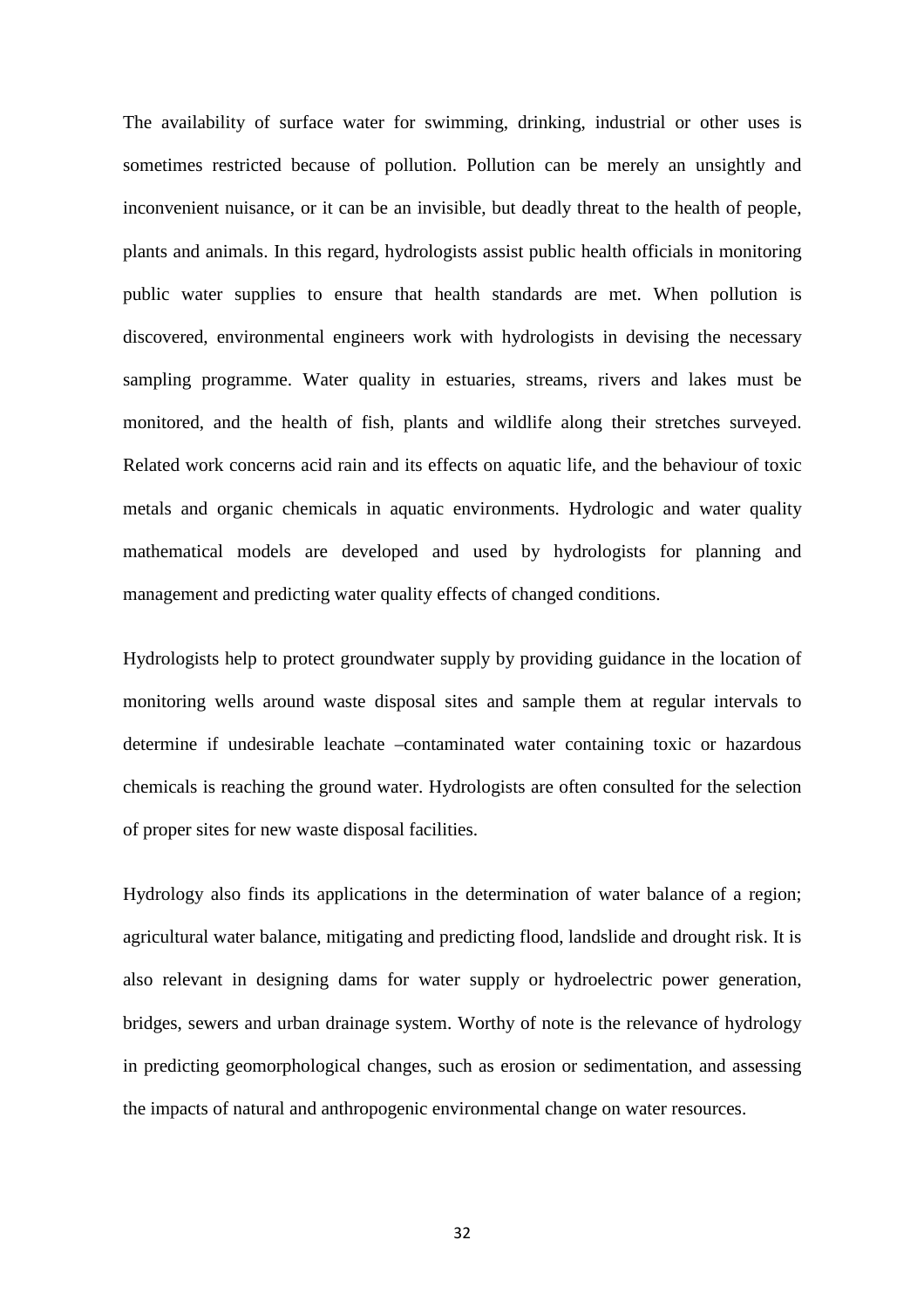The availability of surface water for swimming, drinking, industrial or other uses is sometimes restricted because of pollution. Pollution can be merely an unsightly and inconvenient nuisance, or it can be an invisible, but deadly threat to the health of people, plants and animals. In this regard, hydrologists assist public health officials in monitoring public water supplies to ensure that health standards are met. When pollution is discovered, environmental engineers work with hydrologists in devising the necessary sampling programme. Water quality in estuaries, streams, rivers and lakes must be monitored, and the health of fish, plants and wildlife along their stretches surveyed. Related work concerns acid rain and its effects on aquatic life, and the behaviour of toxic metals and organic chemicals in aquatic environments. Hydrologic and water quality mathematical models are developed and used by hydrologists for planning and management and predicting water quality effects of changed conditions.

Hydrologists help to protect groundwater supply by providing guidance in the location of monitoring wells around waste disposal sites and sample them at regular intervals to determine if undesirable leachate –contaminated water containing toxic or hazardous chemicals is reaching the ground water. Hydrologists are often consulted for the selection of proper sites for new waste disposal facilities.

Hydrology also finds its applications in the determination of water balance of a region; agricultural water balance, mitigating and predicting flood, landslide and drought risk. It is also relevant in designing dams for water supply or hydroelectric power generation, bridges, sewers and urban drainage system. Worthy of note is the relevance of hydrology in predicting geomorphological changes, such as erosion or sedimentation, and assessing the impacts of natural and anthropogenic environmental change on water resources.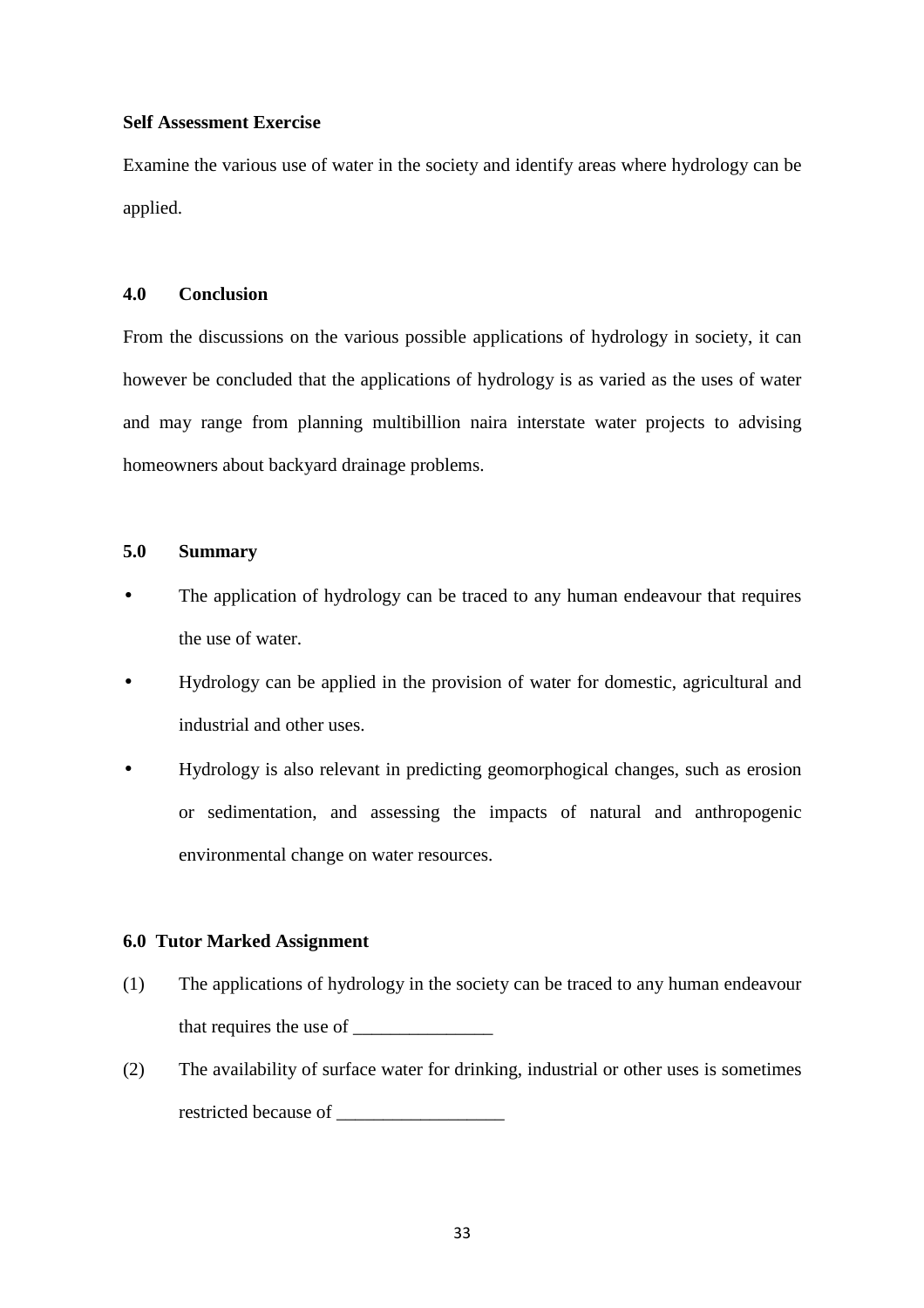#### **Self Assessment Exercise**

Examine the various use of water in the society and identify areas where hydrology can be applied.

#### **4.0 Conclusion**

From the discussions on the various possible applications of hydrology in society, it can however be concluded that the applications of hydrology is as varied as the uses of water and may range from planning multibillion naira interstate water projects to advising homeowners about backyard drainage problems.

## **5.0 Summary**

- The application of hydrology can be traced to any human endeavour that requires the use of water.
- Hydrology can be applied in the provision of water for domestic, agricultural and industrial and other uses.
- Hydrology is also relevant in predicting geomorphogical changes, such as erosion or sedimentation, and assessing the impacts of natural and anthropogenic environmental change on water resources.

#### **6.0 Tutor Marked Assignment**

- (1) The applications of hydrology in the society can be traced to any human endeavour that requires the use of  $\overline{\phantom{a}}$
- (2) The availability of surface water for drinking, industrial or other uses is sometimes restricted because of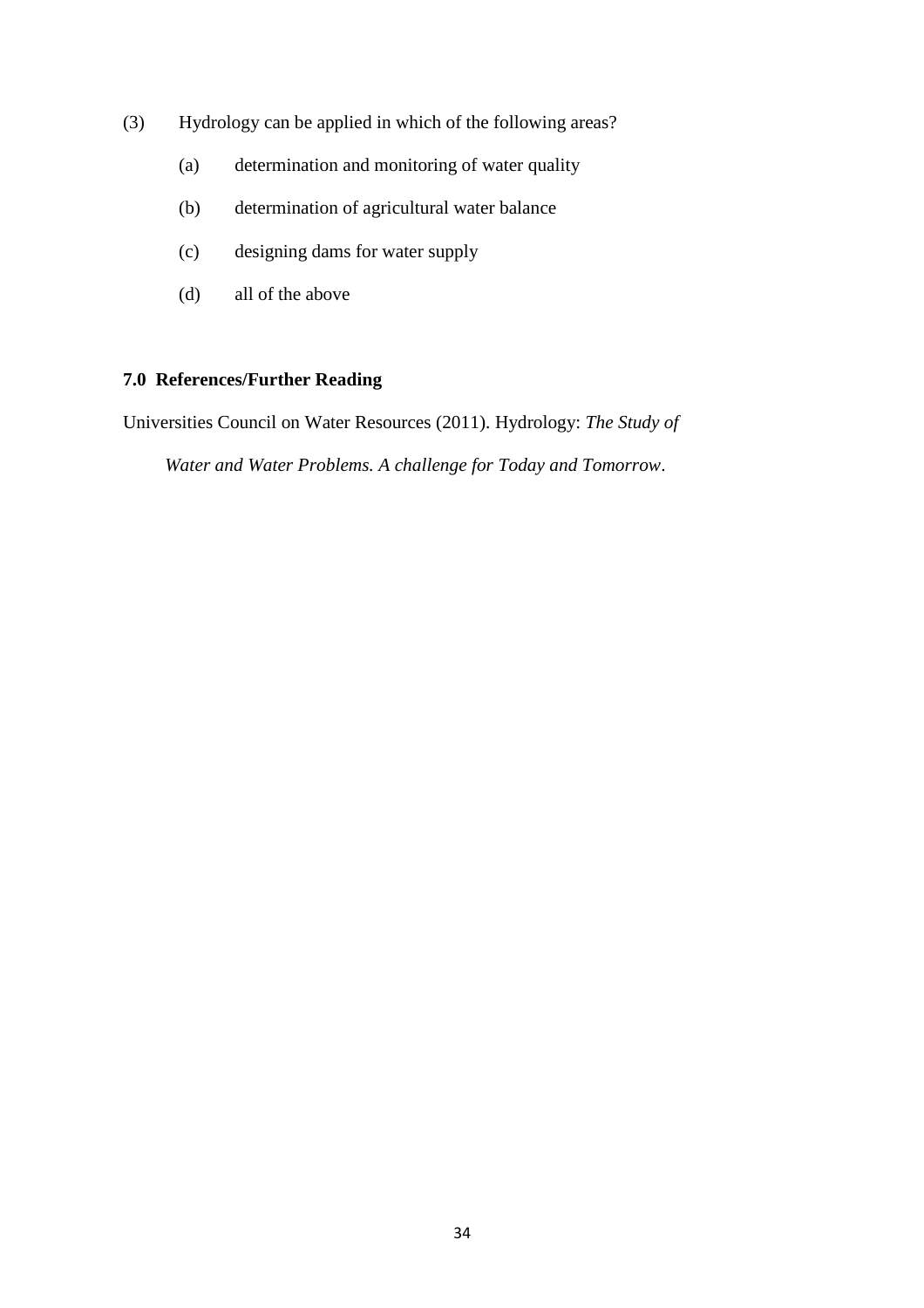- (3) Hydrology can be applied in which of the following areas?
	- (a) determination and monitoring of water quality
	- (b) determination of agricultural water balance
	- (c) designing dams for water supply
	- (d) all of the above

## **7.0 References/Further Reading**

Universities Council on Water Resources (2011). Hydrology: *The Study of* 

 *Water and Water Problems. A challenge for Today and Tomorrow*.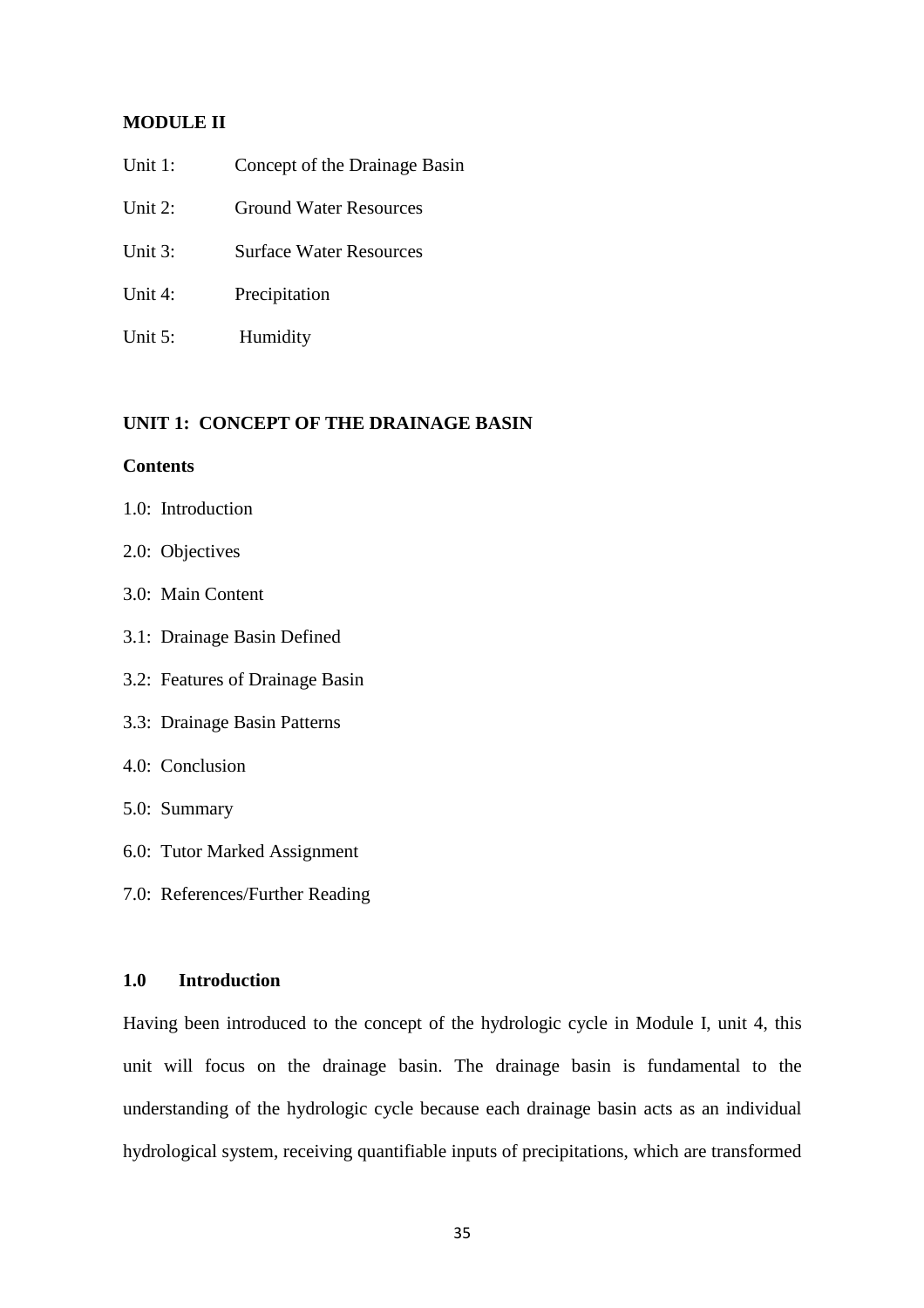## **MODULE II**

- Unit 1: Concept of the Drainage Basin
- Unit 2: Ground Water Resources
- Unit 3: Surface Water Resources
- Unit 4: Precipitation
- Unit 5: Humidity

## **UNIT 1: CONCEPT OF THE DRAINAGE BASIN**

## **Contents**

- 1.0: Introduction
- 2.0: Objectives
- 3.0: Main Content
- 3.1: Drainage Basin Defined
- 3.2: Features of Drainage Basin
- 3.3: Drainage Basin Patterns
- 4.0: Conclusion
- 5.0: Summary
- 6.0: Tutor Marked Assignment
- 7.0: References/Further Reading

## **1.0 Introduction**

Having been introduced to the concept of the hydrologic cycle in Module I, unit 4, this unit will focus on the drainage basin. The drainage basin is fundamental to the understanding of the hydrologic cycle because each drainage basin acts as an individual hydrological system, receiving quantifiable inputs of precipitations, which are transformed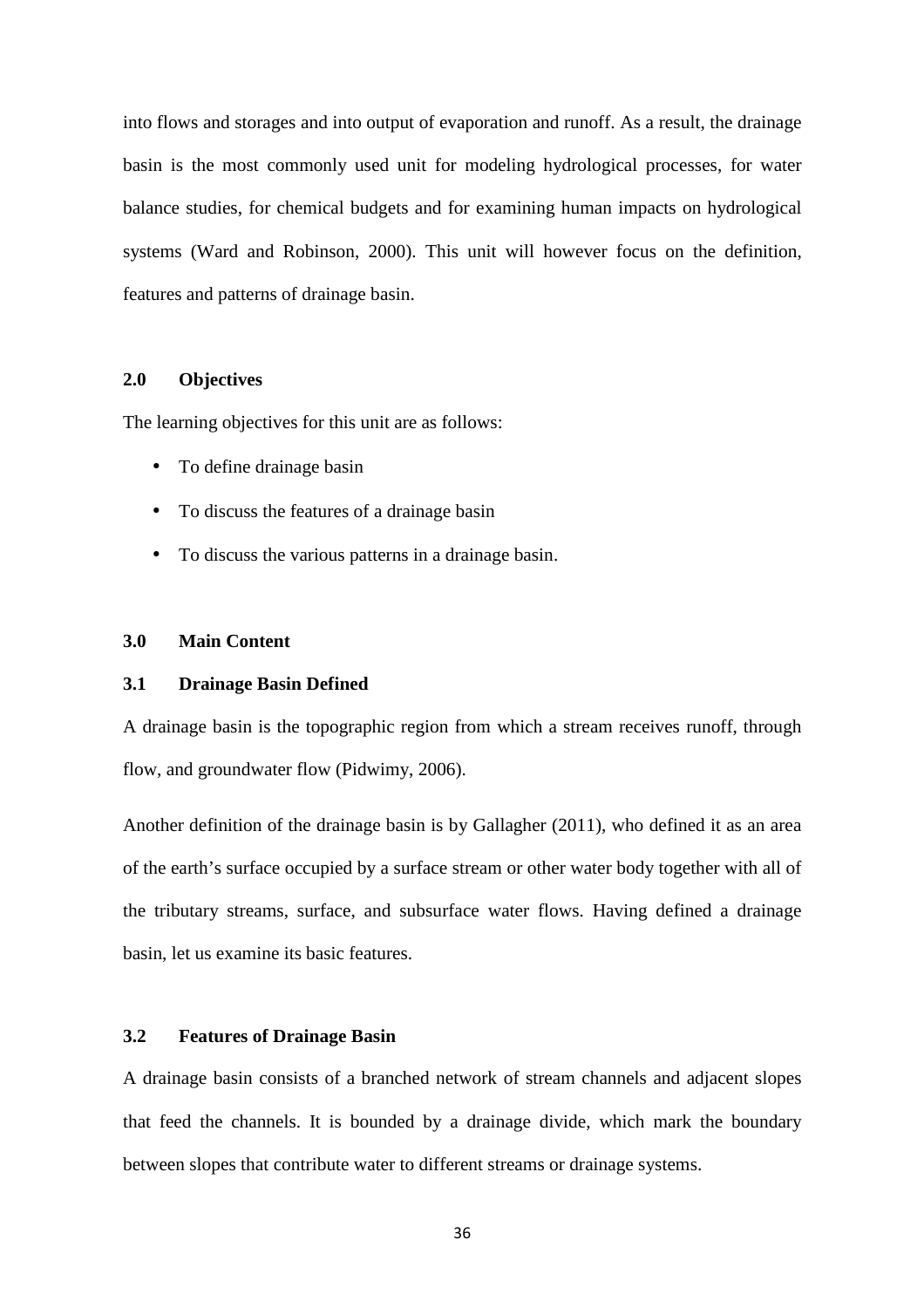into flows and storages and into output of evaporation and runoff. As a result, the drainage basin is the most commonly used unit for modeling hydrological processes, for water balance studies, for chemical budgets and for examining human impacts on hydrological systems (Ward and Robinson, 2000). This unit will however focus on the definition, features and patterns of drainage basin.

#### **2.0 Objectives**

The learning objectives for this unit are as follows:

- To define drainage basin
- To discuss the features of a drainage basin
- To discuss the various patterns in a drainage basin.

## **3.0 Main Content**

## **3.1 Drainage Basin Defined**

A drainage basin is the topographic region from which a stream receives runoff, through flow, and groundwater flow (Pidwimy, 2006).

Another definition of the drainage basin is by Gallagher (2011), who defined it as an area of the earth's surface occupied by a surface stream or other water body together with all of the tributary streams, surface, and subsurface water flows. Having defined a drainage basin, let us examine its basic features.

## **3.2 Features of Drainage Basin**

A drainage basin consists of a branched network of stream channels and adjacent slopes that feed the channels. It is bounded by a drainage divide, which mark the boundary between slopes that contribute water to different streams or drainage systems.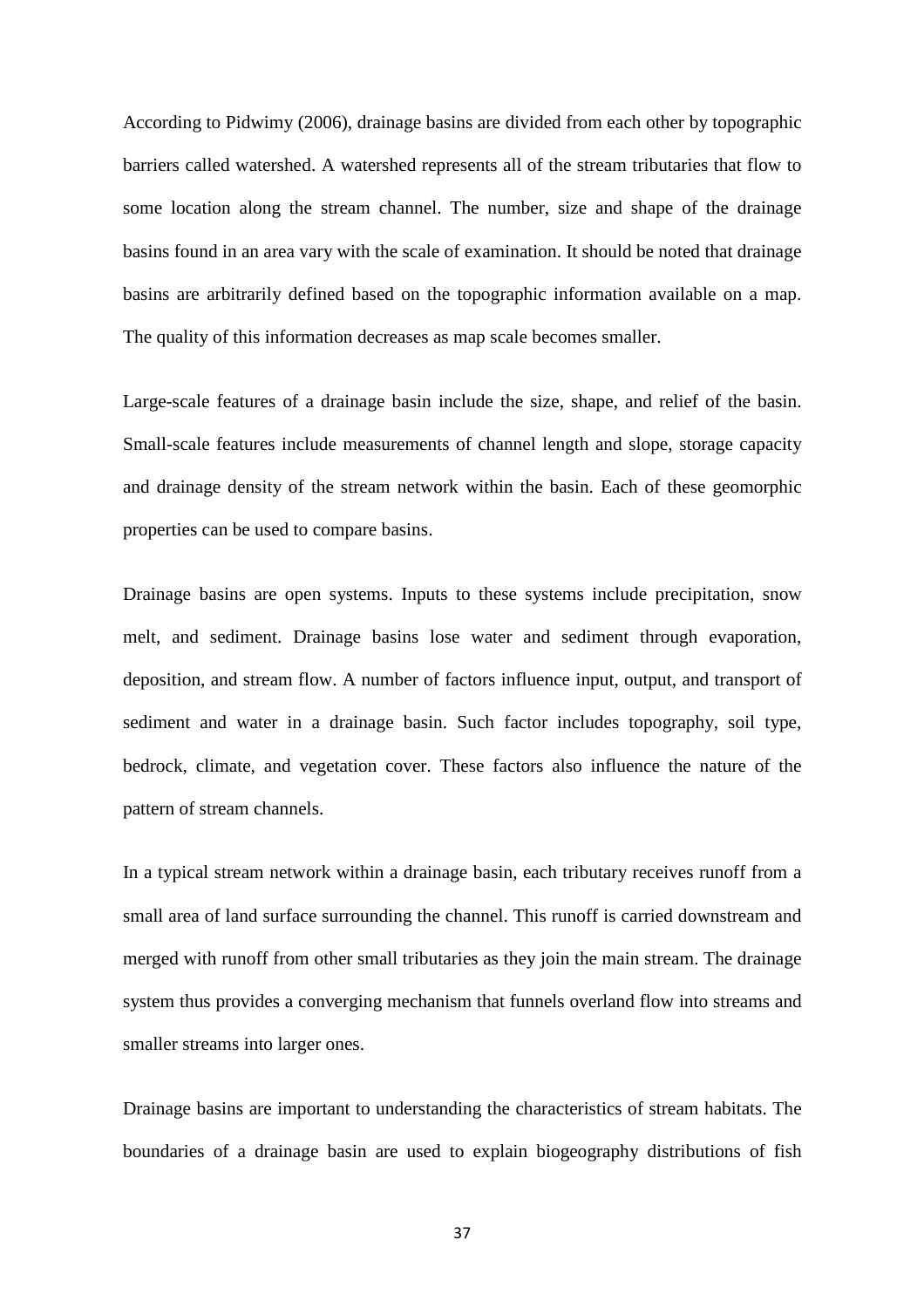According to Pidwimy (2006), drainage basins are divided from each other by topographic barriers called watershed. A watershed represents all of the stream tributaries that flow to some location along the stream channel. The number, size and shape of the drainage basins found in an area vary with the scale of examination. It should be noted that drainage basins are arbitrarily defined based on the topographic information available on a map. The quality of this information decreases as map scale becomes smaller.

Large-scale features of a drainage basin include the size, shape, and relief of the basin. Small-scale features include measurements of channel length and slope, storage capacity and drainage density of the stream network within the basin. Each of these geomorphic properties can be used to compare basins.

Drainage basins are open systems. Inputs to these systems include precipitation, snow melt, and sediment. Drainage basins lose water and sediment through evaporation, deposition, and stream flow. A number of factors influence input, output, and transport of sediment and water in a drainage basin. Such factor includes topography, soil type, bedrock, climate, and vegetation cover. These factors also influence the nature of the pattern of stream channels.

In a typical stream network within a drainage basin, each tributary receives runoff from a small area of land surface surrounding the channel. This runoff is carried downstream and merged with runoff from other small tributaries as they join the main stream. The drainage system thus provides a converging mechanism that funnels overland flow into streams and smaller streams into larger ones.

Drainage basins are important to understanding the characteristics of stream habitats. The boundaries of a drainage basin are used to explain biogeography distributions of fish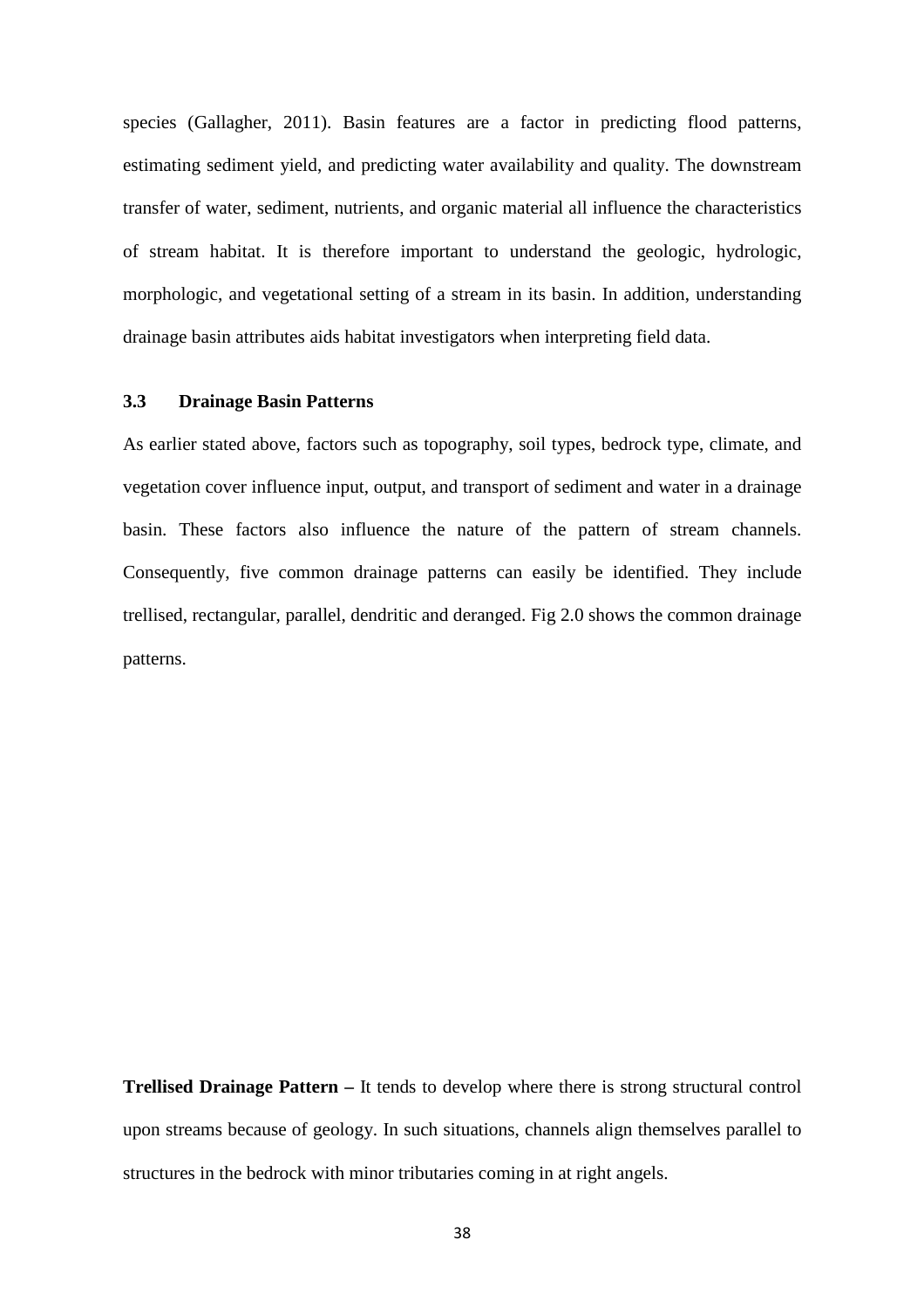species (Gallagher, 2011). Basin features are a factor in predicting flood patterns, estimating sediment yield, and predicting water availability and quality. The downstream transfer of water, sediment, nutrients, and organic material all influence the characteristics of stream habitat. It is therefore important to understand the geologic, hydrologic, morphologic, and vegetational setting of a stream in its basin. In addition, understanding drainage basin attributes aids habitat investigators when interpreting field data.

# **3.3 Drainage Basin Patterns**

As earlier stated above, factors such as topography, soil types, bedrock type, climate, and vegetation cover influence input, output, and transport of sediment and water in a drainage basin. These factors also influence the nature of the pattern of stream channels. Consequently, five common drainage patterns can easily be identified. They include trellised, rectangular, parallel, dendritic and deranged. Fig 2.0 shows the common drainage patterns.

**Trellised Drainage Pattern –** It tends to develop where there is strong structural control upon streams because of geology. In such situations, channels align themselves parallel to structures in the bedrock with minor tributaries coming in at right angels.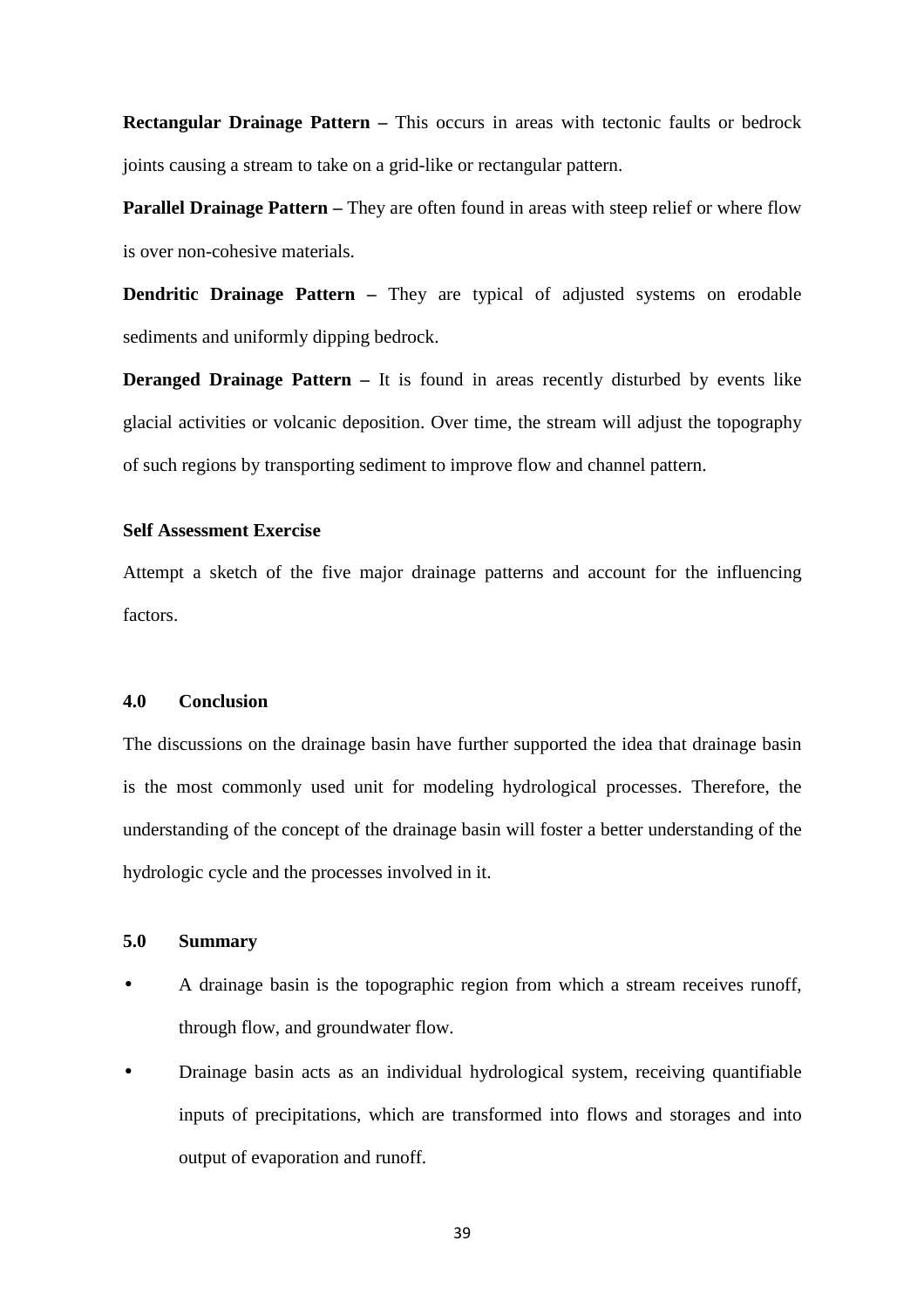**Rectangular Drainage Pattern – This occurs in areas with tectonic faults or bedrock** joints causing a stream to take on a grid-like or rectangular pattern.

**Parallel Drainage Pattern** – They are often found in areas with steep relief or where flow is over non-cohesive materials.

**Dendritic Drainage Pattern –** They are typical of adjusted systems on erodable sediments and uniformly dipping bedrock.

**Deranged Drainage Pattern –** It is found in areas recently disturbed by events like glacial activities or volcanic deposition. Over time, the stream will adjust the topography of such regions by transporting sediment to improve flow and channel pattern.

# **Self Assessment Exercise**

Attempt a sketch of the five major drainage patterns and account for the influencing factors.

#### **4.0 Conclusion**

The discussions on the drainage basin have further supported the idea that drainage basin is the most commonly used unit for modeling hydrological processes. Therefore, the understanding of the concept of the drainage basin will foster a better understanding of the hydrologic cycle and the processes involved in it.

### **5.0 Summary**

- A drainage basin is the topographic region from which a stream receives runoff, through flow, and groundwater flow.
- Drainage basin acts as an individual hydrological system, receiving quantifiable inputs of precipitations, which are transformed into flows and storages and into output of evaporation and runoff.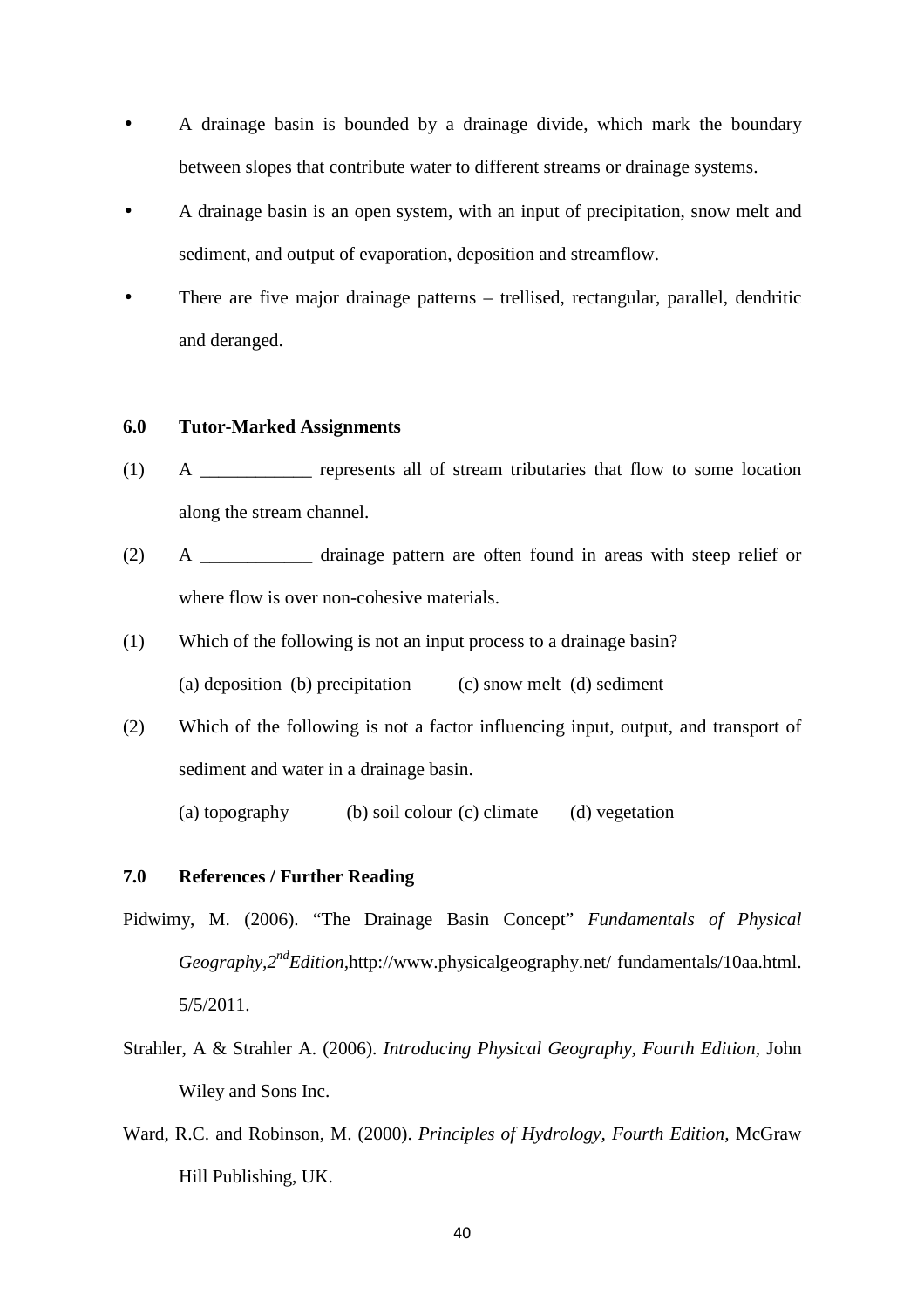- A drainage basin is bounded by a drainage divide, which mark the boundary between slopes that contribute water to different streams or drainage systems.
- A drainage basin is an open system, with an input of precipitation, snow melt and sediment, and output of evaporation, deposition and streamflow.
- There are five major drainage patterns trellised, rectangular, parallel, dendritic and deranged.

### **6.0 Tutor-Marked Assignments**

- (1) A \_\_\_\_\_\_\_\_\_\_\_\_ represents all of stream tributaries that flow to some location along the stream channel.
- (2) A \_\_\_\_\_\_\_\_\_\_\_\_ drainage pattern are often found in areas with steep relief or where flow is over non-cohesive materials.
- (1) Which of the following is not an input process to a drainage basin? (a) deposition (b) precipitation (c) snow melt (d) sediment
- (2) Which of the following is not a factor influencing input, output, and transport of sediment and water in a drainage basin.

(a) topography (b) soil colour (c) climate (d) vegetation

# **7.0 References / Further Reading**

- Pidwimy, M. (2006). "The Drainage Basin Concept" *Fundamentals of Physical Geography,2ndEdition,*http://www.physicalgeography.net/ fundamentals/10aa.html.  $5/5/2011$ .
- Strahler, A & Strahler A. (2006). *Introducing Physical Geography, Fourth Edition,* John Wiley and Sons Inc.
- Ward, R.C. and Robinson, M. (2000). *Principles of Hydrology, Fourth Edition,* McGraw Hill Publishing, UK.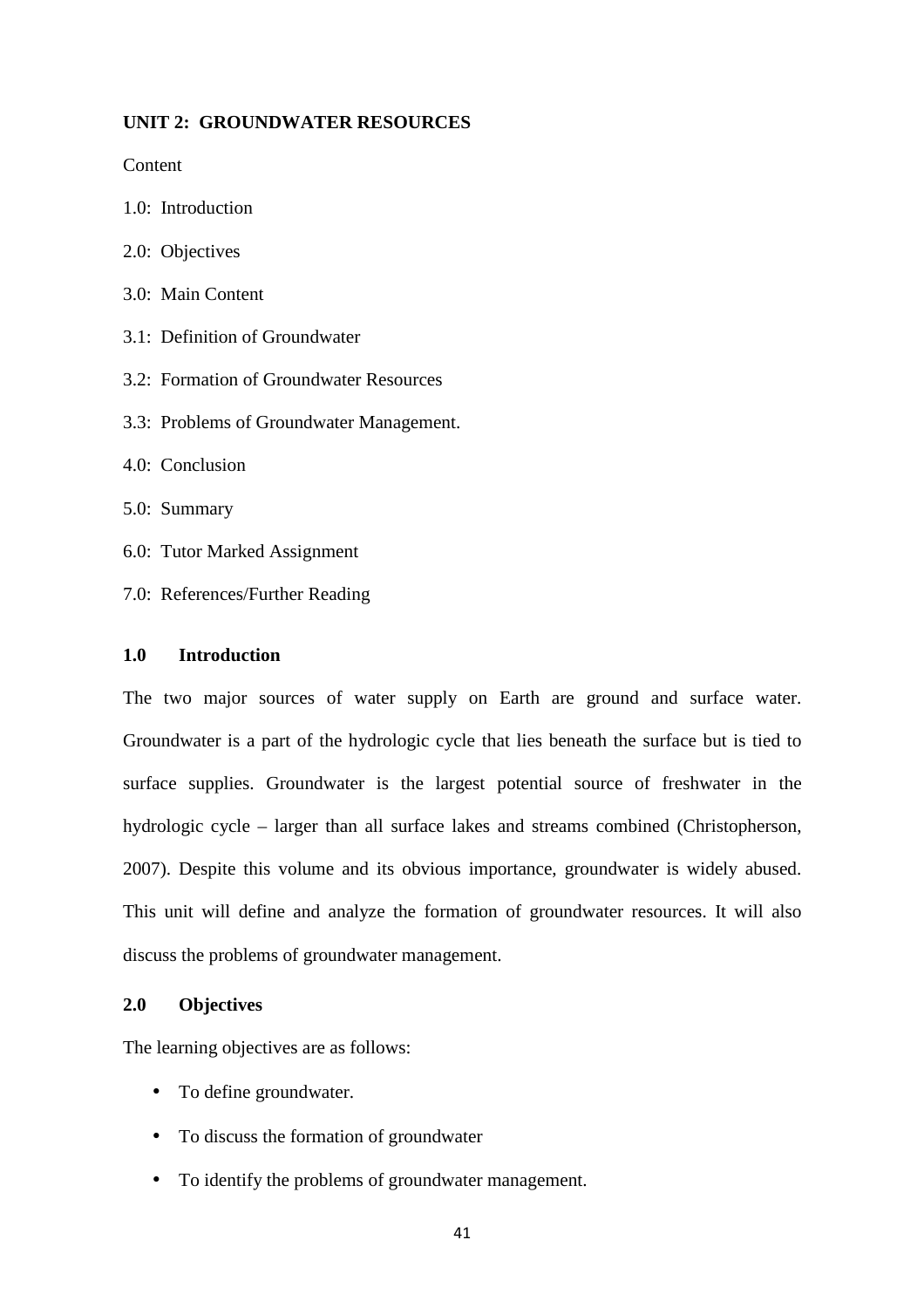# **UNIT 2: GROUNDWATER RESOURCES**

**Content** 

- 1.0: Introduction
- 2.0: Objectives
- 3.0: Main Content
- 3.1: Definition of Groundwater
- 3.2: Formation of Groundwater Resources
- 3.3: Problems of Groundwater Management.
- 4.0: Conclusion
- 5.0: Summary
- 6.0: Tutor Marked Assignment
- 7.0: References/Further Reading

# **1.0 Introduction**

The two major sources of water supply on Earth are ground and surface water. Groundwater is a part of the hydrologic cycle that lies beneath the surface but is tied to surface supplies. Groundwater is the largest potential source of freshwater in the hydrologic cycle – larger than all surface lakes and streams combined (Christopherson, 2007). Despite this volume and its obvious importance, groundwater is widely abused. This unit will define and analyze the formation of groundwater resources. It will also discuss the problems of groundwater management.

# **2.0 Objectives**

The learning objectives are as follows:

- To define groundwater.
- To discuss the formation of groundwater
- To identify the problems of groundwater management.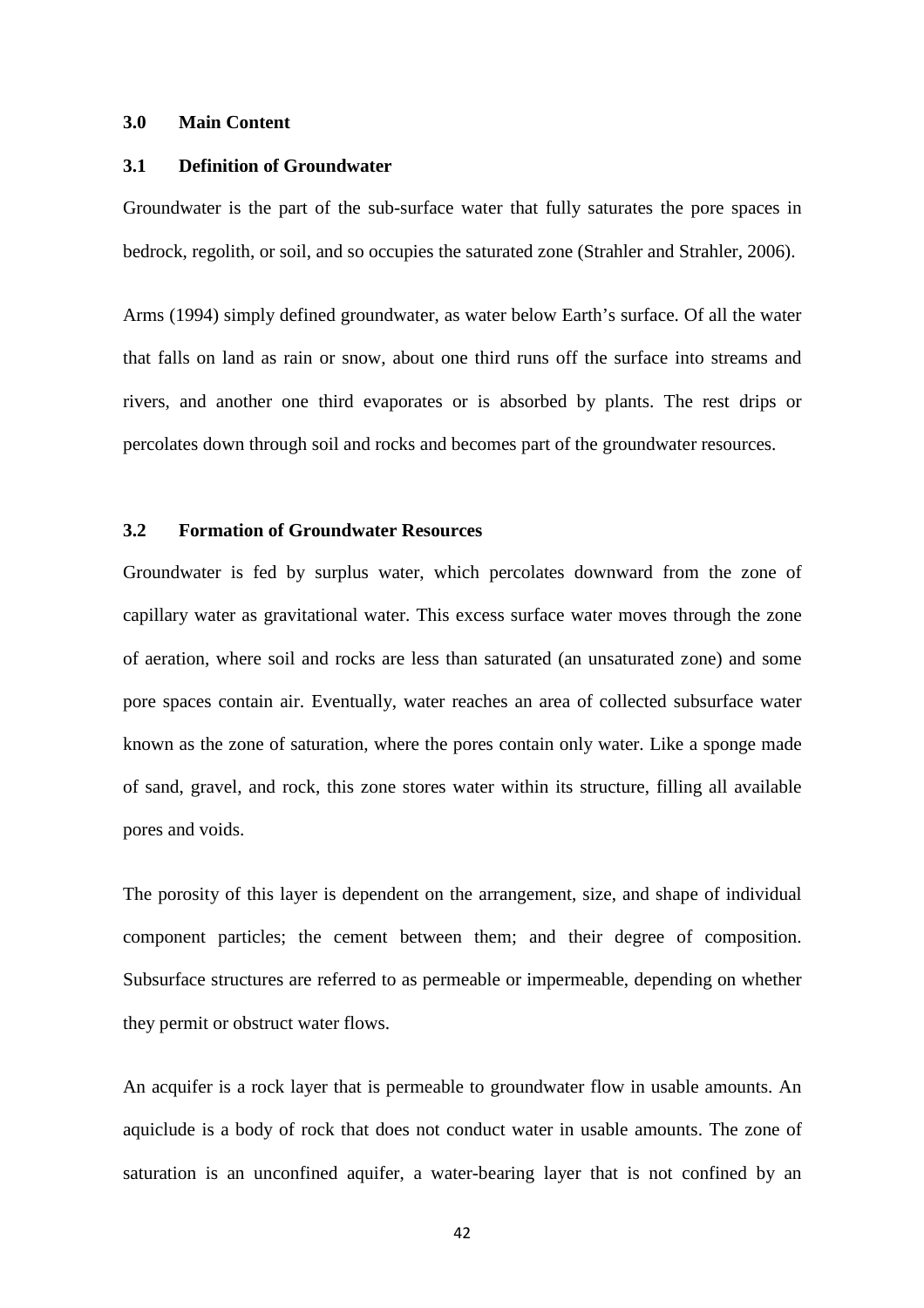#### **3.0 Main Content**

### **3.1 Definition of Groundwater**

Groundwater is the part of the sub-surface water that fully saturates the pore spaces in bedrock, regolith, or soil, and so occupies the saturated zone (Strahler and Strahler, 2006).

Arms (1994) simply defined groundwater, as water below Earth's surface. Of all the water that falls on land as rain or snow, about one third runs off the surface into streams and rivers, and another one third evaporates or is absorbed by plants. The rest drips or percolates down through soil and rocks and becomes part of the groundwater resources.

# **3.2 Formation of Groundwater Resources**

Groundwater is fed by surplus water, which percolates downward from the zone of capillary water as gravitational water. This excess surface water moves through the zone of aeration, where soil and rocks are less than saturated (an unsaturated zone) and some pore spaces contain air. Eventually, water reaches an area of collected subsurface water known as the zone of saturation, where the pores contain only water. Like a sponge made of sand, gravel, and rock, this zone stores water within its structure, filling all available pores and voids.

The porosity of this layer is dependent on the arrangement, size, and shape of individual component particles; the cement between them; and their degree of composition. Subsurface structures are referred to as permeable or impermeable, depending on whether they permit or obstruct water flows.

An acquifer is a rock layer that is permeable to groundwater flow in usable amounts. An aquiclude is a body of rock that does not conduct water in usable amounts. The zone of saturation is an unconfined aquifer, a water-bearing layer that is not confined by an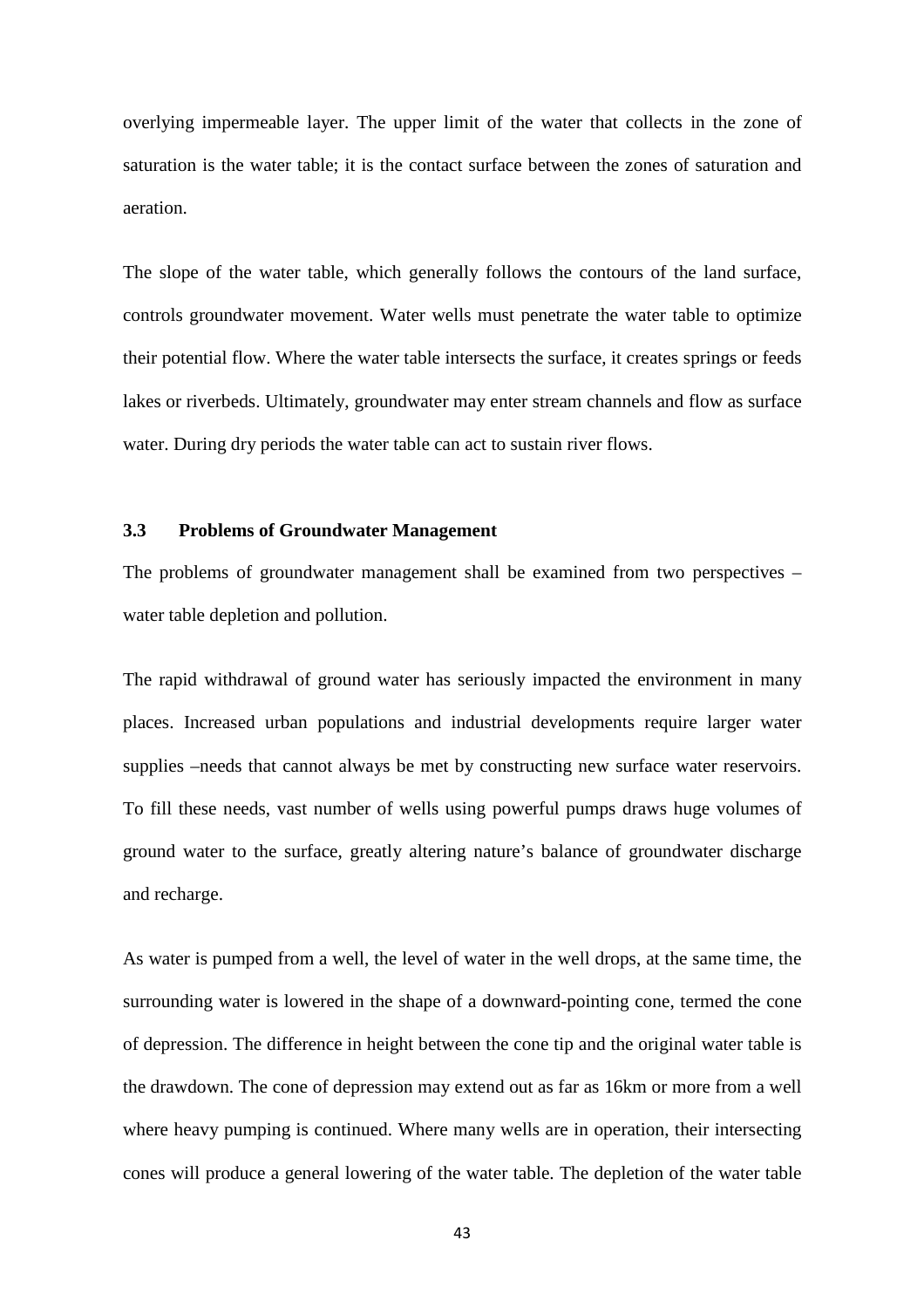overlying impermeable layer. The upper limit of the water that collects in the zone of saturation is the water table; it is the contact surface between the zones of saturation and aeration.

The slope of the water table, which generally follows the contours of the land surface, controls groundwater movement. Water wells must penetrate the water table to optimize their potential flow. Where the water table intersects the surface, it creates springs or feeds lakes or riverbeds. Ultimately, groundwater may enter stream channels and flow as surface water. During dry periods the water table can act to sustain river flows.

# **3.3 Problems of Groundwater Management**

The problems of groundwater management shall be examined from two perspectives – water table depletion and pollution.

The rapid withdrawal of ground water has seriously impacted the environment in many places. Increased urban populations and industrial developments require larger water supplies –needs that cannot always be met by constructing new surface water reservoirs. To fill these needs, vast number of wells using powerful pumps draws huge volumes of ground water to the surface, greatly altering nature's balance of groundwater discharge and recharge.

As water is pumped from a well, the level of water in the well drops, at the same time, the surrounding water is lowered in the shape of a downward-pointing cone, termed the cone of depression. The difference in height between the cone tip and the original water table is the drawdown. The cone of depression may extend out as far as 16km or more from a well where heavy pumping is continued. Where many wells are in operation, their intersecting cones will produce a general lowering of the water table. The depletion of the water table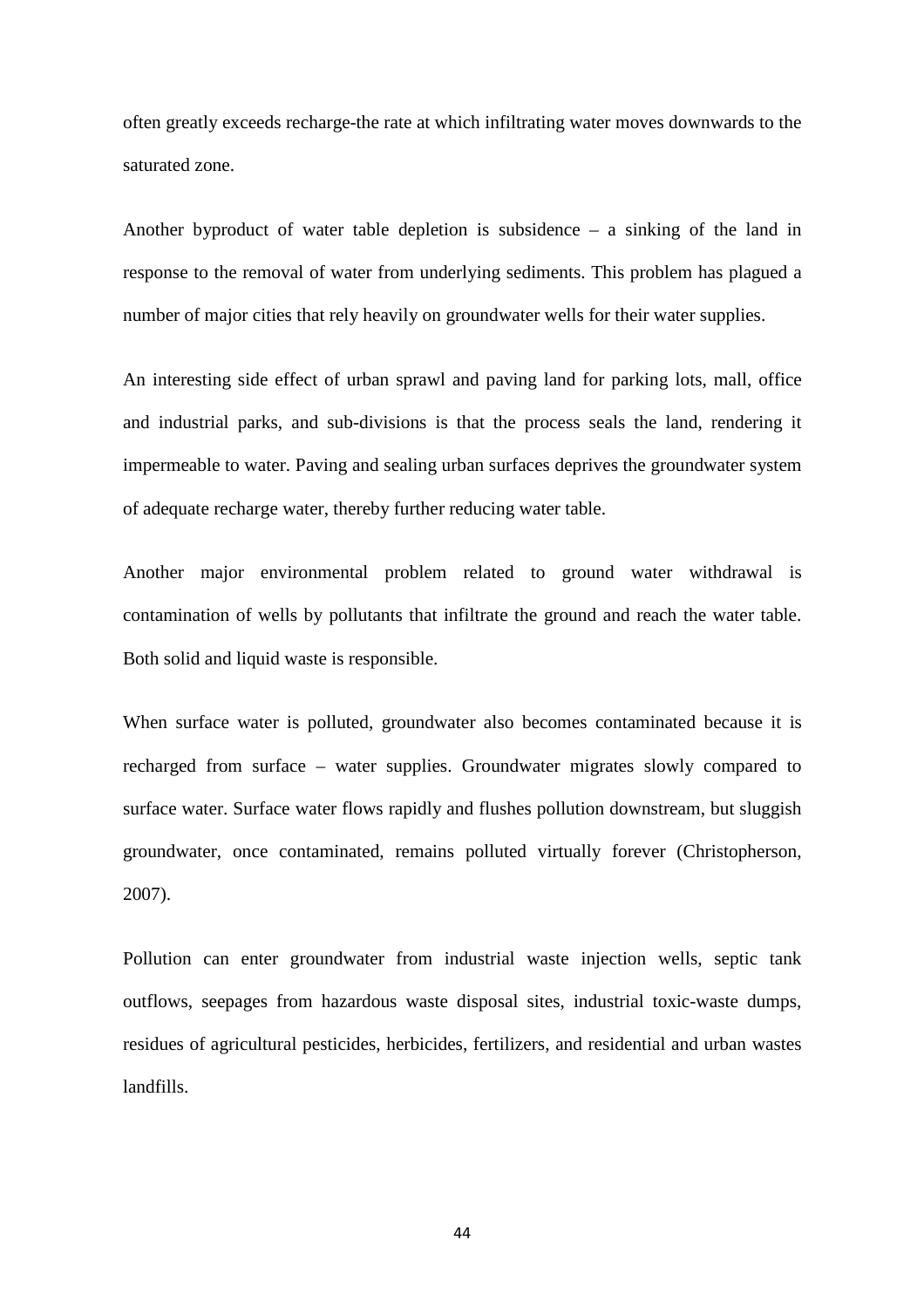often greatly exceeds recharge-the rate at which infiltrating water moves downwards to the saturated zone.

Another byproduct of water table depletion is subsidence – a sinking of the land in response to the removal of water from underlying sediments. This problem has plagued a number of major cities that rely heavily on groundwater wells for their water supplies.

An interesting side effect of urban sprawl and paving land for parking lots, mall, office and industrial parks, and sub-divisions is that the process seals the land, rendering it impermeable to water. Paving and sealing urban surfaces deprives the groundwater system of adequate recharge water, thereby further reducing water table.

Another major environmental problem related to ground water withdrawal is contamination of wells by pollutants that infiltrate the ground and reach the water table. Both solid and liquid waste is responsible.

When surface water is polluted, groundwater also becomes contaminated because it is recharged from surface – water supplies. Groundwater migrates slowly compared to surface water. Surface water flows rapidly and flushes pollution downstream, but sluggish groundwater, once contaminated, remains polluted virtually forever (Christopherson, 2007).

Pollution can enter groundwater from industrial waste injection wells, septic tank outflows, seepages from hazardous waste disposal sites, industrial toxic-waste dumps, residues of agricultural pesticides, herbicides, fertilizers, and residential and urban wastes landfills.

44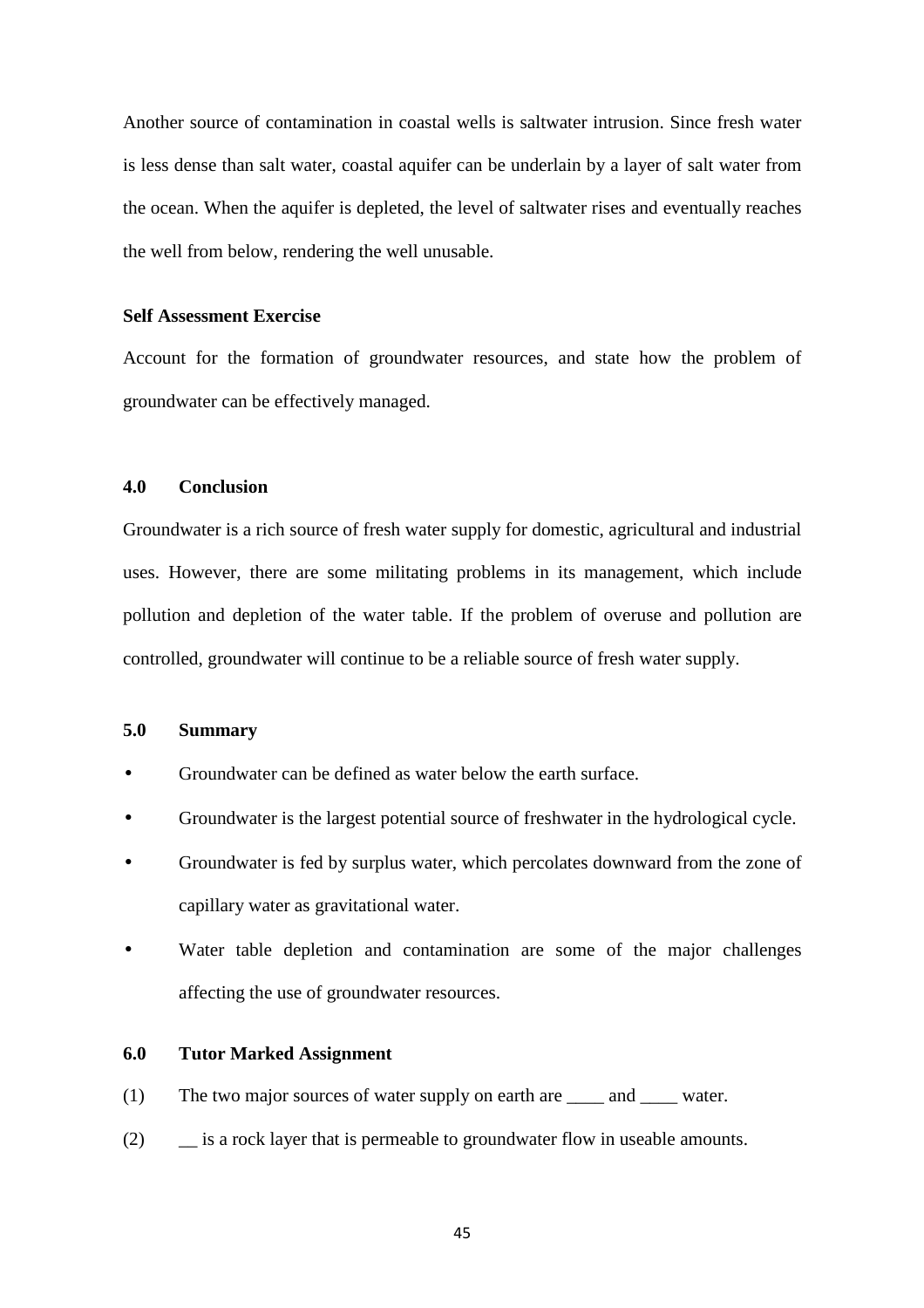Another source of contamination in coastal wells is saltwater intrusion. Since fresh water is less dense than salt water, coastal aquifer can be underlain by a layer of salt water from the ocean. When the aquifer is depleted, the level of saltwater rises and eventually reaches the well from below, rendering the well unusable.

# **Self Assessment Exercise**

Account for the formation of groundwater resources, and state how the problem of groundwater can be effectively managed.

# **4.0 Conclusion**

Groundwater is a rich source of fresh water supply for domestic, agricultural and industrial uses. However, there are some militating problems in its management, which include pollution and depletion of the water table. If the problem of overuse and pollution are controlled, groundwater will continue to be a reliable source of fresh water supply.

### **5.0 Summary**

- Groundwater can be defined as water below the earth surface.
- Groundwater is the largest potential source of freshwater in the hydrological cycle.
- Groundwater is fed by surplus water, which percolates downward from the zone of capillary water as gravitational water.
- Water table depletion and contamination are some of the major challenges affecting the use of groundwater resources.

## **6.0 Tutor Marked Assignment**

- (1) The two major sources of water supply on earth are \_\_\_\_ and \_\_\_\_ water.
- (2) \_\_ is a rock layer that is permeable to groundwater flow in useable amounts.

45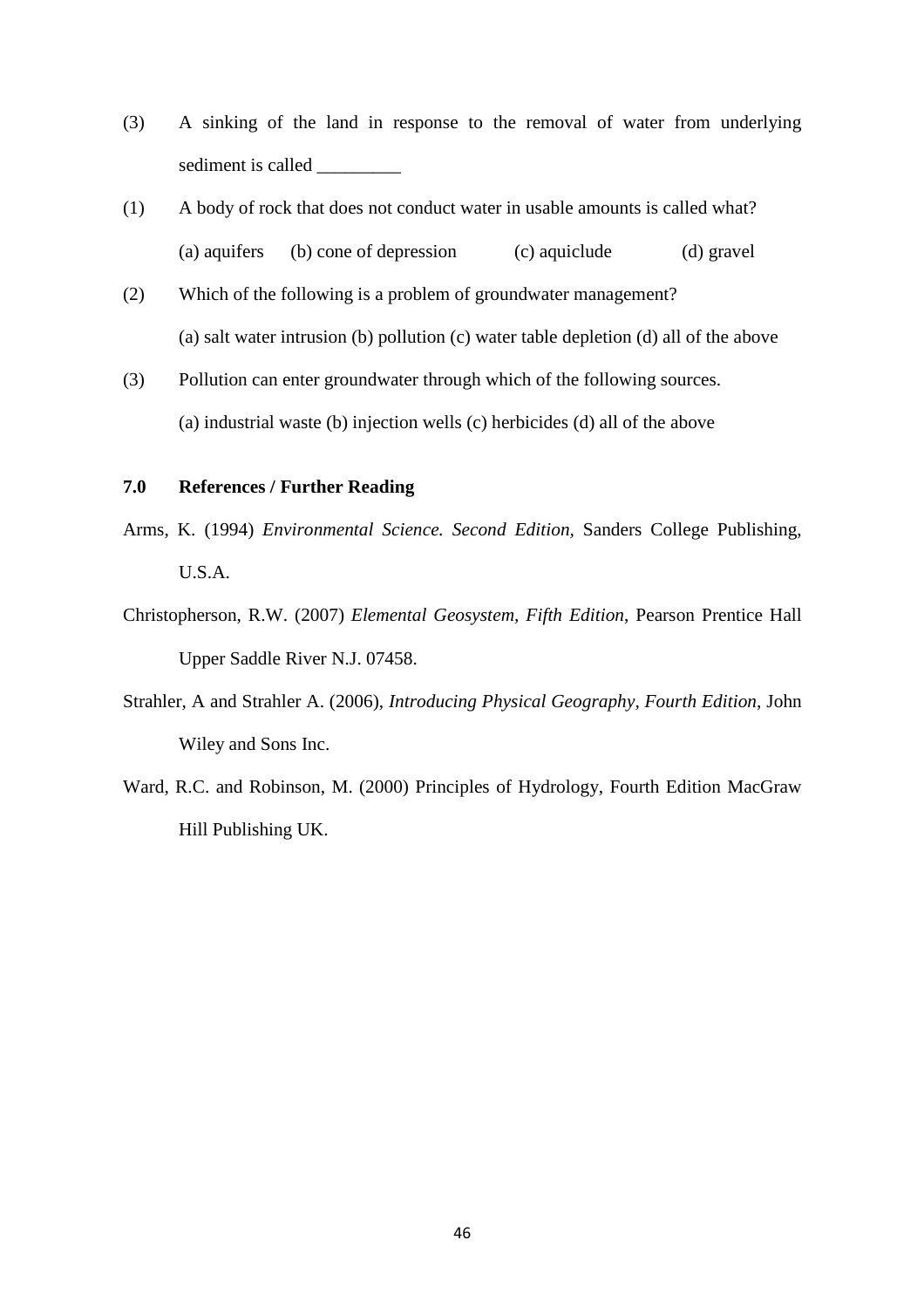- (3) A sinking of the land in response to the removal of water from underlying sediment is called
- (1) A body of rock that does not conduct water in usable amounts is called what? (a) aquifers (b) cone of depression (c) aquiclude (d) gravel
- (2) Which of the following is a problem of groundwater management? (a) salt water intrusion (b) pollution (c) water table depletion (d) all of the above
- (3) Pollution can enter groundwater through which of the following sources. (a) industrial waste (b) injection wells (c) herbicides (d) all of the above

# **7.0 References / Further Reading**

- Arms, K. (1994) *Environmental Science. Second Edition,* Sanders College Publishing, U.S.A.
- Christopherson, R.W. (2007) *Elemental Geosystem, Fifth Edition*, Pearson Prentice Hall Upper Saddle River N.J. 07458.
- Strahler, A and Strahler A. (2006), *Introducing Physical Geography, Fourth Edition*, John Wiley and Sons Inc.
- Ward, R.C. and Robinson, M. (2000) Principles of Hydrology, Fourth Edition MacGraw Hill Publishing UK.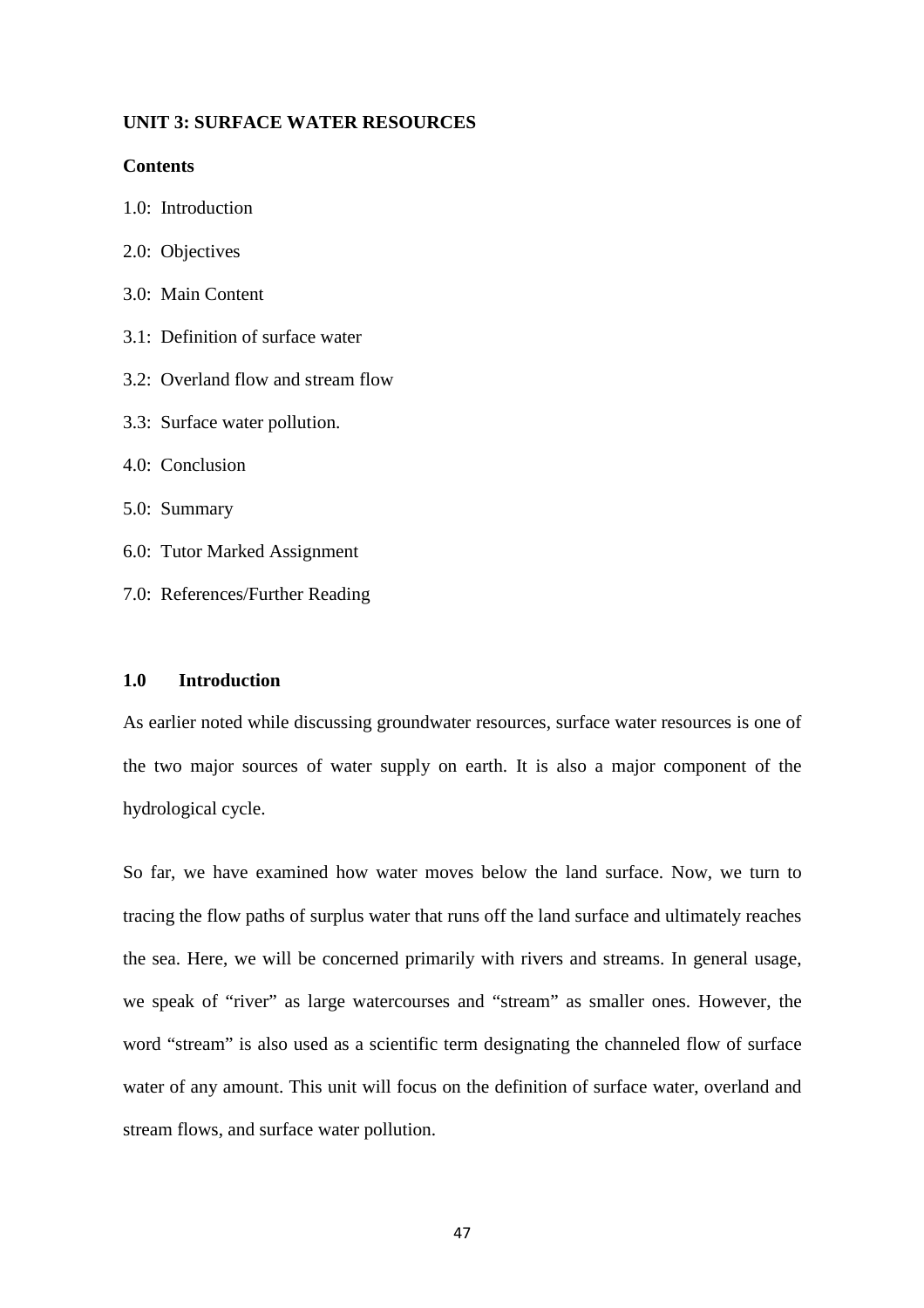### **UNIT 3: SURFACE WATER RESOURCES**

#### **Contents**

|  |  | 1.0: Introduction |
|--|--|-------------------|
|--|--|-------------------|

- 2.0: Objectives
- 3.0: Main Content
- 3.1: Definition of surface water
- 3.2: Overland flow and stream flow
- 3.3: Surface water pollution.
- 4.0: Conclusion
- 5.0: Summary
- 6.0: Tutor Marked Assignment
- 7.0: References/Further Reading

# **1.0 Introduction**

As earlier noted while discussing groundwater resources, surface water resources is one of the two major sources of water supply on earth. It is also a major component of the hydrological cycle.

So far, we have examined how water moves below the land surface. Now, we turn to tracing the flow paths of surplus water that runs off the land surface and ultimately reaches the sea. Here, we will be concerned primarily with rivers and streams. In general usage, we speak of "river" as large watercourses and "stream" as smaller ones. However, the word "stream" is also used as a scientific term designating the channeled flow of surface water of any amount. This unit will focus on the definition of surface water, overland and stream flows, and surface water pollution.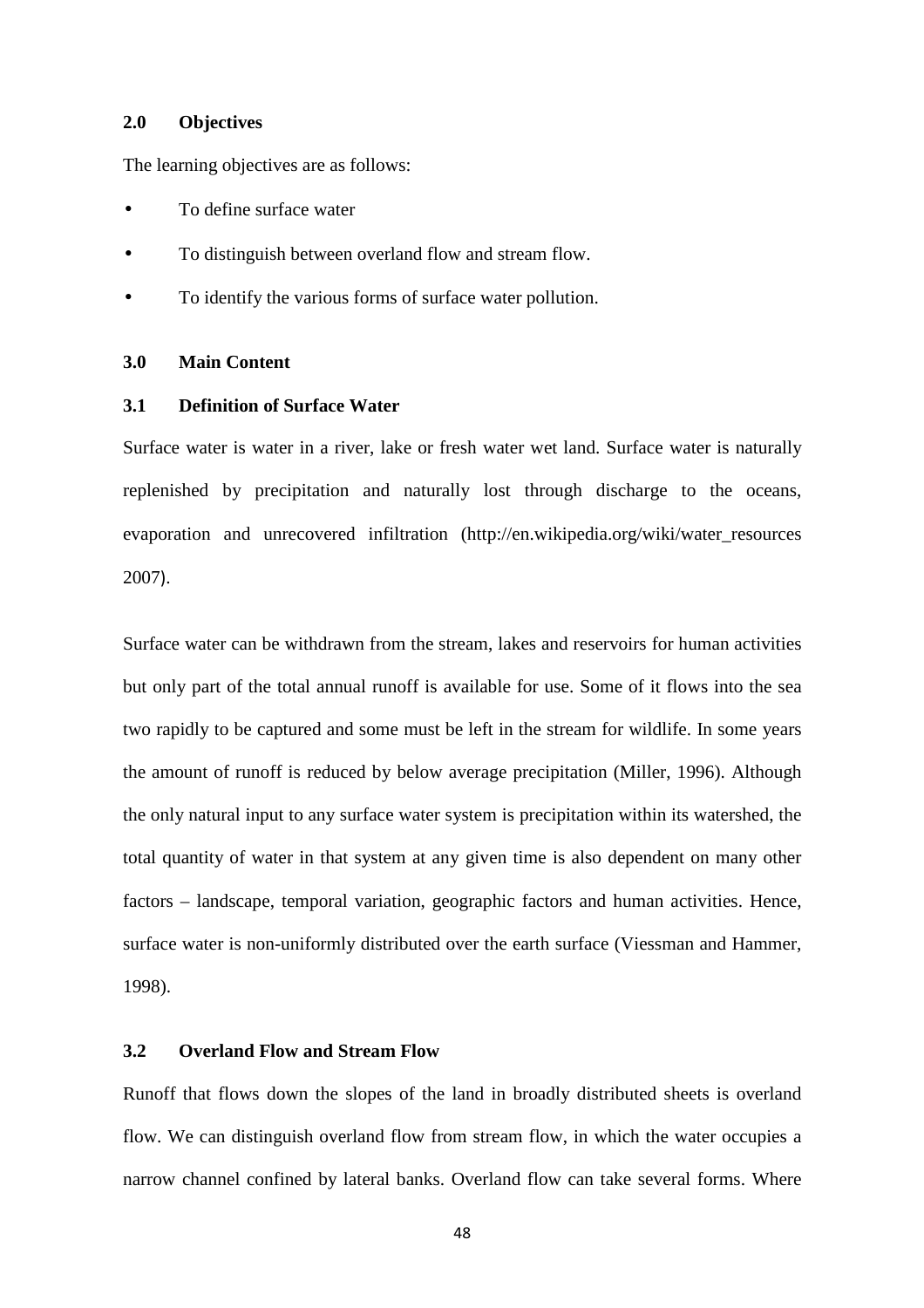#### **2.0 Objectives**

The learning objectives are as follows:

- To define surface water
- To distinguish between overland flow and stream flow.
- To identify the various forms of surface water pollution.

#### **3.0 Main Content**

# **3.1 Definition of Surface Water**

Surface water is water in a river, lake or fresh water wet land. Surface water is naturally replenished by precipitation and naturally lost through discharge to the oceans, evaporation and unrecovered infiltration (http://en.wikipedia.org/wiki/water\_resources 2007).

Surface water can be withdrawn from the stream, lakes and reservoirs for human activities but only part of the total annual runoff is available for use. Some of it flows into the sea two rapidly to be captured and some must be left in the stream for wildlife. In some years the amount of runoff is reduced by below average precipitation (Miller, 1996). Although the only natural input to any surface water system is precipitation within its watershed, the total quantity of water in that system at any given time is also dependent on many other factors – landscape, temporal variation, geographic factors and human activities. Hence, surface water is non-uniformly distributed over the earth surface (Viessman and Hammer, 1998).

### **3.2 Overland Flow and Stream Flow**

Runoff that flows down the slopes of the land in broadly distributed sheets is overland flow. We can distinguish overland flow from stream flow, in which the water occupies a narrow channel confined by lateral banks. Overland flow can take several forms. Where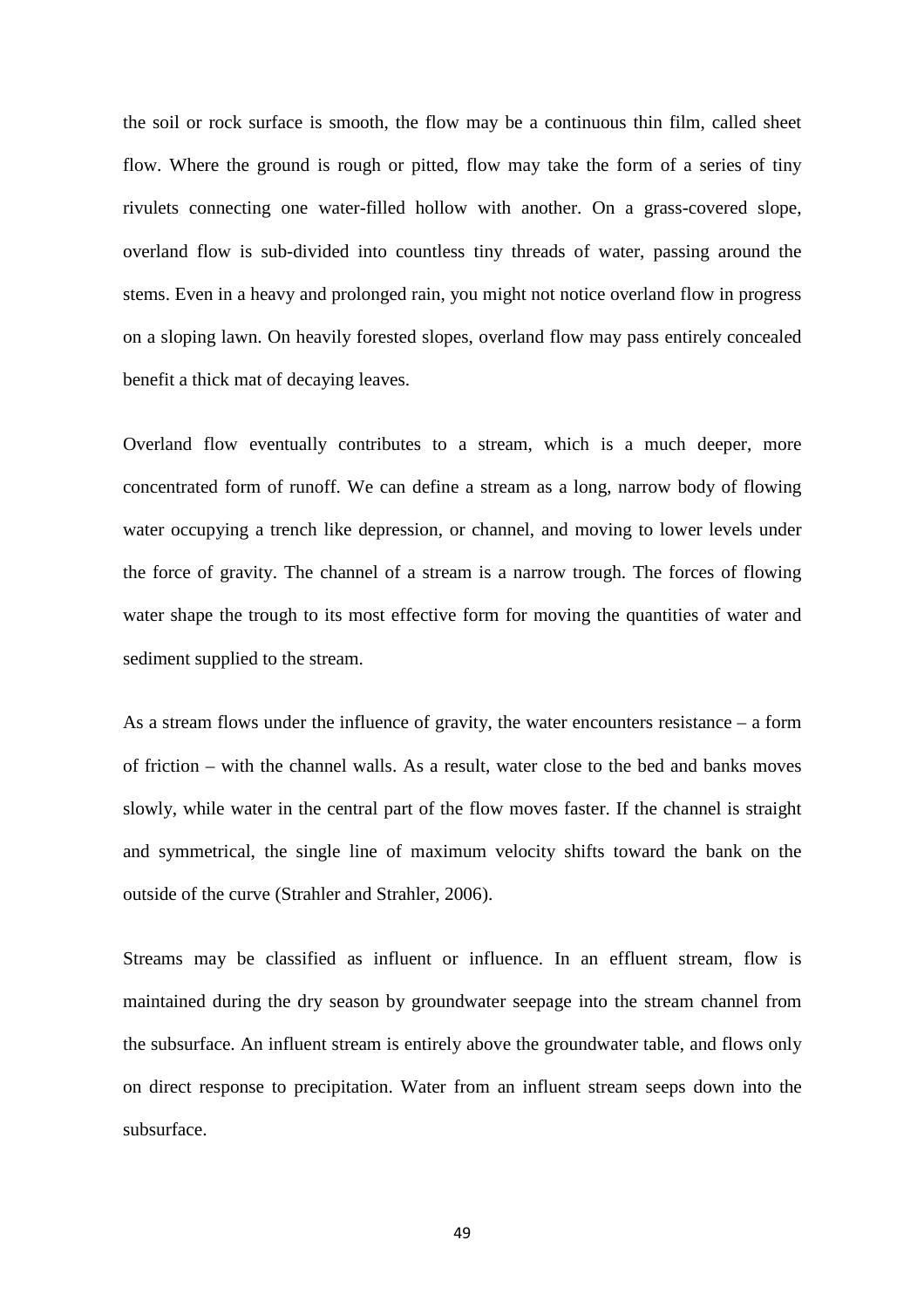the soil or rock surface is smooth, the flow may be a continuous thin film, called sheet flow. Where the ground is rough or pitted, flow may take the form of a series of tiny rivulets connecting one water-filled hollow with another. On a grass-covered slope, overland flow is sub-divided into countless tiny threads of water, passing around the stems. Even in a heavy and prolonged rain, you might not notice overland flow in progress on a sloping lawn. On heavily forested slopes, overland flow may pass entirely concealed benefit a thick mat of decaying leaves.

Overland flow eventually contributes to a stream, which is a much deeper, more concentrated form of runoff. We can define a stream as a long, narrow body of flowing water occupying a trench like depression, or channel, and moving to lower levels under the force of gravity. The channel of a stream is a narrow trough. The forces of flowing water shape the trough to its most effective form for moving the quantities of water and sediment supplied to the stream.

As a stream flows under the influence of gravity, the water encounters resistance – a form of friction – with the channel walls. As a result, water close to the bed and banks moves slowly, while water in the central part of the flow moves faster. If the channel is straight and symmetrical, the single line of maximum velocity shifts toward the bank on the outside of the curve (Strahler and Strahler, 2006).

Streams may be classified as influent or influence. In an effluent stream, flow is maintained during the dry season by groundwater seepage into the stream channel from the subsurface. An influent stream is entirely above the groundwater table, and flows only on direct response to precipitation. Water from an influent stream seeps down into the subsurface.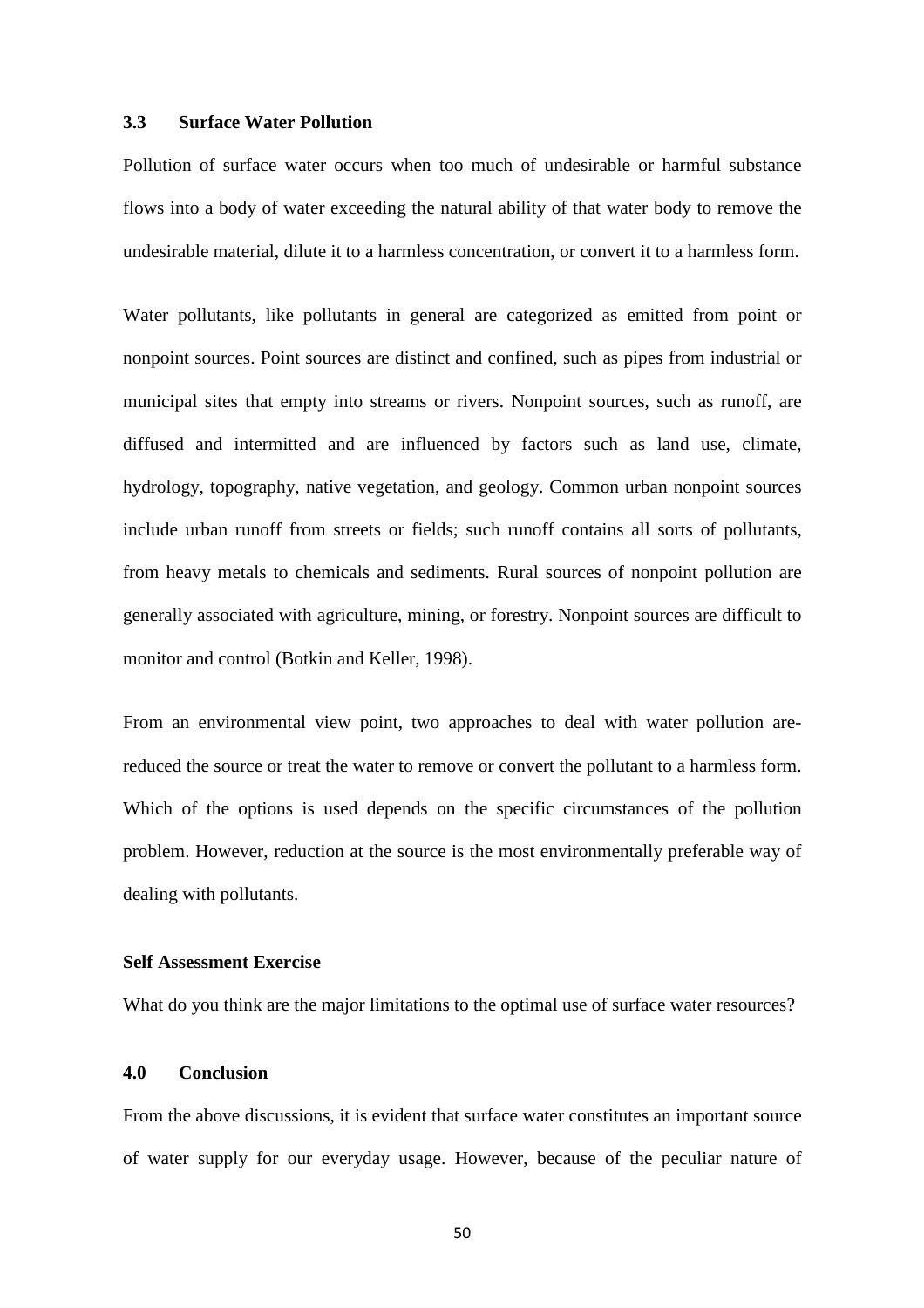# **3.3 Surface Water Pollution**

Pollution of surface water occurs when too much of undesirable or harmful substance flows into a body of water exceeding the natural ability of that water body to remove the undesirable material, dilute it to a harmless concentration, or convert it to a harmless form.

Water pollutants, like pollutants in general are categorized as emitted from point or nonpoint sources. Point sources are distinct and confined, such as pipes from industrial or municipal sites that empty into streams or rivers. Nonpoint sources, such as runoff, are diffused and intermitted and are influenced by factors such as land use, climate, hydrology, topography, native vegetation, and geology. Common urban nonpoint sources include urban runoff from streets or fields; such runoff contains all sorts of pollutants, from heavy metals to chemicals and sediments. Rural sources of nonpoint pollution are generally associated with agriculture, mining, or forestry. Nonpoint sources are difficult to monitor and control (Botkin and Keller, 1998).

From an environmental view point, two approaches to deal with water pollution arereduced the source or treat the water to remove or convert the pollutant to a harmless form. Which of the options is used depends on the specific circumstances of the pollution problem. However, reduction at the source is the most environmentally preferable way of dealing with pollutants.

# **Self Assessment Exercise**

What do you think are the major limitations to the optimal use of surface water resources?

#### **4.0 Conclusion**

From the above discussions, it is evident that surface water constitutes an important source of water supply for our everyday usage. However, because of the peculiar nature of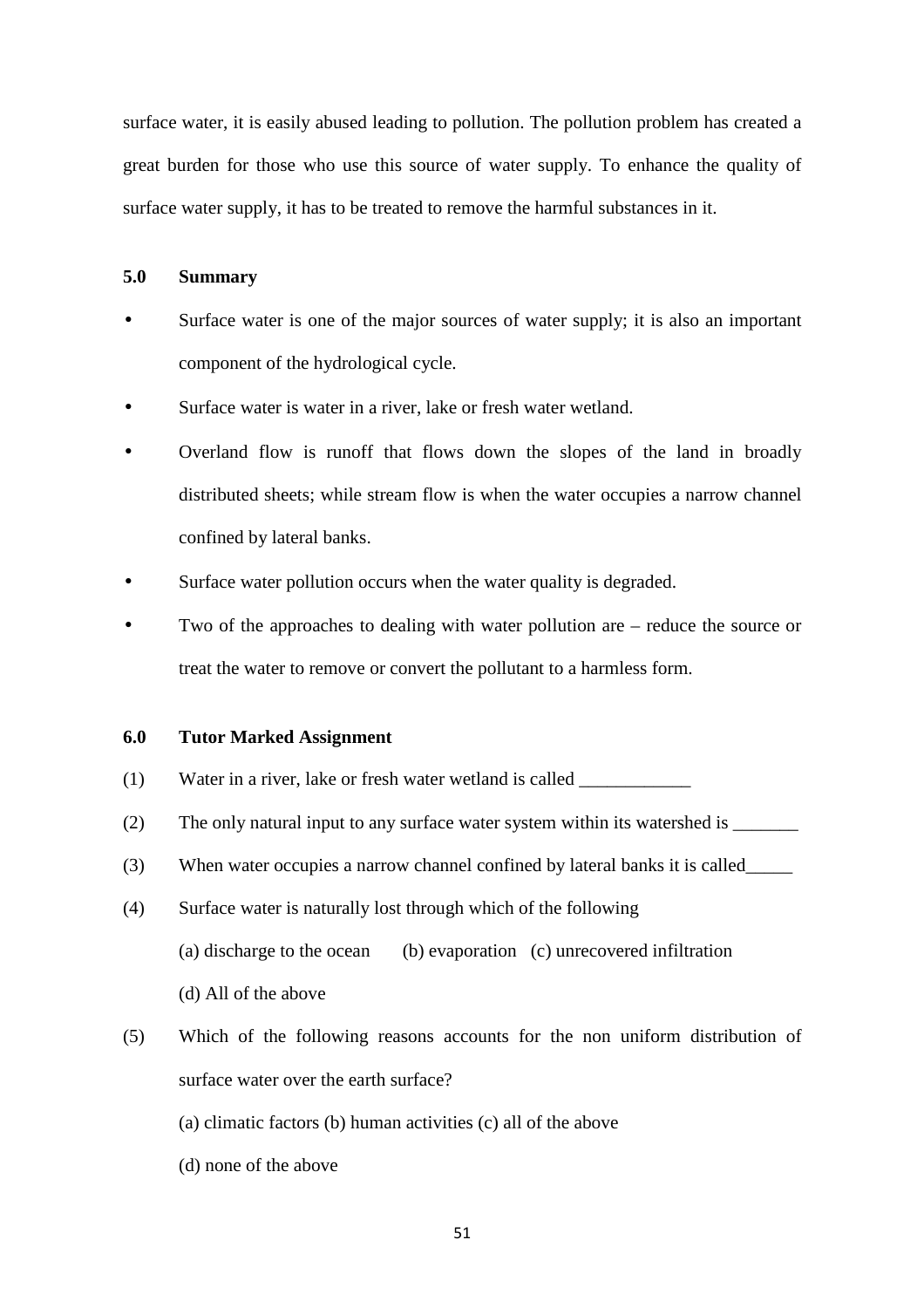surface water, it is easily abused leading to pollution. The pollution problem has created a great burden for those who use this source of water supply. To enhance the quality of surface water supply, it has to be treated to remove the harmful substances in it.

# **5.0 Summary**

- Surface water is one of the major sources of water supply; it is also an important component of the hydrological cycle.
- Surface water is water in a river, lake or fresh water wetland.
- Overland flow is runoff that flows down the slopes of the land in broadly distributed sheets; while stream flow is when the water occupies a narrow channel confined by lateral banks.
- Surface water pollution occurs when the water quality is degraded.
- Two of the approaches to dealing with water pollution are reduce the source or treat the water to remove or convert the pollutant to a harmless form.

#### **6.0 Tutor Marked Assignment**

- (1) Water in a river, lake or fresh water wetland is called
- (2) The only natural input to any surface water system within its watershed is \_\_\_\_\_\_\_
- (3) When water occupies a narrow channel confined by lateral banks it is called\_\_\_\_\_
- (4) Surface water is naturally lost through which of the following (a) discharge to the ocean (b) evaporation (c) unrecovered infiltration (d) All of the above
- (5) Which of the following reasons accounts for the non uniform distribution of surface water over the earth surface?
	- (a) climatic factors (b) human activities (c) all of the above
	- (d) none of the above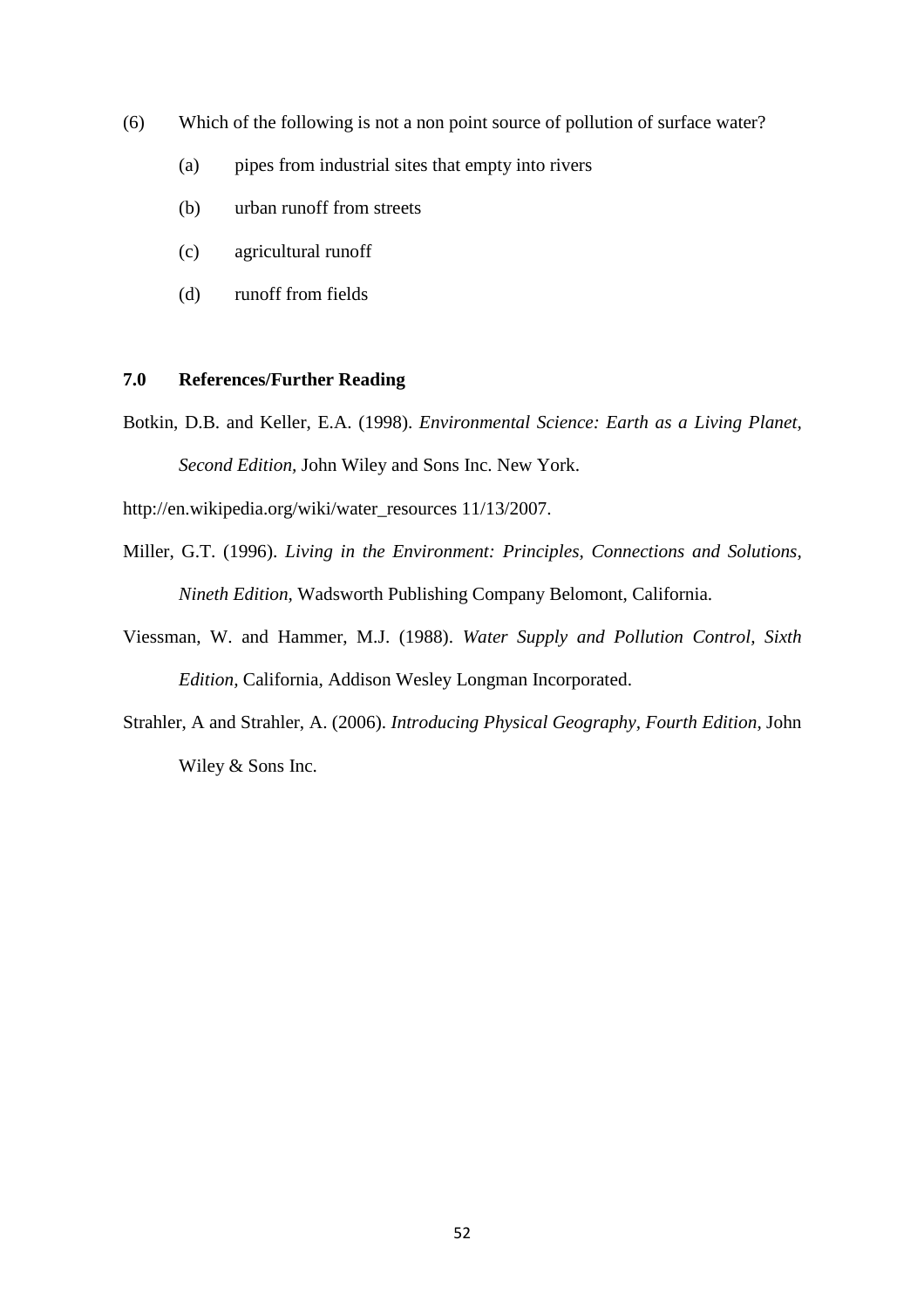- (6) Which of the following is not a non point source of pollution of surface water?
	- (a) pipes from industrial sites that empty into rivers
	- (b) urban runoff from streets
	- (c) agricultural runoff
	- (d) runoff from fields

#### **7.0 References/Further Reading**

Botkin, D.B. and Keller, E.A. (1998). *Environmental Science: Earth as a Living Planet, Second Edition,* John Wiley and Sons Inc. New York.

http://en.wikipedia.org/wiki/water\_resources 11/13/2007.

- Miller, G.T. (1996). *Living in the Environment: Principles, Connections and Solutions, Nineth Edition,* Wadsworth Publishing Company Belomont, California.
- Viessman, W. and Hammer, M.J. (1988). *Water Supply and Pollution Control, Sixth Edition,* California, Addison Wesley Longman Incorporated.
- Strahler, A and Strahler, A. (2006). *Introducing Physical Geography, Fourth Edition,* John Wiley & Sons Inc.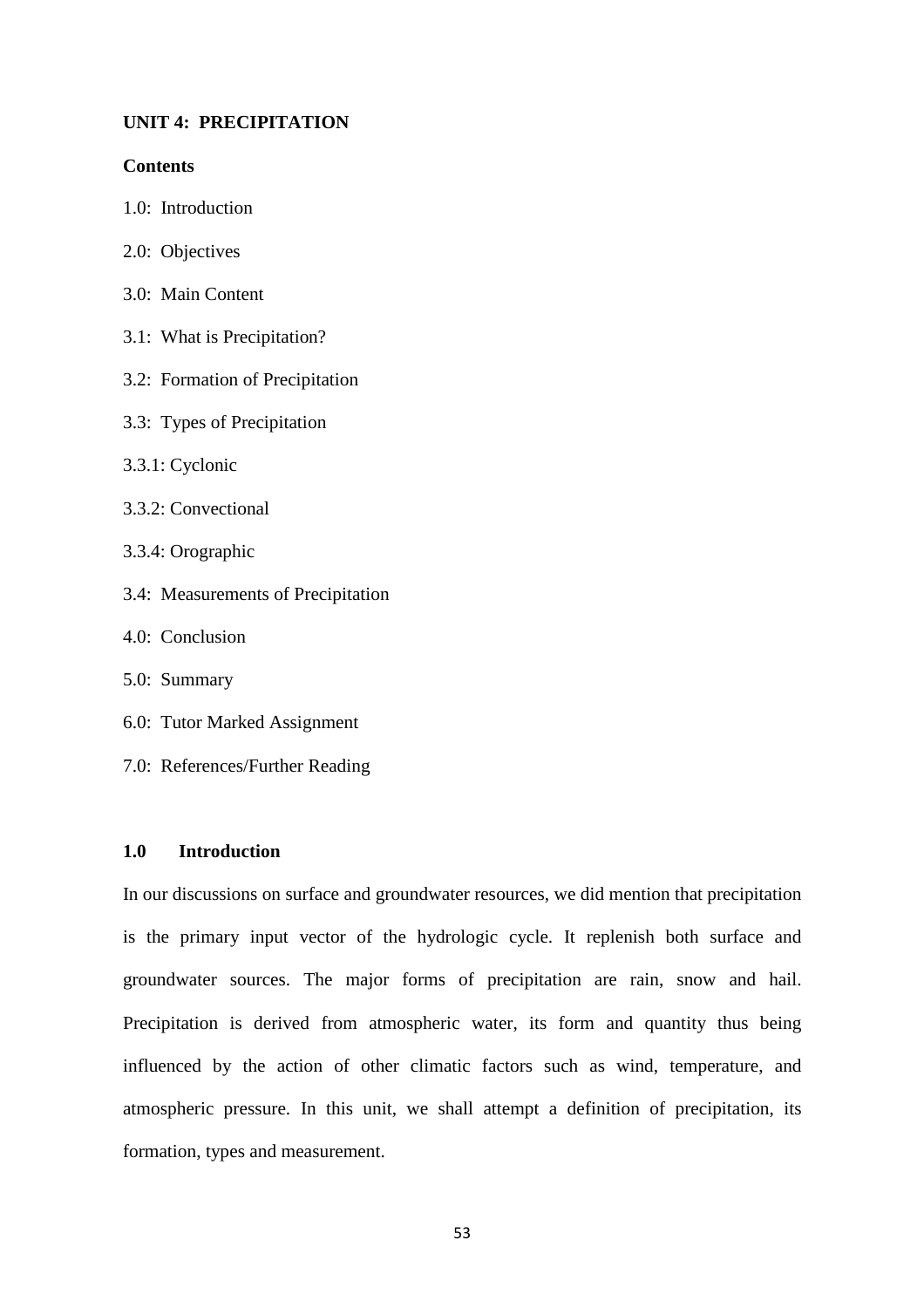### **UNIT 4: PRECIPITATION**

#### **Contents**

- 1.0: Introduction
- 2.0: Objectives
- 3.0: Main Content
- 3.1: What is Precipitation?
- 3.2: Formation of Precipitation
- 3.3: Types of Precipitation
- 3.3.1: Cyclonic
- 3.3.2: Convectional
- 3.3.4: Orographic
- 3.4: Measurements of Precipitation
- 4.0: Conclusion
- 5.0: Summary
- 6.0: Tutor Marked Assignment
- 7.0: References/Further Reading

# **1.0 Introduction**

In our discussions on surface and groundwater resources, we did mention that precipitation is the primary input vector of the hydrologic cycle. It replenish both surface and groundwater sources. The major forms of precipitation are rain, snow and hail. Precipitation is derived from atmospheric water, its form and quantity thus being influenced by the action of other climatic factors such as wind, temperature, and atmospheric pressure. In this unit, we shall attempt a definition of precipitation, its formation, types and measurement.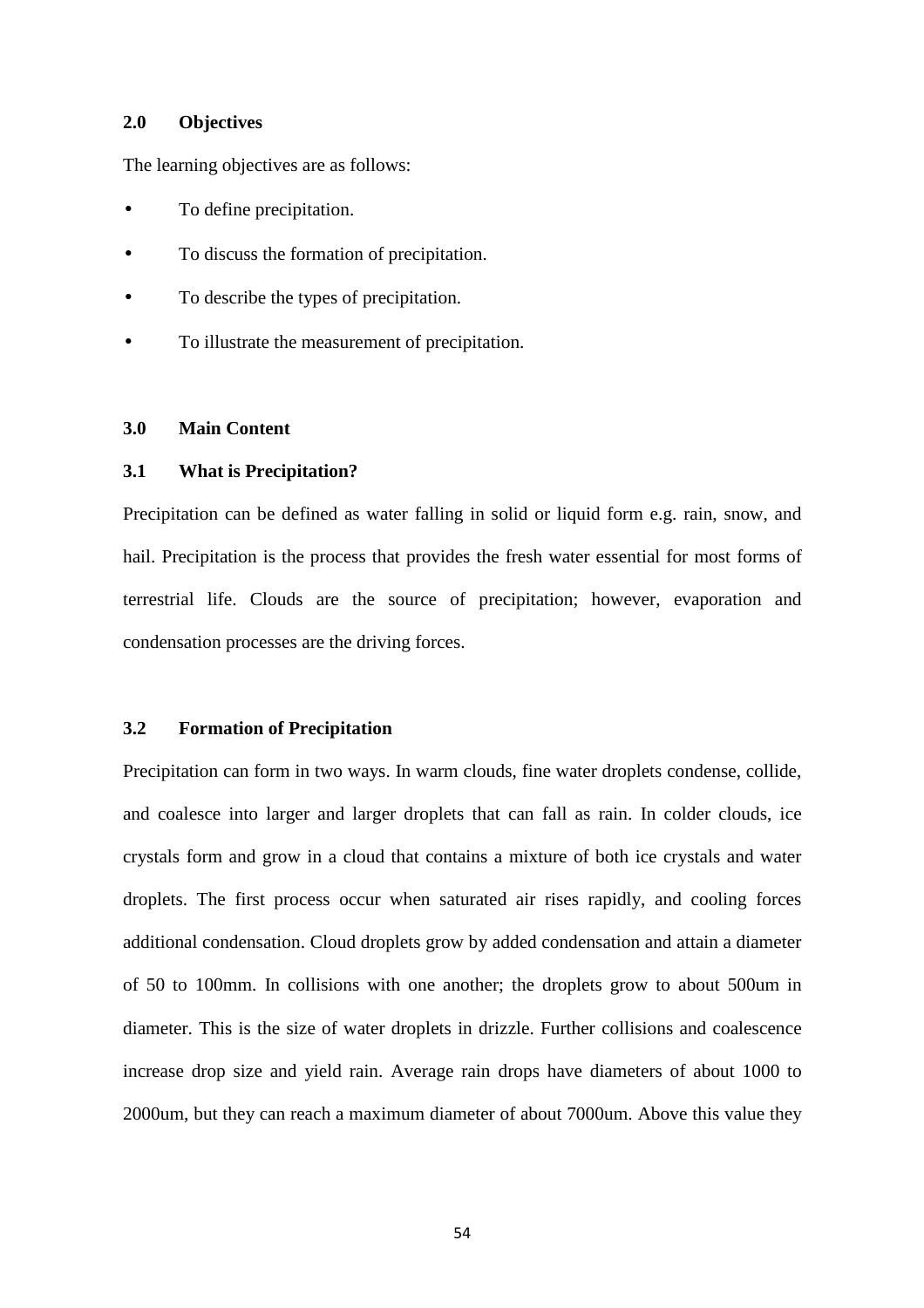# **2.0 Objectives**

The learning objectives are as follows:

- To define precipitation.
- To discuss the formation of precipitation.
- To describe the types of precipitation.
- To illustrate the measurement of precipitation.

#### **3.0 Main Content**

# **3.1 What is Precipitation?**

Precipitation can be defined as water falling in solid or liquid form e.g. rain, snow, and hail. Precipitation is the process that provides the fresh water essential for most forms of terrestrial life. Clouds are the source of precipitation; however, evaporation and condensation processes are the driving forces.

### **3.2 Formation of Precipitation**

Precipitation can form in two ways. In warm clouds, fine water droplets condense, collide, and coalesce into larger and larger droplets that can fall as rain. In colder clouds, ice crystals form and grow in a cloud that contains a mixture of both ice crystals and water droplets. The first process occur when saturated air rises rapidly, and cooling forces additional condensation. Cloud droplets grow by added condensation and attain a diameter of 50 to 100mm. In collisions with one another; the droplets grow to about 500um in diameter. This is the size of water droplets in drizzle. Further collisions and coalescence increase drop size and yield rain. Average rain drops have diameters of about 1000 to 2000um, but they can reach a maximum diameter of about 7000um. Above this value they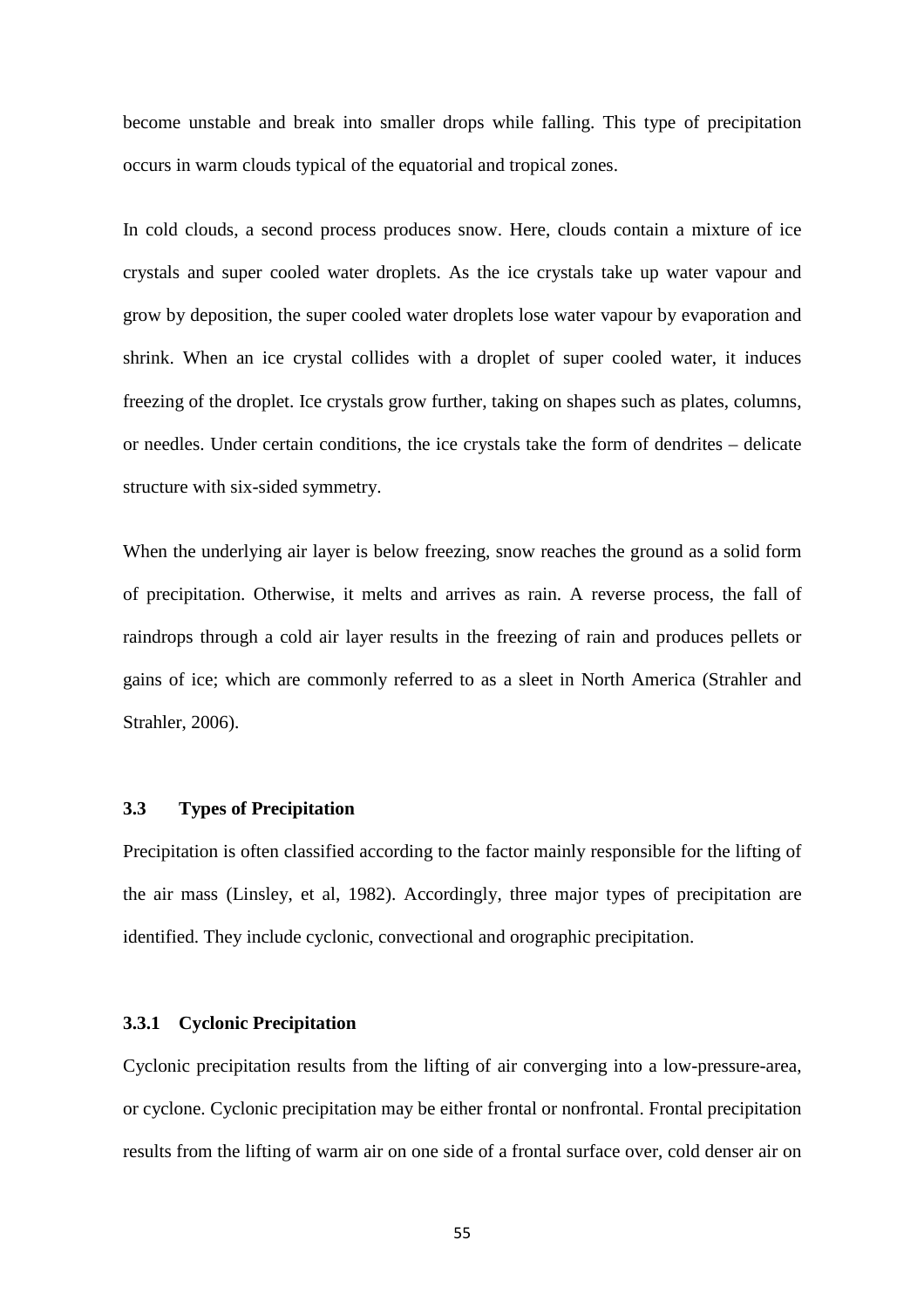become unstable and break into smaller drops while falling. This type of precipitation occurs in warm clouds typical of the equatorial and tropical zones.

In cold clouds, a second process produces snow. Here, clouds contain a mixture of ice crystals and super cooled water droplets. As the ice crystals take up water vapour and grow by deposition, the super cooled water droplets lose water vapour by evaporation and shrink. When an ice crystal collides with a droplet of super cooled water, it induces freezing of the droplet. Ice crystals grow further, taking on shapes such as plates, columns, or needles. Under certain conditions, the ice crystals take the form of dendrites – delicate structure with six-sided symmetry.

When the underlying air layer is below freezing, snow reaches the ground as a solid form of precipitation. Otherwise, it melts and arrives as rain. A reverse process, the fall of raindrops through a cold air layer results in the freezing of rain and produces pellets or gains of ice; which are commonly referred to as a sleet in North America (Strahler and Strahler, 2006).

### **3.3 Types of Precipitation**

Precipitation is often classified according to the factor mainly responsible for the lifting of the air mass (Linsley, et al, 1982). Accordingly, three major types of precipitation are identified. They include cyclonic, convectional and orographic precipitation.

### **3.3.1 Cyclonic Precipitation**

Cyclonic precipitation results from the lifting of air converging into a low-pressure-area, or cyclone. Cyclonic precipitation may be either frontal or nonfrontal. Frontal precipitation results from the lifting of warm air on one side of a frontal surface over, cold denser air on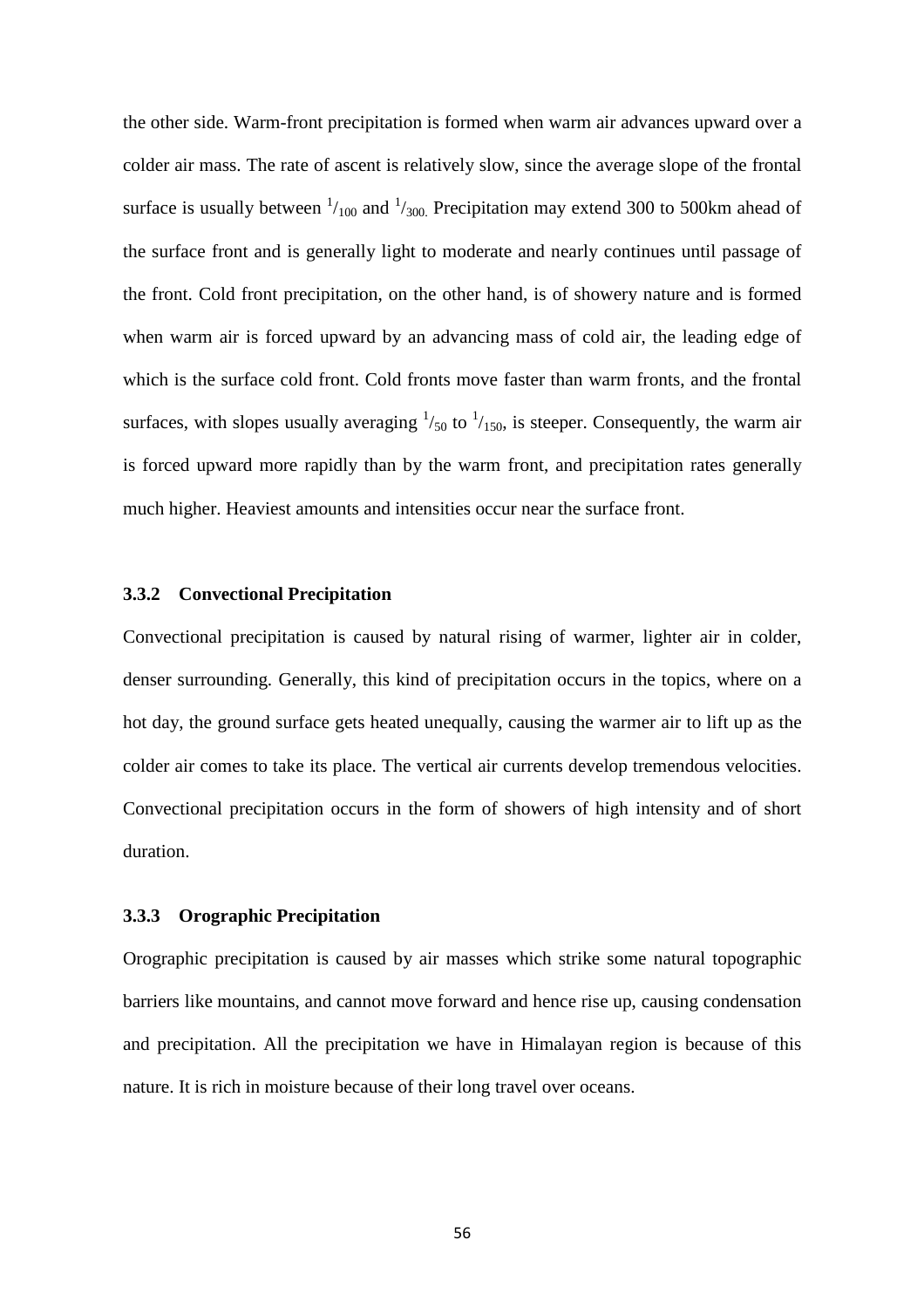the other side. Warm-front precipitation is formed when warm air advances upward over a colder air mass. The rate of ascent is relatively slow, since the average slope of the frontal surface is usually between  $\frac{1}{100}$  and  $\frac{1}{300}$ . Precipitation may extend 300 to 500km ahead of the surface front and is generally light to moderate and nearly continues until passage of the front. Cold front precipitation, on the other hand, is of showery nature and is formed when warm air is forced upward by an advancing mass of cold air, the leading edge of which is the surface cold front. Cold fronts move faster than warm fronts, and the frontal surfaces, with slopes usually averaging  $\frac{1}{50}$  to  $\frac{1}{150}$ , is steeper. Consequently, the warm air is forced upward more rapidly than by the warm front, and precipitation rates generally much higher. Heaviest amounts and intensities occur near the surface front.

# **3.3.2 Convectional Precipitation**

Convectional precipitation is caused by natural rising of warmer, lighter air in colder, denser surrounding. Generally, this kind of precipitation occurs in the topics, where on a hot day, the ground surface gets heated unequally, causing the warmer air to lift up as the colder air comes to take its place. The vertical air currents develop tremendous velocities. Convectional precipitation occurs in the form of showers of high intensity and of short duration.

# **3.3.3 Orographic Precipitation**

Orographic precipitation is caused by air masses which strike some natural topographic barriers like mountains, and cannot move forward and hence rise up, causing condensation and precipitation. All the precipitation we have in Himalayan region is because of this nature. It is rich in moisture because of their long travel over oceans.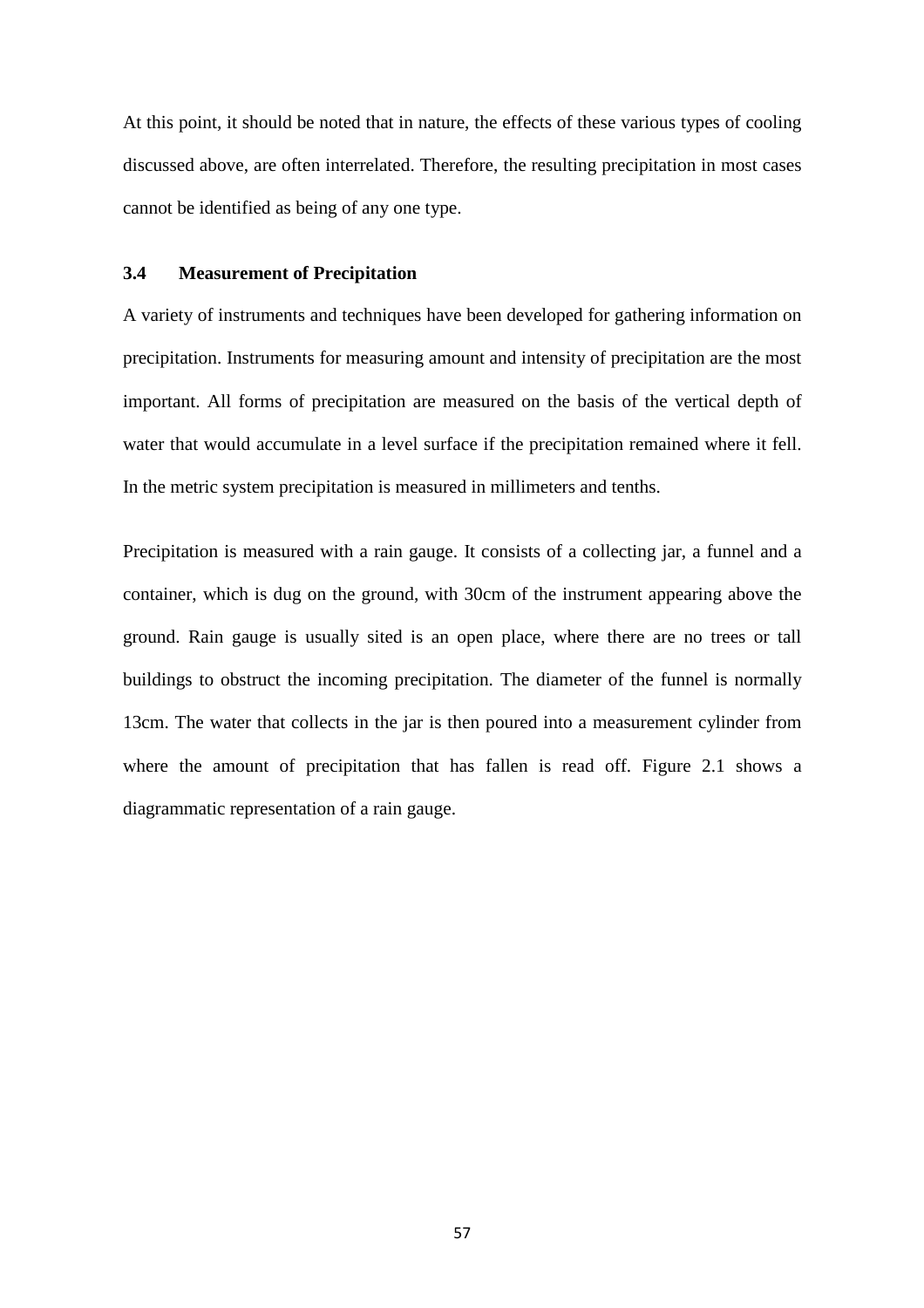At this point, it should be noted that in nature, the effects of these various types of cooling discussed above, are often interrelated. Therefore, the resulting precipitation in most cases cannot be identified as being of any one type.

### **3.4 Measurement of Precipitation**

A variety of instruments and techniques have been developed for gathering information on precipitation. Instruments for measuring amount and intensity of precipitation are the most important. All forms of precipitation are measured on the basis of the vertical depth of water that would accumulate in a level surface if the precipitation remained where it fell. In the metric system precipitation is measured in millimeters and tenths.

Precipitation is measured with a rain gauge. It consists of a collecting jar, a funnel and a container, which is dug on the ground, with 30cm of the instrument appearing above the ground. Rain gauge is usually sited is an open place, where there are no trees or tall buildings to obstruct the incoming precipitation. The diameter of the funnel is normally 13cm. The water that collects in the jar is then poured into a measurement cylinder from where the amount of precipitation that has fallen is read off. Figure 2.1 shows a diagrammatic representation of a rain gauge.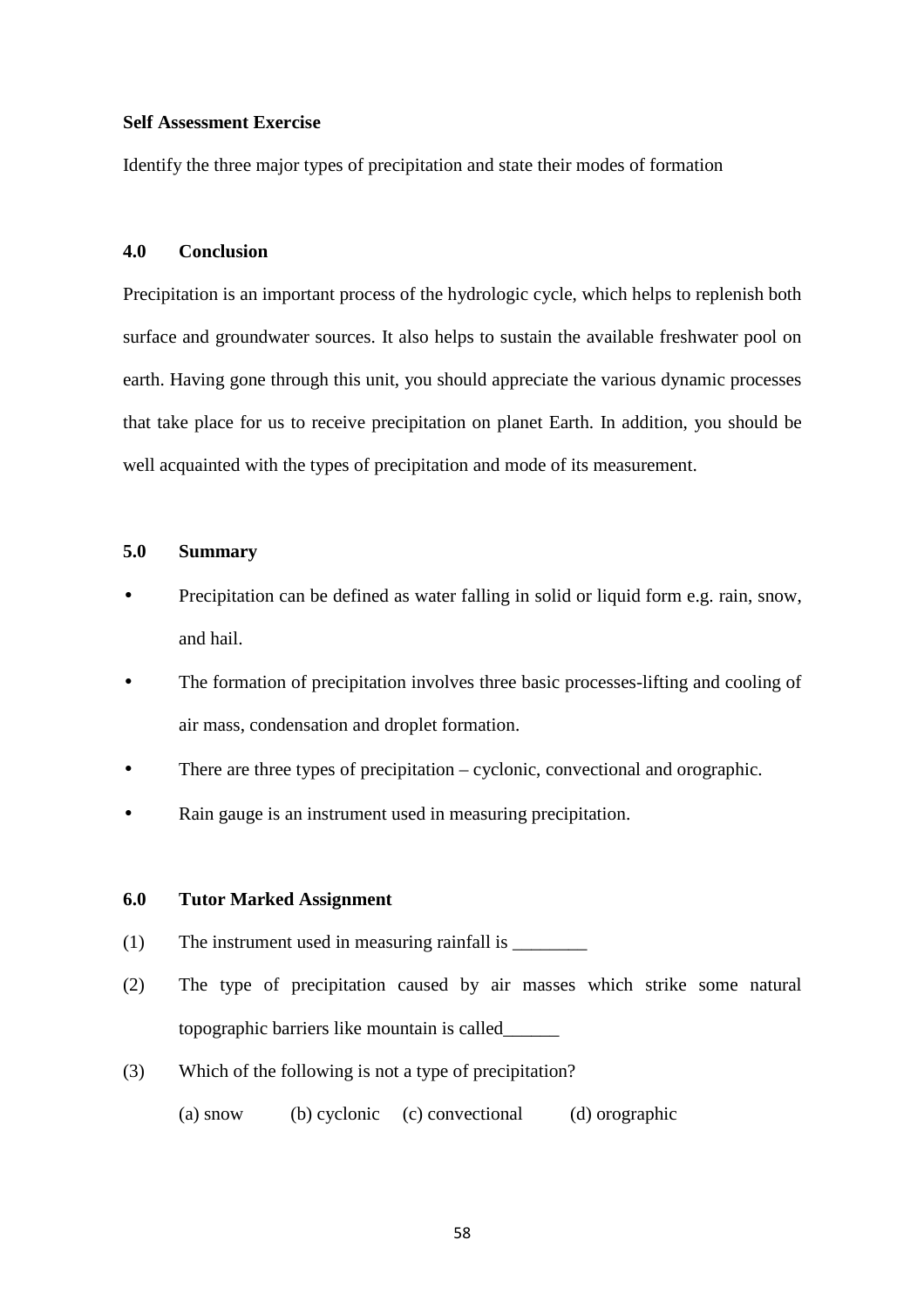#### **Self Assessment Exercise**

Identify the three major types of precipitation and state their modes of formation

# **4.0 Conclusion**

Precipitation is an important process of the hydrologic cycle, which helps to replenish both surface and groundwater sources. It also helps to sustain the available freshwater pool on earth. Having gone through this unit, you should appreciate the various dynamic processes that take place for us to receive precipitation on planet Earth. In addition, you should be well acquainted with the types of precipitation and mode of its measurement.

# **5.0 Summary**

- Precipitation can be defined as water falling in solid or liquid form e.g. rain, snow, and hail.
- The formation of precipitation involves three basic processes-lifting and cooling of air mass, condensation and droplet formation.
- There are three types of precipitation cyclonic, convectional and orographic.
- Rain gauge is an instrument used in measuring precipitation.

# **6.0 Tutor Marked Assignment**

- (1) The instrument used in measuring rainfall is
- (2) The type of precipitation caused by air masses which strike some natural topographic barriers like mountain is called\_\_\_\_\_\_
- (3) Which of the following is not a type of precipitation?

(a) snow (b) cyclonic (c) convectional (d) orographic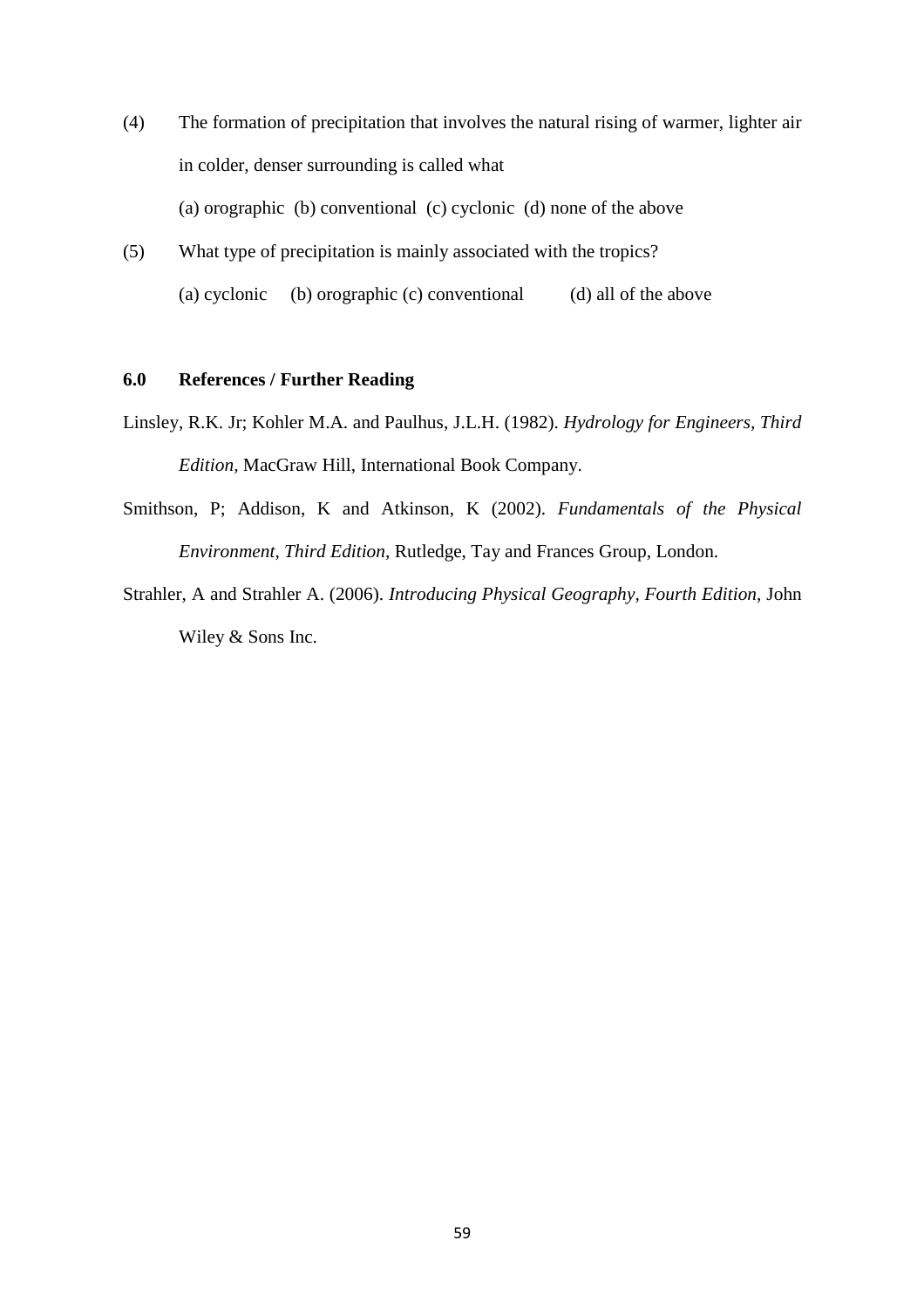- (4) The formation of precipitation that involves the natural rising of warmer, lighter air in colder, denser surrounding is called what (a) orographic (b) conventional (c) cyclonic (d) none of the above
- (5) What type of precipitation is mainly associated with the tropics? (a) cyclonic (b) orographic (c) conventional (d) all of the above

# **6.0 References / Further Reading**

- Linsley, R.K. Jr; Kohler M.A. and Paulhus, J.L.H. (1982). *Hydrology for Engineers, Third Edition,* MacGraw Hill, International Book Company.
- Smithson, P; Addison, K and Atkinson, K (2002). *Fundamentals of the Physical Environment, Third Edition,* Rutledge, Tay and Frances Group, London.
- Strahler, A and Strahler A. (2006). *Introducing Physical Geography, Fourth Edition*, John Wiley & Sons Inc.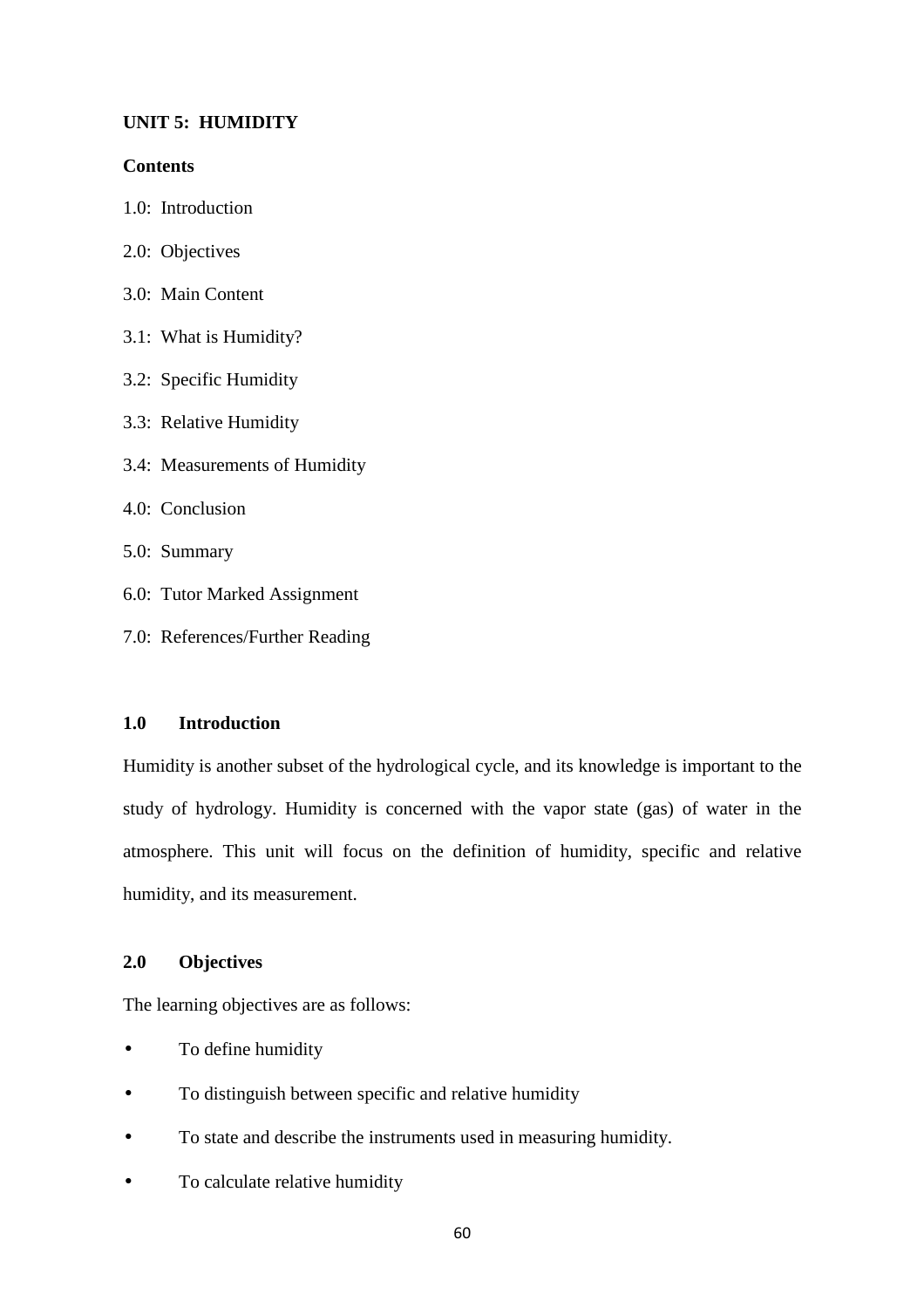# **UNIT 5: HUMIDITY**

# **Contents**

- 1.0: Introduction
- 2.0: Objectives
- 3.0: Main Content
- 3.1: What is Humidity?
- 3.2: Specific Humidity
- 3.3: Relative Humidity
- 3.4: Measurements of Humidity
- 4.0: Conclusion
- 5.0: Summary
- 6.0: Tutor Marked Assignment
- 7.0: References/Further Reading

# **1.0 Introduction**

Humidity is another subset of the hydrological cycle, and its knowledge is important to the study of hydrology. Humidity is concerned with the vapor state (gas) of water in the atmosphere. This unit will focus on the definition of humidity, specific and relative humidity, and its measurement.

# **2.0 Objectives**

The learning objectives are as follows:

- To define humidity
- To distinguish between specific and relative humidity
- To state and describe the instruments used in measuring humidity.
- To calculate relative humidity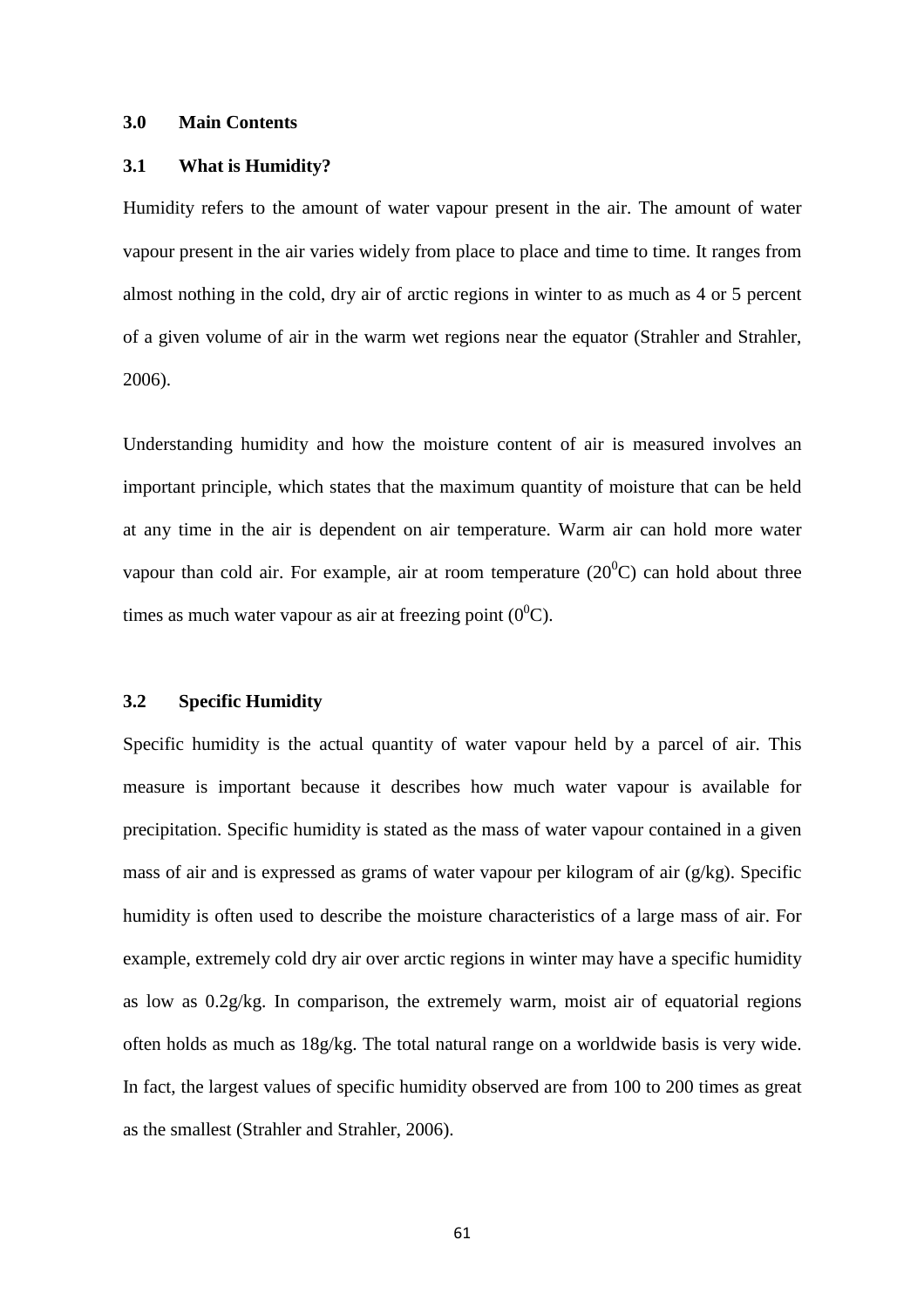### **3.0 Main Contents**

### **3.1 What is Humidity?**

Humidity refers to the amount of water vapour present in the air. The amount of water vapour present in the air varies widely from place to place and time to time. It ranges from almost nothing in the cold, dry air of arctic regions in winter to as much as 4 or 5 percent of a given volume of air in the warm wet regions near the equator (Strahler and Strahler, 2006).

Understanding humidity and how the moisture content of air is measured involves an important principle, which states that the maximum quantity of moisture that can be held at any time in the air is dependent on air temperature. Warm air can hold more water vapour than cold air. For example, air at room temperature  $(20^0C)$  can hold about three times as much water vapour as air at freezing point  $(0^0C)$ .

#### **3.2 Specific Humidity**

Specific humidity is the actual quantity of water vapour held by a parcel of air. This measure is important because it describes how much water vapour is available for precipitation. Specific humidity is stated as the mass of water vapour contained in a given mass of air and is expressed as grams of water vapour per kilogram of air (g/kg). Specific humidity is often used to describe the moisture characteristics of a large mass of air. For example, extremely cold dry air over arctic regions in winter may have a specific humidity as low as 0.2g/kg. In comparison, the extremely warm, moist air of equatorial regions often holds as much as 18g/kg. The total natural range on a worldwide basis is very wide. In fact, the largest values of specific humidity observed are from 100 to 200 times as great as the smallest (Strahler and Strahler, 2006).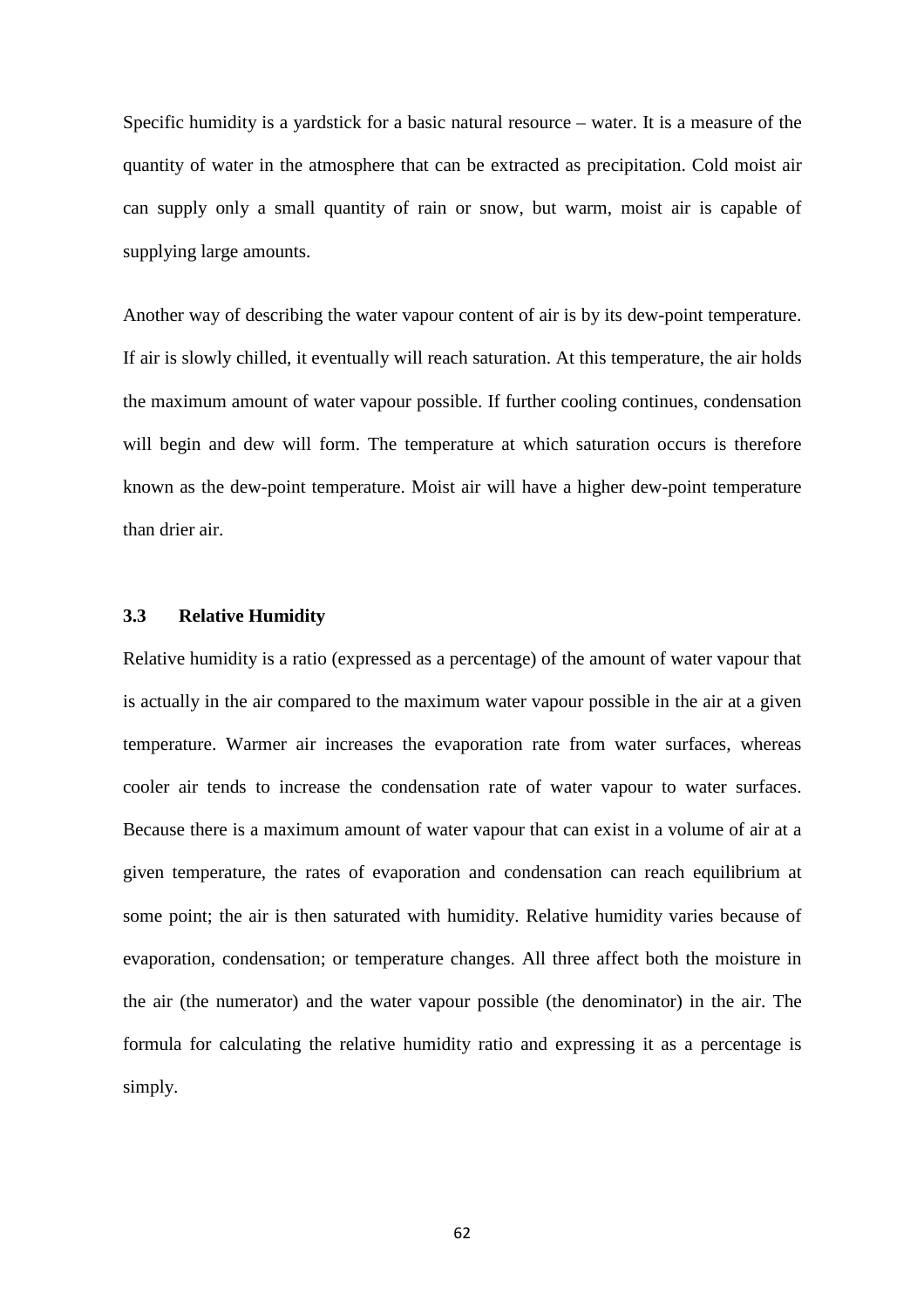Specific humidity is a yardstick for a basic natural resource – water. It is a measure of the quantity of water in the atmosphere that can be extracted as precipitation. Cold moist air can supply only a small quantity of rain or snow, but warm, moist air is capable of supplying large amounts.

Another way of describing the water vapour content of air is by its dew-point temperature. If air is slowly chilled, it eventually will reach saturation. At this temperature, the air holds the maximum amount of water vapour possible. If further cooling continues, condensation will begin and dew will form. The temperature at which saturation occurs is therefore known as the dew-point temperature. Moist air will have a higher dew-point temperature than drier air.

#### **3.3 Relative Humidity**

Relative humidity is a ratio (expressed as a percentage) of the amount of water vapour that is actually in the air compared to the maximum water vapour possible in the air at a given temperature. Warmer air increases the evaporation rate from water surfaces, whereas cooler air tends to increase the condensation rate of water vapour to water surfaces. Because there is a maximum amount of water vapour that can exist in a volume of air at a given temperature, the rates of evaporation and condensation can reach equilibrium at some point; the air is then saturated with humidity. Relative humidity varies because of evaporation, condensation; or temperature changes. All three affect both the moisture in the air (the numerator) and the water vapour possible (the denominator) in the air. The formula for calculating the relative humidity ratio and expressing it as a percentage is simply.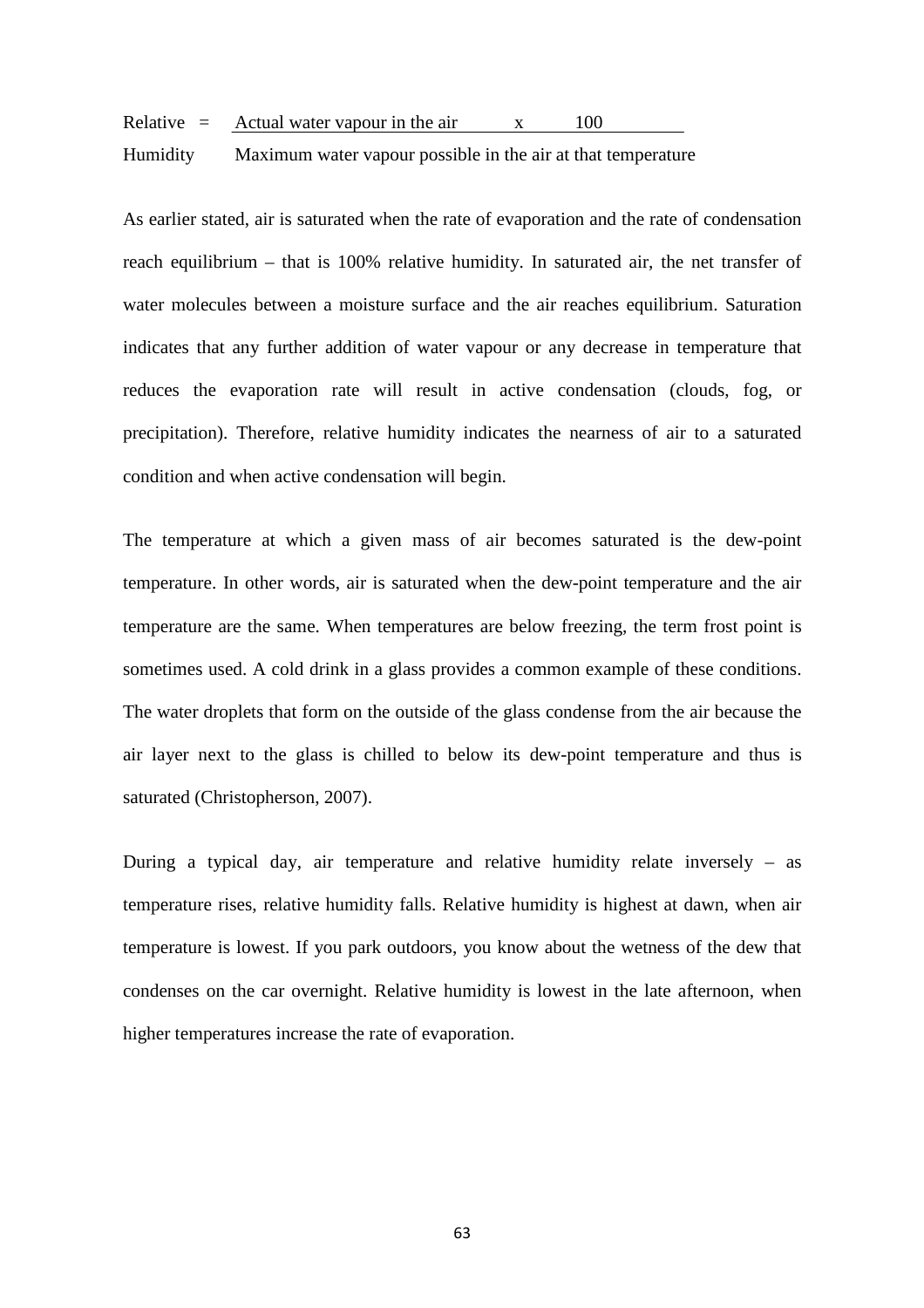# Relative  $=$  Actual water vapour in the air  $x = 100$ Humidity Maximum water vapour possible in the air at that temperature

As earlier stated, air is saturated when the rate of evaporation and the rate of condensation reach equilibrium – that is 100% relative humidity. In saturated air, the net transfer of water molecules between a moisture surface and the air reaches equilibrium. Saturation indicates that any further addition of water vapour or any decrease in temperature that reduces the evaporation rate will result in active condensation (clouds, fog, or precipitation). Therefore, relative humidity indicates the nearness of air to a saturated condition and when active condensation will begin.

The temperature at which a given mass of air becomes saturated is the dew-point temperature. In other words, air is saturated when the dew-point temperature and the air temperature are the same. When temperatures are below freezing, the term frost point is sometimes used. A cold drink in a glass provides a common example of these conditions. The water droplets that form on the outside of the glass condense from the air because the air layer next to the glass is chilled to below its dew-point temperature and thus is saturated (Christopherson, 2007).

During a typical day, air temperature and relative humidity relate inversely – as temperature rises, relative humidity falls. Relative humidity is highest at dawn, when air temperature is lowest. If you park outdoors, you know about the wetness of the dew that condenses on the car overnight. Relative humidity is lowest in the late afternoon, when higher temperatures increase the rate of evaporation.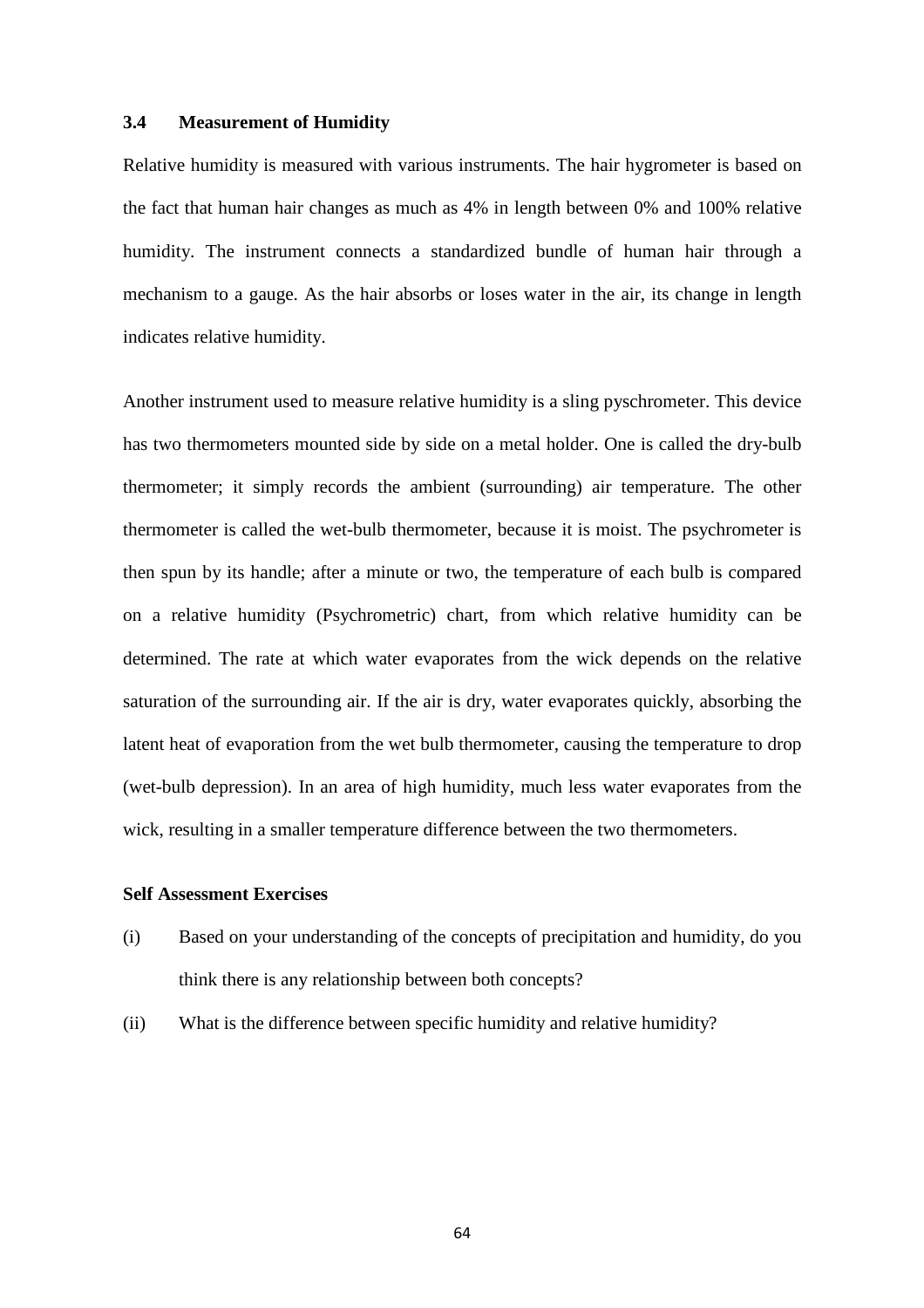#### **3.4 Measurement of Humidity**

Relative humidity is measured with various instruments. The hair hygrometer is based on the fact that human hair changes as much as 4% in length between 0% and 100% relative humidity. The instrument connects a standardized bundle of human hair through a mechanism to a gauge. As the hair absorbs or loses water in the air, its change in length indicates relative humidity.

Another instrument used to measure relative humidity is a sling pyschrometer. This device has two thermometers mounted side by side on a metal holder. One is called the dry-bulb thermometer; it simply records the ambient (surrounding) air temperature. The other thermometer is called the wet-bulb thermometer, because it is moist. The psychrometer is then spun by its handle; after a minute or two, the temperature of each bulb is compared on a relative humidity (Psychrometric) chart, from which relative humidity can be determined. The rate at which water evaporates from the wick depends on the relative saturation of the surrounding air. If the air is dry, water evaporates quickly, absorbing the latent heat of evaporation from the wet bulb thermometer, causing the temperature to drop (wet-bulb depression). In an area of high humidity, much less water evaporates from the wick, resulting in a smaller temperature difference between the two thermometers.

### **Self Assessment Exercises**

- (i) Based on your understanding of the concepts of precipitation and humidity, do you think there is any relationship between both concepts?
- (ii) What is the difference between specific humidity and relative humidity?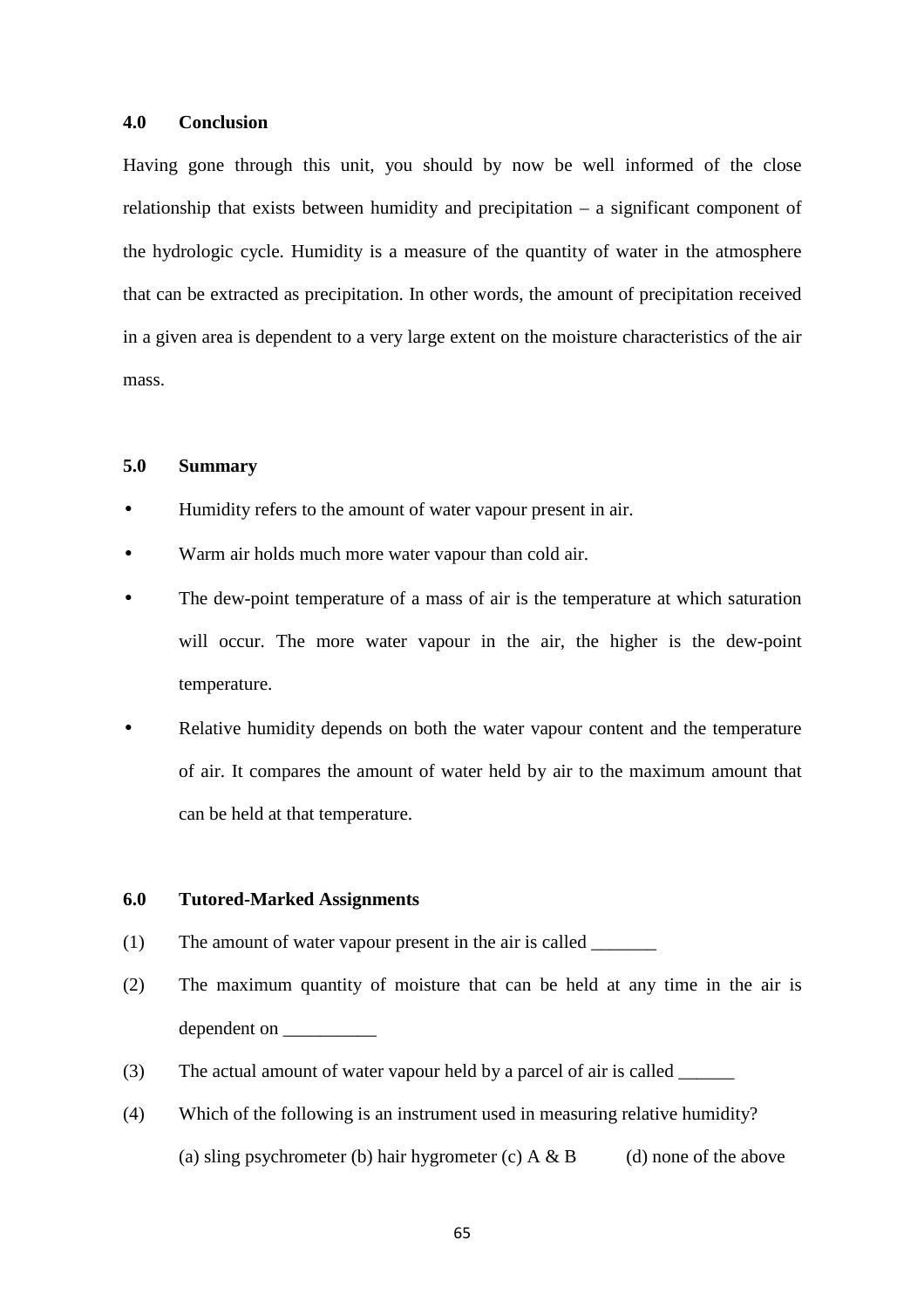## **4.0 Conclusion**

Having gone through this unit, you should by now be well informed of the close relationship that exists between humidity and precipitation – a significant component of the hydrologic cycle. Humidity is a measure of the quantity of water in the atmosphere that can be extracted as precipitation. In other words, the amount of precipitation received in a given area is dependent to a very large extent on the moisture characteristics of the air mass.

#### **5.0 Summary**

- Humidity refers to the amount of water vapour present in air.
- Warm air holds much more water vapour than cold air.
- The dew-point temperature of a mass of air is the temperature at which saturation will occur. The more water vapour in the air, the higher is the dew-point temperature.
- Relative humidity depends on both the water vapour content and the temperature of air. It compares the amount of water held by air to the maximum amount that can be held at that temperature.

### **6.0 Tutored-Marked Assignments**

- (1) The amount of water vapour present in the air is called
- (2) The maximum quantity of moisture that can be held at any time in the air is dependent on \_\_\_\_\_\_\_\_\_\_
- (3) The actual amount of water vapour held by a parcel of air is called \_\_\_\_\_\_
- (4) Which of the following is an instrument used in measuring relative humidity? (a) sling psychrometer (b) hair hygrometer (c)  $A \& B$  (d) none of the above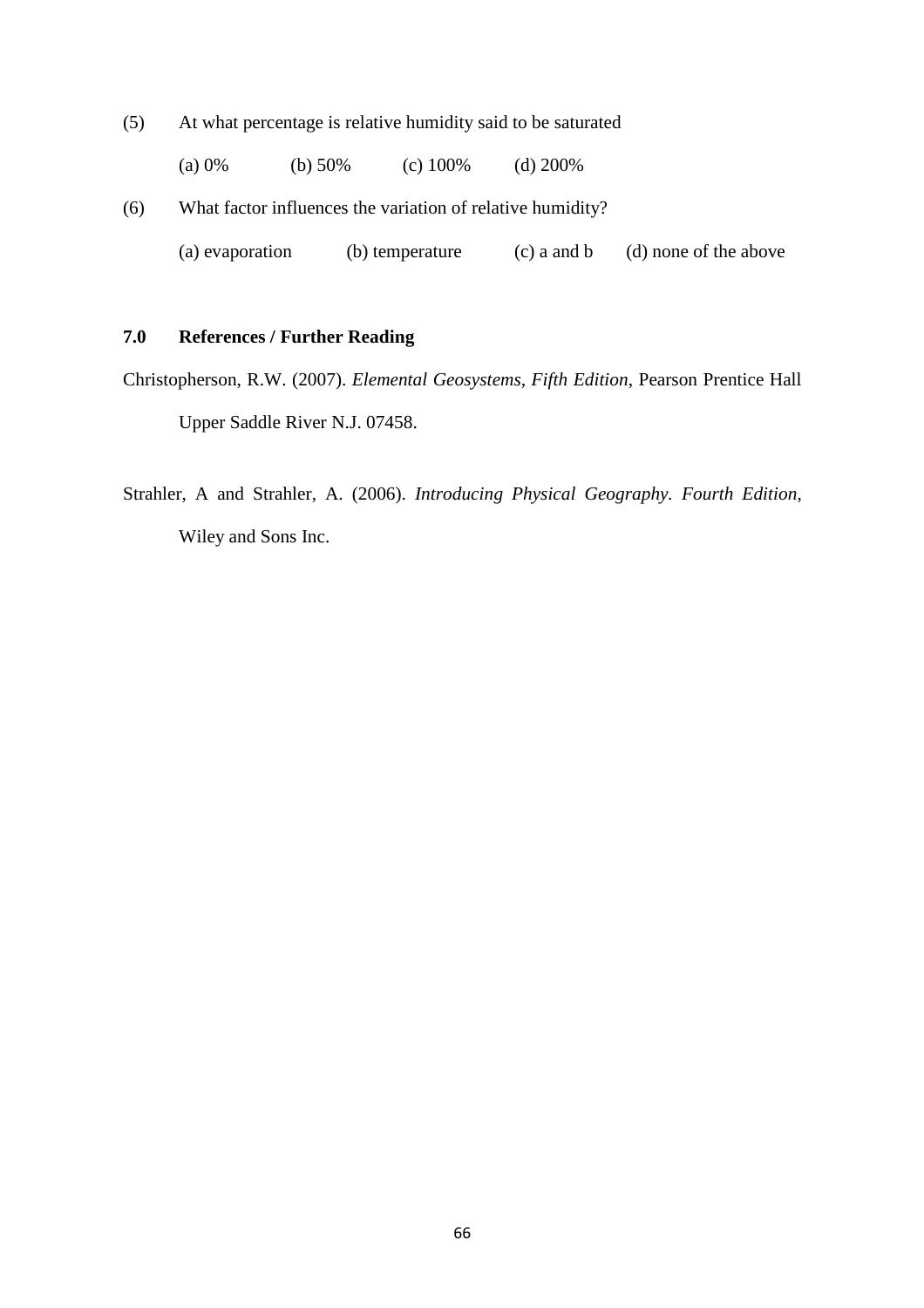(5) At what percentage is relative humidity said to be saturated

|  | (a) 0% | (b) $50\%$ | (c) $100\%$ | (d) $200\%$ |
|--|--------|------------|-------------|-------------|
|--|--------|------------|-------------|-------------|

- (6) What factor influences the variation of relative humidity?
	- (a) evaporation (b) temperature (c) a and b (d) none of the above

# **7.0 References / Further Reading**

- Christopherson, R.W. (2007). *Elemental Geosystems, Fifth Edition*, Pearson Prentice Hall Upper Saddle River N.J. 07458.
- Strahler, A and Strahler, A. (2006). *Introducing Physical Geography. Fourth Edition,*  Wiley and Sons Inc.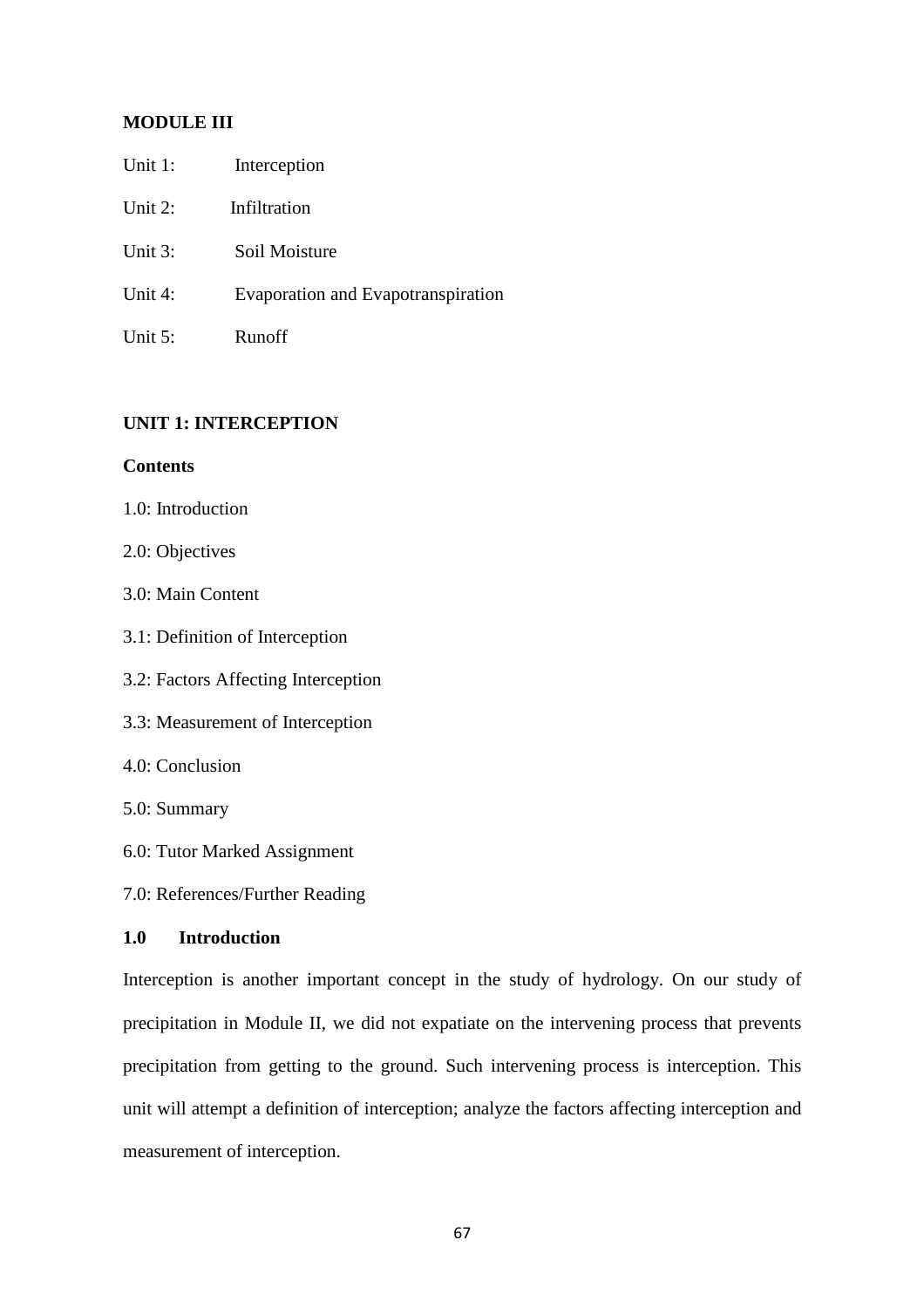# **MODULE III**

| Unit 1: | Interception |
|---------|--------------|
|---------|--------------|

Unit 2: Infiltration

- Unit 3: Soil Moisture
- Unit 4: Evaporation and Evapotranspiration
- Unit 5: Runoff

# **UNIT 1: INTERCEPTION**

### **Contents**

- 1.0: Introduction
- 2.0: Objectives
- 3.0: Main Content
- 3.1: Definition of Interception
- 3.2: Factors Affecting Interception
- 3.3: Measurement of Interception
- 4.0: Conclusion
- 5.0: Summary
- 6.0: Tutor Marked Assignment
- 7.0: References/Further Reading

# **1.0 Introduction**

Interception is another important concept in the study of hydrology. On our study of precipitation in Module II, we did not expatiate on the intervening process that prevents precipitation from getting to the ground. Such intervening process is interception. This unit will attempt a definition of interception; analyze the factors affecting interception and measurement of interception.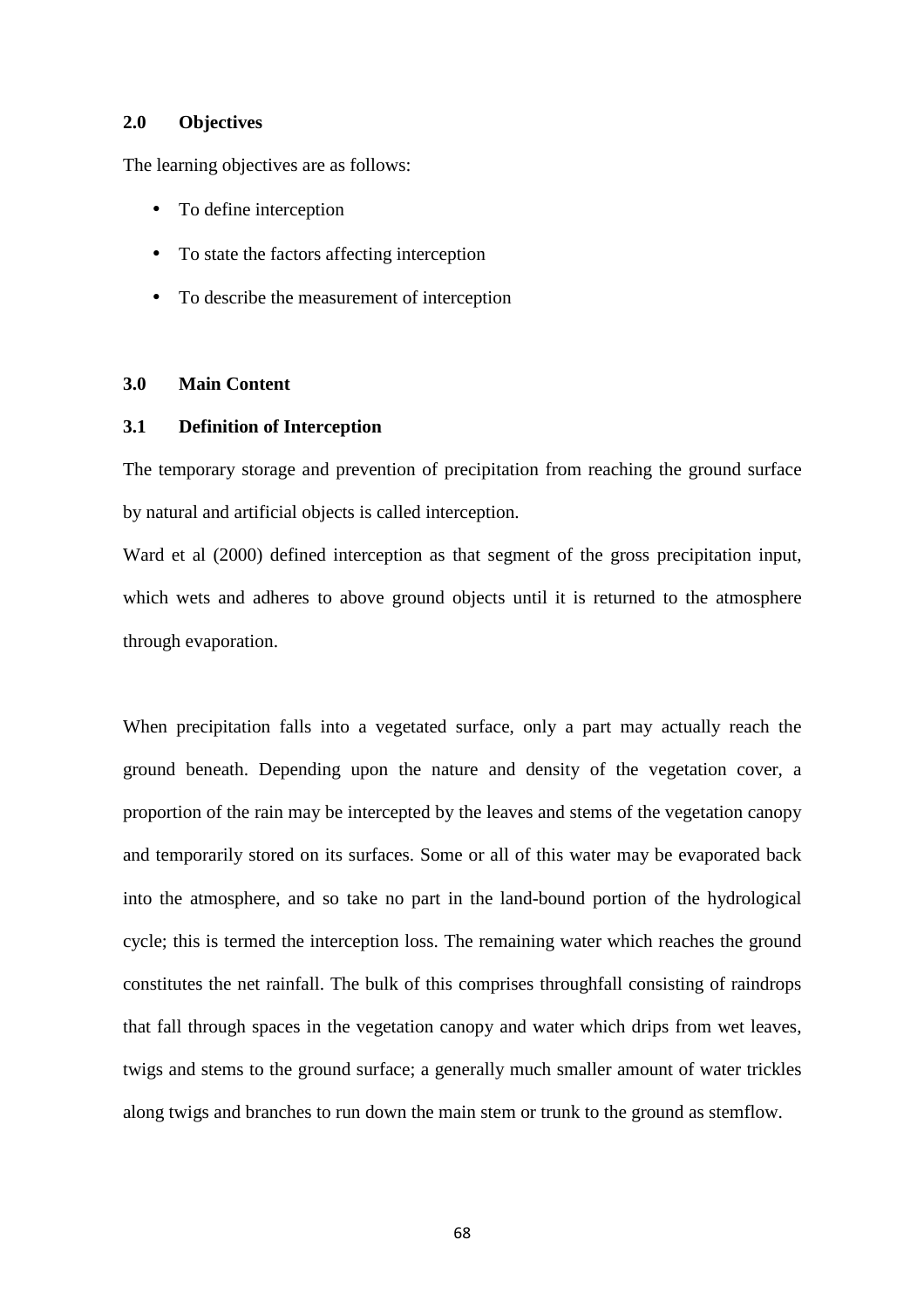# **2.0 Objectives**

The learning objectives are as follows:

- To define interception
- To state the factors affecting interception
- To describe the measurement of interception

# **3.0 Main Content**

# **3.1 Definition of Interception**

The temporary storage and prevention of precipitation from reaching the ground surface by natural and artificial objects is called interception.

Ward et al (2000) defined interception as that segment of the gross precipitation input, which wets and adheres to above ground objects until it is returned to the atmosphere through evaporation.

When precipitation falls into a vegetated surface, only a part may actually reach the ground beneath. Depending upon the nature and density of the vegetation cover, a proportion of the rain may be intercepted by the leaves and stems of the vegetation canopy and temporarily stored on its surfaces. Some or all of this water may be evaporated back into the atmosphere, and so take no part in the land-bound portion of the hydrological cycle; this is termed the interception loss. The remaining water which reaches the ground constitutes the net rainfall. The bulk of this comprises throughfall consisting of raindrops that fall through spaces in the vegetation canopy and water which drips from wet leaves, twigs and stems to the ground surface; a generally much smaller amount of water trickles along twigs and branches to run down the main stem or trunk to the ground as stemflow.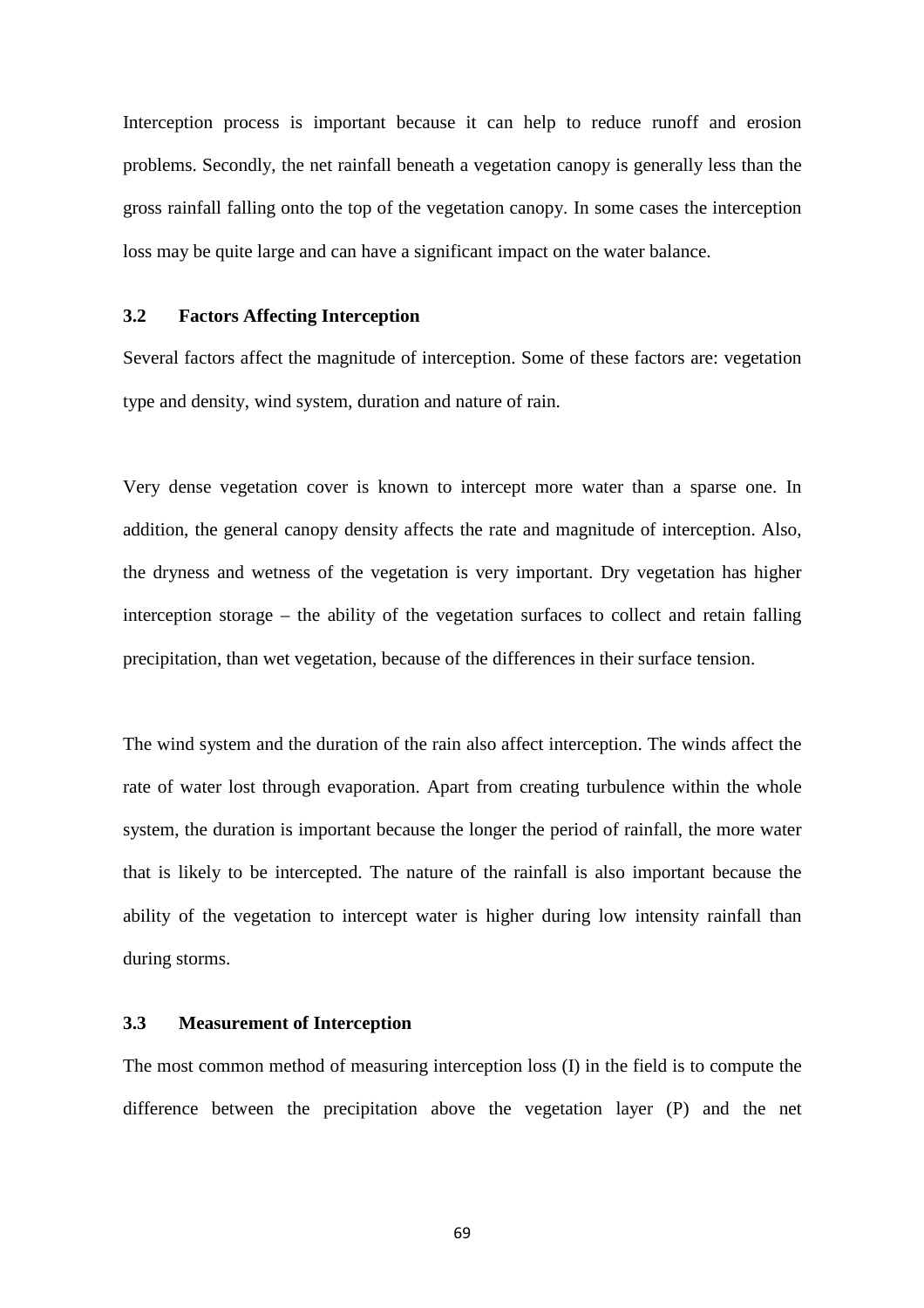Interception process is important because it can help to reduce runoff and erosion problems. Secondly, the net rainfall beneath a vegetation canopy is generally less than the gross rainfall falling onto the top of the vegetation canopy. In some cases the interception loss may be quite large and can have a significant impact on the water balance.

# **3.2 Factors Affecting Interception**

Several factors affect the magnitude of interception. Some of these factors are: vegetation type and density, wind system, duration and nature of rain.

Very dense vegetation cover is known to intercept more water than a sparse one. In addition, the general canopy density affects the rate and magnitude of interception. Also, the dryness and wetness of the vegetation is very important. Dry vegetation has higher interception storage – the ability of the vegetation surfaces to collect and retain falling precipitation, than wet vegetation, because of the differences in their surface tension.

The wind system and the duration of the rain also affect interception. The winds affect the rate of water lost through evaporation. Apart from creating turbulence within the whole system, the duration is important because the longer the period of rainfall, the more water that is likely to be intercepted. The nature of the rainfall is also important because the ability of the vegetation to intercept water is higher during low intensity rainfall than during storms.

# **3.3 Measurement of Interception**

The most common method of measuring interception loss (I) in the field is to compute the difference between the precipitation above the vegetation layer (P) and the net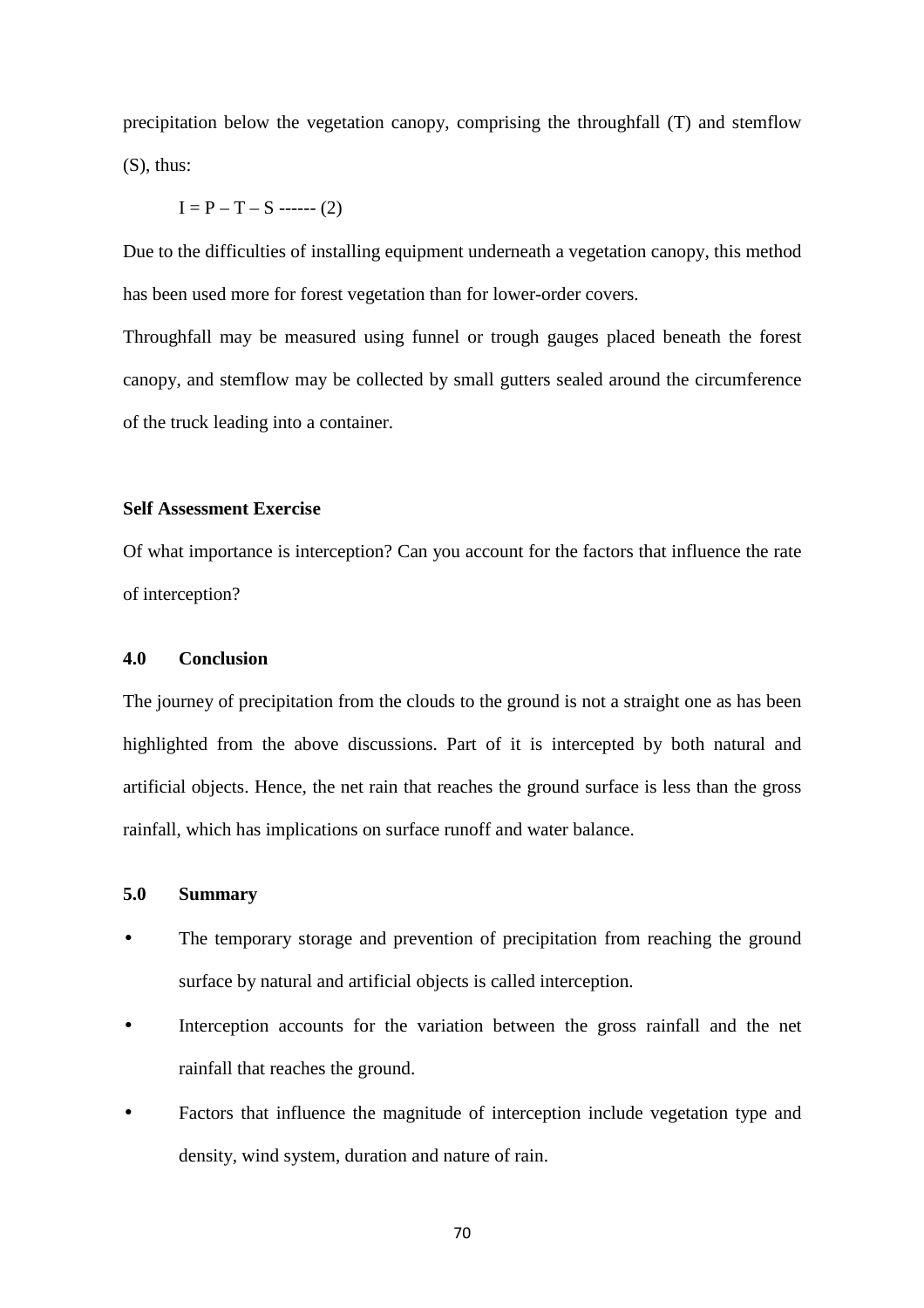precipitation below the vegetation canopy, comprising the throughfall (T) and stemflow (S), thus:

 $I = P - T - S$  ------ (2)

Due to the difficulties of installing equipment underneath a vegetation canopy, this method has been used more for forest vegetation than for lower-order covers.

Throughfall may be measured using funnel or trough gauges placed beneath the forest canopy, and stemflow may be collected by small gutters sealed around the circumference of the truck leading into a container.

# **Self Assessment Exercise**

Of what importance is interception? Can you account for the factors that influence the rate of interception?

### **4.0 Conclusion**

The journey of precipitation from the clouds to the ground is not a straight one as has been highlighted from the above discussions. Part of it is intercepted by both natural and artificial objects. Hence, the net rain that reaches the ground surface is less than the gross rainfall, which has implications on surface runoff and water balance.

### **5.0 Summary**

- The temporary storage and prevention of precipitation from reaching the ground surface by natural and artificial objects is called interception.
- Interception accounts for the variation between the gross rainfall and the net rainfall that reaches the ground.
- Factors that influence the magnitude of interception include vegetation type and density, wind system, duration and nature of rain.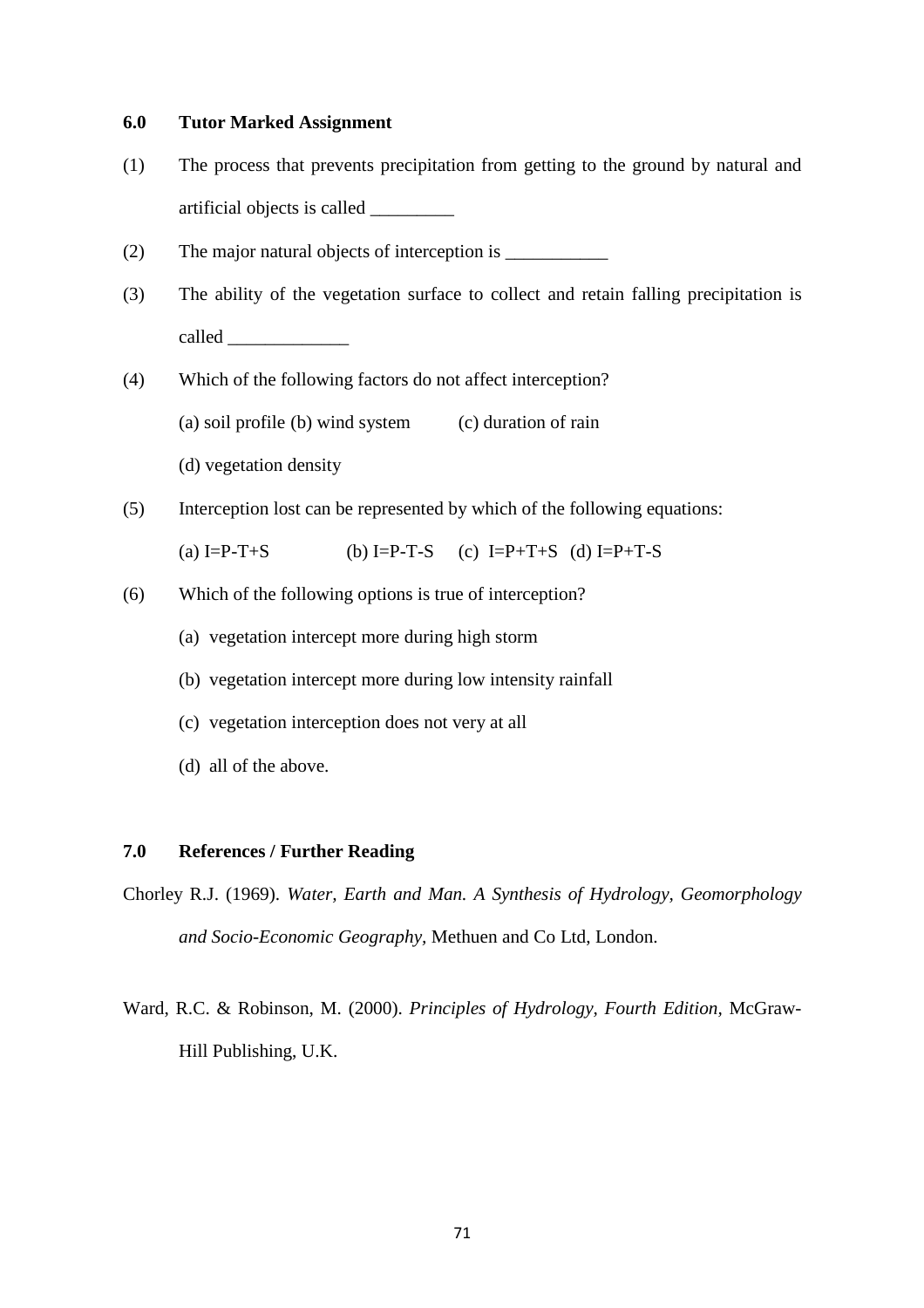# **6.0 Tutor Marked Assignment**

- (1) The process that prevents precipitation from getting to the ground by natural and artificial objects is called \_\_\_\_\_\_\_\_\_
- (2) The major natural objects of interception is
- (3) The ability of the vegetation surface to collect and retain falling precipitation is called  $\Box$
- (4) Which of the following factors do not affect interception?

(a) soil profile (b) wind system (c) duration of rain

- (d) vegetation density
- (5) Interception lost can be represented by which of the following equations:

(a)  $I = P - T + S$  (b)  $I = P - T - S$  (c)  $I = P + T + S$  (d)  $I = P + T - S$ 

- (6) Which of the following options is true of interception?
	- (a) vegetation intercept more during high storm
	- (b) vegetation intercept more during low intensity rainfall
	- (c) vegetation interception does not very at all
	- (d) all of the above.

# **7.0 References / Further Reading**

- Chorley R.J. (1969). *Water, Earth and Man. A Synthesis of Hydrology, Geomorphology and Socio-Economic Geography,* Methuen and Co Ltd, London.
- Ward, R.C. & Robinson, M. (2000). *Principles of Hydrology, Fourth Edition,* McGraw-Hill Publishing, U.K.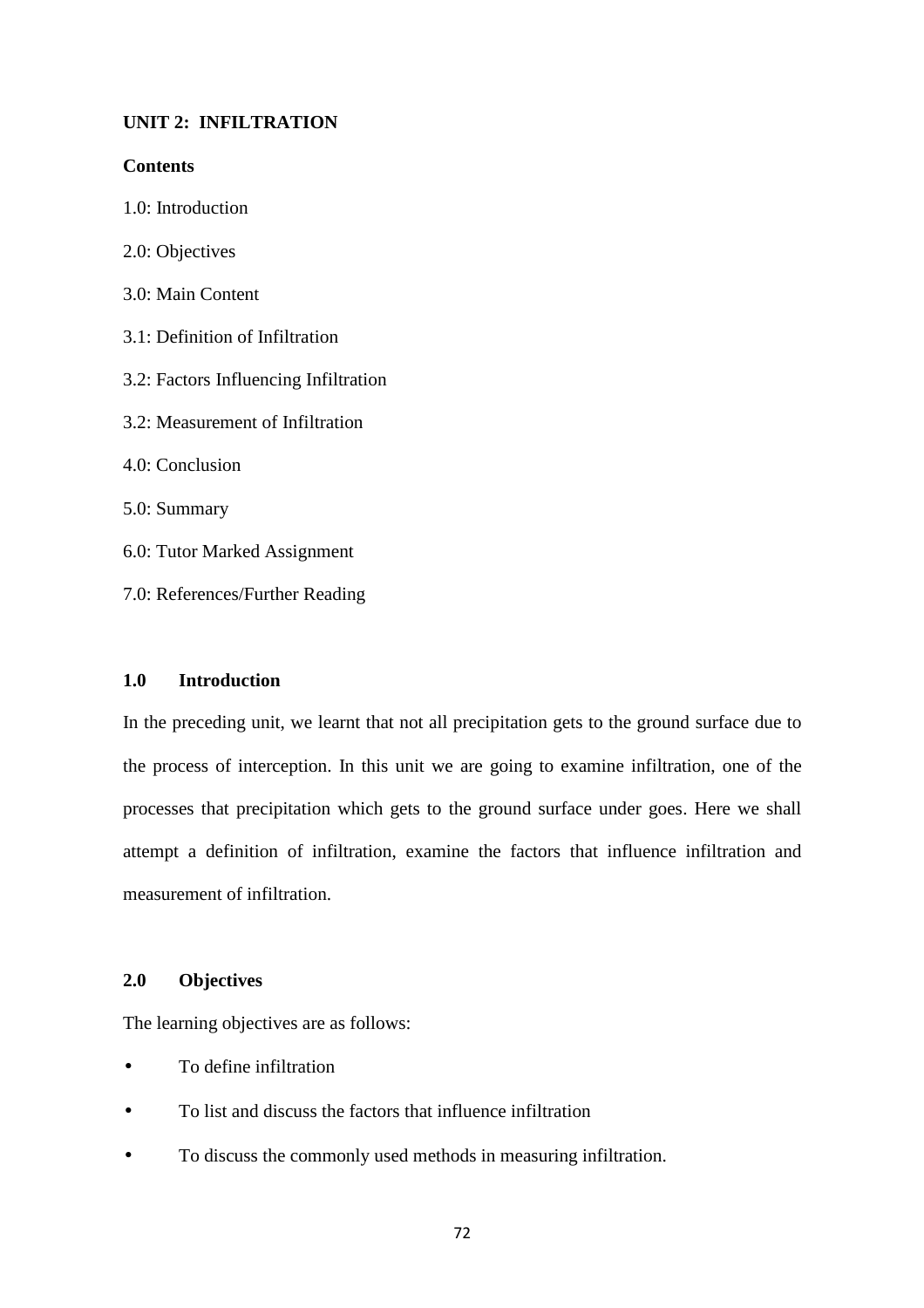# **UNIT 2: INFILTRATION**

### **Contents**

- 1.0: Introduction
- 2.0: Objectives
- 3.0: Main Content
- 3.1: Definition of Infiltration
- 3.2: Factors Influencing Infiltration
- 3.2: Measurement of Infiltration
- 4.0: Conclusion
- 5.0: Summary
- 6.0: Tutor Marked Assignment
- 7.0: References/Further Reading

# **1.0 Introduction**

In the preceding unit, we learnt that not all precipitation gets to the ground surface due to the process of interception. In this unit we are going to examine infiltration, one of the processes that precipitation which gets to the ground surface under goes. Here we shall attempt a definition of infiltration, examine the factors that influence infiltration and measurement of infiltration.

# **2.0 Objectives**

The learning objectives are as follows:

- To define infiltration
- To list and discuss the factors that influence infiltration
- To discuss the commonly used methods in measuring infiltration.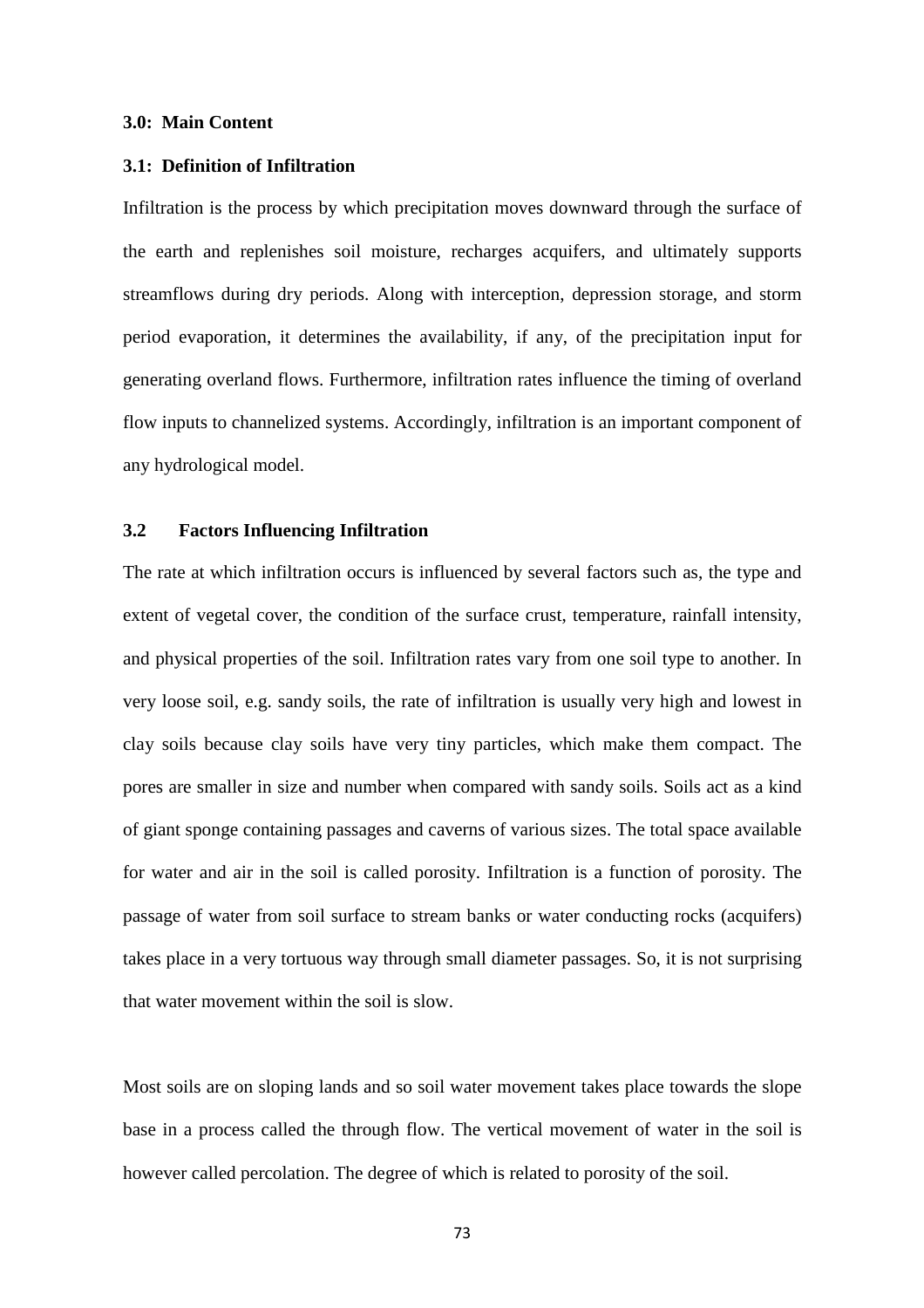#### **3.0: Main Content**

### **3.1: Definition of Infiltration**

Infiltration is the process by which precipitation moves downward through the surface of the earth and replenishes soil moisture, recharges acquifers, and ultimately supports streamflows during dry periods. Along with interception, depression storage, and storm period evaporation, it determines the availability, if any, of the precipitation input for generating overland flows. Furthermore, infiltration rates influence the timing of overland flow inputs to channelized systems. Accordingly, infiltration is an important component of any hydrological model.

## **3.2 Factors Influencing Infiltration**

The rate at which infiltration occurs is influenced by several factors such as, the type and extent of vegetal cover, the condition of the surface crust, temperature, rainfall intensity, and physical properties of the soil. Infiltration rates vary from one soil type to another. In very loose soil, e.g. sandy soils, the rate of infiltration is usually very high and lowest in clay soils because clay soils have very tiny particles, which make them compact. The pores are smaller in size and number when compared with sandy soils. Soils act as a kind of giant sponge containing passages and caverns of various sizes. The total space available for water and air in the soil is called porosity. Infiltration is a function of porosity. The passage of water from soil surface to stream banks or water conducting rocks (acquifers) takes place in a very tortuous way through small diameter passages. So, it is not surprising that water movement within the soil is slow.

Most soils are on sloping lands and so soil water movement takes place towards the slope base in a process called the through flow. The vertical movement of water in the soil is however called percolation. The degree of which is related to porosity of the soil.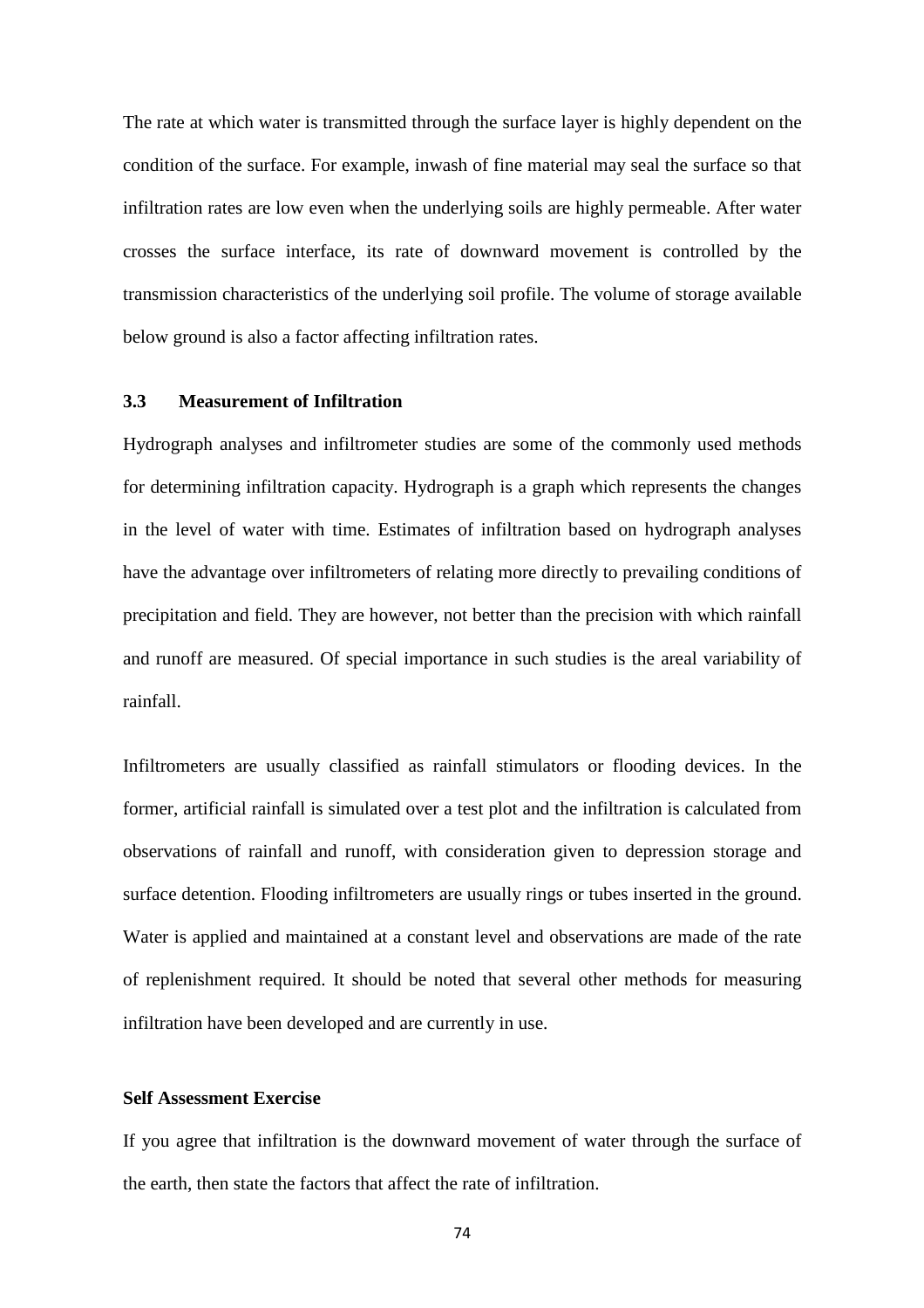The rate at which water is transmitted through the surface layer is highly dependent on the condition of the surface. For example, inwash of fine material may seal the surface so that infiltration rates are low even when the underlying soils are highly permeable. After water crosses the surface interface, its rate of downward movement is controlled by the transmission characteristics of the underlying soil profile. The volume of storage available below ground is also a factor affecting infiltration rates.

# **3.3 Measurement of Infiltration**

Hydrograph analyses and infiltrometer studies are some of the commonly used methods for determining infiltration capacity. Hydrograph is a graph which represents the changes in the level of water with time. Estimates of infiltration based on hydrograph analyses have the advantage over infiltrometers of relating more directly to prevailing conditions of precipitation and field. They are however, not better than the precision with which rainfall and runoff are measured. Of special importance in such studies is the areal variability of rainfall.

Infiltrometers are usually classified as rainfall stimulators or flooding devices. In the former, artificial rainfall is simulated over a test plot and the infiltration is calculated from observations of rainfall and runoff, with consideration given to depression storage and surface detention. Flooding infiltrometers are usually rings or tubes inserted in the ground. Water is applied and maintained at a constant level and observations are made of the rate of replenishment required. It should be noted that several other methods for measuring infiltration have been developed and are currently in use.

#### **Self Assessment Exercise**

If you agree that infiltration is the downward movement of water through the surface of the earth, then state the factors that affect the rate of infiltration.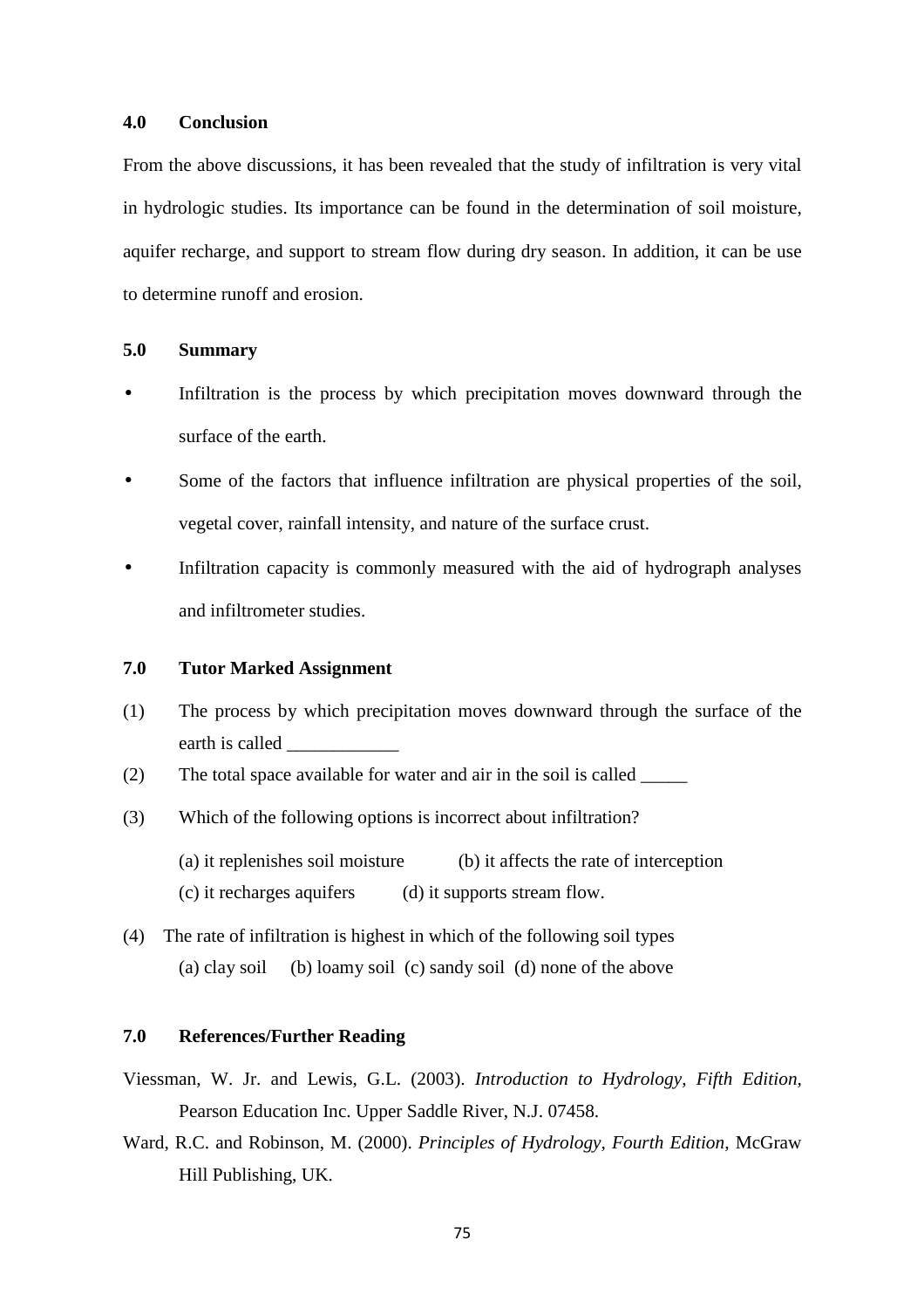#### **4.0 Conclusion**

From the above discussions, it has been revealed that the study of infiltration is very vital in hydrologic studies. Its importance can be found in the determination of soil moisture, aquifer recharge, and support to stream flow during dry season. In addition, it can be use to determine runoff and erosion.

### **5.0 Summary**

- Infiltration is the process by which precipitation moves downward through the surface of the earth.
- Some of the factors that influence infiltration are physical properties of the soil, vegetal cover, rainfall intensity, and nature of the surface crust.
- Infiltration capacity is commonly measured with the aid of hydrograph analyses and infiltrometer studies.

#### **7.0 Tutor Marked Assignment**

- (1) The process by which precipitation moves downward through the surface of the earth is called
- (2) The total space available for water and air in the soil is called \_\_\_\_\_
- (3) Which of the following options is incorrect about infiltration?
	- (a) it replenishes soil moisture (b) it affects the rate of interception (c) it recharges aquifers (d) it supports stream flow.
- (4) The rate of infiltration is highest in which of the following soil types (a) clay soil (b) loamy soil (c) sandy soil (d) none of the above

# **7.0 References/Further Reading**

- Viessman, W. Jr. and Lewis, G.L. (2003). *Introduction to Hydrology, Fifth Edition,*  Pearson Education Inc. Upper Saddle River, N.J. 07458.
- Ward, R.C. and Robinson, M. (2000). *Principles of Hydrology, Fourth Edition,* McGraw Hill Publishing, UK.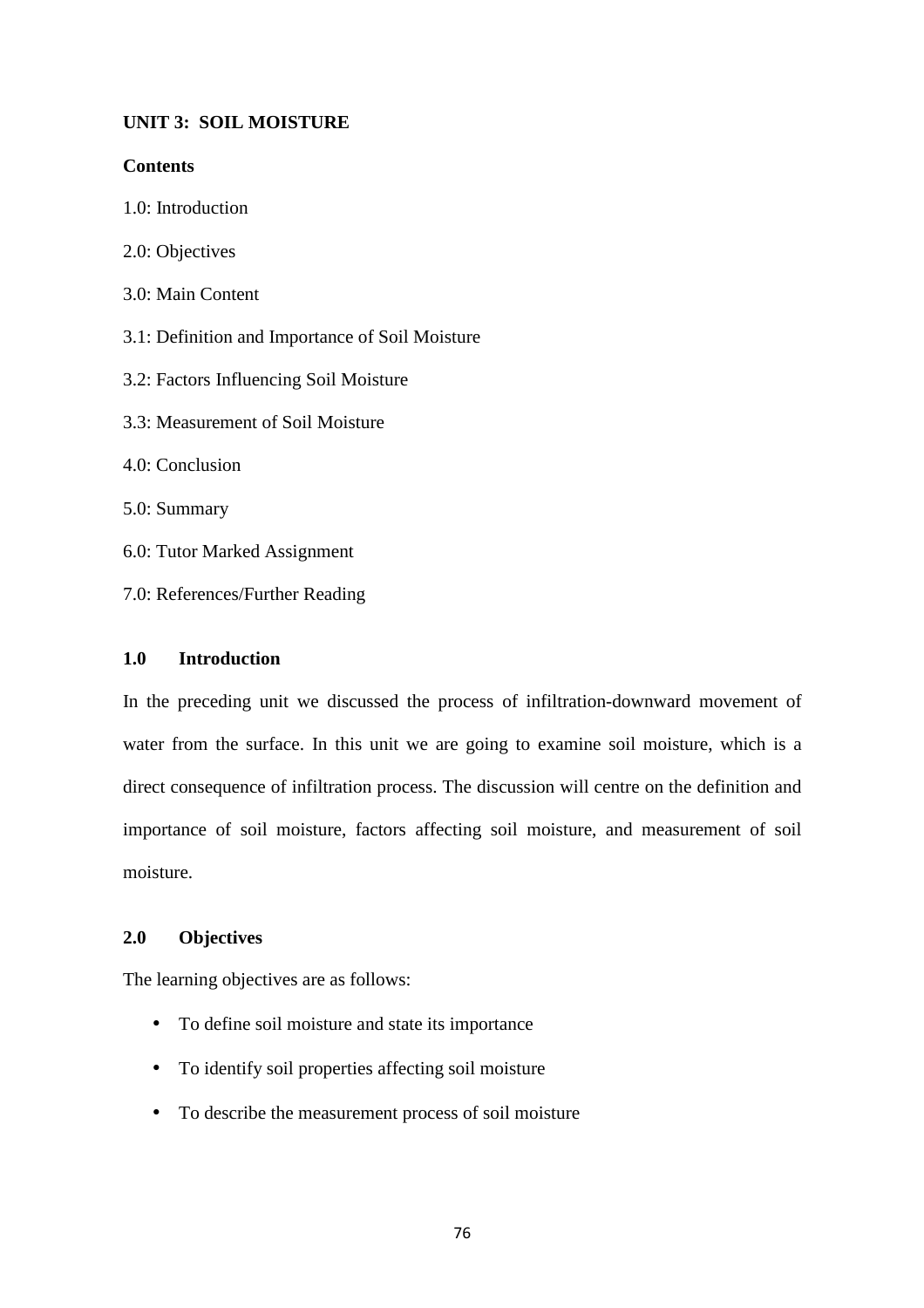# **UNIT 3: SOIL MOISTURE**

### **Contents**

- 1.0: Introduction
- 2.0: Objectives
- 3.0: Main Content
- 3.1: Definition and Importance of Soil Moisture
- 3.2: Factors Influencing Soil Moisture
- 3.3: Measurement of Soil Moisture
- 4.0: Conclusion
- 5.0: Summary
- 6.0: Tutor Marked Assignment
- 7.0: References/Further Reading

# **1.0 Introduction**

In the preceding unit we discussed the process of infiltration-downward movement of water from the surface. In this unit we are going to examine soil moisture, which is a direct consequence of infiltration process. The discussion will centre on the definition and importance of soil moisture, factors affecting soil moisture, and measurement of soil moisture.

# **2.0 Objectives**

The learning objectives are as follows:

- To define soil moisture and state its importance
- To identify soil properties affecting soil moisture
- To describe the measurement process of soil moisture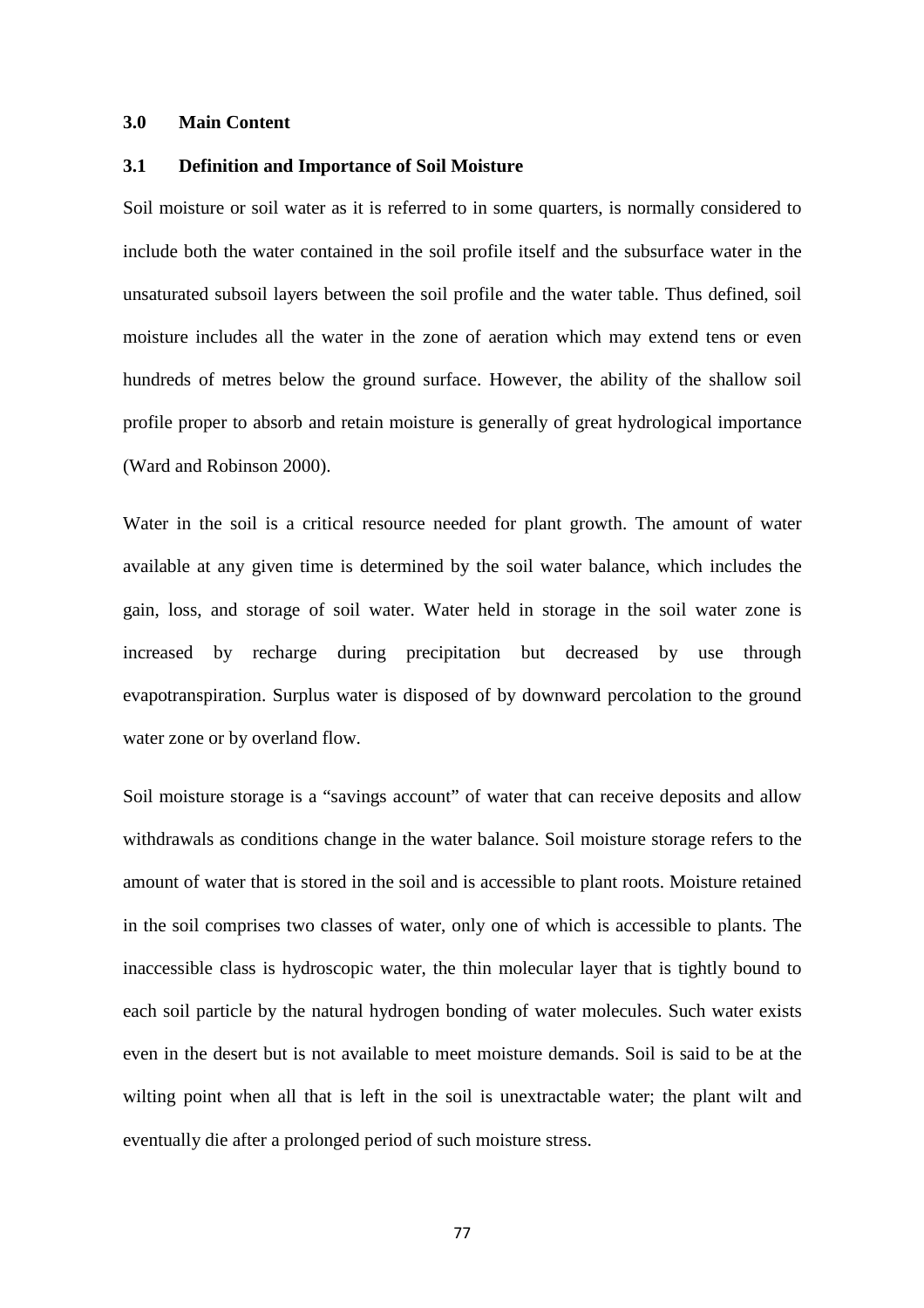#### **3.0 Main Content**

#### **3.1 Definition and Importance of Soil Moisture**

Soil moisture or soil water as it is referred to in some quarters, is normally considered to include both the water contained in the soil profile itself and the subsurface water in the unsaturated subsoil layers between the soil profile and the water table. Thus defined, soil moisture includes all the water in the zone of aeration which may extend tens or even hundreds of metres below the ground surface. However, the ability of the shallow soil profile proper to absorb and retain moisture is generally of great hydrological importance (Ward and Robinson 2000).

Water in the soil is a critical resource needed for plant growth. The amount of water available at any given time is determined by the soil water balance, which includes the gain, loss, and storage of soil water. Water held in storage in the soil water zone is increased by recharge during precipitation but decreased by use through evapotranspiration. Surplus water is disposed of by downward percolation to the ground water zone or by overland flow.

Soil moisture storage is a "savings account" of water that can receive deposits and allow withdrawals as conditions change in the water balance. Soil moisture storage refers to the amount of water that is stored in the soil and is accessible to plant roots. Moisture retained in the soil comprises two classes of water, only one of which is accessible to plants. The inaccessible class is hydroscopic water, the thin molecular layer that is tightly bound to each soil particle by the natural hydrogen bonding of water molecules. Such water exists even in the desert but is not available to meet moisture demands. Soil is said to be at the wilting point when all that is left in the soil is unextractable water; the plant wilt and eventually die after a prolonged period of such moisture stress.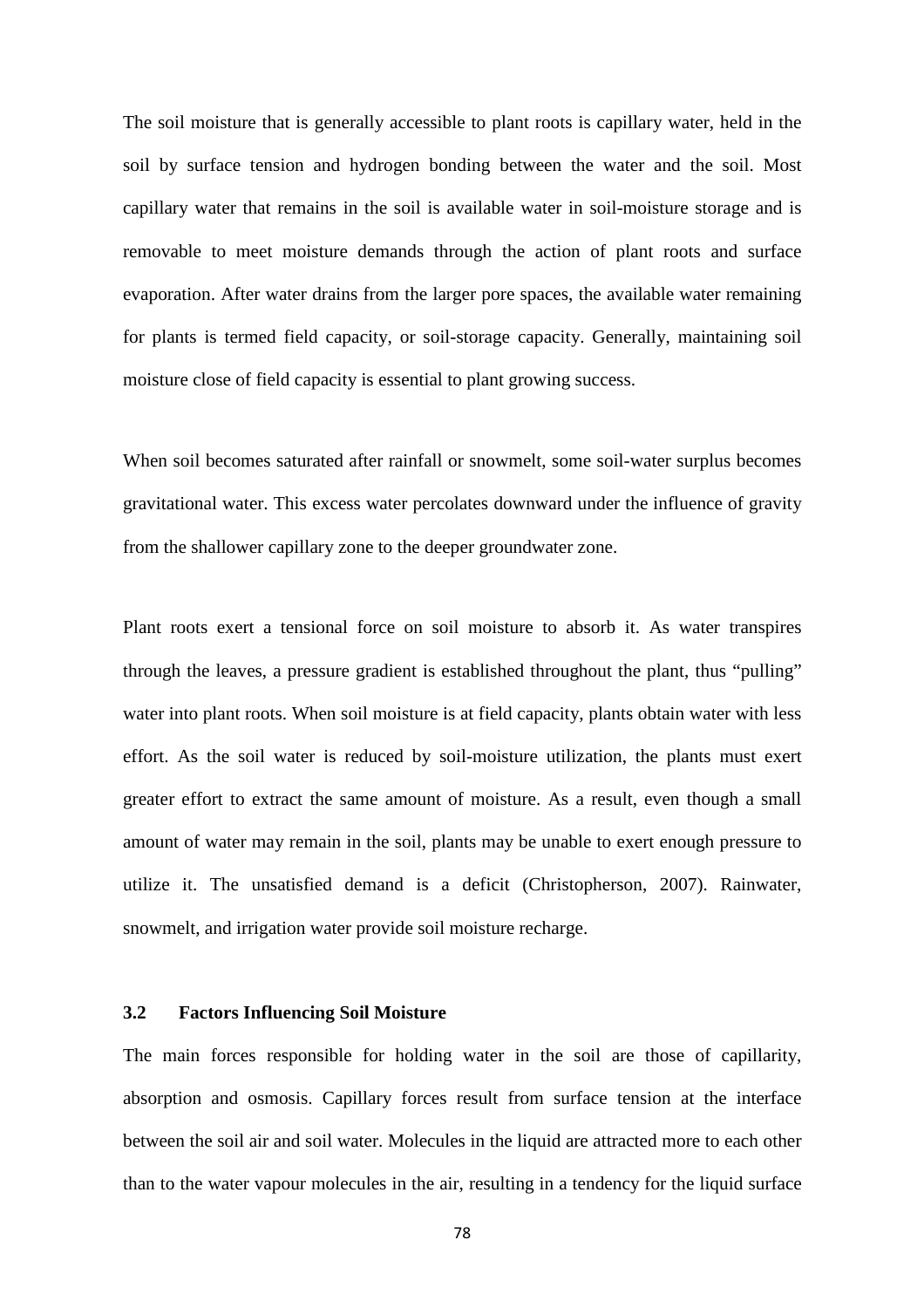The soil moisture that is generally accessible to plant roots is capillary water, held in the soil by surface tension and hydrogen bonding between the water and the soil. Most capillary water that remains in the soil is available water in soil-moisture storage and is removable to meet moisture demands through the action of plant roots and surface evaporation. After water drains from the larger pore spaces, the available water remaining for plants is termed field capacity, or soil-storage capacity. Generally, maintaining soil moisture close of field capacity is essential to plant growing success.

When soil becomes saturated after rainfall or snowmelt, some soil-water surplus becomes gravitational water. This excess water percolates downward under the influence of gravity from the shallower capillary zone to the deeper groundwater zone.

Plant roots exert a tensional force on soil moisture to absorb it. As water transpires through the leaves, a pressure gradient is established throughout the plant, thus "pulling" water into plant roots. When soil moisture is at field capacity, plants obtain water with less effort. As the soil water is reduced by soil-moisture utilization, the plants must exert greater effort to extract the same amount of moisture. As a result, even though a small amount of water may remain in the soil, plants may be unable to exert enough pressure to utilize it. The unsatisfied demand is a deficit (Christopherson, 2007). Rainwater, snowmelt, and irrigation water provide soil moisture recharge.

### **3.2 Factors Influencing Soil Moisture**

The main forces responsible for holding water in the soil are those of capillarity, absorption and osmosis. Capillary forces result from surface tension at the interface between the soil air and soil water. Molecules in the liquid are attracted more to each other than to the water vapour molecules in the air, resulting in a tendency for the liquid surface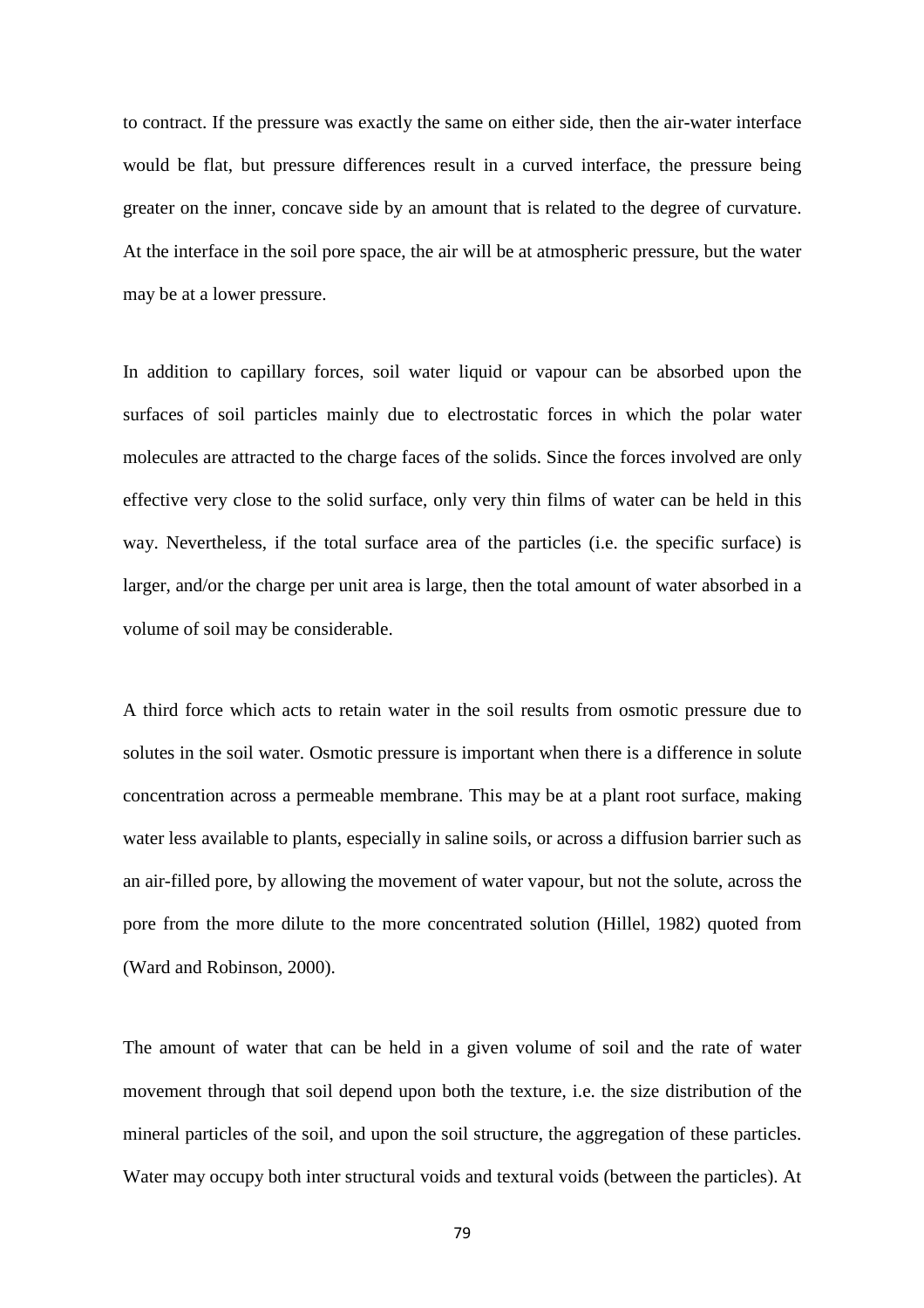to contract. If the pressure was exactly the same on either side, then the air-water interface would be flat, but pressure differences result in a curved interface, the pressure being greater on the inner, concave side by an amount that is related to the degree of curvature. At the interface in the soil pore space, the air will be at atmospheric pressure, but the water may be at a lower pressure.

In addition to capillary forces, soil water liquid or vapour can be absorbed upon the surfaces of soil particles mainly due to electrostatic forces in which the polar water molecules are attracted to the charge faces of the solids. Since the forces involved are only effective very close to the solid surface, only very thin films of water can be held in this way. Nevertheless, if the total surface area of the particles (i.e. the specific surface) is larger, and/or the charge per unit area is large, then the total amount of water absorbed in a volume of soil may be considerable.

A third force which acts to retain water in the soil results from osmotic pressure due to solutes in the soil water. Osmotic pressure is important when there is a difference in solute concentration across a permeable membrane. This may be at a plant root surface, making water less available to plants, especially in saline soils, or across a diffusion barrier such as an air-filled pore, by allowing the movement of water vapour, but not the solute, across the pore from the more dilute to the more concentrated solution (Hillel, 1982) quoted from (Ward and Robinson, 2000).

The amount of water that can be held in a given volume of soil and the rate of water movement through that soil depend upon both the texture, i.e. the size distribution of the mineral particles of the soil, and upon the soil structure, the aggregation of these particles. Water may occupy both inter structural voids and textural voids (between the particles). At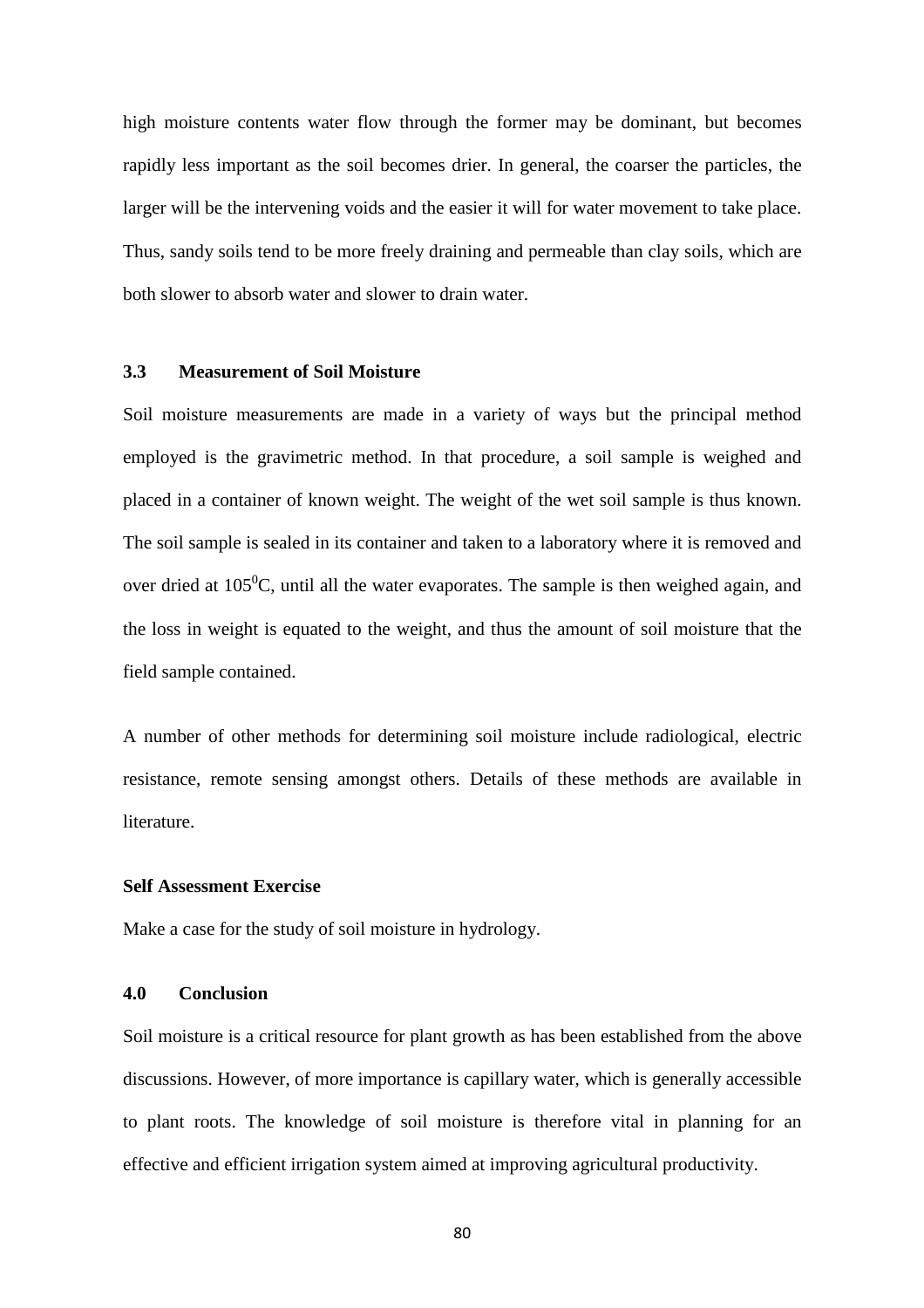high moisture contents water flow through the former may be dominant, but becomes rapidly less important as the soil becomes drier. In general, the coarser the particles, the larger will be the intervening voids and the easier it will for water movement to take place. Thus, sandy soils tend to be more freely draining and permeable than clay soils, which are both slower to absorb water and slower to drain water.

### **3.3 Measurement of Soil Moisture**

Soil moisture measurements are made in a variety of ways but the principal method employed is the gravimetric method. In that procedure, a soil sample is weighed and placed in a container of known weight. The weight of the wet soil sample is thus known. The soil sample is sealed in its container and taken to a laboratory where it is removed and over dried at  $105^{\circ}$ C, until all the water evaporates. The sample is then weighed again, and the loss in weight is equated to the weight, and thus the amount of soil moisture that the field sample contained.

A number of other methods for determining soil moisture include radiological, electric resistance, remote sensing amongst others. Details of these methods are available in literature.

### **Self Assessment Exercise**

Make a case for the study of soil moisture in hydrology.

# **4.0 Conclusion**

Soil moisture is a critical resource for plant growth as has been established from the above discussions. However, of more importance is capillary water, which is generally accessible to plant roots. The knowledge of soil moisture is therefore vital in planning for an effective and efficient irrigation system aimed at improving agricultural productivity.

80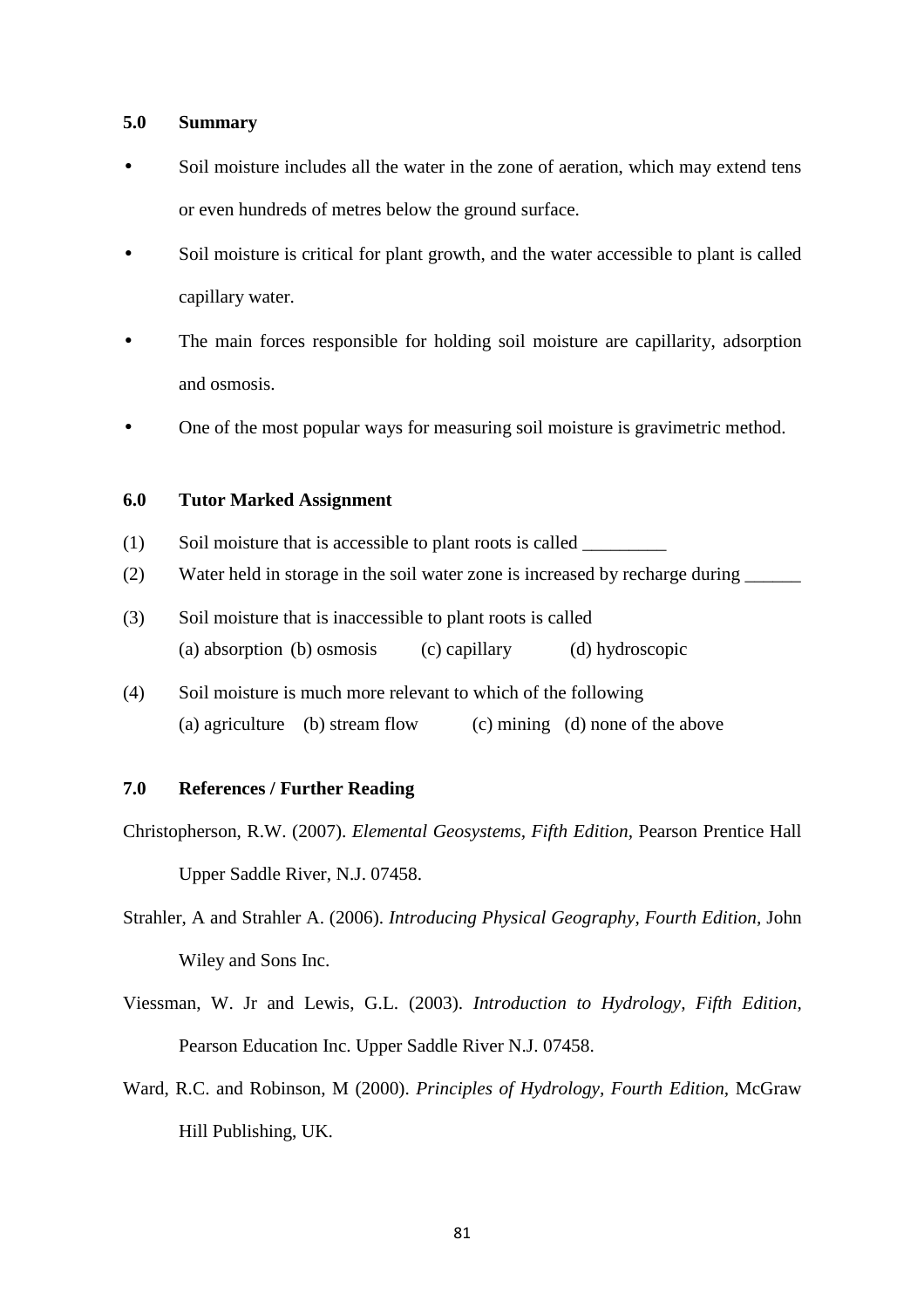#### **5.0 Summary**

- Soil moisture includes all the water in the zone of aeration, which may extend tens or even hundreds of metres below the ground surface.
- Soil moisture is critical for plant growth, and the water accessible to plant is called capillary water.
- The main forces responsible for holding soil moisture are capillarity, adsorption and osmosis.
- One of the most popular ways for measuring soil moisture is gravimetric method.

#### **6.0 Tutor Marked Assignment**

- $(1)$  Soil moisture that is accessible to plant roots is called
- (2) Water held in storage in the soil water zone is increased by recharge during \_\_\_\_\_\_
- (3) Soil moisture that is inaccessible to plant roots is called (a) absorption (b) osmosis (c) capillary (d) hydroscopic
- (4) Soil moisture is much more relevant to which of the following (a) agriculture (b) stream flow (c) mining (d) none of the above

# **7.0 References / Further Reading**

- Christopherson, R.W. (2007). *Elemental Geosystems, Fifth Edition,* Pearson Prentice Hall Upper Saddle River, N.J. 07458.
- Strahler, A and Strahler A. (2006). *Introducing Physical Geography, Fourth Edition,* John Wiley and Sons Inc.
- Viessman, W. Jr and Lewis, G.L. (2003). *Introduction to Hydrology, Fifth Edition,*  Pearson Education Inc. Upper Saddle River N.J. 07458.
- Ward, R.C. and Robinson, M (2000). *Principles of Hydrology, Fourth Edition,* McGraw Hill Publishing, UK.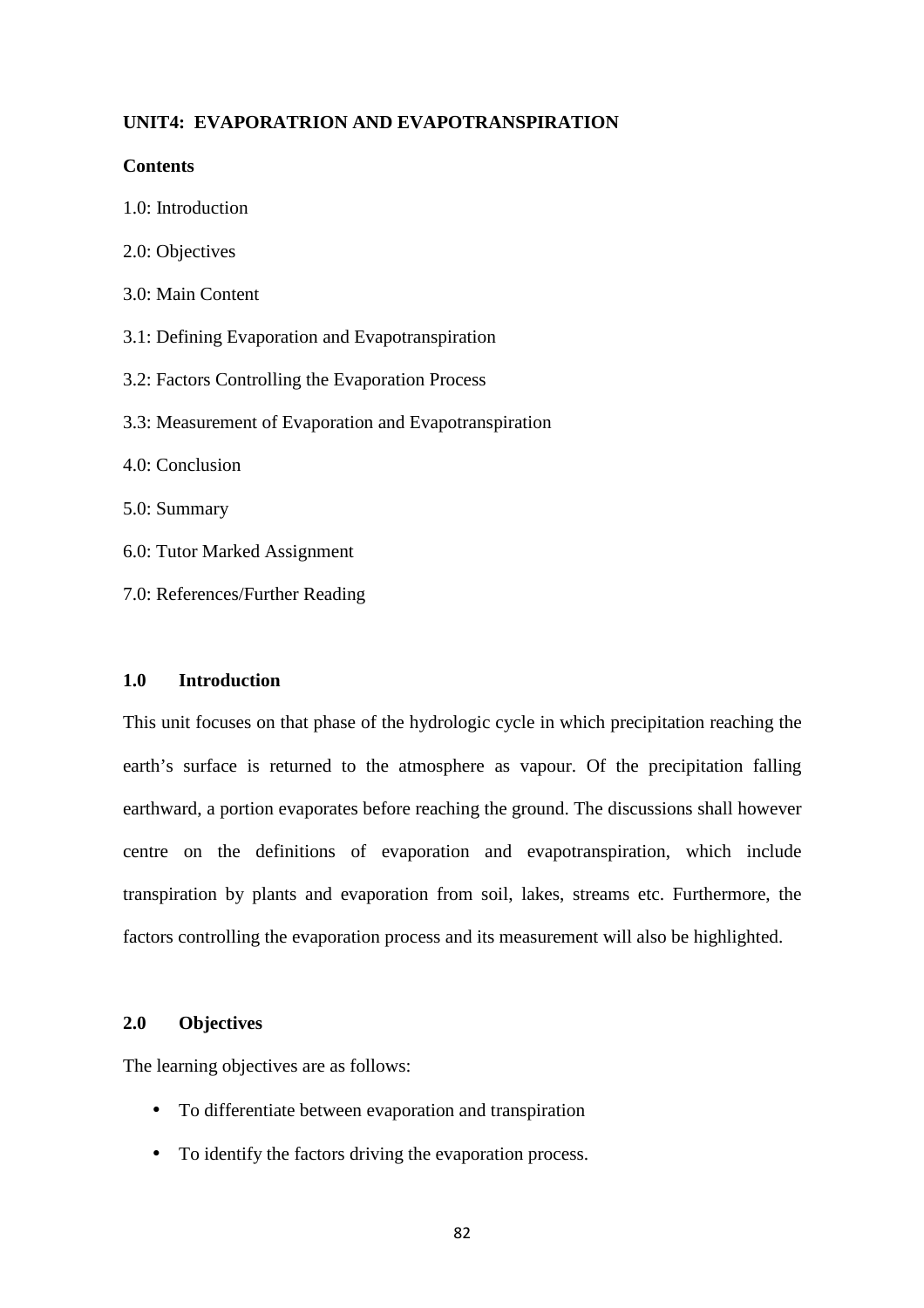# **UNIT4: EVAPORATRION AND EVAPOTRANSPIRATION**

#### **Contents**

- 1.0: Introduction
- 2.0: Objectives
- 3.0: Main Content

3.1: Defining Evaporation and Evapotranspiration

- 3.2: Factors Controlling the Evaporation Process
- 3.3: Measurement of Evaporation and Evapotranspiration
- 4.0: Conclusion
- 5.0: Summary
- 6.0: Tutor Marked Assignment
- 7.0: References/Further Reading

### **1.0 Introduction**

This unit focuses on that phase of the hydrologic cycle in which precipitation reaching the earth's surface is returned to the atmosphere as vapour. Of the precipitation falling earthward, a portion evaporates before reaching the ground. The discussions shall however centre on the definitions of evaporation and evapotranspiration, which include transpiration by plants and evaporation from soil, lakes, streams etc. Furthermore, the factors controlling the evaporation process and its measurement will also be highlighted.

### **2.0 Objectives**

The learning objectives are as follows:

- To differentiate between evaporation and transpiration
- To identify the factors driving the evaporation process.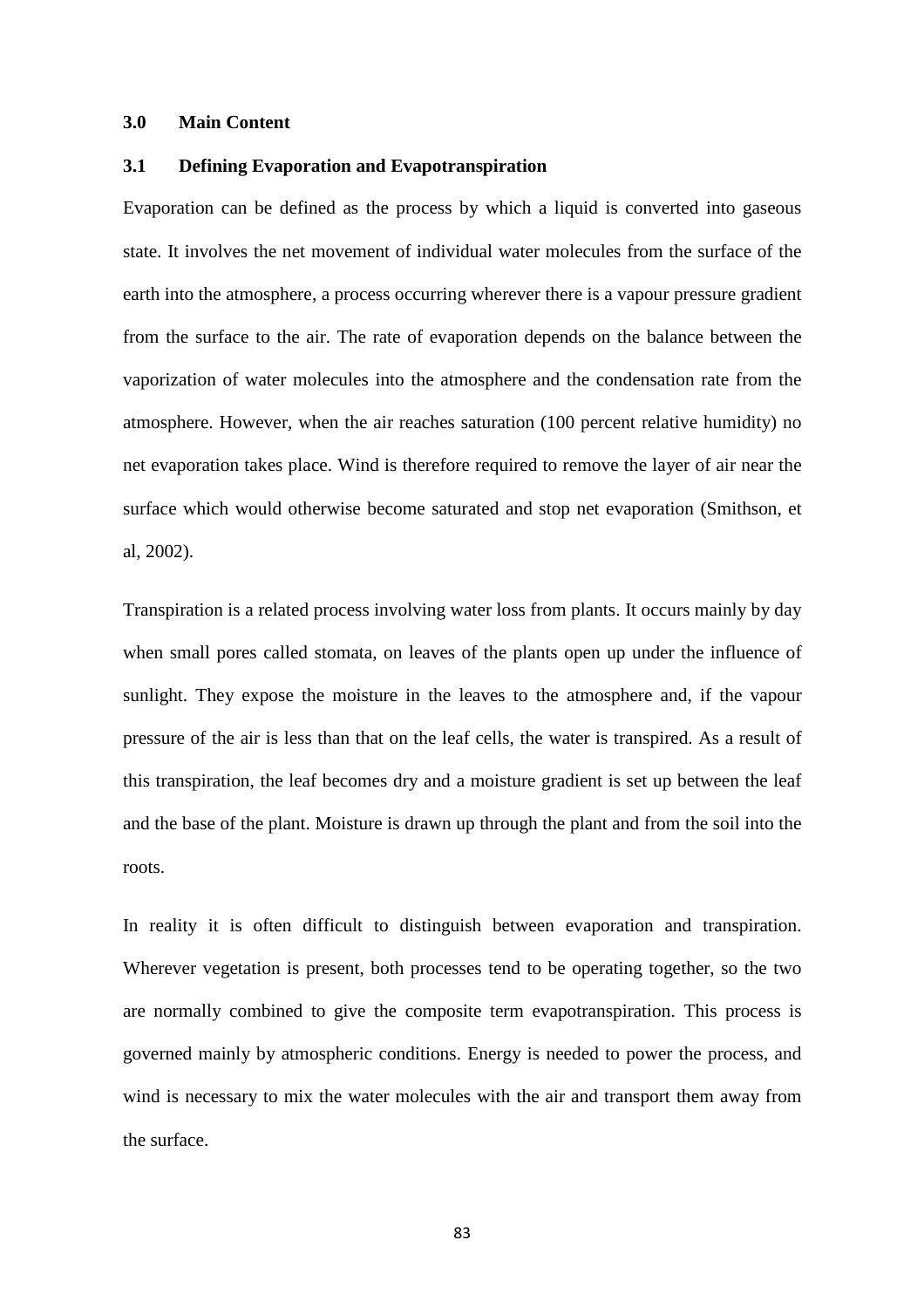#### **3.0 Main Content**

#### **3.1 Defining Evaporation and Evapotranspiration**

Evaporation can be defined as the process by which a liquid is converted into gaseous state. It involves the net movement of individual water molecules from the surface of the earth into the atmosphere, a process occurring wherever there is a vapour pressure gradient from the surface to the air. The rate of evaporation depends on the balance between the vaporization of water molecules into the atmosphere and the condensation rate from the atmosphere. However, when the air reaches saturation (100 percent relative humidity) no net evaporation takes place. Wind is therefore required to remove the layer of air near the surface which would otherwise become saturated and stop net evaporation (Smithson, et al, 2002).

Transpiration is a related process involving water loss from plants. It occurs mainly by day when small pores called stomata, on leaves of the plants open up under the influence of sunlight. They expose the moisture in the leaves to the atmosphere and, if the vapour pressure of the air is less than that on the leaf cells, the water is transpired. As a result of this transpiration, the leaf becomes dry and a moisture gradient is set up between the leaf and the base of the plant. Moisture is drawn up through the plant and from the soil into the roots.

In reality it is often difficult to distinguish between evaporation and transpiration. Wherever vegetation is present, both processes tend to be operating together, so the two are normally combined to give the composite term evapotranspiration. This process is governed mainly by atmospheric conditions. Energy is needed to power the process, and wind is necessary to mix the water molecules with the air and transport them away from the surface.

83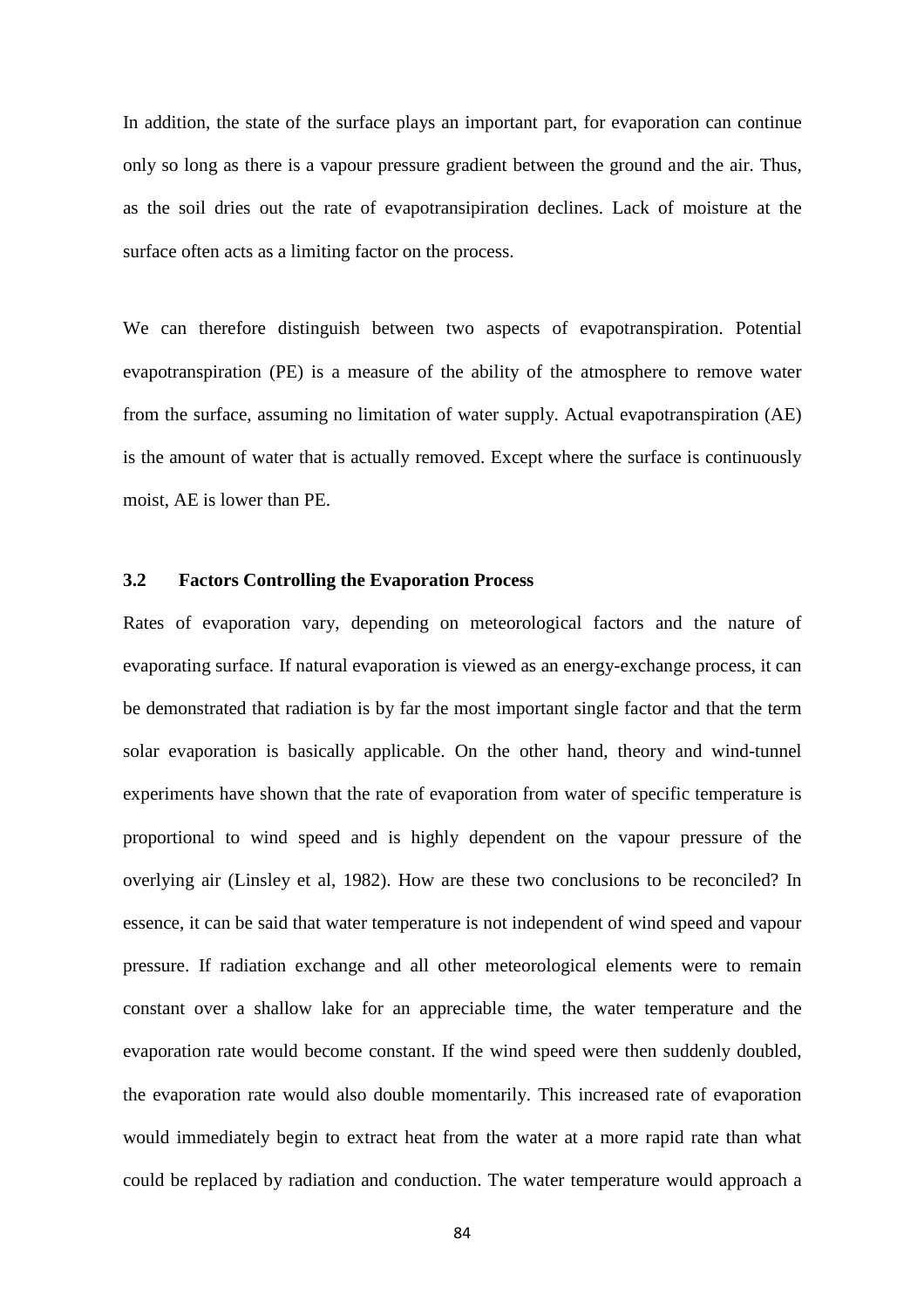In addition, the state of the surface plays an important part, for evaporation can continue only so long as there is a vapour pressure gradient between the ground and the air. Thus, as the soil dries out the rate of evapotransipiration declines. Lack of moisture at the surface often acts as a limiting factor on the process.

We can therefore distinguish between two aspects of evapotranspiration. Potential evapotranspiration (PE) is a measure of the ability of the atmosphere to remove water from the surface, assuming no limitation of water supply. Actual evapotranspiration (AE) is the amount of water that is actually removed. Except where the surface is continuously moist, AE is lower than PE.

### **3.2 Factors Controlling the Evaporation Process**

Rates of evaporation vary, depending on meteorological factors and the nature of evaporating surface. If natural evaporation is viewed as an energy-exchange process, it can be demonstrated that radiation is by far the most important single factor and that the term solar evaporation is basically applicable. On the other hand, theory and wind-tunnel experiments have shown that the rate of evaporation from water of specific temperature is proportional to wind speed and is highly dependent on the vapour pressure of the overlying air (Linsley et al, 1982). How are these two conclusions to be reconciled? In essence, it can be said that water temperature is not independent of wind speed and vapour pressure. If radiation exchange and all other meteorological elements were to remain constant over a shallow lake for an appreciable time, the water temperature and the evaporation rate would become constant. If the wind speed were then suddenly doubled, the evaporation rate would also double momentarily. This increased rate of evaporation would immediately begin to extract heat from the water at a more rapid rate than what could be replaced by radiation and conduction. The water temperature would approach a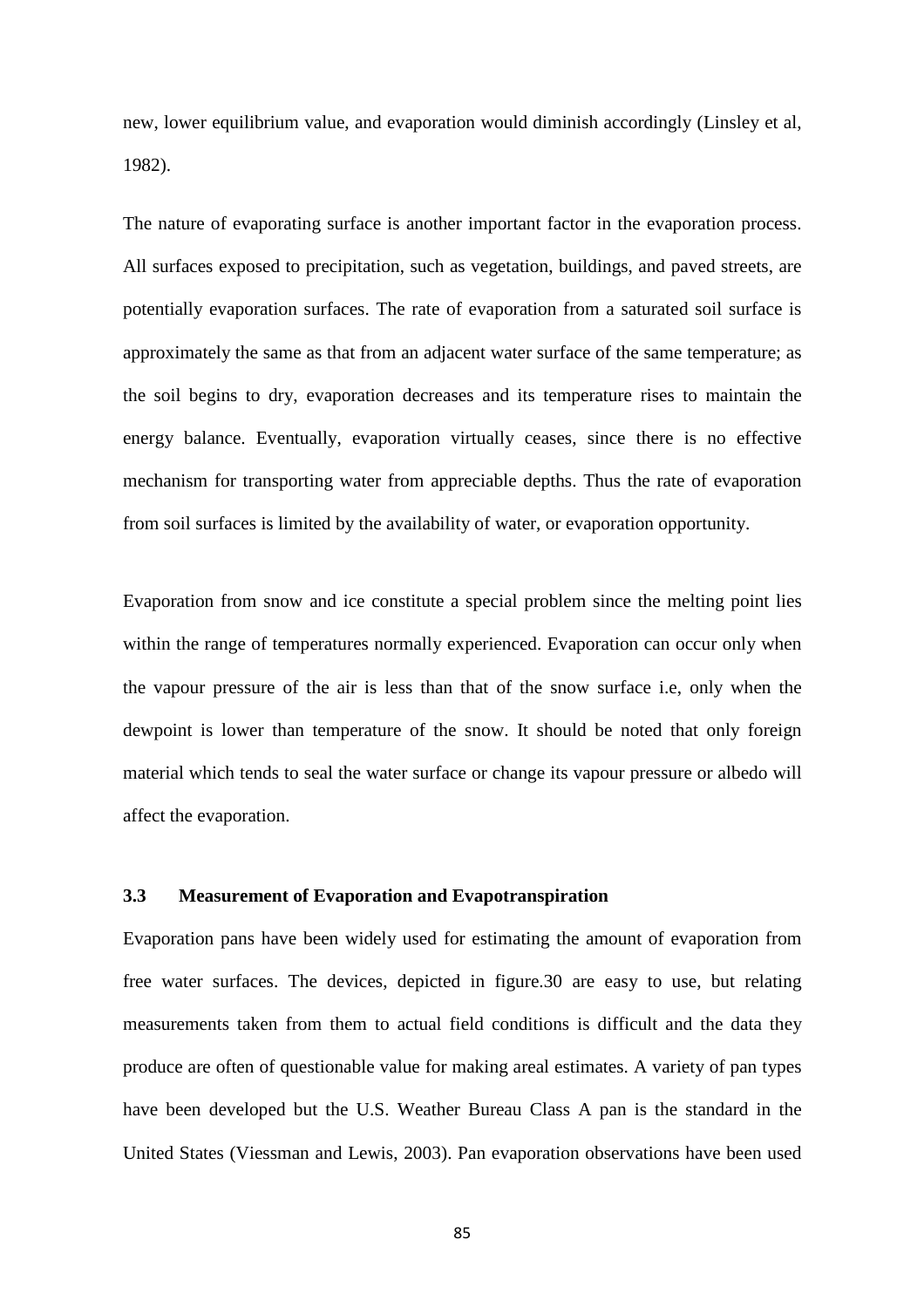new, lower equilibrium value, and evaporation would diminish accordingly (Linsley et al, 1982).

The nature of evaporating surface is another important factor in the evaporation process. All surfaces exposed to precipitation, such as vegetation, buildings, and paved streets, are potentially evaporation surfaces. The rate of evaporation from a saturated soil surface is approximately the same as that from an adjacent water surface of the same temperature; as the soil begins to dry, evaporation decreases and its temperature rises to maintain the energy balance. Eventually, evaporation virtually ceases, since there is no effective mechanism for transporting water from appreciable depths. Thus the rate of evaporation from soil surfaces is limited by the availability of water, or evaporation opportunity.

Evaporation from snow and ice constitute a special problem since the melting point lies within the range of temperatures normally experienced. Evaporation can occur only when the vapour pressure of the air is less than that of the snow surface i.e, only when the dewpoint is lower than temperature of the snow. It should be noted that only foreign material which tends to seal the water surface or change its vapour pressure or albedo will affect the evaporation.

# **3.3 Measurement of Evaporation and Evapotranspiration**

Evaporation pans have been widely used for estimating the amount of evaporation from free water surfaces. The devices, depicted in figure.30 are easy to use, but relating measurements taken from them to actual field conditions is difficult and the data they produce are often of questionable value for making areal estimates. A variety of pan types have been developed but the U.S. Weather Bureau Class A pan is the standard in the United States (Viessman and Lewis, 2003). Pan evaporation observations have been used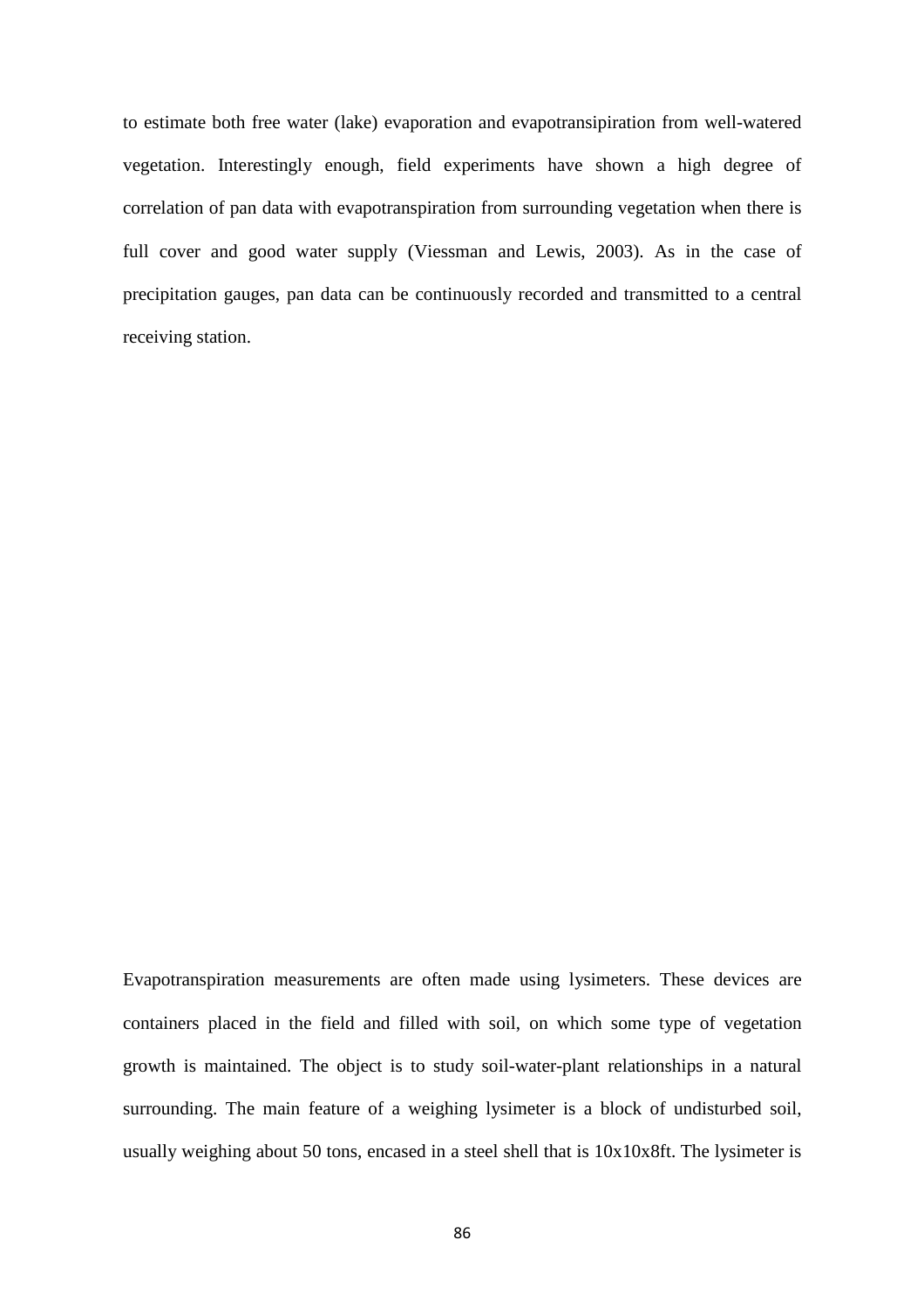to estimate both free water (lake) evaporation and evapotransipiration from well-watered vegetation. Interestingly enough, field experiments have shown a high degree of correlation of pan data with evapotranspiration from surrounding vegetation when there is full cover and good water supply (Viessman and Lewis, 2003). As in the case of precipitation gauges, pan data can be continuously recorded and transmitted to a central receiving station.

Evapotranspiration measurements are often made using lysimeters. These devices are containers placed in the field and filled with soil, on which some type of vegetation growth is maintained. The object is to study soil-water-plant relationships in a natural surrounding. The main feature of a weighing lysimeter is a block of undisturbed soil, usually weighing about 50 tons, encased in a steel shell that is 10x10x8ft. The lysimeter is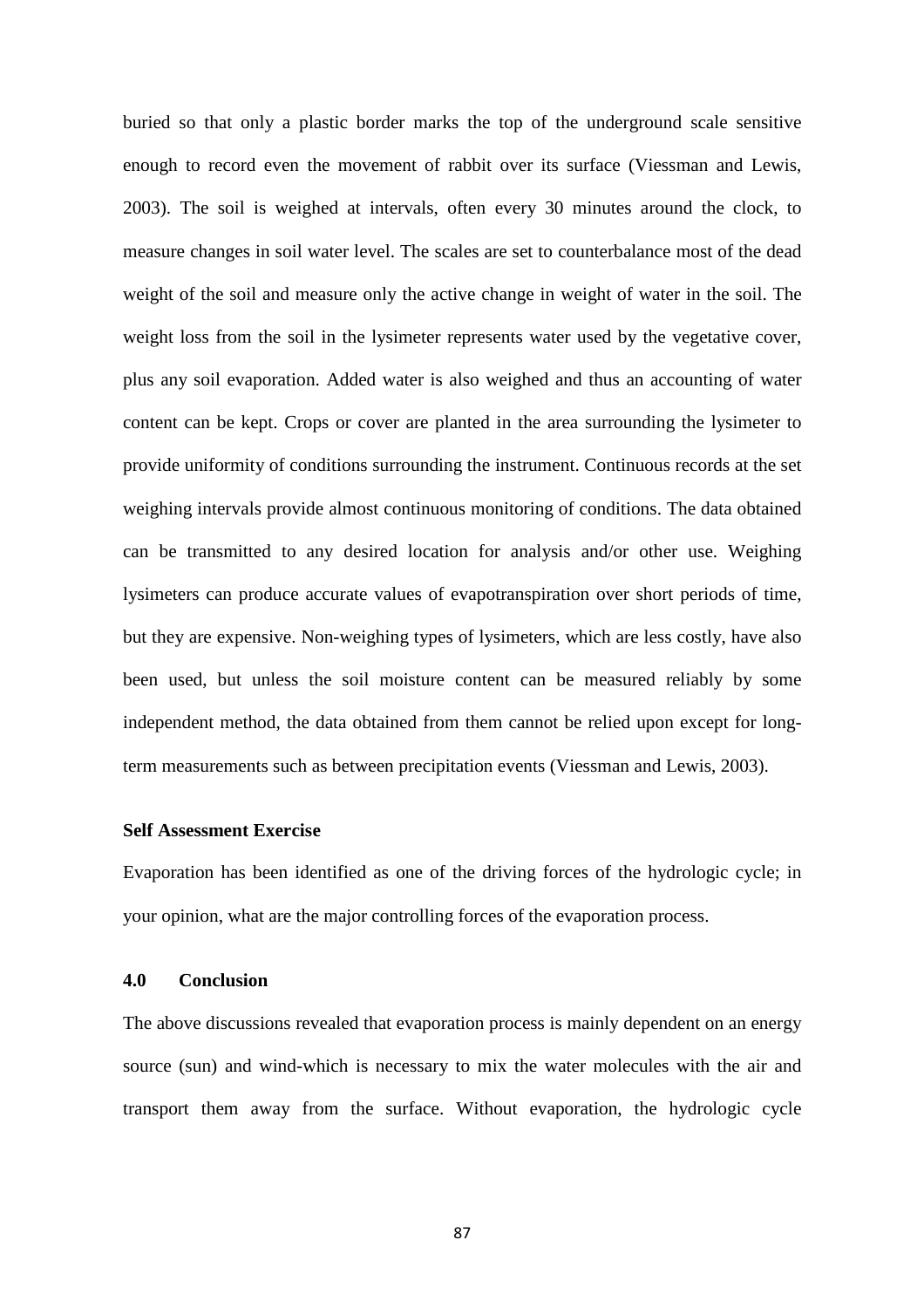buried so that only a plastic border marks the top of the underground scale sensitive enough to record even the movement of rabbit over its surface (Viessman and Lewis, 2003). The soil is weighed at intervals, often every 30 minutes around the clock, to measure changes in soil water level. The scales are set to counterbalance most of the dead weight of the soil and measure only the active change in weight of water in the soil. The weight loss from the soil in the lysimeter represents water used by the vegetative cover, plus any soil evaporation. Added water is also weighed and thus an accounting of water content can be kept. Crops or cover are planted in the area surrounding the lysimeter to provide uniformity of conditions surrounding the instrument. Continuous records at the set weighing intervals provide almost continuous monitoring of conditions. The data obtained can be transmitted to any desired location for analysis and/or other use. Weighing lysimeters can produce accurate values of evapotranspiration over short periods of time, but they are expensive. Non-weighing types of lysimeters, which are less costly, have also been used, but unless the soil moisture content can be measured reliably by some independent method, the data obtained from them cannot be relied upon except for longterm measurements such as between precipitation events (Viessman and Lewis, 2003).

# **Self Assessment Exercise**

Evaporation has been identified as one of the driving forces of the hydrologic cycle; in your opinion, what are the major controlling forces of the evaporation process.

### **4.0 Conclusion**

The above discussions revealed that evaporation process is mainly dependent on an energy source (sun) and wind-which is necessary to mix the water molecules with the air and transport them away from the surface. Without evaporation, the hydrologic cycle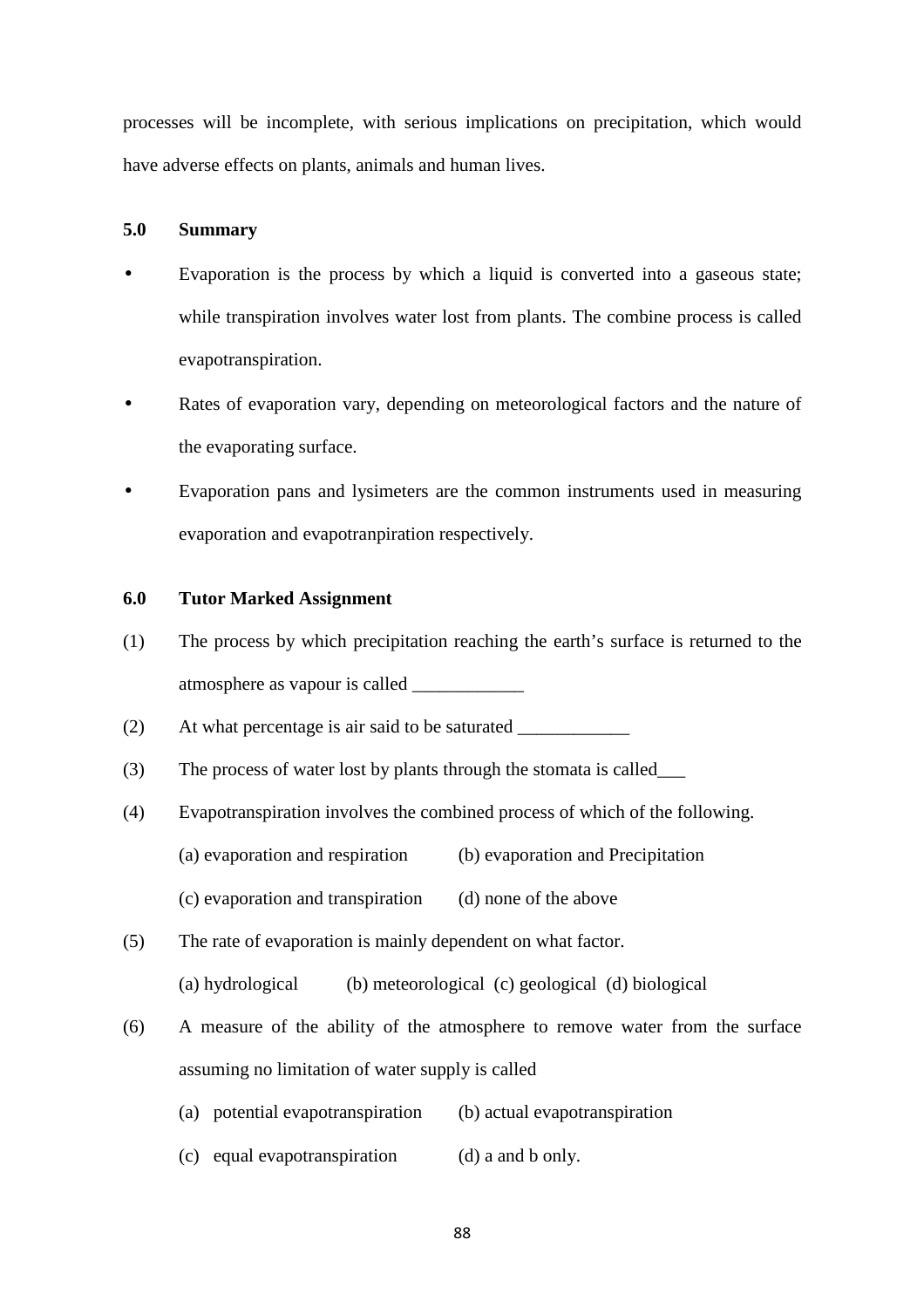processes will be incomplete, with serious implications on precipitation, which would have adverse effects on plants, animals and human lives.

### **5.0 Summary**

- Evaporation is the process by which a liquid is converted into a gaseous state; while transpiration involves water lost from plants. The combine process is called evapotranspiration.
- Rates of evaporation vary, depending on meteorological factors and the nature of the evaporating surface.
- Evaporation pans and lysimeters are the common instruments used in measuring evaporation and evapotranpiration respectively.

#### **6.0 Tutor Marked Assignment**

- (1) The process by which precipitation reaching the earth's surface is returned to the atmosphere as vapour is called \_\_\_\_\_\_\_\_\_\_\_\_
- (2) At what percentage is air said to be saturated
- (3) The process of water lost by plants through the stomata is called\_\_\_
- (4) Evapotranspiration involves the combined process of which of the following. (a) evaporation and respiration (b) evaporation and Precipitation (c) evaporation and transpiration (d) none of the above
- (5) The rate of evaporation is mainly dependent on what factor.
	- (a) hydrological (b) meteorological (c) geological (d) biological
- (6) A measure of the ability of the atmosphere to remove water from the surface assuming no limitation of water supply is called
	- (a) potential evapotranspiration (b) actual evapotranspiration
	- (c) equal evapotranspiration (d) a and b only.
		- 88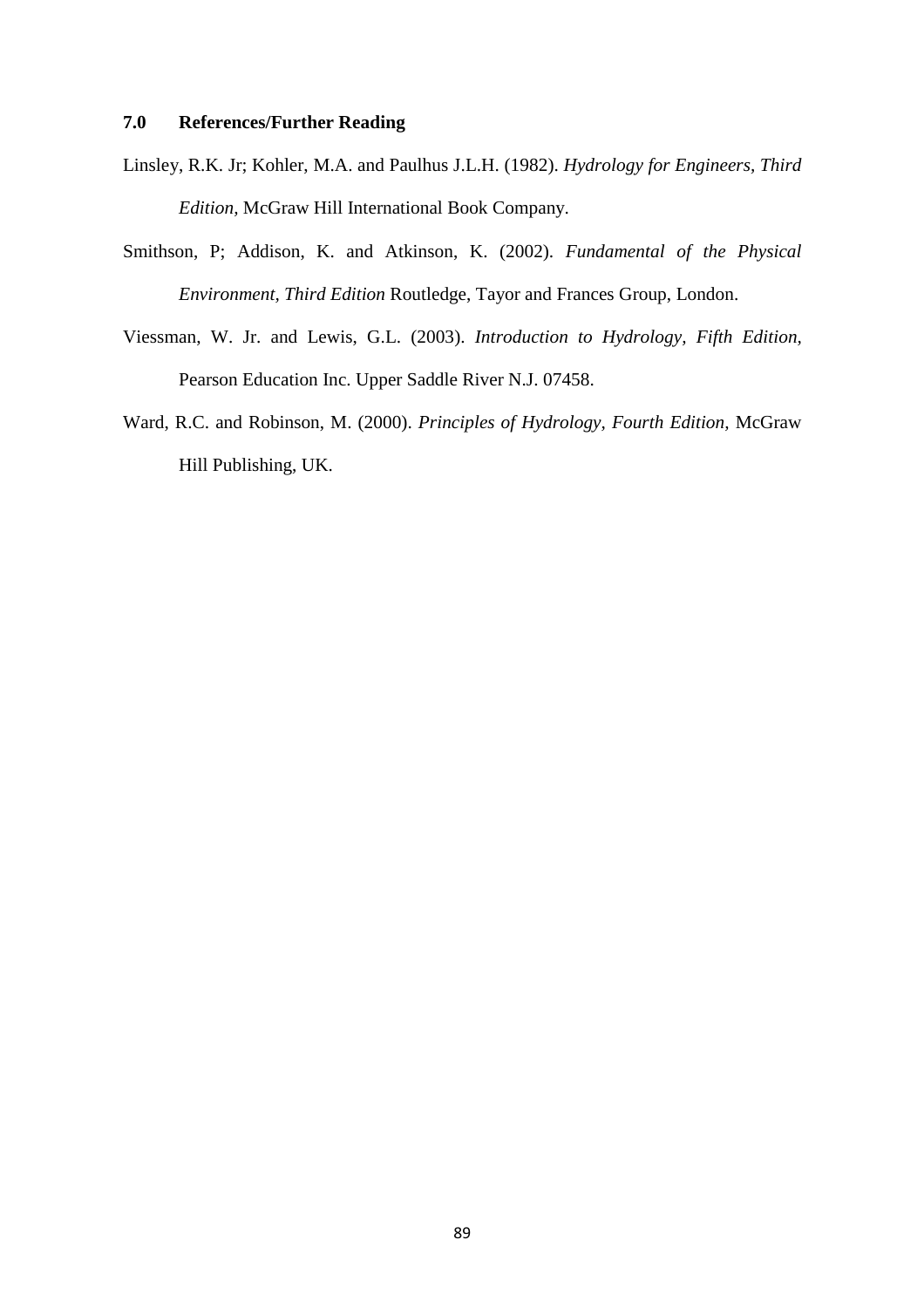### **7.0 References/Further Reading**

- Linsley, R.K. Jr; Kohler, M.A. and Paulhus J.L.H. (1982). *Hydrology for Engineers, Third Edition,* McGraw Hill International Book Company.
- Smithson, P; Addison, K. and Atkinson, K. (2002). *Fundamental of the Physical Environment, Third Edition* Routledge, Tayor and Frances Group, London.
- Viessman, W. Jr. and Lewis, G.L. (2003). *Introduction to Hydrology, Fifth Edition,*  Pearson Education Inc. Upper Saddle River N.J. 07458.
- Ward, R.C. and Robinson, M. (2000). *Principles of Hydrology, Fourth Edition,* McGraw Hill Publishing, UK.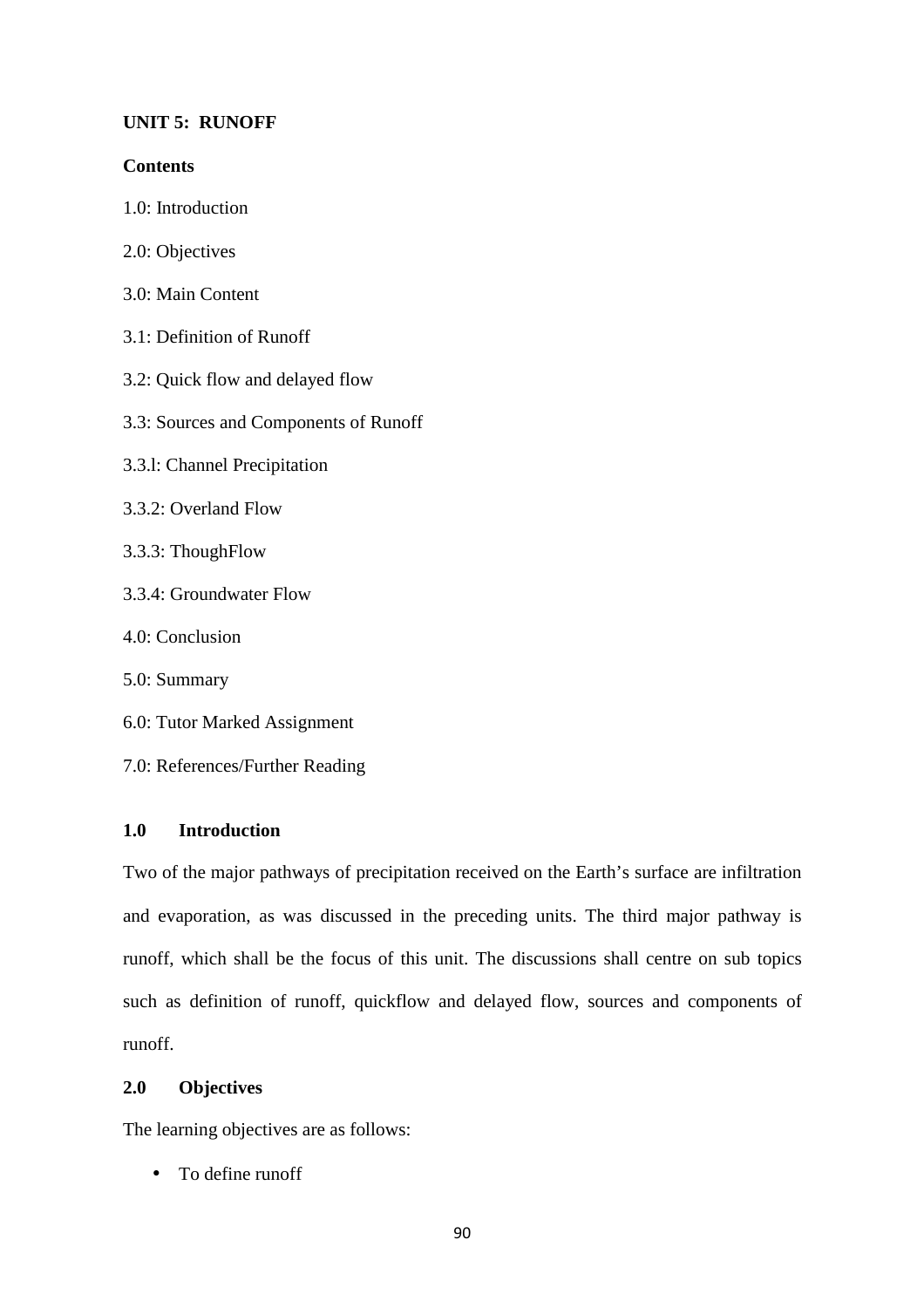# **UNIT 5: RUNOFF**

# **Contents**

- 1.0: Introduction
- 2.0: Objectives
- 3.0: Main Content
- 3.1: Definition of Runoff
- 3.2: Quick flow and delayed flow
- 3.3: Sources and Components of Runoff
- 3.3.l: Channel Precipitation
- 3.3.2: Overland Flow
- 3.3.3: ThoughFlow
- 3.3.4: Groundwater Flow
- 4.0: Conclusion
- 5.0: Summary
- 6.0: Tutor Marked Assignment
- 7.0: References/Further Reading

# **1.0 Introduction**

Two of the major pathways of precipitation received on the Earth's surface are infiltration and evaporation, as was discussed in the preceding units. The third major pathway is runoff, which shall be the focus of this unit. The discussions shall centre on sub topics such as definition of runoff, quickflow and delayed flow, sources and components of runoff.

# **2.0 Objectives**

The learning objectives are as follows:

• To define runoff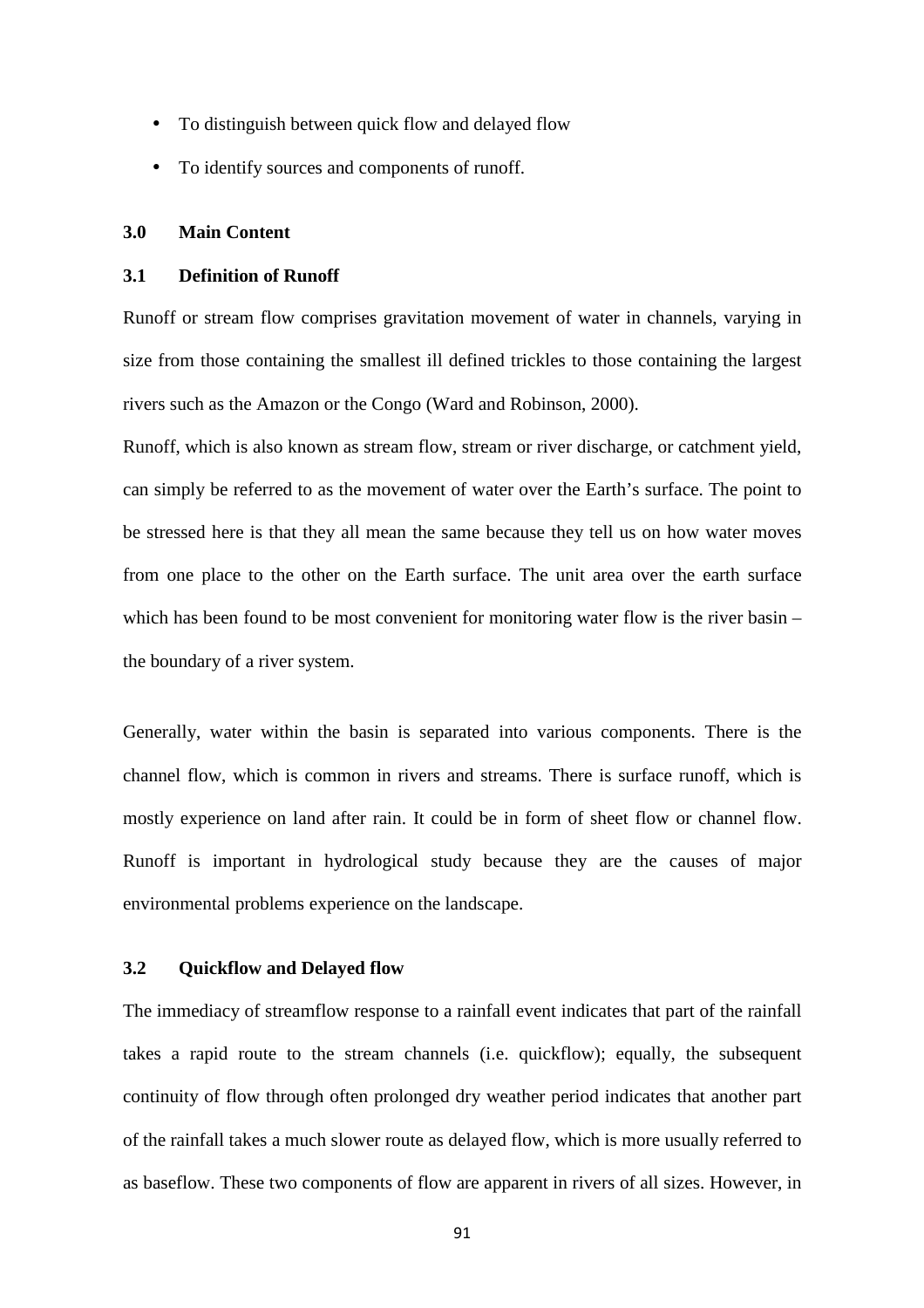- To distinguish between quick flow and delayed flow
- To identify sources and components of runoff.

#### **3.0 Main Content**

#### **3.1 Definition of Runoff**

Runoff or stream flow comprises gravitation movement of water in channels, varying in size from those containing the smallest ill defined trickles to those containing the largest rivers such as the Amazon or the Congo (Ward and Robinson, 2000).

Runoff, which is also known as stream flow, stream or river discharge, or catchment yield, can simply be referred to as the movement of water over the Earth's surface. The point to be stressed here is that they all mean the same because they tell us on how water moves from one place to the other on the Earth surface. The unit area over the earth surface which has been found to be most convenient for monitoring water flow is the river basin – the boundary of a river system.

Generally, water within the basin is separated into various components. There is the channel flow, which is common in rivers and streams. There is surface runoff, which is mostly experience on land after rain. It could be in form of sheet flow or channel flow. Runoff is important in hydrological study because they are the causes of major environmental problems experience on the landscape.

### **3.2 Quickflow and Delayed flow**

The immediacy of streamflow response to a rainfall event indicates that part of the rainfall takes a rapid route to the stream channels (i.e. quickflow); equally, the subsequent continuity of flow through often prolonged dry weather period indicates that another part of the rainfall takes a much slower route as delayed flow, which is more usually referred to as baseflow. These two components of flow are apparent in rivers of all sizes. However, in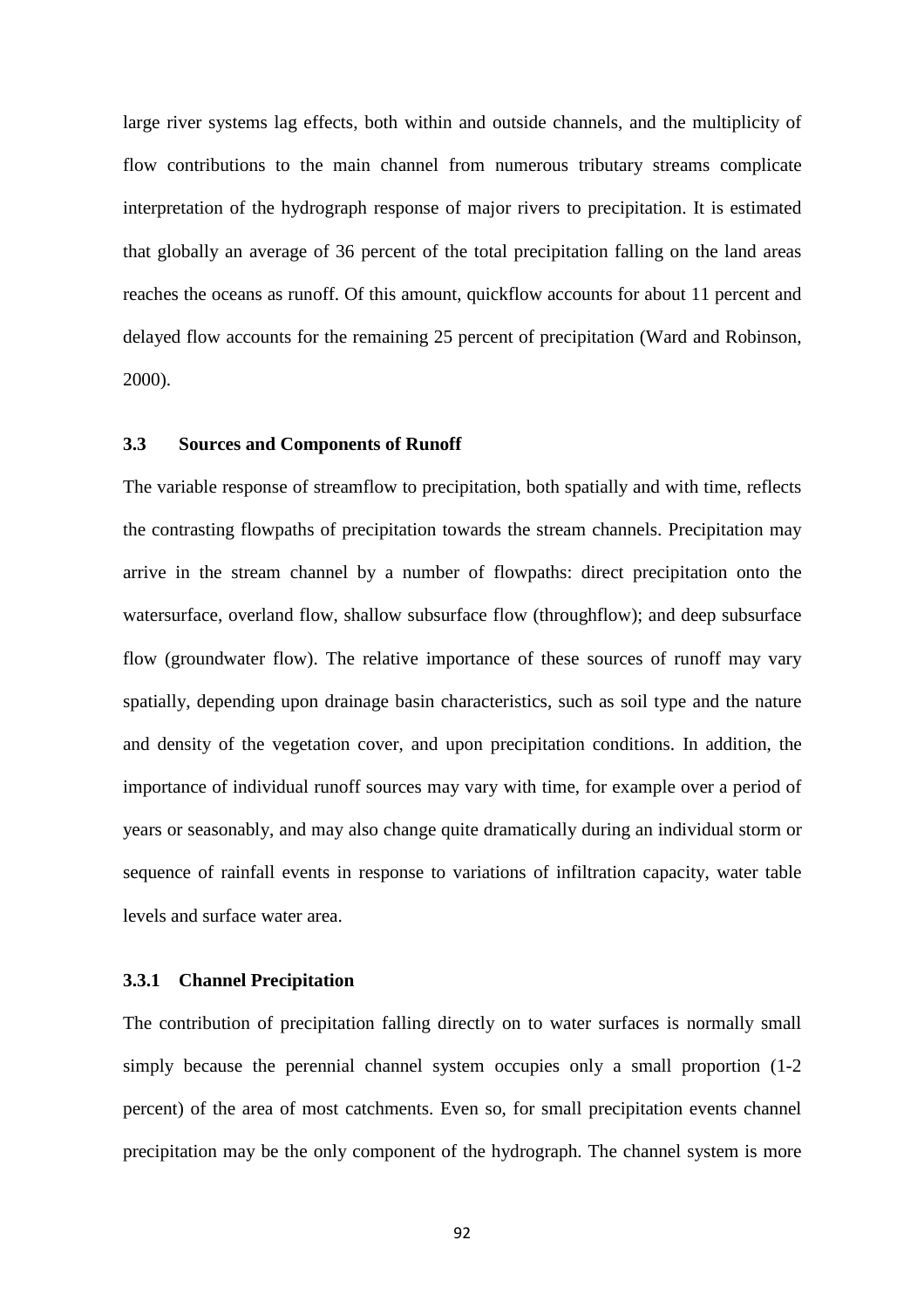large river systems lag effects, both within and outside channels, and the multiplicity of flow contributions to the main channel from numerous tributary streams complicate interpretation of the hydrograph response of major rivers to precipitation. It is estimated that globally an average of 36 percent of the total precipitation falling on the land areas reaches the oceans as runoff. Of this amount, quickflow accounts for about 11 percent and delayed flow accounts for the remaining 25 percent of precipitation (Ward and Robinson, 2000).

### **3.3 Sources and Components of Runoff**

The variable response of streamflow to precipitation, both spatially and with time, reflects the contrasting flowpaths of precipitation towards the stream channels. Precipitation may arrive in the stream channel by a number of flowpaths: direct precipitation onto the watersurface, overland flow, shallow subsurface flow (throughflow); and deep subsurface flow (groundwater flow). The relative importance of these sources of runoff may vary spatially, depending upon drainage basin characteristics, such as soil type and the nature and density of the vegetation cover, and upon precipitation conditions. In addition, the importance of individual runoff sources may vary with time, for example over a period of years or seasonably, and may also change quite dramatically during an individual storm or sequence of rainfall events in response to variations of infiltration capacity, water table levels and surface water area.

#### **3.3.1 Channel Precipitation**

The contribution of precipitation falling directly on to water surfaces is normally small simply because the perennial channel system occupies only a small proportion  $(1-2)$ percent) of the area of most catchments. Even so, for small precipitation events channel precipitation may be the only component of the hydrograph. The channel system is more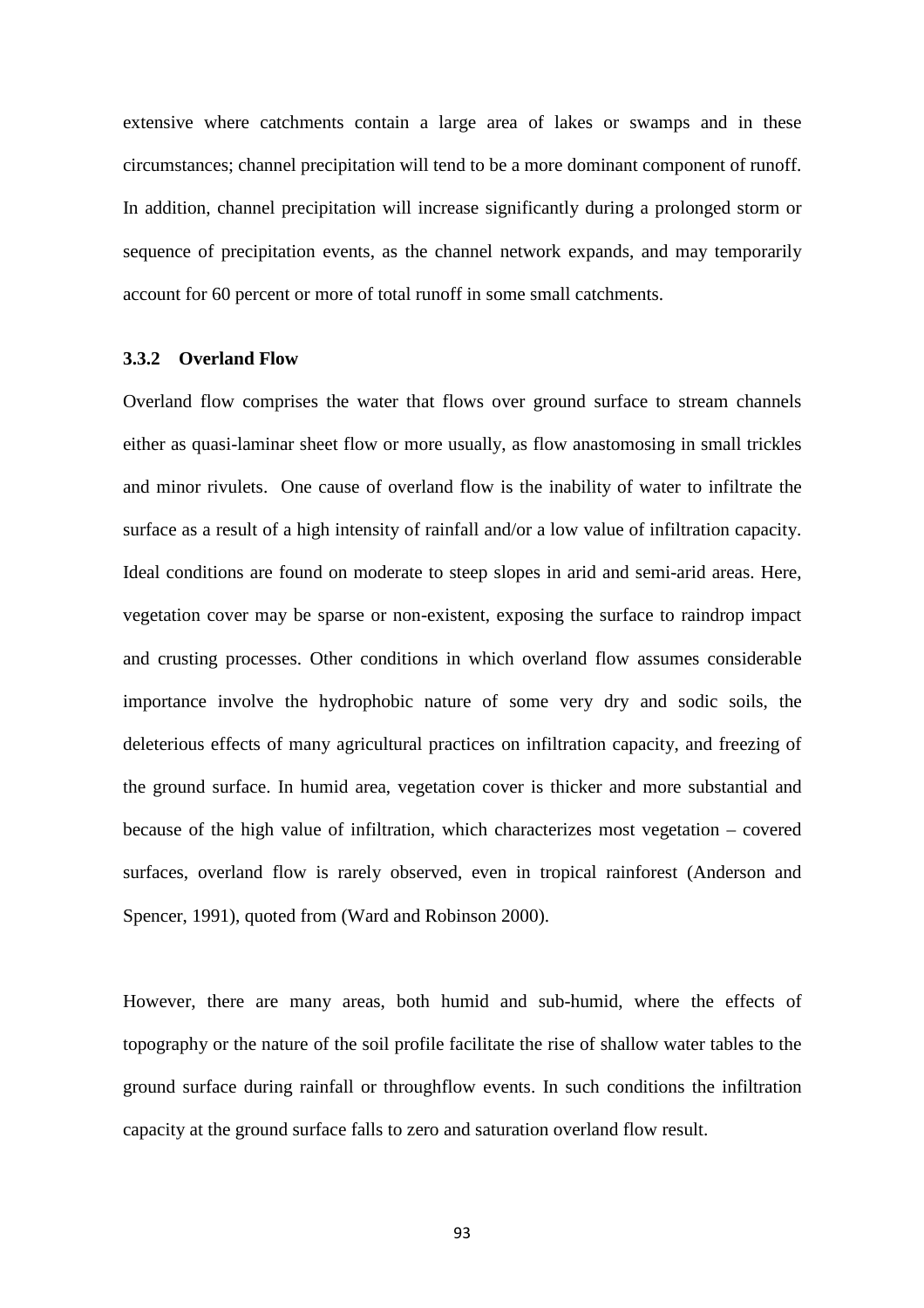extensive where catchments contain a large area of lakes or swamps and in these circumstances; channel precipitation will tend to be a more dominant component of runoff. In addition, channel precipitation will increase significantly during a prolonged storm or sequence of precipitation events, as the channel network expands, and may temporarily account for 60 percent or more of total runoff in some small catchments.

#### **3.3.2 Overland Flow**

Overland flow comprises the water that flows over ground surface to stream channels either as quasi-laminar sheet flow or more usually, as flow anastomosing in small trickles and minor rivulets. One cause of overland flow is the inability of water to infiltrate the surface as a result of a high intensity of rainfall and/or a low value of infiltration capacity. Ideal conditions are found on moderate to steep slopes in arid and semi-arid areas. Here, vegetation cover may be sparse or non-existent, exposing the surface to raindrop impact and crusting processes. Other conditions in which overland flow assumes considerable importance involve the hydrophobic nature of some very dry and sodic soils, the deleterious effects of many agricultural practices on infiltration capacity, and freezing of the ground surface. In humid area, vegetation cover is thicker and more substantial and because of the high value of infiltration, which characterizes most vegetation – covered surfaces, overland flow is rarely observed, even in tropical rainforest (Anderson and Spencer, 1991), quoted from (Ward and Robinson 2000).

However, there are many areas, both humid and sub-humid, where the effects of topography or the nature of the soil profile facilitate the rise of shallow water tables to the ground surface during rainfall or throughflow events. In such conditions the infiltration capacity at the ground surface falls to zero and saturation overland flow result.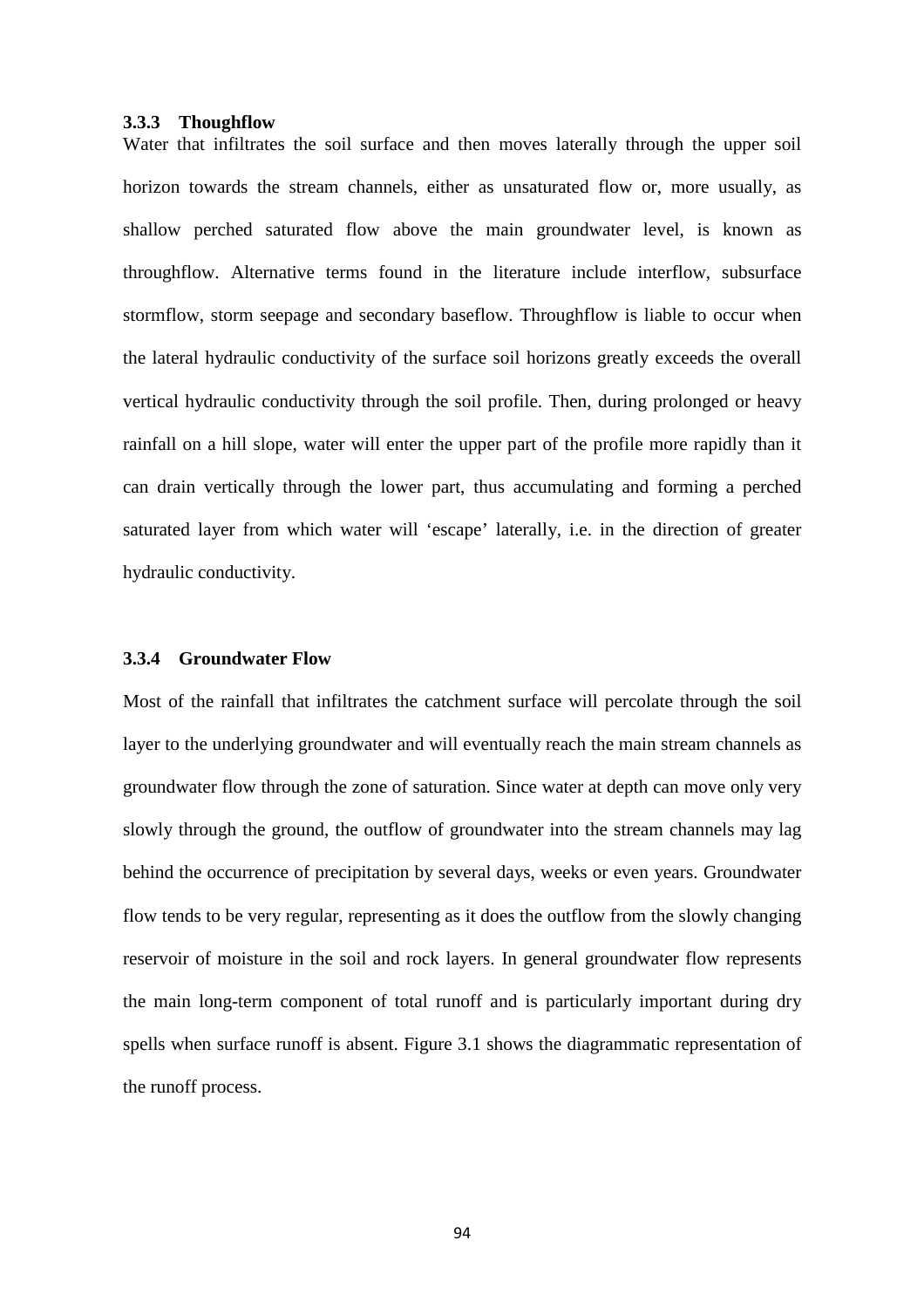#### **3.3.3 Thoughflow**

Water that infiltrates the soil surface and then moves laterally through the upper soil horizon towards the stream channels, either as unsaturated flow or, more usually, as shallow perched saturated flow above the main groundwater level, is known as throughflow. Alternative terms found in the literature include interflow, subsurface stormflow, storm seepage and secondary baseflow. Throughflow is liable to occur when the lateral hydraulic conductivity of the surface soil horizons greatly exceeds the overall vertical hydraulic conductivity through the soil profile. Then, during prolonged or heavy rainfall on a hill slope, water will enter the upper part of the profile more rapidly than it can drain vertically through the lower part, thus accumulating and forming a perched saturated layer from which water will 'escape' laterally, i.e. in the direction of greater hydraulic conductivity.

#### **3.3.4 Groundwater Flow**

Most of the rainfall that infiltrates the catchment surface will percolate through the soil layer to the underlying groundwater and will eventually reach the main stream channels as groundwater flow through the zone of saturation. Since water at depth can move only very slowly through the ground, the outflow of groundwater into the stream channels may lag behind the occurrence of precipitation by several days, weeks or even years. Groundwater flow tends to be very regular, representing as it does the outflow from the slowly changing reservoir of moisture in the soil and rock layers. In general groundwater flow represents the main long-term component of total runoff and is particularly important during dry spells when surface runoff is absent. Figure 3.1 shows the diagrammatic representation of the runoff process.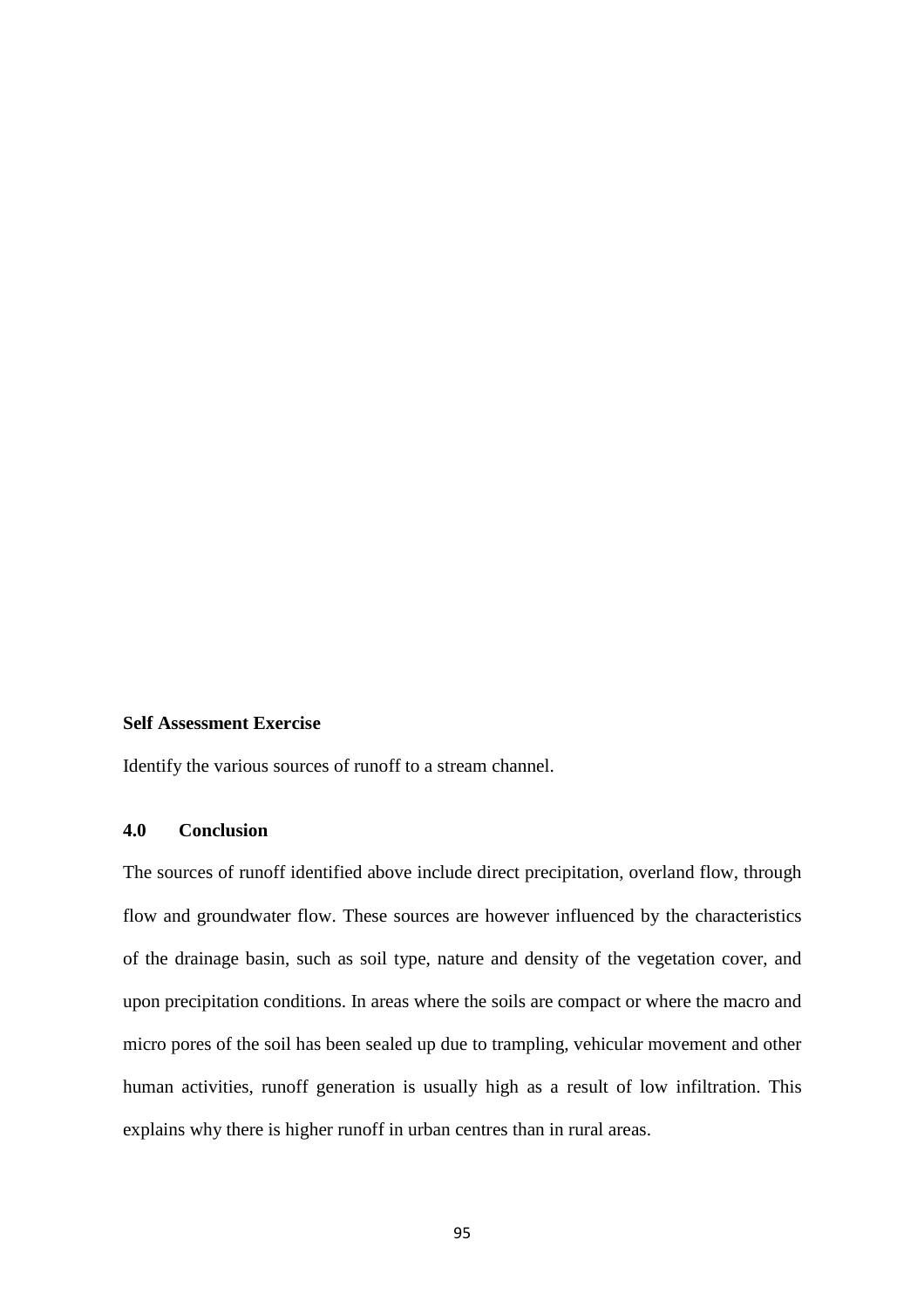### **Self Assessment Exercise**

Identify the various sources of runoff to a stream channel.

# **4.0 Conclusion**

The sources of runoff identified above include direct precipitation, overland flow, through flow and groundwater flow. These sources are however influenced by the characteristics of the drainage basin, such as soil type, nature and density of the vegetation cover, and upon precipitation conditions. In areas where the soils are compact or where the macro and micro pores of the soil has been sealed up due to trampling, vehicular movement and other human activities, runoff generation is usually high as a result of low infiltration. This explains why there is higher runoff in urban centres than in rural areas.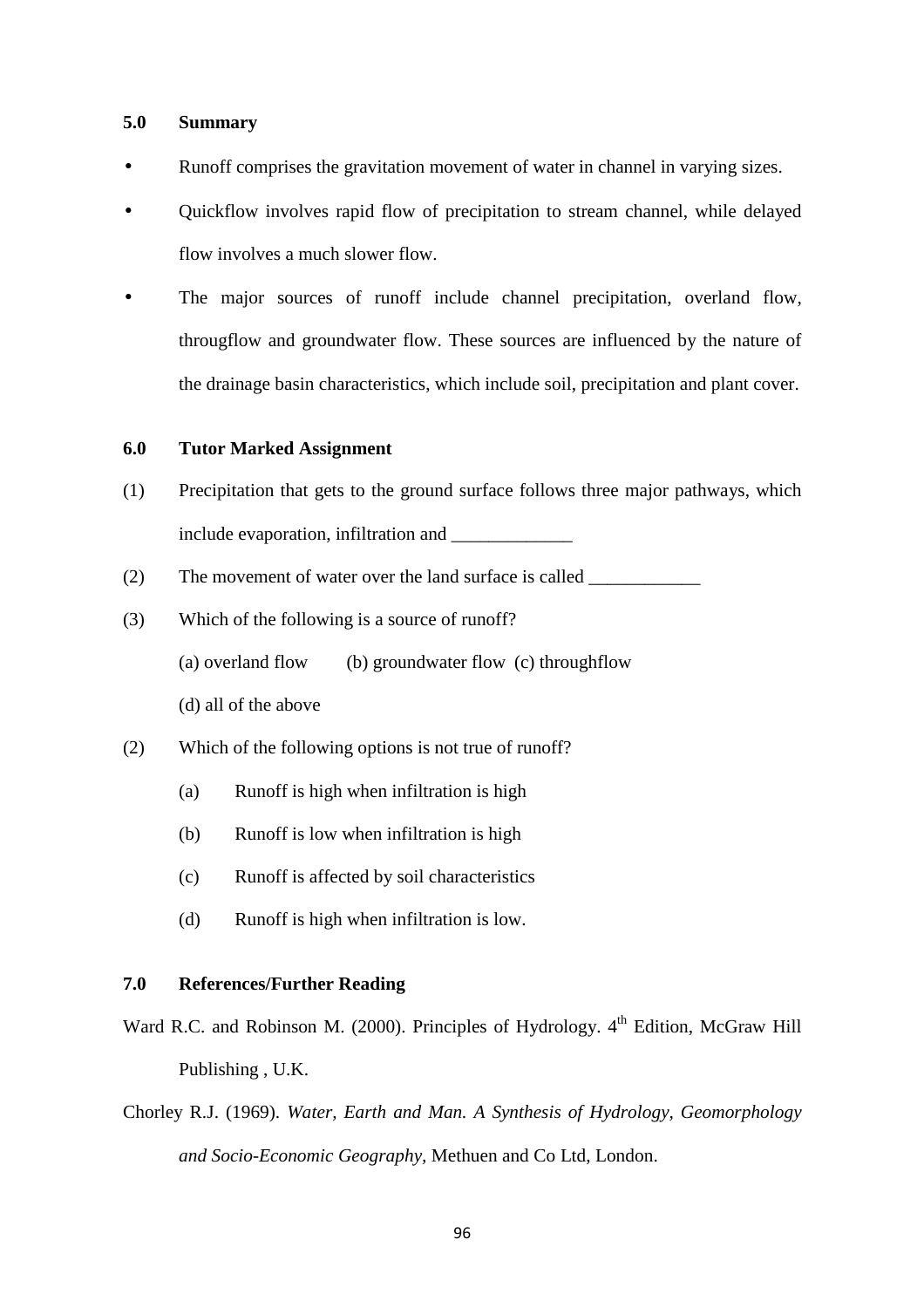#### **5.0 Summary**

- Runoff comprises the gravitation movement of water in channel in varying sizes.
- Quickflow involves rapid flow of precipitation to stream channel, while delayed flow involves a much slower flow.
- The major sources of runoff include channel precipitation, overland flow, througflow and groundwater flow. These sources are influenced by the nature of the drainage basin characteristics, which include soil, precipitation and plant cover.

#### **6.0 Tutor Marked Assignment**

- (1) Precipitation that gets to the ground surface follows three major pathways, which include evaporation, infiltration and \_\_\_\_\_\_\_\_\_\_\_\_\_
- (2) The movement of water over the land surface is called
- (3) Which of the following is a source of runoff?
	- (a) overland flow (b) groundwater flow (c) throughflow
	- (d) all of the above
- (2) Which of the following options is not true of runoff?
	- (a) Runoff is high when infiltration is high
	- (b) Runoff is low when infiltration is high
	- (c) Runoff is affected by soil characteristics
	- (d) Runoff is high when infiltration is low.

### **7.0 References/Further Reading**

- Ward R.C. and Robinson M. (2000). Principles of Hydrology. 4<sup>th</sup> Edition, McGraw Hill Publishing , U.K.
- Chorley R.J. (1969). *Water, Earth and Man. A Synthesis of Hydrology, Geomorphology and Socio-Economic Geography,* Methuen and Co Ltd, London.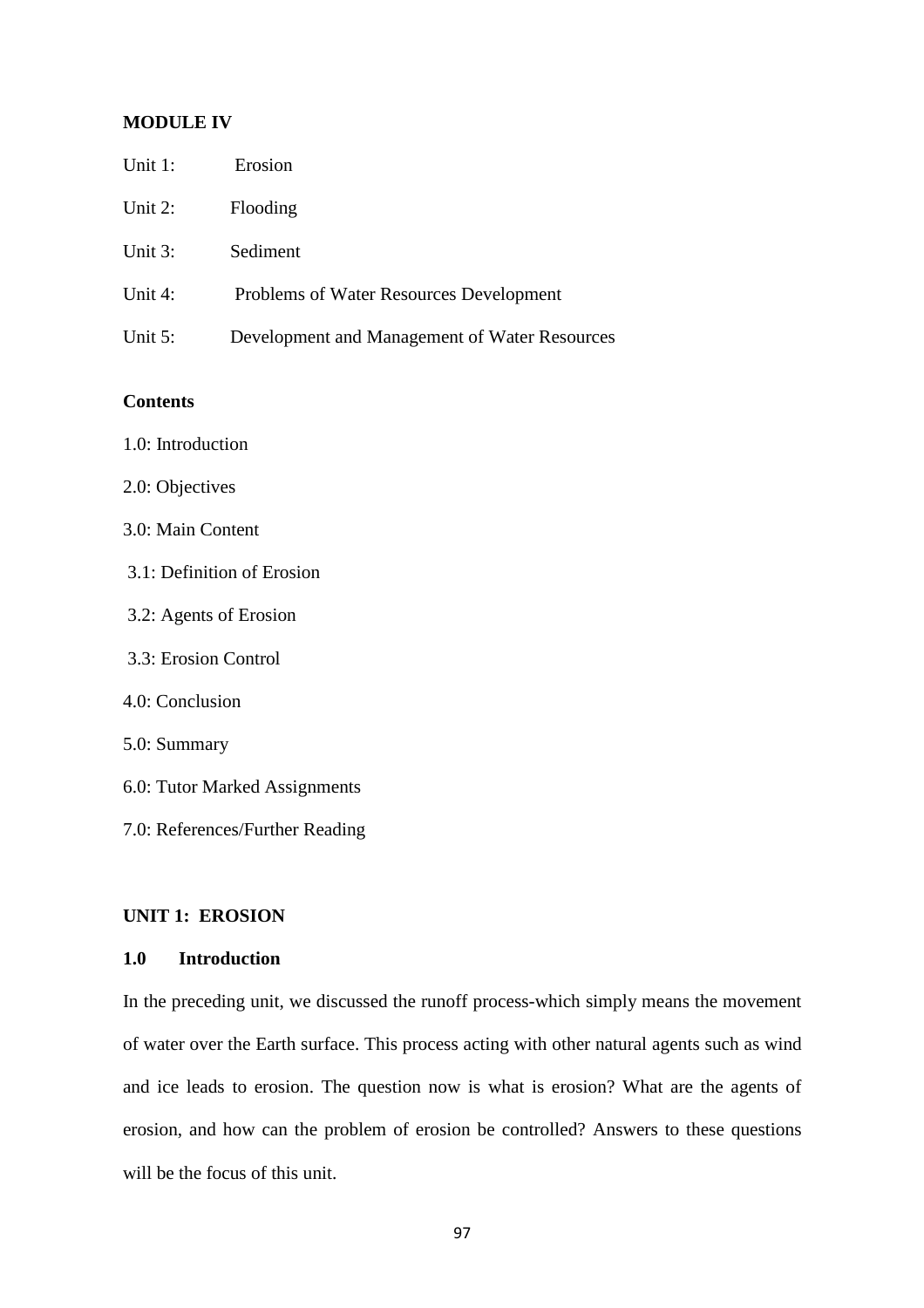### **MODULE IV**

- Unit 1: Erosion
- Unit 2: Flooding
- Unit 3: Sediment
- Unit 4: Problems of Water Resources Development
- Unit 5: Development and Management of Water Resources

# **Contents**

- 1.0: Introduction
- 2.0: Objectives
- 3.0: Main Content
- 3.1: Definition of Erosion
- 3.2: Agents of Erosion
- 3.3: Erosion Control
- 4.0: Conclusion
- 5.0: Summary
- 6.0: Tutor Marked Assignments
- 7.0: References/Further Reading

# **UNIT 1: EROSION**

# **1.0 Introduction**

In the preceding unit, we discussed the runoff process-which simply means the movement of water over the Earth surface. This process acting with other natural agents such as wind and ice leads to erosion. The question now is what is erosion? What are the agents of erosion, and how can the problem of erosion be controlled? Answers to these questions will be the focus of this unit.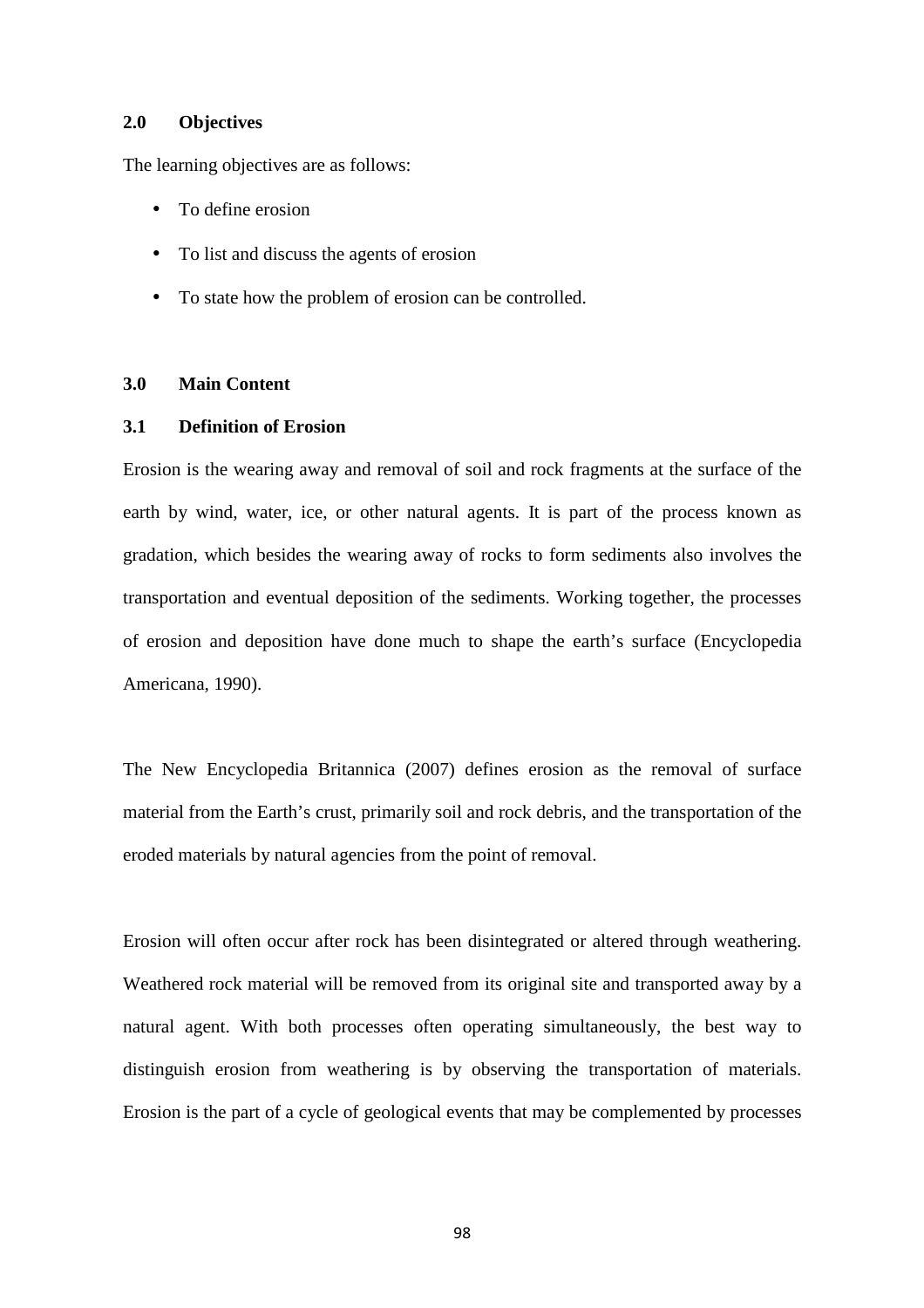### **2.0 Objectives**

The learning objectives are as follows:

- To define erosion
- To list and discuss the agents of erosion
- To state how the problem of erosion can be controlled.

## **3.0 Main Content**

## **3.1 Definition of Erosion**

Erosion is the wearing away and removal of soil and rock fragments at the surface of the earth by wind, water, ice, or other natural agents. It is part of the process known as gradation, which besides the wearing away of rocks to form sediments also involves the transportation and eventual deposition of the sediments. Working together, the processes of erosion and deposition have done much to shape the earth's surface (Encyclopedia Americana, 1990).

The New Encyclopedia Britannica (2007) defines erosion as the removal of surface material from the Earth's crust, primarily soil and rock debris, and the transportation of the eroded materials by natural agencies from the point of removal.

Erosion will often occur after rock has been disintegrated or altered through weathering. Weathered rock material will be removed from its original site and transported away by a natural agent. With both processes often operating simultaneously, the best way to distinguish erosion from weathering is by observing the transportation of materials. Erosion is the part of a cycle of geological events that may be complemented by processes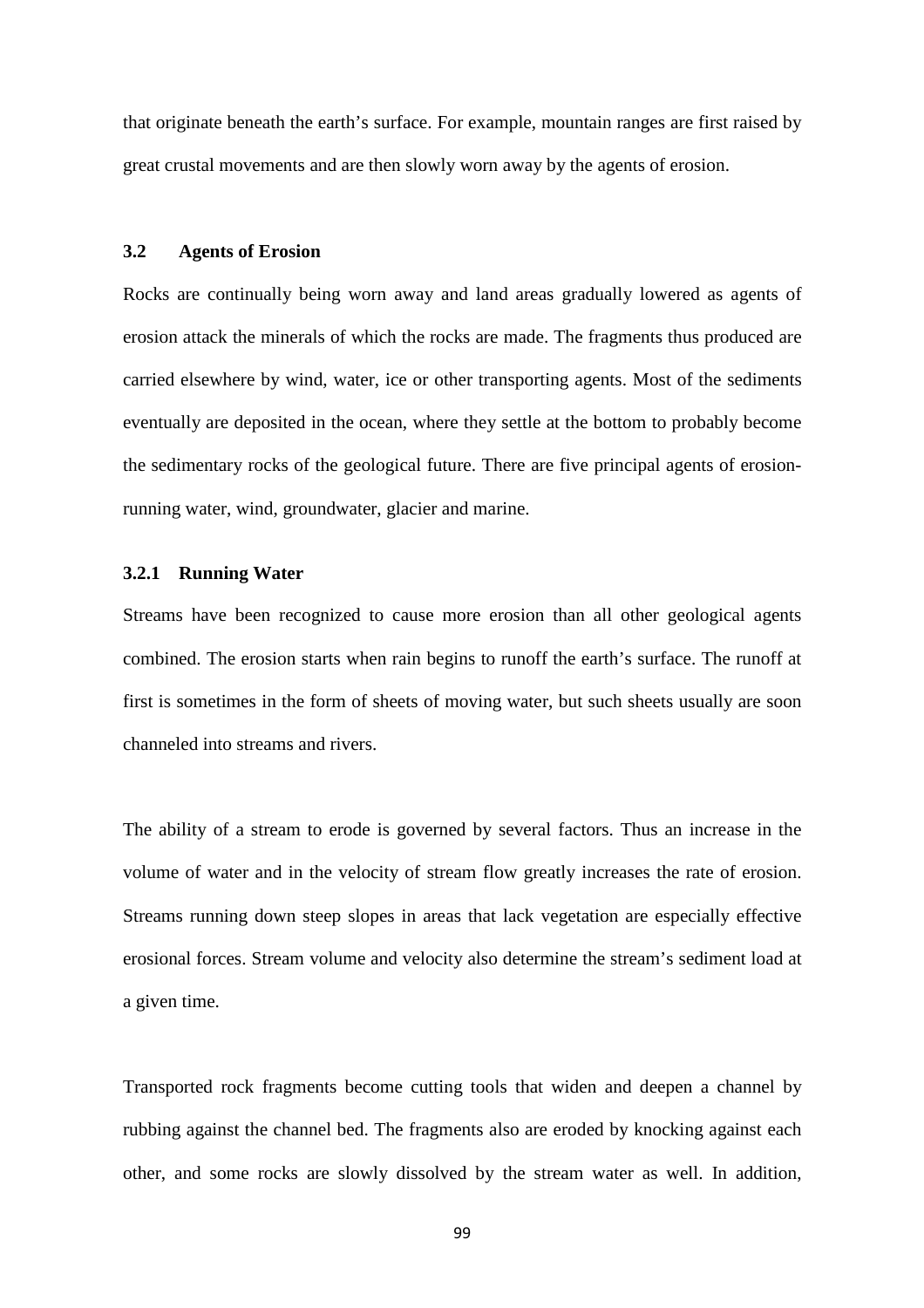that originate beneath the earth's surface. For example, mountain ranges are first raised by great crustal movements and are then slowly worn away by the agents of erosion.

### **3.2 Agents of Erosion**

Rocks are continually being worn away and land areas gradually lowered as agents of erosion attack the minerals of which the rocks are made. The fragments thus produced are carried elsewhere by wind, water, ice or other transporting agents. Most of the sediments eventually are deposited in the ocean, where they settle at the bottom to probably become the sedimentary rocks of the geological future. There are five principal agents of erosionrunning water, wind, groundwater, glacier and marine.

#### **3.2.1 Running Water**

Streams have been recognized to cause more erosion than all other geological agents combined. The erosion starts when rain begins to runoff the earth's surface. The runoff at first is sometimes in the form of sheets of moving water, but such sheets usually are soon channeled into streams and rivers.

The ability of a stream to erode is governed by several factors. Thus an increase in the volume of water and in the velocity of stream flow greatly increases the rate of erosion. Streams running down steep slopes in areas that lack vegetation are especially effective erosional forces. Stream volume and velocity also determine the stream's sediment load at a given time.

Transported rock fragments become cutting tools that widen and deepen a channel by rubbing against the channel bed. The fragments also are eroded by knocking against each other, and some rocks are slowly dissolved by the stream water as well. In addition,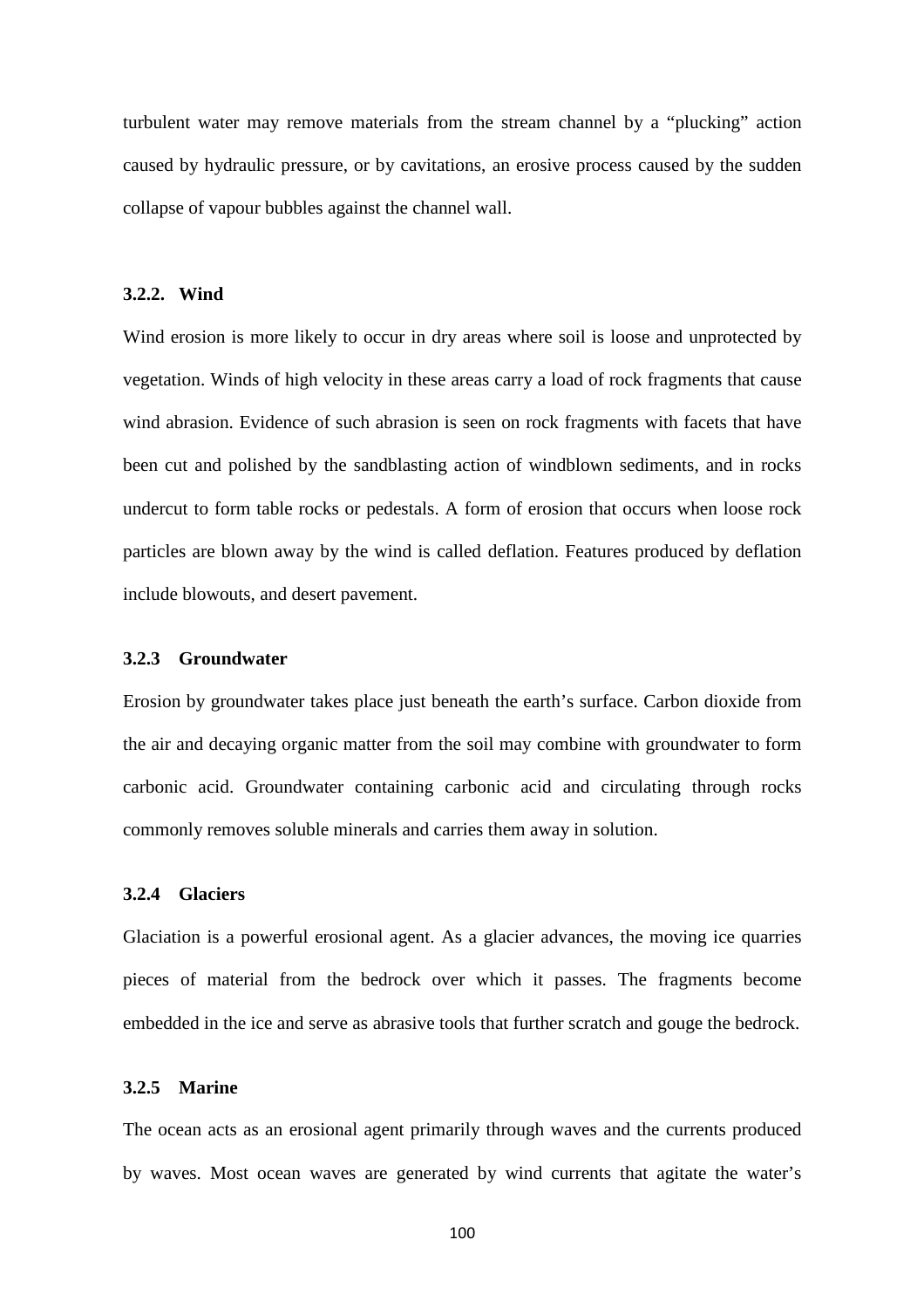turbulent water may remove materials from the stream channel by a "plucking" action caused by hydraulic pressure, or by cavitations, an erosive process caused by the sudden collapse of vapour bubbles against the channel wall.

#### **3.2.2. Wind**

Wind erosion is more likely to occur in dry areas where soil is loose and unprotected by vegetation. Winds of high velocity in these areas carry a load of rock fragments that cause wind abrasion. Evidence of such abrasion is seen on rock fragments with facets that have been cut and polished by the sandblasting action of windblown sediments, and in rocks undercut to form table rocks or pedestals. A form of erosion that occurs when loose rock particles are blown away by the wind is called deflation. Features produced by deflation include blowouts, and desert pavement.

#### **3.2.3 Groundwater**

Erosion by groundwater takes place just beneath the earth's surface. Carbon dioxide from the air and decaying organic matter from the soil may combine with groundwater to form carbonic acid. Groundwater containing carbonic acid and circulating through rocks commonly removes soluble minerals and carries them away in solution.

#### **3.2.4 Glaciers**

Glaciation is a powerful erosional agent. As a glacier advances, the moving ice quarries pieces of material from the bedrock over which it passes. The fragments become embedded in the ice and serve as abrasive tools that further scratch and gouge the bedrock.

### **3.2.5 Marine**

The ocean acts as an erosional agent primarily through waves and the currents produced by waves. Most ocean waves are generated by wind currents that agitate the water's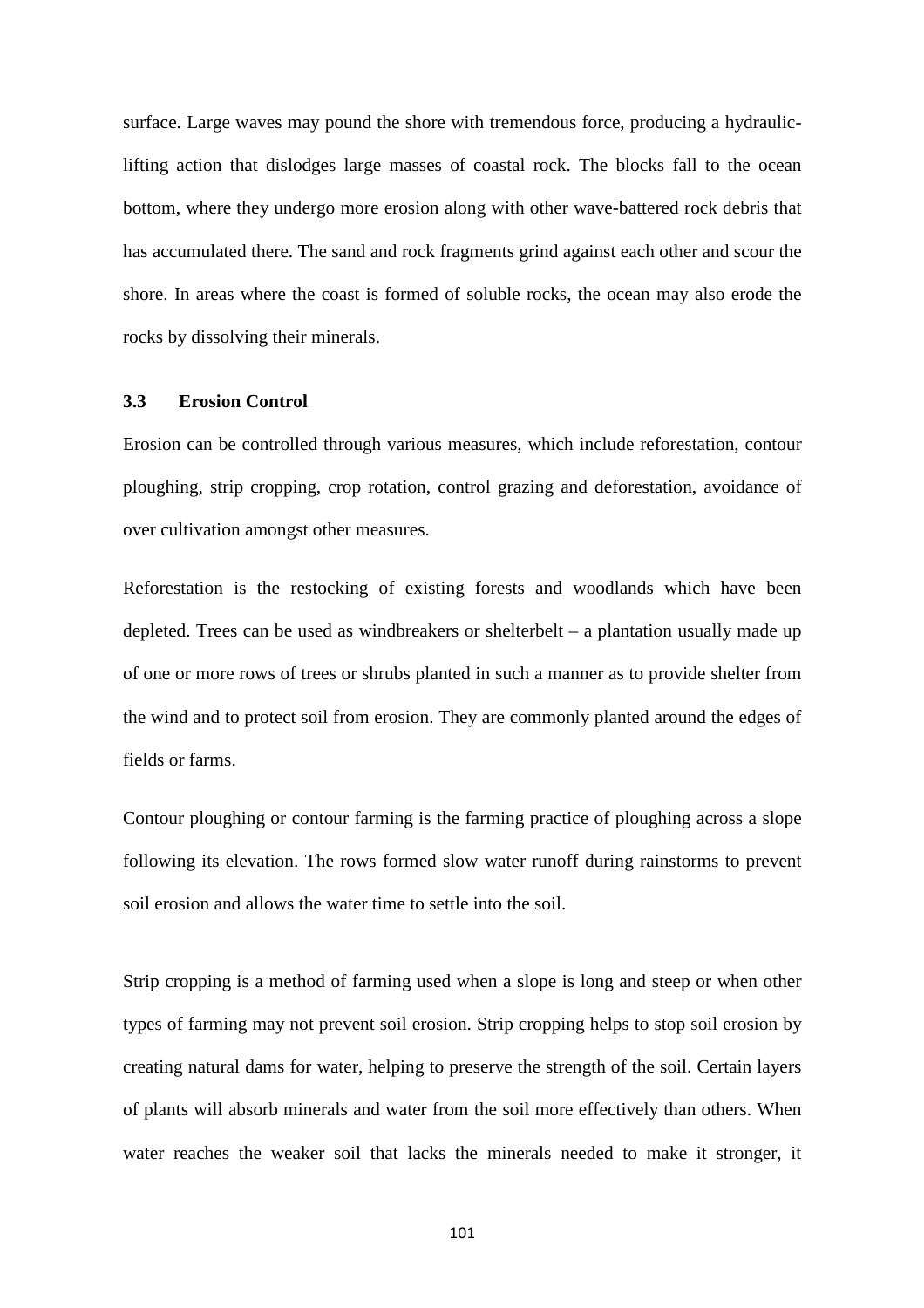surface. Large waves may pound the shore with tremendous force, producing a hydrauliclifting action that dislodges large masses of coastal rock. The blocks fall to the ocean bottom, where they undergo more erosion along with other wave-battered rock debris that has accumulated there. The sand and rock fragments grind against each other and scour the shore. In areas where the coast is formed of soluble rocks, the ocean may also erode the rocks by dissolving their minerals.

### **3.3 Erosion Control**

Erosion can be controlled through various measures, which include reforestation, contour ploughing, strip cropping, crop rotation, control grazing and deforestation, avoidance of over cultivation amongst other measures.

Reforestation is the restocking of existing forests and woodlands which have been depleted. Trees can be used as windbreakers or shelterbelt – a plantation usually made up of one or more rows of trees or shrubs planted in such a manner as to provide shelter from the wind and to protect soil from erosion. They are commonly planted around the edges of fields or farms.

Contour ploughing or contour farming is the farming practice of ploughing across a slope following its elevation. The rows formed slow water runoff during rainstorms to prevent soil erosion and allows the water time to settle into the soil.

Strip cropping is a method of farming used when a slope is long and steep or when other types of farming may not prevent soil erosion. Strip cropping helps to stop soil erosion by creating natural dams for water, helping to preserve the strength of the soil. Certain layers of plants will absorb minerals and water from the soil more effectively than others. When water reaches the weaker soil that lacks the minerals needed to make it stronger, it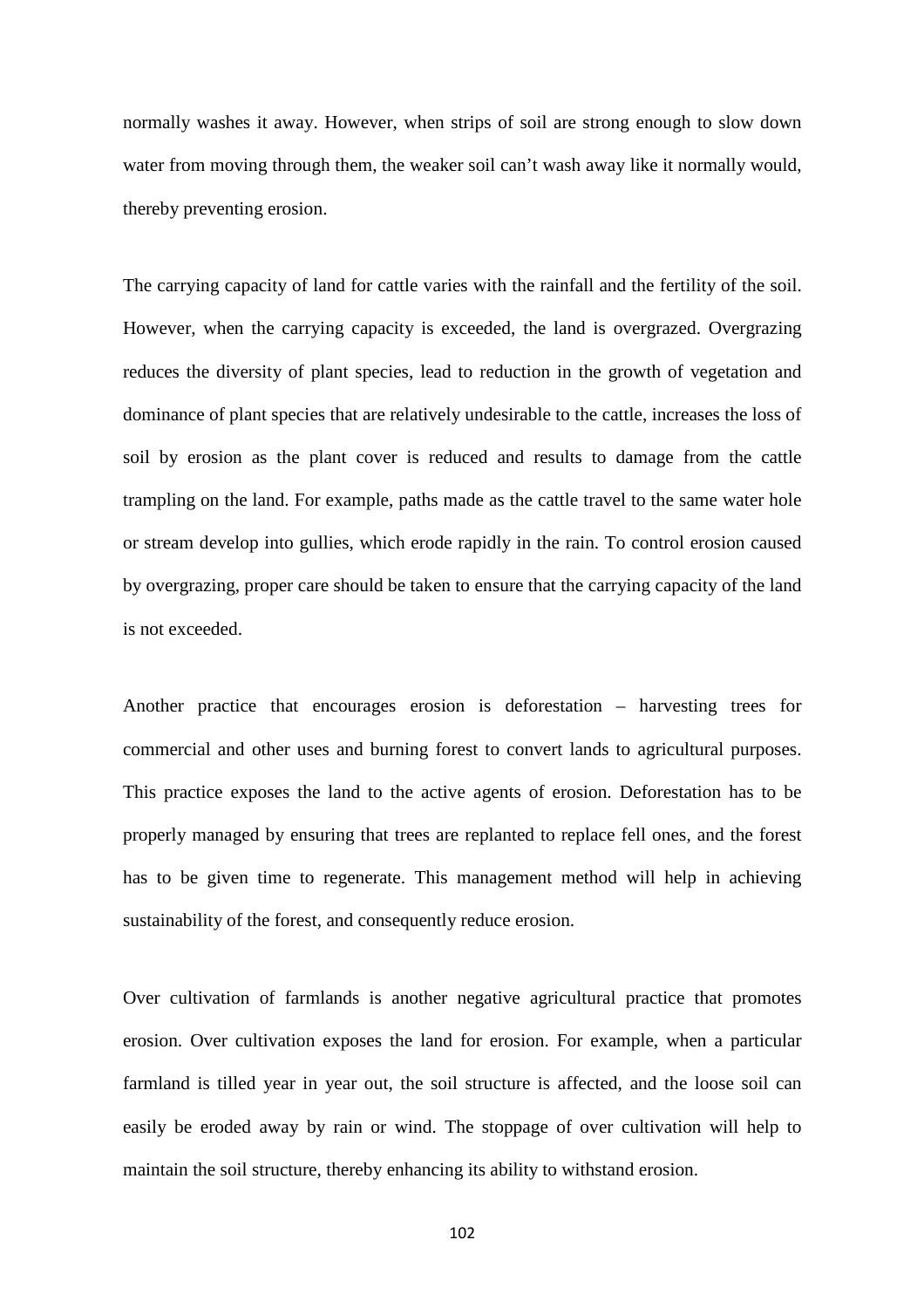normally washes it away. However, when strips of soil are strong enough to slow down water from moving through them, the weaker soil can't wash away like it normally would, thereby preventing erosion.

The carrying capacity of land for cattle varies with the rainfall and the fertility of the soil. However, when the carrying capacity is exceeded, the land is overgrazed. Overgrazing reduces the diversity of plant species, lead to reduction in the growth of vegetation and dominance of plant species that are relatively undesirable to the cattle, increases the loss of soil by erosion as the plant cover is reduced and results to damage from the cattle trampling on the land. For example, paths made as the cattle travel to the same water hole or stream develop into gullies, which erode rapidly in the rain. To control erosion caused by overgrazing, proper care should be taken to ensure that the carrying capacity of the land is not exceeded.

Another practice that encourages erosion is deforestation – harvesting trees for commercial and other uses and burning forest to convert lands to agricultural purposes. This practice exposes the land to the active agents of erosion. Deforestation has to be properly managed by ensuring that trees are replanted to replace fell ones, and the forest has to be given time to regenerate. This management method will help in achieving sustainability of the forest, and consequently reduce erosion.

Over cultivation of farmlands is another negative agricultural practice that promotes erosion. Over cultivation exposes the land for erosion. For example, when a particular farmland is tilled year in year out, the soil structure is affected, and the loose soil can easily be eroded away by rain or wind. The stoppage of over cultivation will help to maintain the soil structure, thereby enhancing its ability to withstand erosion.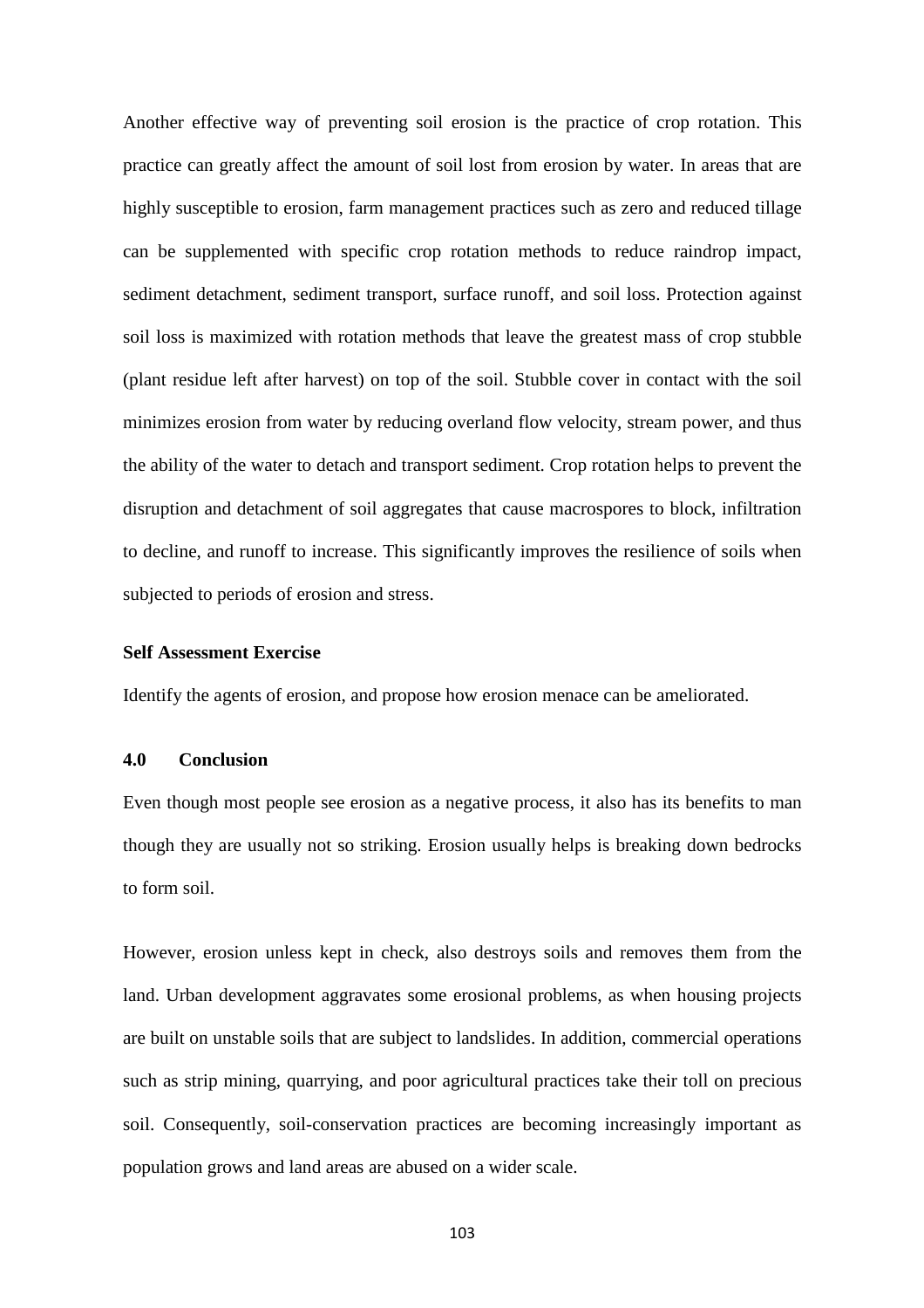Another effective way of preventing soil erosion is the practice of crop rotation. This practice can greatly affect the amount of soil lost from erosion by water. In areas that are highly susceptible to erosion, farm management practices such as zero and reduced tillage can be supplemented with specific crop rotation methods to reduce raindrop impact, sediment detachment, sediment transport, surface runoff, and soil loss. Protection against soil loss is maximized with rotation methods that leave the greatest mass of crop stubble (plant residue left after harvest) on top of the soil. Stubble cover in contact with the soil minimizes erosion from water by reducing overland flow velocity, stream power, and thus the ability of the water to detach and transport sediment. Crop rotation helps to prevent the disruption and detachment of soil aggregates that cause macrospores to block, infiltration to decline, and runoff to increase. This significantly improves the resilience of soils when subjected to periods of erosion and stress.

#### **Self Assessment Exercise**

Identify the agents of erosion, and propose how erosion menace can be ameliorated.

## **4.0 Conclusion**

Even though most people see erosion as a negative process, it also has its benefits to man though they are usually not so striking. Erosion usually helps is breaking down bedrocks to form soil.

However, erosion unless kept in check, also destroys soils and removes them from the land. Urban development aggravates some erosional problems, as when housing projects are built on unstable soils that are subject to landslides. In addition, commercial operations such as strip mining, quarrying, and poor agricultural practices take their toll on precious soil. Consequently, soil-conservation practices are becoming increasingly important as population grows and land areas are abused on a wider scale.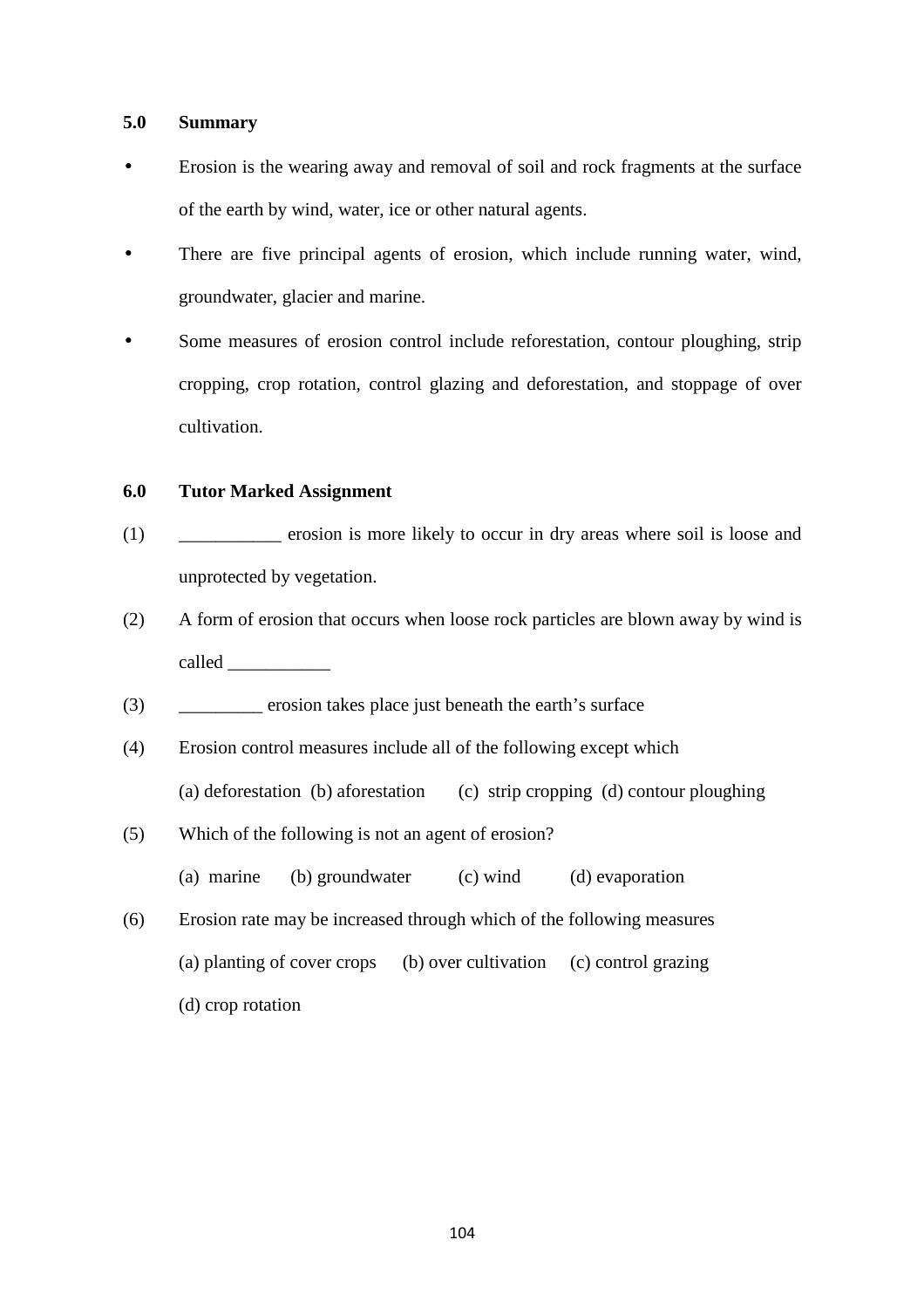### **5.0 Summary**

- Erosion is the wearing away and removal of soil and rock fragments at the surface of the earth by wind, water, ice or other natural agents.
- There are five principal agents of erosion, which include running water, wind, groundwater, glacier and marine.
- Some measures of erosion control include reforestation, contour ploughing, strip cropping, crop rotation, control glazing and deforestation, and stoppage of over cultivation.

### **6.0 Tutor Marked Assignment**

- (1) \_\_\_\_\_\_\_\_\_\_\_ erosion is more likely to occur in dry areas where soil is loose and unprotected by vegetation.
- (2) A form of erosion that occurs when loose rock particles are blown away by wind is called \_\_\_\_\_\_\_\_\_\_\_
- (3) erosion takes place just beneath the earth's surface
- (4) Erosion control measures include all of the following except which (a) deforestation (b) aforestation (c) strip cropping (d) contour ploughing
- (5) Which of the following is not an agent of erosion? (a) marine (b) groundwater (c) wind (d) evaporation
- (6) Erosion rate may be increased through which of the following measures (a) planting of cover crops (b) over cultivation (c) control grazing (d) crop rotation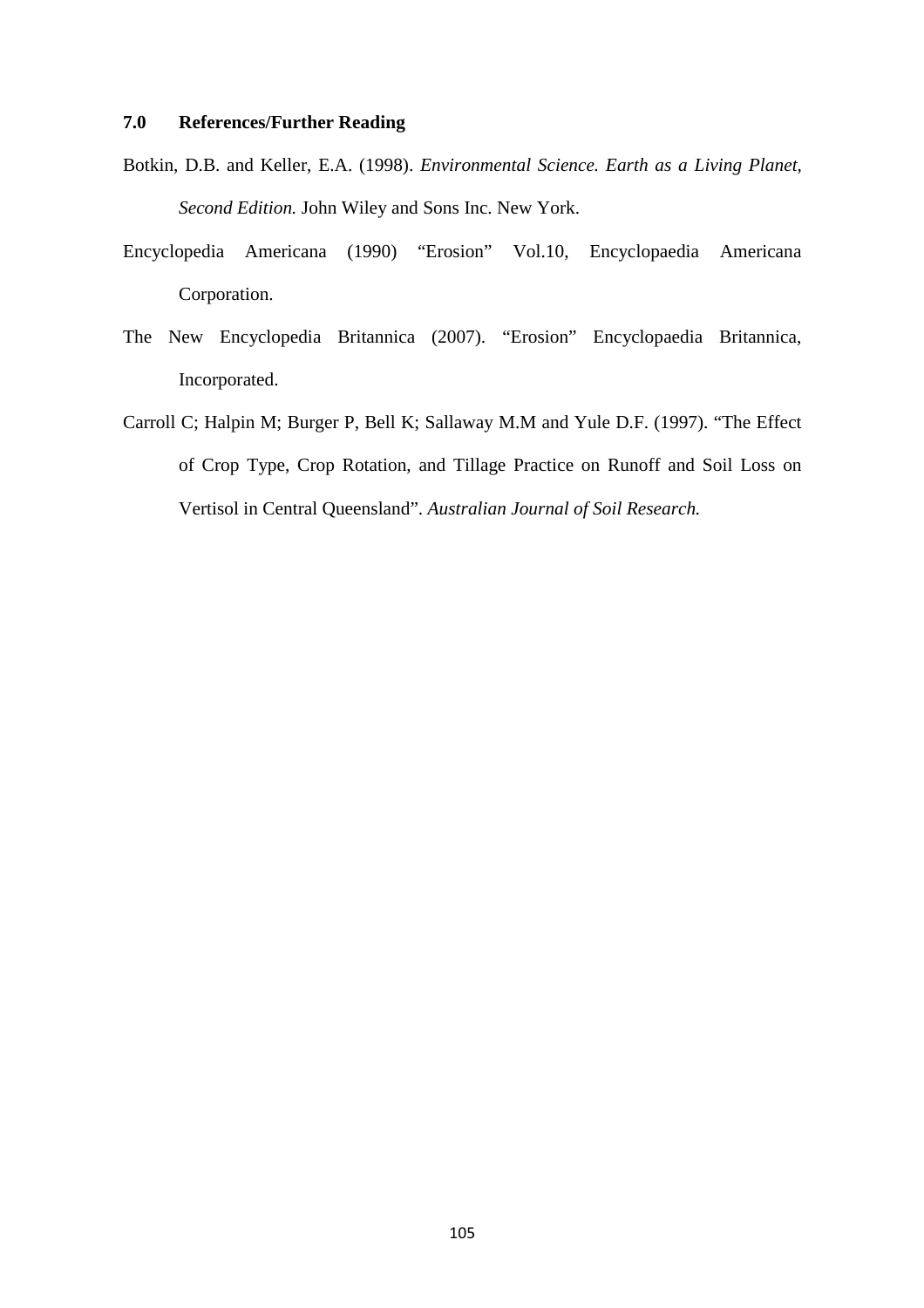# **7.0 References/Further Reading**

- Botkin, D.B. and Keller, E.A. (1998). *Environmental Science. Earth as a Living Planet, Second Edition.* John Wiley and Sons Inc. New York.
- Encyclopedia Americana (1990) "Erosion" Vol.10, Encyclopaedia Americana Corporation.
- The New Encyclopedia Britannica (2007). "Erosion" Encyclopaedia Britannica, Incorporated.
- Carroll C; Halpin M; Burger P, Bell K; Sallaway M.M and Yule D.F. (1997). "The Effect of Crop Type, Crop Rotation, and Tillage Practice on Runoff and Soil Loss on Vertisol in Central Queensland". *Australian Journal of Soil Research.*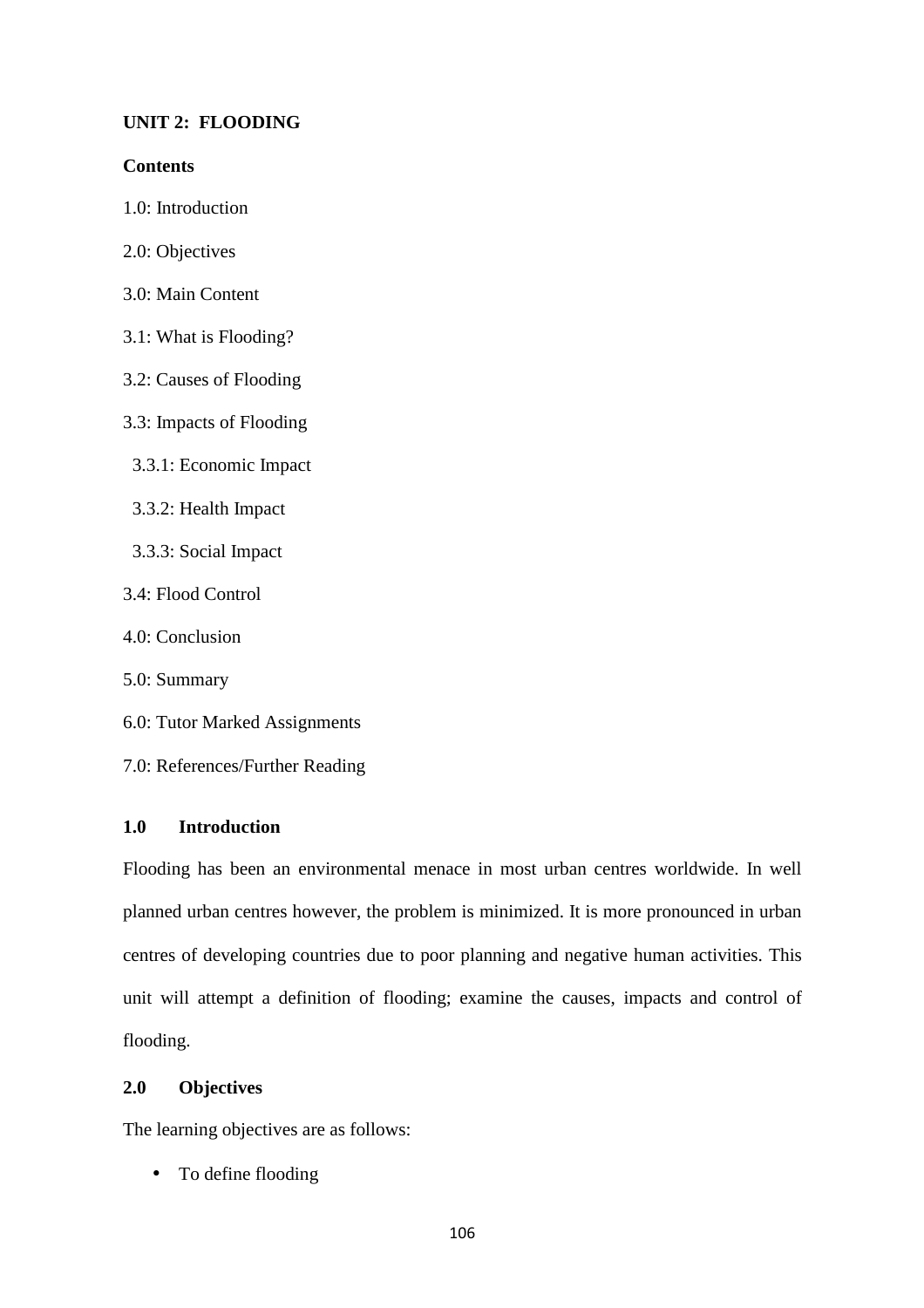# **UNIT 2: FLOODING**

# **Contents**

- 1.0: Introduction
- 2.0: Objectives
- 3.0: Main Content
- 3.1: What is Flooding?
- 3.2: Causes of Flooding
- 3.3: Impacts of Flooding
- 3.3.1: Economic Impact
- 3.3.2: Health Impact
- 3.3.3: Social Impact
- 3.4: Flood Control
- 4.0: Conclusion
- 5.0: Summary
- 6.0: Tutor Marked Assignments
- 7.0: References/Further Reading

# **1.0 Introduction**

Flooding has been an environmental menace in most urban centres worldwide. In well planned urban centres however, the problem is minimized. It is more pronounced in urban centres of developing countries due to poor planning and negative human activities. This unit will attempt a definition of flooding; examine the causes, impacts and control of flooding.

# **2.0 Objectives**

The learning objectives are as follows:

• To define flooding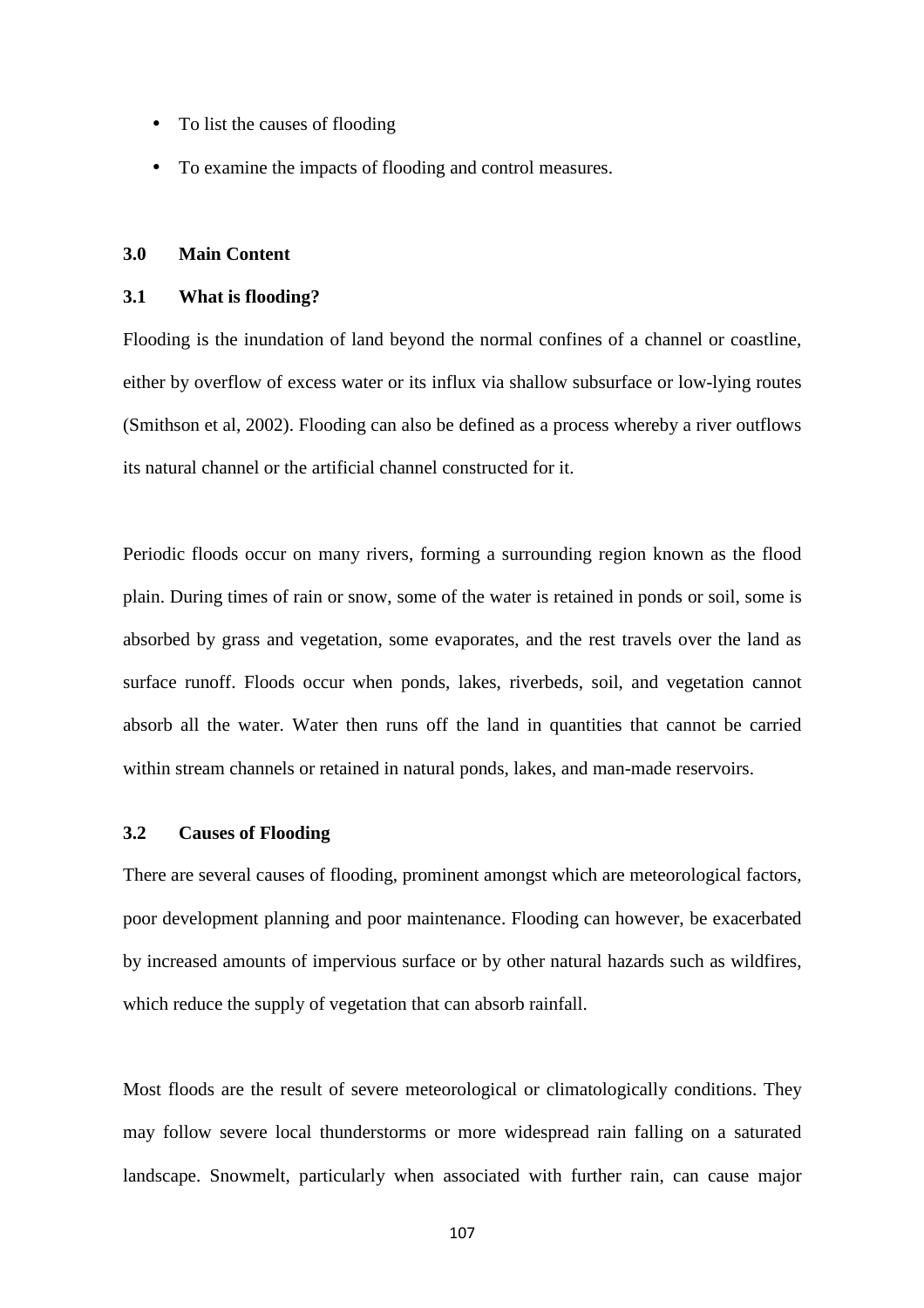- To list the causes of flooding
- To examine the impacts of flooding and control measures.

### **3.0 Main Content**

### **3.1 What is flooding?**

Flooding is the inundation of land beyond the normal confines of a channel or coastline, either by overflow of excess water or its influx via shallow subsurface or low-lying routes (Smithson et al, 2002). Flooding can also be defined as a process whereby a river outflows its natural channel or the artificial channel constructed for it.

Periodic floods occur on many rivers, forming a surrounding region known as the flood plain. During times of rain or snow, some of the water is retained in ponds or soil, some is absorbed by grass and vegetation, some evaporates, and the rest travels over the land as surface runoff. Floods occur when ponds, lakes, riverbeds, soil, and vegetation cannot absorb all the water. Water then runs off the land in quantities that cannot be carried within stream channels or retained in natural ponds, lakes, and man-made reservoirs.

### **3.2 Causes of Flooding**

There are several causes of flooding, prominent amongst which are meteorological factors, poor development planning and poor maintenance. Flooding can however, be exacerbated by increased amounts of impervious surface or by other natural hazards such as wildfires, which reduce the supply of vegetation that can absorb rainfall.

Most floods are the result of severe meteorological or climatologically conditions. They may follow severe local thunderstorms or more widespread rain falling on a saturated landscape. Snowmelt, particularly when associated with further rain, can cause major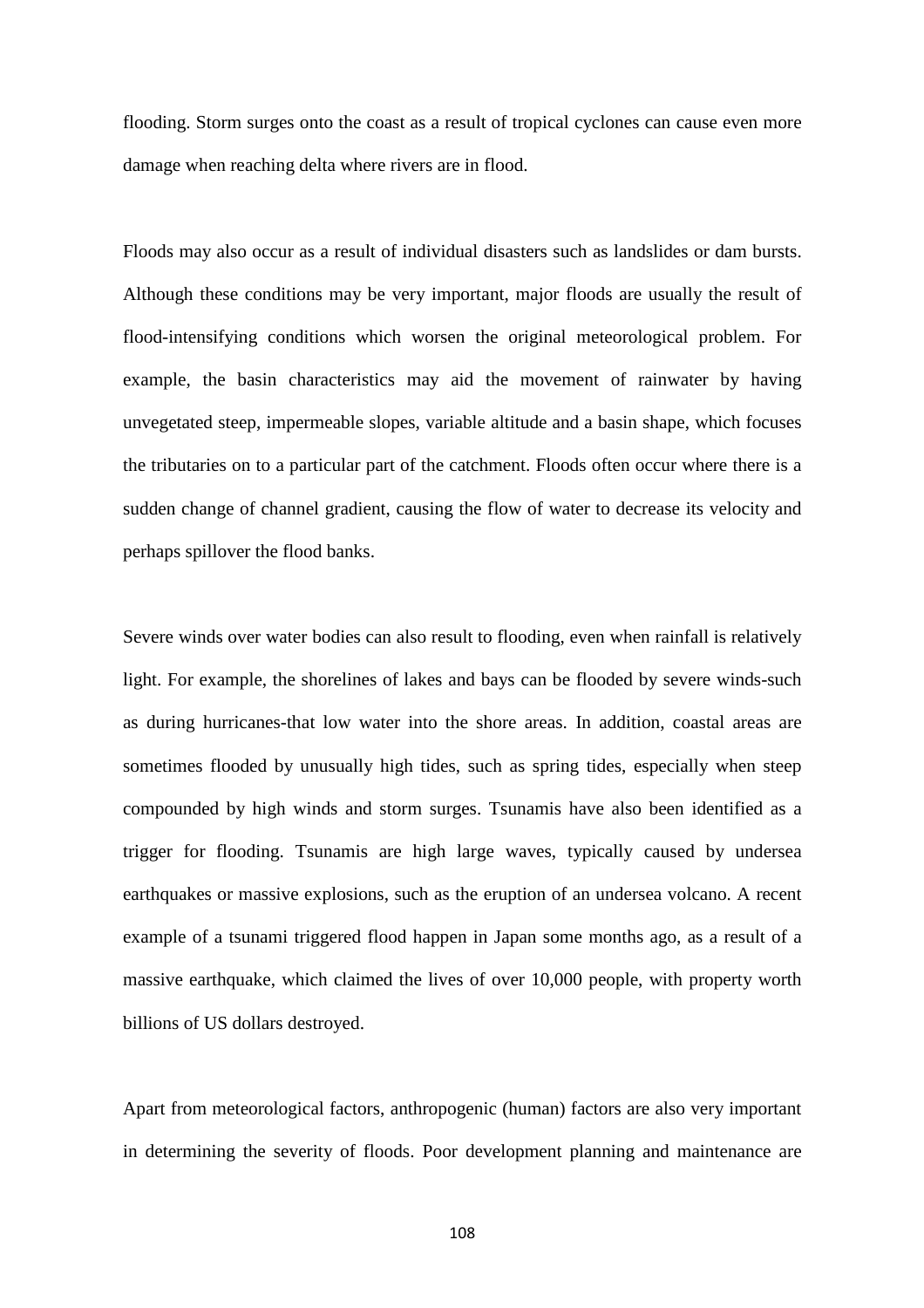flooding. Storm surges onto the coast as a result of tropical cyclones can cause even more damage when reaching delta where rivers are in flood.

Floods may also occur as a result of individual disasters such as landslides or dam bursts. Although these conditions may be very important, major floods are usually the result of flood-intensifying conditions which worsen the original meteorological problem. For example, the basin characteristics may aid the movement of rainwater by having unvegetated steep, impermeable slopes, variable altitude and a basin shape, which focuses the tributaries on to a particular part of the catchment. Floods often occur where there is a sudden change of channel gradient, causing the flow of water to decrease its velocity and perhaps spillover the flood banks.

Severe winds over water bodies can also result to flooding, even when rainfall is relatively light. For example, the shorelines of lakes and bays can be flooded by severe winds-such as during hurricanes-that low water into the shore areas. In addition, coastal areas are sometimes flooded by unusually high tides, such as spring tides, especially when steep compounded by high winds and storm surges. Tsunamis have also been identified as a trigger for flooding. Tsunamis are high large waves, typically caused by undersea earthquakes or massive explosions, such as the eruption of an undersea volcano. A recent example of a tsunami triggered flood happen in Japan some months ago, as a result of a massive earthquake, which claimed the lives of over 10,000 people, with property worth billions of US dollars destroyed.

Apart from meteorological factors, anthropogenic (human) factors are also very important in determining the severity of floods. Poor development planning and maintenance are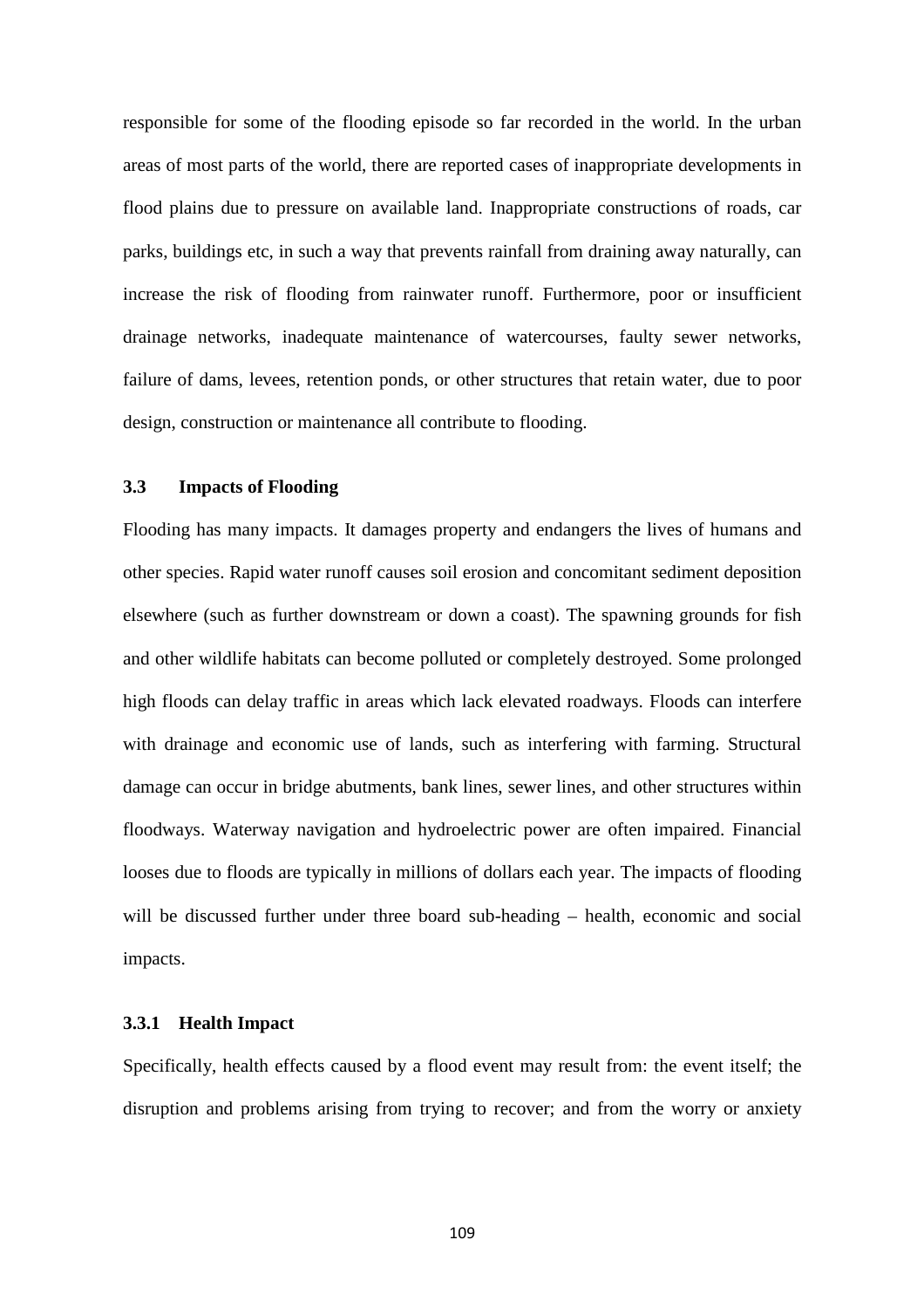responsible for some of the flooding episode so far recorded in the world. In the urban areas of most parts of the world, there are reported cases of inappropriate developments in flood plains due to pressure on available land. Inappropriate constructions of roads, car parks, buildings etc, in such a way that prevents rainfall from draining away naturally, can increase the risk of flooding from rainwater runoff. Furthermore, poor or insufficient drainage networks, inadequate maintenance of watercourses, faulty sewer networks, failure of dams, levees, retention ponds, or other structures that retain water, due to poor design, construction or maintenance all contribute to flooding.

### **3.3 Impacts of Flooding**

Flooding has many impacts. It damages property and endangers the lives of humans and other species. Rapid water runoff causes soil erosion and concomitant sediment deposition elsewhere (such as further downstream or down a coast). The spawning grounds for fish and other wildlife habitats can become polluted or completely destroyed. Some prolonged high floods can delay traffic in areas which lack elevated roadways. Floods can interfere with drainage and economic use of lands, such as interfering with farming. Structural damage can occur in bridge abutments, bank lines, sewer lines, and other structures within floodways. Waterway navigation and hydroelectric power are often impaired. Financial looses due to floods are typically in millions of dollars each year. The impacts of flooding will be discussed further under three board sub-heading – health, economic and social impacts.

### **3.3.1 Health Impact**

Specifically, health effects caused by a flood event may result from: the event itself; the disruption and problems arising from trying to recover; and from the worry or anxiety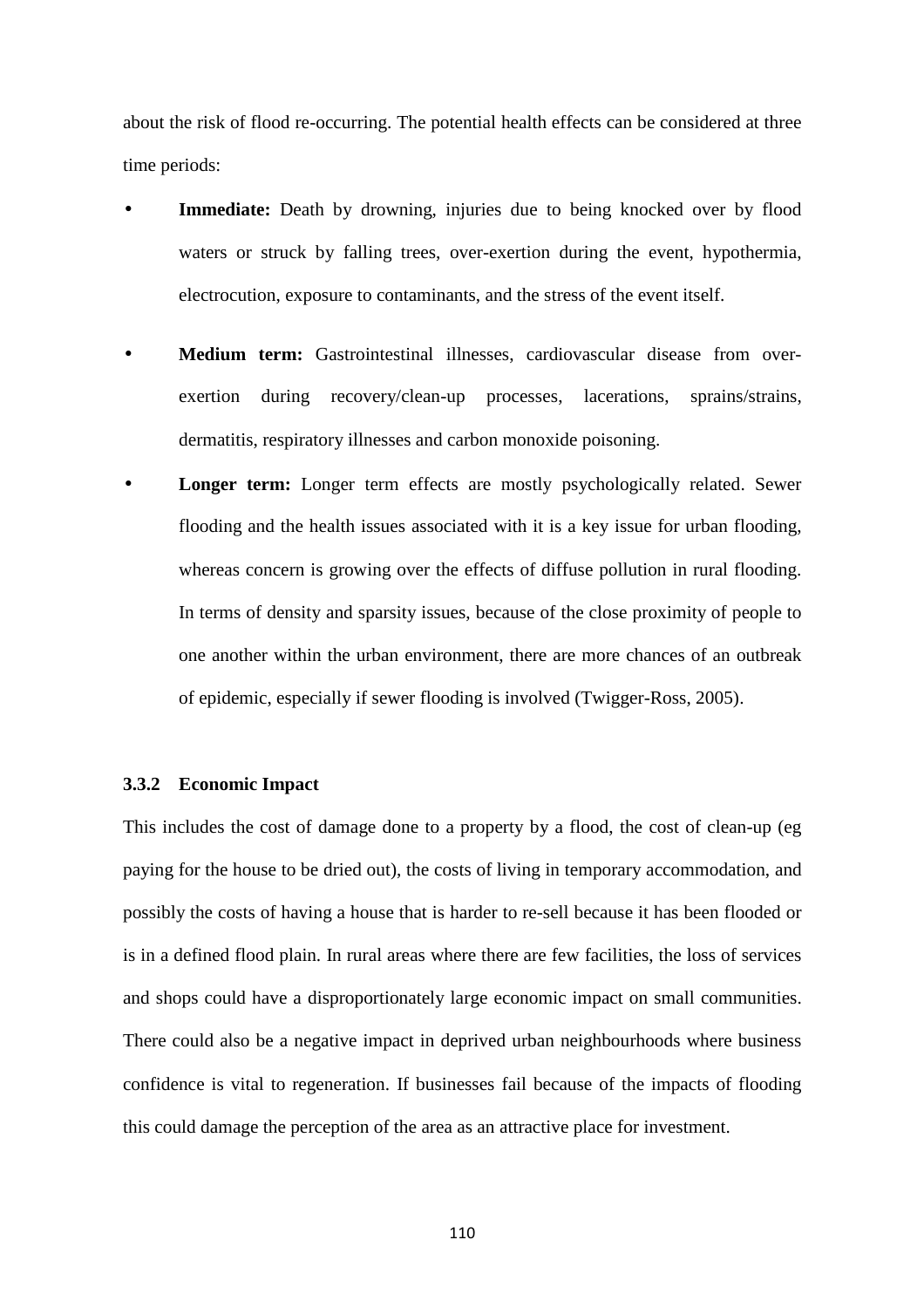about the risk of flood re-occurring. The potential health effects can be considered at three time periods:

- **Immediate:** Death by drowning, injuries due to being knocked over by flood waters or struck by falling trees, over-exertion during the event, hypothermia, electrocution, exposure to contaminants, and the stress of the event itself.
- **Medium term:** Gastrointestinal illnesses, cardiovascular disease from overexertion during recovery/clean-up processes, lacerations, sprains/strains, dermatitis, respiratory illnesses and carbon monoxide poisoning.
- **Longer term:** Longer term effects are mostly psychologically related. Sewer flooding and the health issues associated with it is a key issue for urban flooding, whereas concern is growing over the effects of diffuse pollution in rural flooding. In terms of density and sparsity issues, because of the close proximity of people to one another within the urban environment, there are more chances of an outbreak of epidemic, especially if sewer flooding is involved (Twigger-Ross, 2005).

#### **3.3.2 Economic Impact**

This includes the cost of damage done to a property by a flood, the cost of clean-up (eg paying for the house to be dried out), the costs of living in temporary accommodation, and possibly the costs of having a house that is harder to re-sell because it has been flooded or is in a defined flood plain. In rural areas where there are few facilities, the loss of services and shops could have a disproportionately large economic impact on small communities. There could also be a negative impact in deprived urban neighbourhoods where business confidence is vital to regeneration. If businesses fail because of the impacts of flooding this could damage the perception of the area as an attractive place for investment.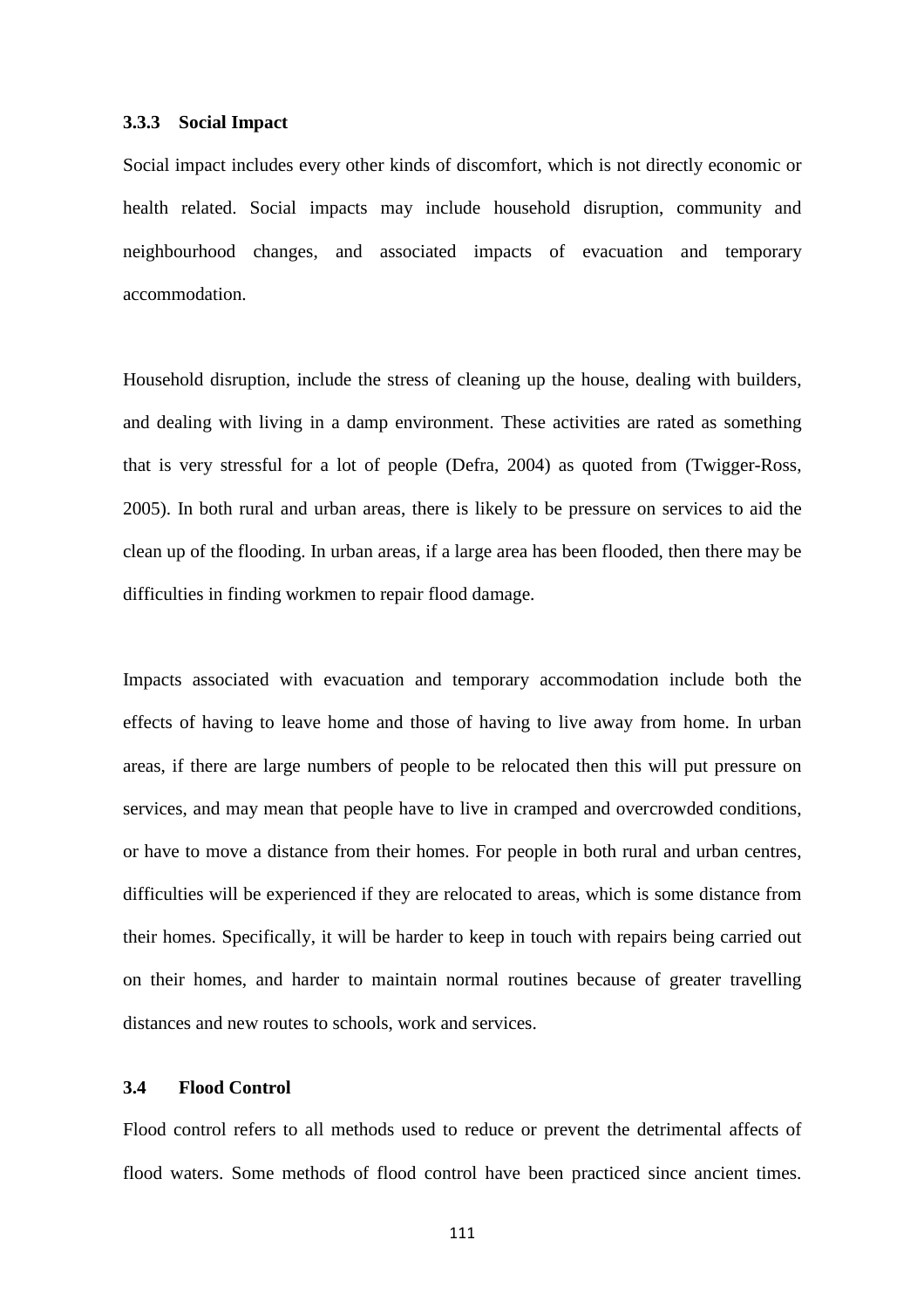#### **3.3.3 Social Impact**

Social impact includes every other kinds of discomfort, which is not directly economic or health related. Social impacts may include household disruption, community and neighbourhood changes, and associated impacts of evacuation and temporary accommodation.

Household disruption, include the stress of cleaning up the house, dealing with builders, and dealing with living in a damp environment. These activities are rated as something that is very stressful for a lot of people (Defra, 2004) as quoted from (Twigger-Ross, 2005). In both rural and urban areas, there is likely to be pressure on services to aid the clean up of the flooding. In urban areas, if a large area has been flooded, then there may be difficulties in finding workmen to repair flood damage.

Impacts associated with evacuation and temporary accommodation include both the effects of having to leave home and those of having to live away from home. In urban areas, if there are large numbers of people to be relocated then this will put pressure on services, and may mean that people have to live in cramped and overcrowded conditions, or have to move a distance from their homes. For people in both rural and urban centres, difficulties will be experienced if they are relocated to areas, which is some distance from their homes. Specifically, it will be harder to keep in touch with repairs being carried out on their homes, and harder to maintain normal routines because of greater travelling distances and new routes to schools, work and services.

#### **3.4 Flood Control**

Flood control refers to all methods used to reduce or prevent the detrimental affects of flood waters. Some methods of flood control have been practiced since ancient times.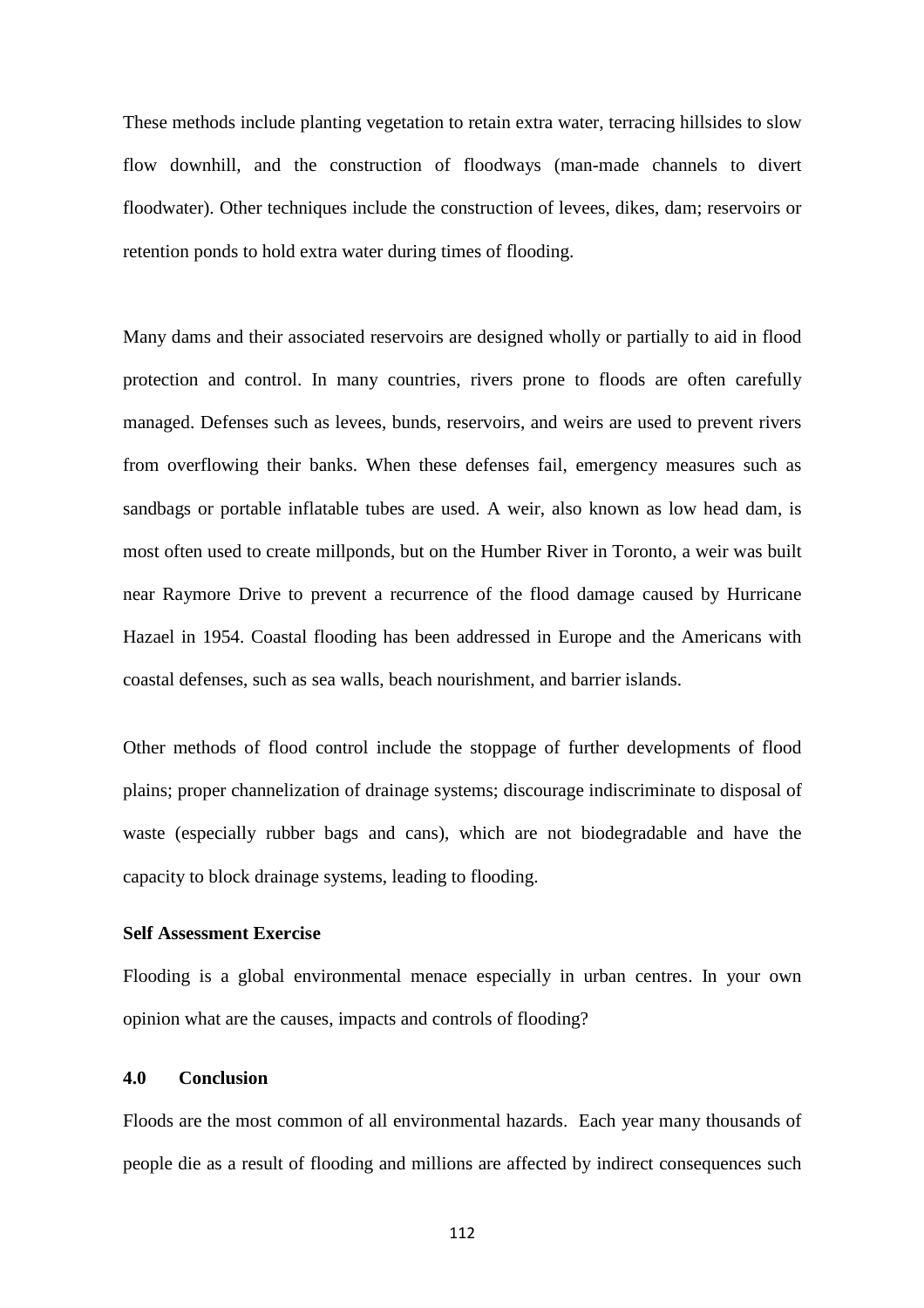These methods include planting vegetation to retain extra water, terracing hillsides to slow flow downhill, and the construction of floodways (man-made channels to divert floodwater). Other techniques include the construction of levees, dikes, dam; reservoirs or retention ponds to hold extra water during times of flooding.

Many dams and their associated reservoirs are designed wholly or partially to aid in flood protection and control. In many countries, rivers prone to floods are often carefully managed. Defenses such as levees, bunds, reservoirs, and weirs are used to prevent rivers from overflowing their banks. When these defenses fail, emergency measures such as sandbags or portable inflatable tubes are used. A weir, also known as low head dam, is most often used to create millponds, but on the Humber River in Toronto, a weir was built near Raymore Drive to prevent a recurrence of the flood damage caused by Hurricane Hazael in 1954. Coastal flooding has been addressed in Europe and the Americans with coastal defenses, such as sea walls, beach nourishment, and barrier islands.

Other methods of flood control include the stoppage of further developments of flood plains; proper channelization of drainage systems; discourage indiscriminate to disposal of waste (especially rubber bags and cans), which are not biodegradable and have the capacity to block drainage systems, leading to flooding.

#### **Self Assessment Exercise**

Flooding is a global environmental menace especially in urban centres. In your own opinion what are the causes, impacts and controls of flooding?

## **4.0 Conclusion**

Floods are the most common of all environmental hazards. Each year many thousands of people die as a result of flooding and millions are affected by indirect consequences such

112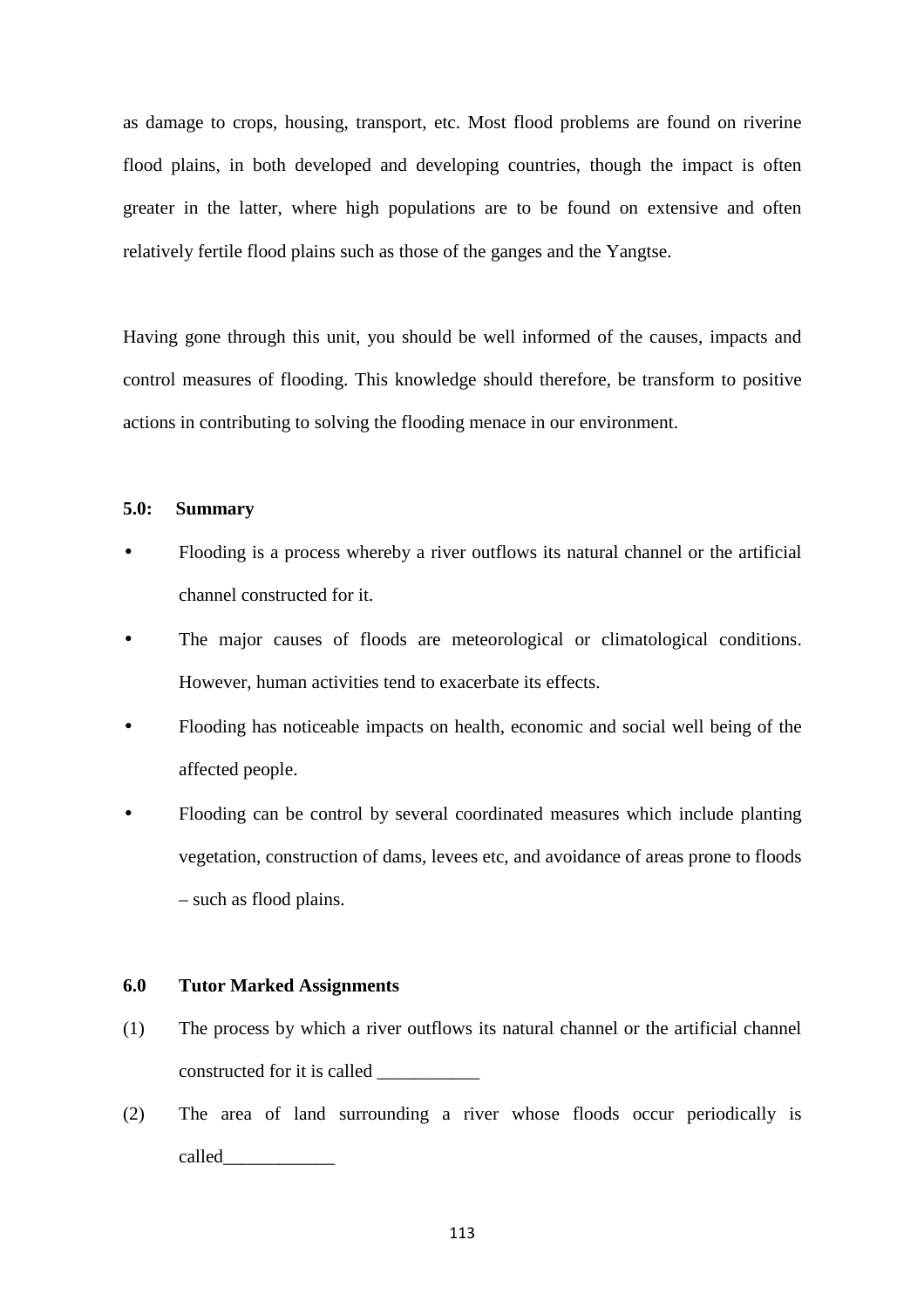as damage to crops, housing, transport, etc. Most flood problems are found on riverine flood plains, in both developed and developing countries, though the impact is often greater in the latter, where high populations are to be found on extensive and often relatively fertile flood plains such as those of the ganges and the Yangtse.

Having gone through this unit, you should be well informed of the causes, impacts and control measures of flooding. This knowledge should therefore, be transform to positive actions in contributing to solving the flooding menace in our environment.

## **5.0: Summary**

- Flooding is a process whereby a river outflows its natural channel or the artificial channel constructed for it.
- The major causes of floods are meteorological or climatological conditions. However, human activities tend to exacerbate its effects.
- Flooding has noticeable impacts on health, economic and social well being of the affected people.
- Flooding can be control by several coordinated measures which include planting vegetation, construction of dams, levees etc, and avoidance of areas prone to floods – such as flood plains.

#### **6.0 Tutor Marked Assignments**

- (1) The process by which a river outflows its natural channel or the artificial channel constructed for it is called
- (2) The area of land surrounding a river whose floods occur periodically is called\_\_\_\_\_\_\_\_\_\_\_\_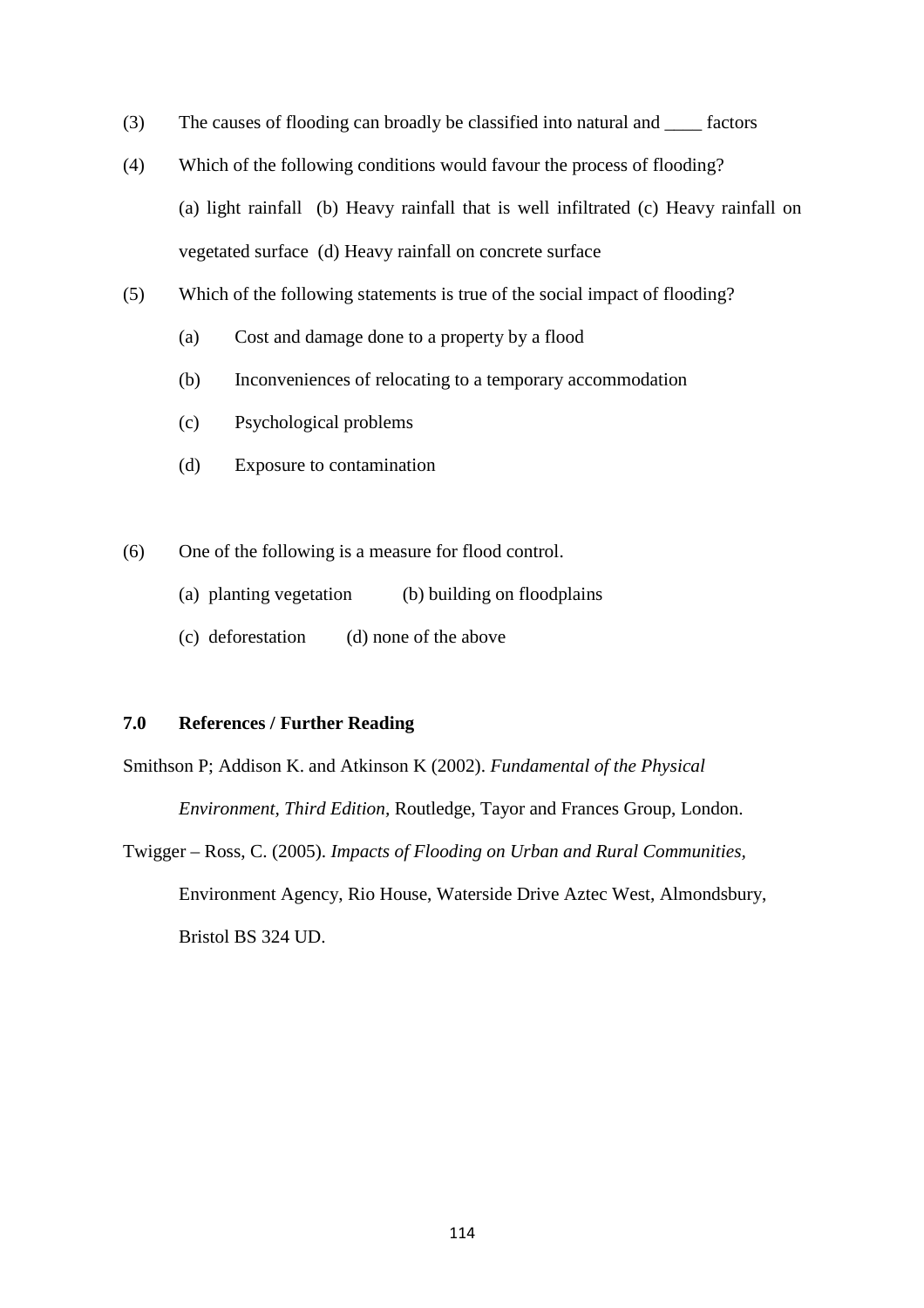- (3) The causes of flooding can broadly be classified into natural and \_\_\_\_ factors
- (4) Which of the following conditions would favour the process of flooding? (a) light rainfall (b) Heavy rainfall that is well infiltrated (c) Heavy rainfall on vegetated surface (d) Heavy rainfall on concrete surface
- (5) Which of the following statements is true of the social impact of flooding?
	- (a) Cost and damage done to a property by a flood
	- (b) Inconveniences of relocating to a temporary accommodation
	- (c) Psychological problems
	- (d) Exposure to contamination
- (6) One of the following is a measure for flood control.
	- (a) planting vegetation (b) building on floodplains
	- (c) deforestation (d) none of the above

# **7.0 References / Further Reading**

Smithson P; Addison K. and Atkinson K (2002). *Fundamental of the Physical Environment, Third Edition,* Routledge, Tayor and Frances Group, London.

Twigger – Ross, C. (2005). *Impacts of Flooding on Urban and Rural Communities,* Environment Agency, Rio House, Waterside Drive Aztec West, Almondsbury, Bristol BS 324 UD.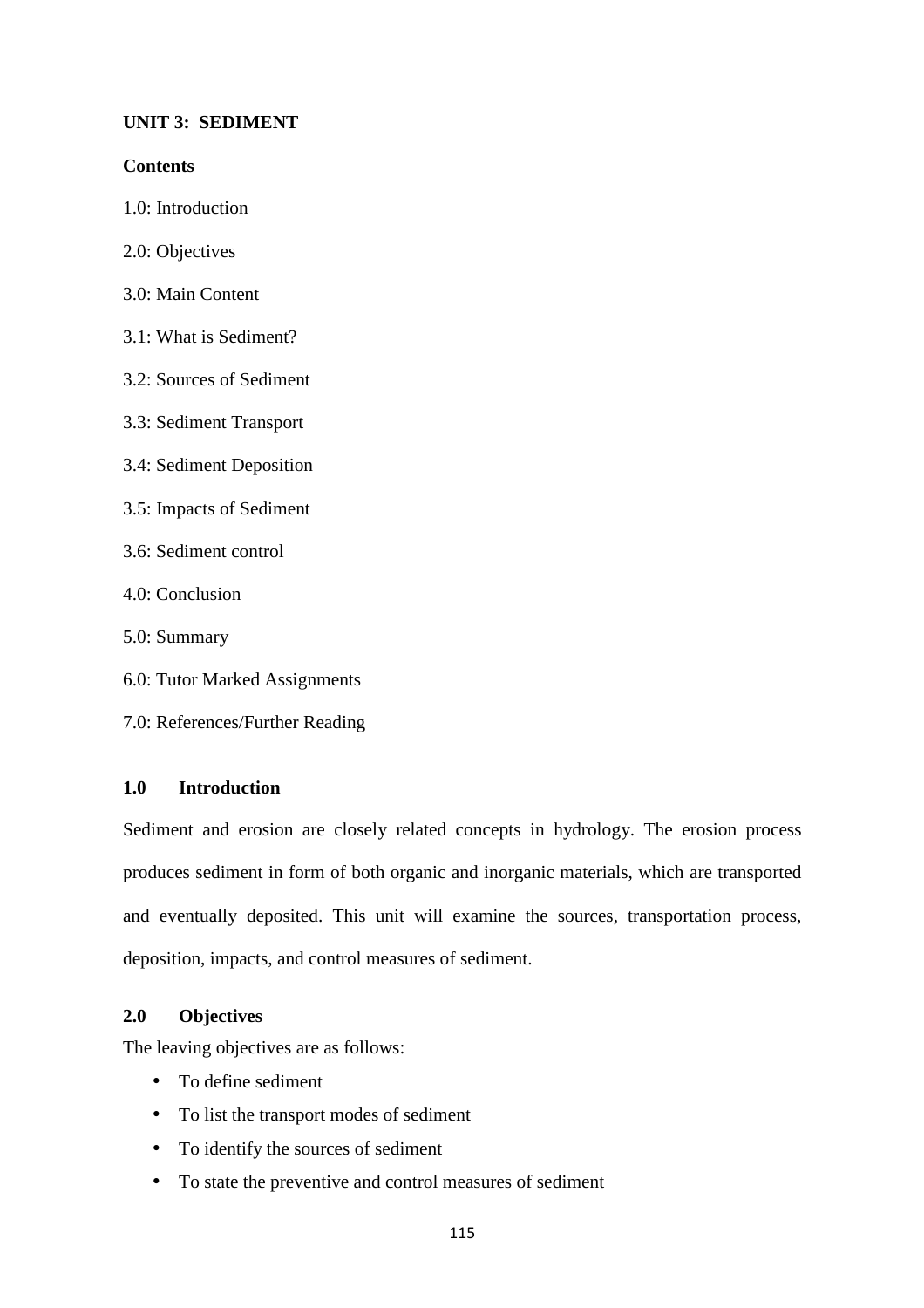# **UNIT 3: SEDIMENT**

## **Contents**

- 1.0: Introduction
- 2.0: Objectives
- 3.0: Main Content
- 3.1: What is Sediment?
- 3.2: Sources of Sediment
- 3.3: Sediment Transport
- 3.4: Sediment Deposition
- 3.5: Impacts of Sediment
- 3.6: Sediment control
- 4.0: Conclusion
- 5.0: Summary
- 6.0: Tutor Marked Assignments
- 7.0: References/Further Reading

# **1.0 Introduction**

Sediment and erosion are closely related concepts in hydrology. The erosion process produces sediment in form of both organic and inorganic materials, which are transported and eventually deposited. This unit will examine the sources, transportation process, deposition, impacts, and control measures of sediment.

# **2.0 Objectives**

The leaving objectives are as follows:

- To define sediment
- To list the transport modes of sediment
- To identify the sources of sediment
- To state the preventive and control measures of sediment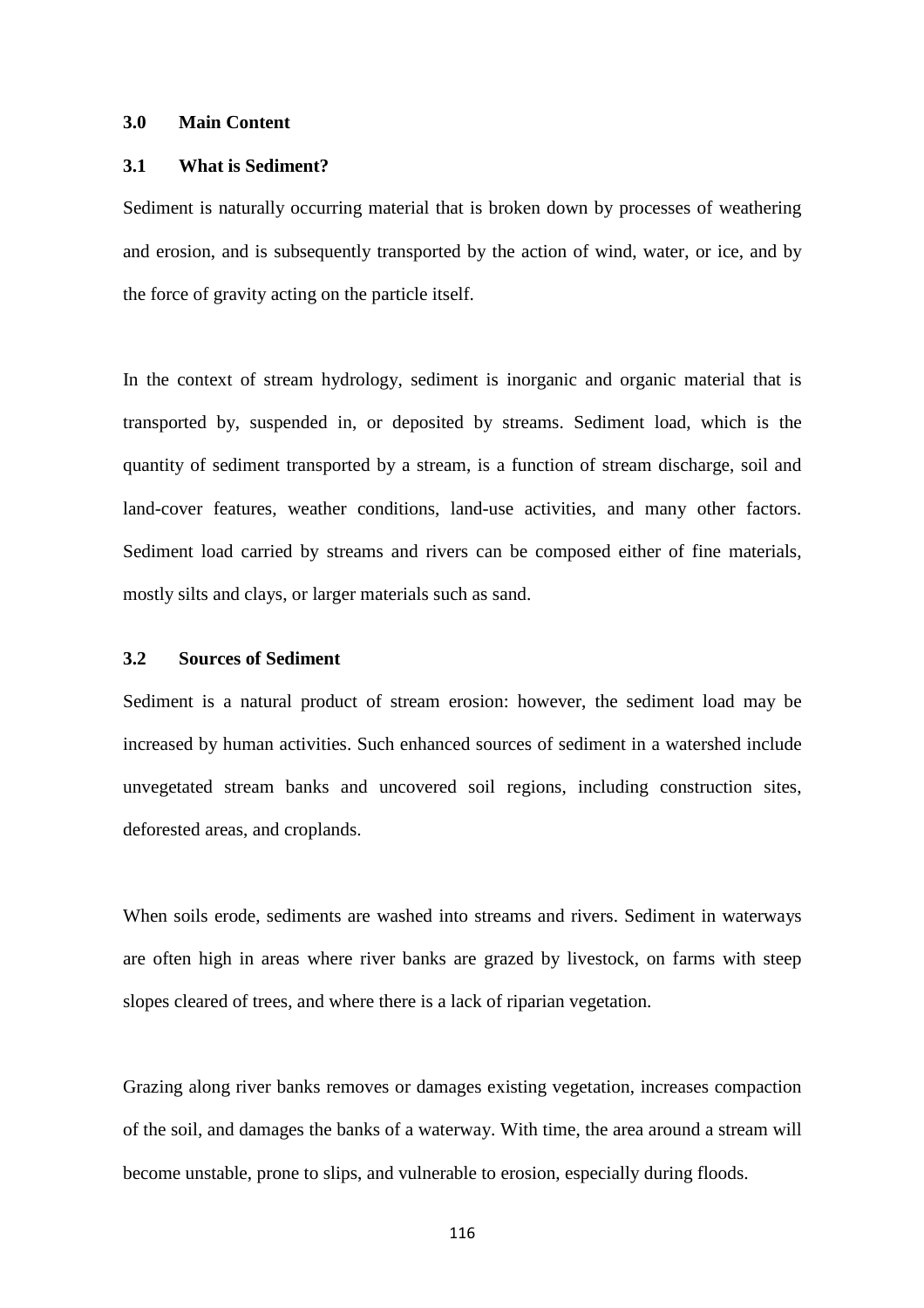#### **3.0 Main Content**

#### **3.1 What is Sediment?**

Sediment is naturally occurring material that is broken down by processes of weathering and erosion, and is subsequently transported by the action of wind, water, or ice, and by the force of gravity acting on the particle itself.

In the context of stream hydrology, sediment is inorganic and organic material that is transported by, suspended in, or deposited by streams. Sediment load, which is the quantity of sediment transported by a stream, is a function of stream discharge, soil and land-cover features, weather conditions, land-use activities, and many other factors. Sediment load carried by streams and rivers can be composed either of fine materials, mostly silts and clays, or larger materials such as sand.

#### **3.2 Sources of Sediment**

Sediment is a natural product of stream erosion: however, the sediment load may be increased by human activities. Such enhanced sources of sediment in a watershed include unvegetated stream banks and uncovered soil regions, including construction sites, deforested areas, and croplands.

When soils erode, sediments are washed into streams and rivers. Sediment in waterways are often high in areas where river banks are grazed by livestock, on farms with steep slopes cleared of trees, and where there is a lack of riparian vegetation.

Grazing along river banks removes or damages existing vegetation, increases compaction of the soil, and damages the banks of a waterway. With time, the area around a stream will become unstable, prone to slips, and vulnerable to erosion, especially during floods.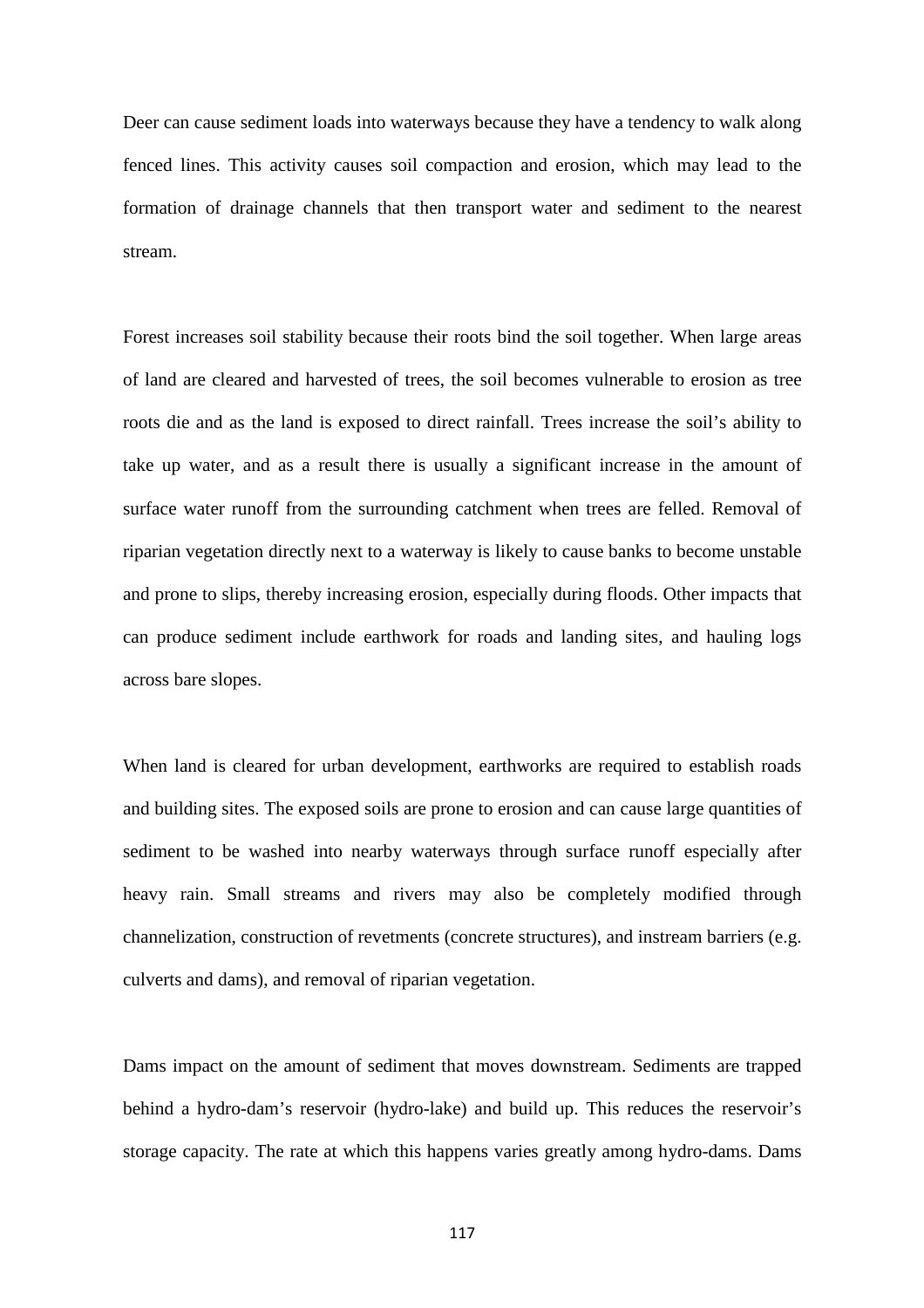Deer can cause sediment loads into waterways because they have a tendency to walk along fenced lines. This activity causes soil compaction and erosion, which may lead to the formation of drainage channels that then transport water and sediment to the nearest stream.

Forest increases soil stability because their roots bind the soil together. When large areas of land are cleared and harvested of trees, the soil becomes vulnerable to erosion as tree roots die and as the land is exposed to direct rainfall. Trees increase the soil's ability to take up water, and as a result there is usually a significant increase in the amount of surface water runoff from the surrounding catchment when trees are felled. Removal of riparian vegetation directly next to a waterway is likely to cause banks to become unstable and prone to slips, thereby increasing erosion, especially during floods. Other impacts that can produce sediment include earthwork for roads and landing sites, and hauling logs across bare slopes.

When land is cleared for urban development, earthworks are required to establish roads and building sites. The exposed soils are prone to erosion and can cause large quantities of sediment to be washed into nearby waterways through surface runoff especially after heavy rain. Small streams and rivers may also be completely modified through channelization, construction of revetments (concrete structures), and instream barriers (e.g. culverts and dams), and removal of riparian vegetation.

Dams impact on the amount of sediment that moves downstream. Sediments are trapped behind a hydro-dam's reservoir (hydro-lake) and build up. This reduces the reservoir's storage capacity. The rate at which this happens varies greatly among hydro-dams. Dams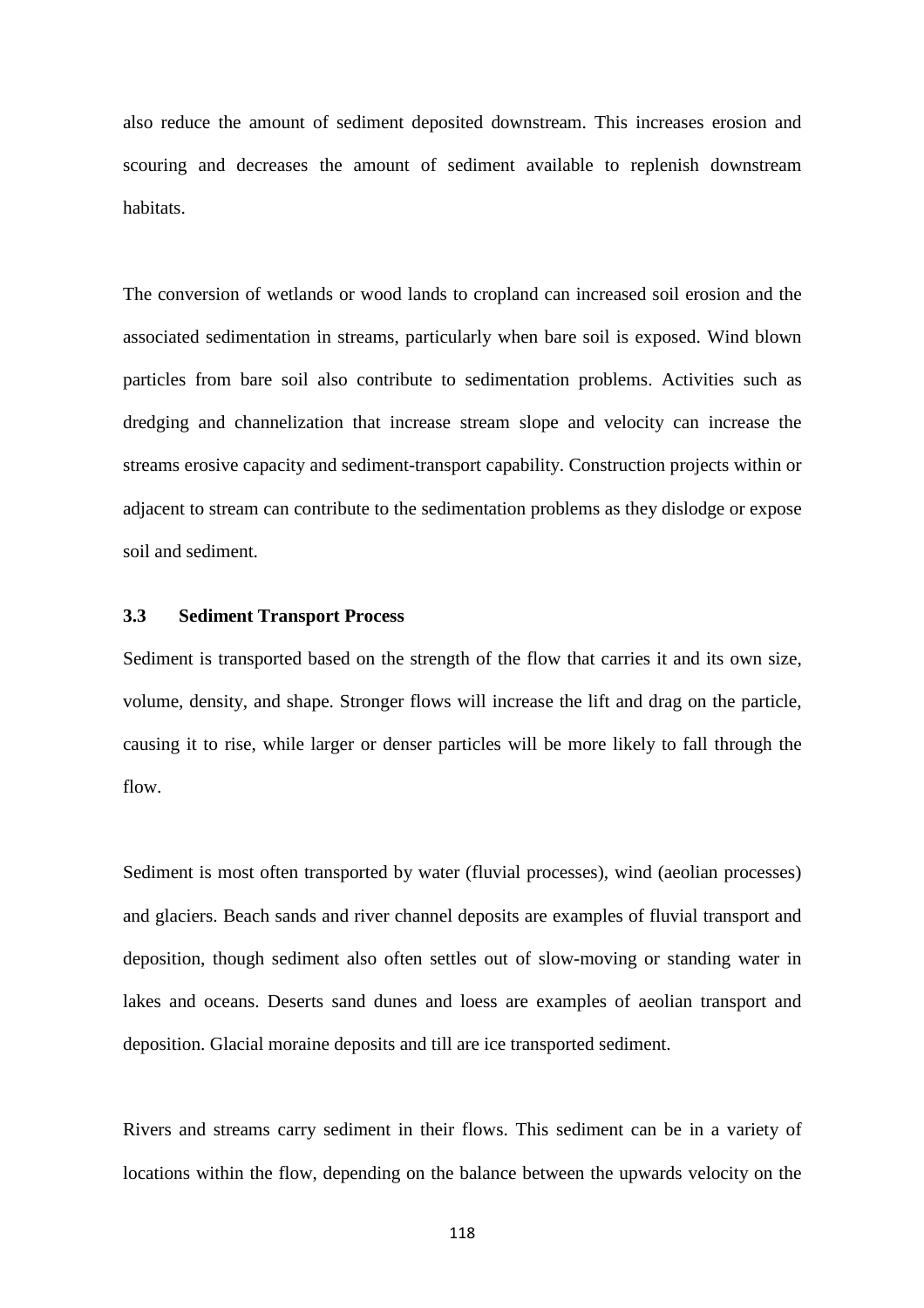also reduce the amount of sediment deposited downstream. This increases erosion and scouring and decreases the amount of sediment available to replenish downstream habitats.

The conversion of wetlands or wood lands to cropland can increased soil erosion and the associated sedimentation in streams, particularly when bare soil is exposed. Wind blown particles from bare soil also contribute to sedimentation problems. Activities such as dredging and channelization that increase stream slope and velocity can increase the streams erosive capacity and sediment-transport capability. Construction projects within or adjacent to stream can contribute to the sedimentation problems as they dislodge or expose soil and sediment.

#### **3.3 Sediment Transport Process**

Sediment is transported based on the strength of the flow that carries it and its own size, volume, density, and shape. Stronger flows will increase the lift and drag on the particle, causing it to rise, while larger or denser particles will be more likely to fall through the flow.

Sediment is most often transported by water (fluvial processes), wind (aeolian processes) and glaciers. Beach sands and river channel deposits are examples of fluvial transport and deposition, though sediment also often settles out of slow-moving or standing water in lakes and oceans. Deserts sand dunes and loess are examples of aeolian transport and deposition. Glacial moraine deposits and till are ice transported sediment.

Rivers and streams carry sediment in their flows. This sediment can be in a variety of locations within the flow, depending on the balance between the upwards velocity on the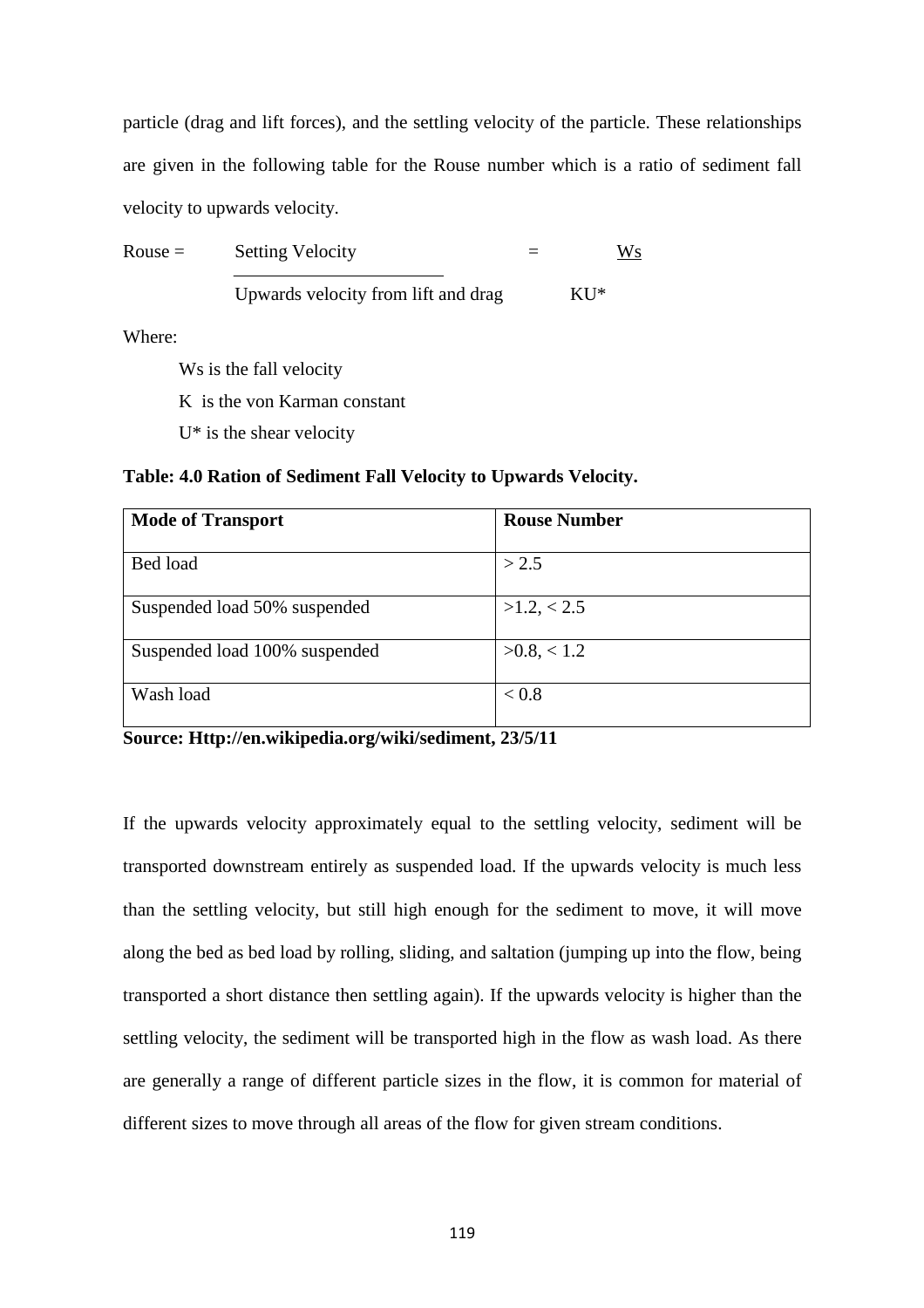particle (drag and lift forces), and the settling velocity of the particle. These relationships are given in the following table for the Rouse number which is a ratio of sediment fall velocity to upwards velocity.

$$
Rouse = \frac{Setting Velocity}{Upwards velocity from lift and drag}
$$
 
$$
KU^*
$$

Where:

Ws is the fall velocity

K is the von Karman constant

U\* is the shear velocity

**Table: 4.0 Ration of Sediment Fall Velocity to Upwards Velocity.** 

| <b>Mode of Transport</b>      | <b>Rouse Number</b> |  |
|-------------------------------|---------------------|--|
| Bed load                      | > 2.5               |  |
| Suspended load 50% suspended  | >1.2, < 2.5         |  |
| Suspended load 100% suspended | >0.8, < 1.2         |  |
| Wash load                     | < 0.8               |  |

**Source: Http://en.wikipedia.org/wiki/sediment, 23/5/11** 

If the upwards velocity approximately equal to the settling velocity, sediment will be transported downstream entirely as suspended load. If the upwards velocity is much less than the settling velocity, but still high enough for the sediment to move, it will move along the bed as bed load by rolling, sliding, and saltation (jumping up into the flow, being transported a short distance then settling again). If the upwards velocity is higher than the settling velocity, the sediment will be transported high in the flow as wash load. As there are generally a range of different particle sizes in the flow, it is common for material of different sizes to move through all areas of the flow for given stream conditions.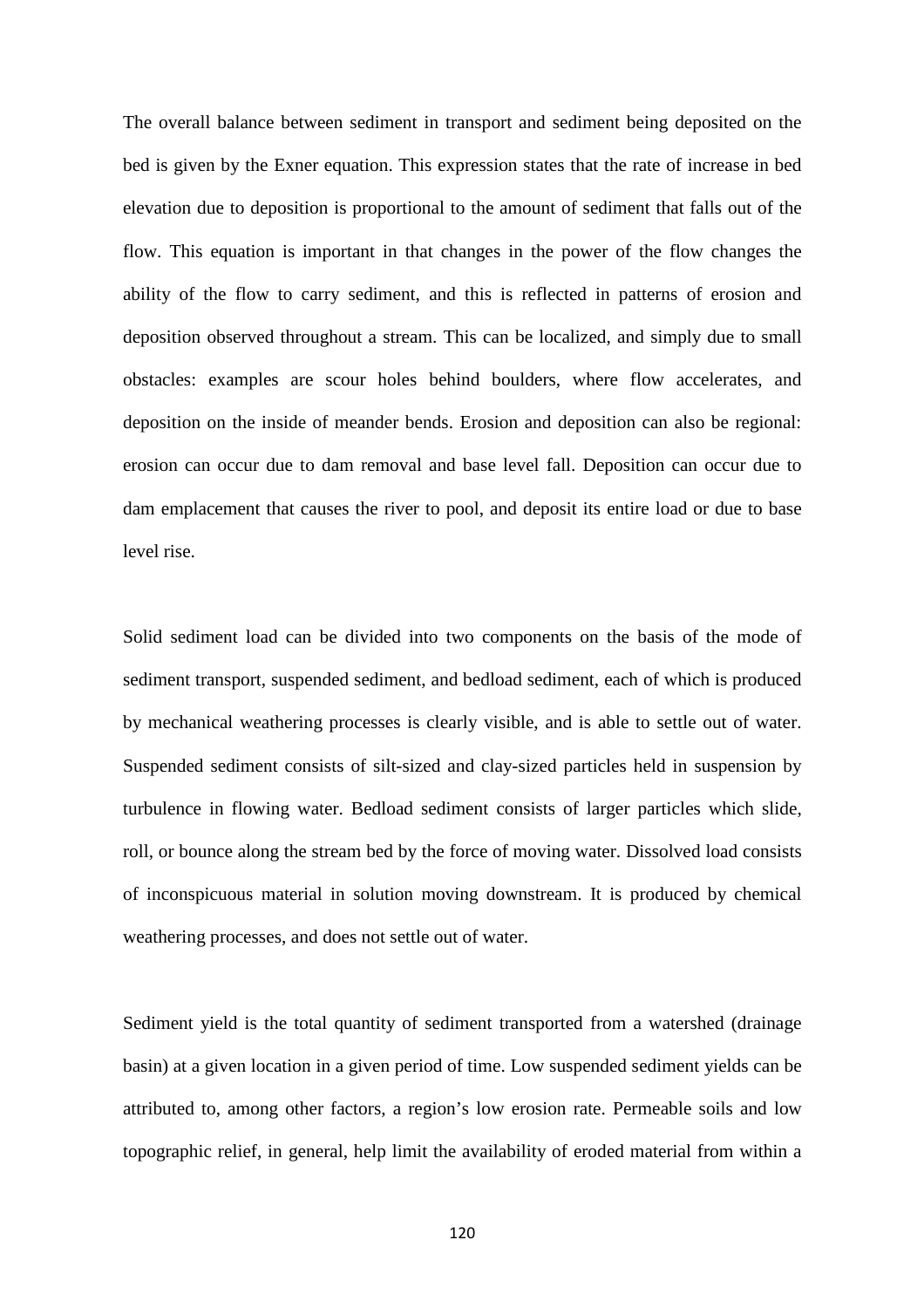The overall balance between sediment in transport and sediment being deposited on the bed is given by the Exner equation. This expression states that the rate of increase in bed elevation due to deposition is proportional to the amount of sediment that falls out of the flow. This equation is important in that changes in the power of the flow changes the ability of the flow to carry sediment, and this is reflected in patterns of erosion and deposition observed throughout a stream. This can be localized, and simply due to small obstacles: examples are scour holes behind boulders, where flow accelerates, and deposition on the inside of meander bends. Erosion and deposition can also be regional: erosion can occur due to dam removal and base level fall. Deposition can occur due to dam emplacement that causes the river to pool, and deposit its entire load or due to base level rise.

Solid sediment load can be divided into two components on the basis of the mode of sediment transport, suspended sediment, and bedload sediment, each of which is produced by mechanical weathering processes is clearly visible, and is able to settle out of water. Suspended sediment consists of silt-sized and clay-sized particles held in suspension by turbulence in flowing water. Bedload sediment consists of larger particles which slide, roll, or bounce along the stream bed by the force of moving water. Dissolved load consists of inconspicuous material in solution moving downstream. It is produced by chemical weathering processes, and does not settle out of water.

Sediment yield is the total quantity of sediment transported from a watershed (drainage basin) at a given location in a given period of time. Low suspended sediment yields can be attributed to, among other factors, a region's low erosion rate. Permeable soils and low topographic relief, in general, help limit the availability of eroded material from within a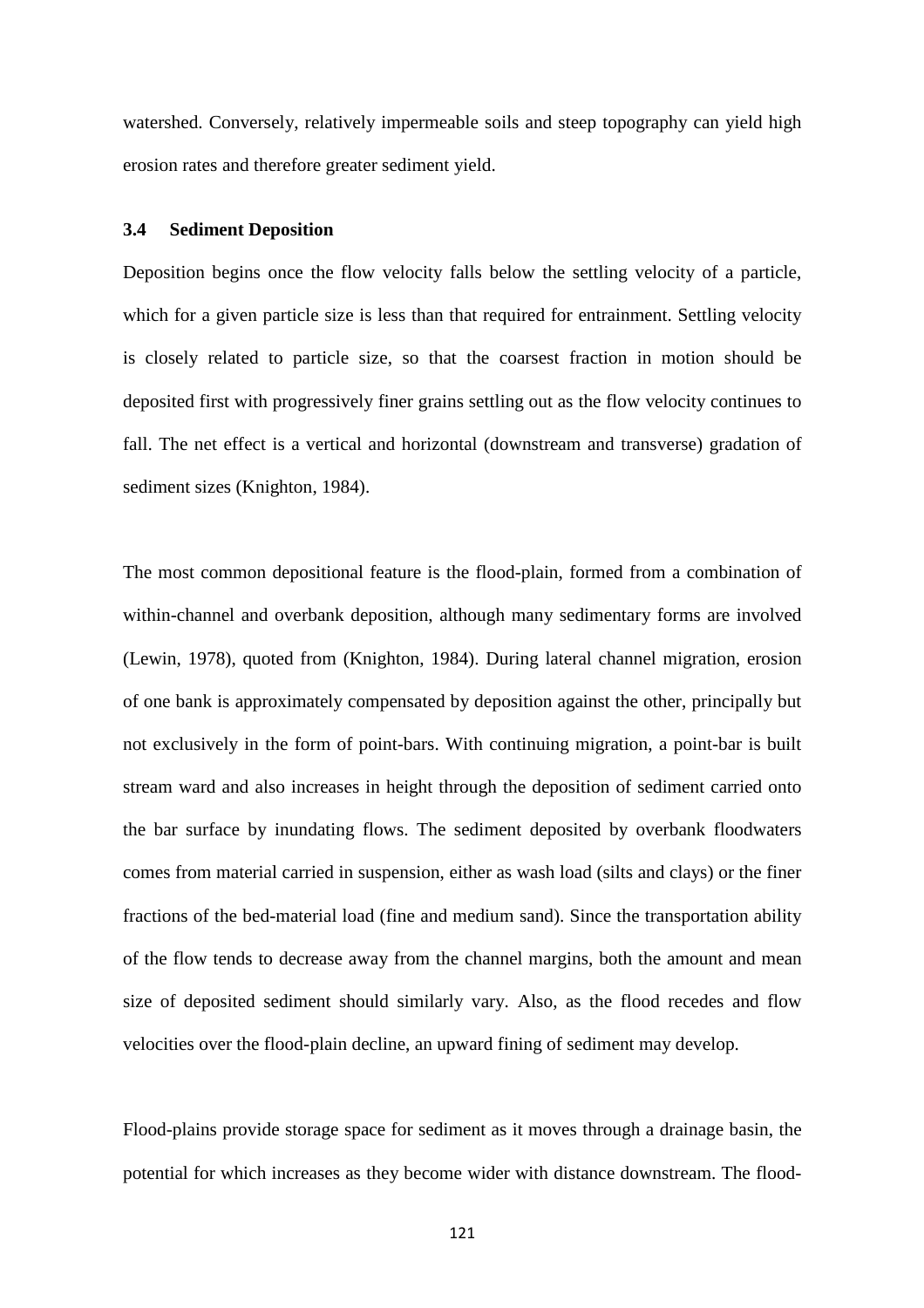watershed. Conversely, relatively impermeable soils and steep topography can yield high erosion rates and therefore greater sediment yield.

### **3.4 Sediment Deposition**

Deposition begins once the flow velocity falls below the settling velocity of a particle, which for a given particle size is less than that required for entrainment. Settling velocity is closely related to particle size, so that the coarsest fraction in motion should be deposited first with progressively finer grains settling out as the flow velocity continues to fall. The net effect is a vertical and horizontal (downstream and transverse) gradation of sediment sizes (Knighton, 1984).

The most common depositional feature is the flood-plain, formed from a combination of within-channel and overbank deposition, although many sedimentary forms are involved (Lewin, 1978), quoted from (Knighton, 1984). During lateral channel migration, erosion of one bank is approximately compensated by deposition against the other, principally but not exclusively in the form of point-bars. With continuing migration, a point-bar is built stream ward and also increases in height through the deposition of sediment carried onto the bar surface by inundating flows. The sediment deposited by overbank floodwaters comes from material carried in suspension, either as wash load (silts and clays) or the finer fractions of the bed-material load (fine and medium sand). Since the transportation ability of the flow tends to decrease away from the channel margins, both the amount and mean size of deposited sediment should similarly vary. Also, as the flood recedes and flow velocities over the flood-plain decline, an upward fining of sediment may develop.

Flood-plains provide storage space for sediment as it moves through a drainage basin, the potential for which increases as they become wider with distance downstream. The flood-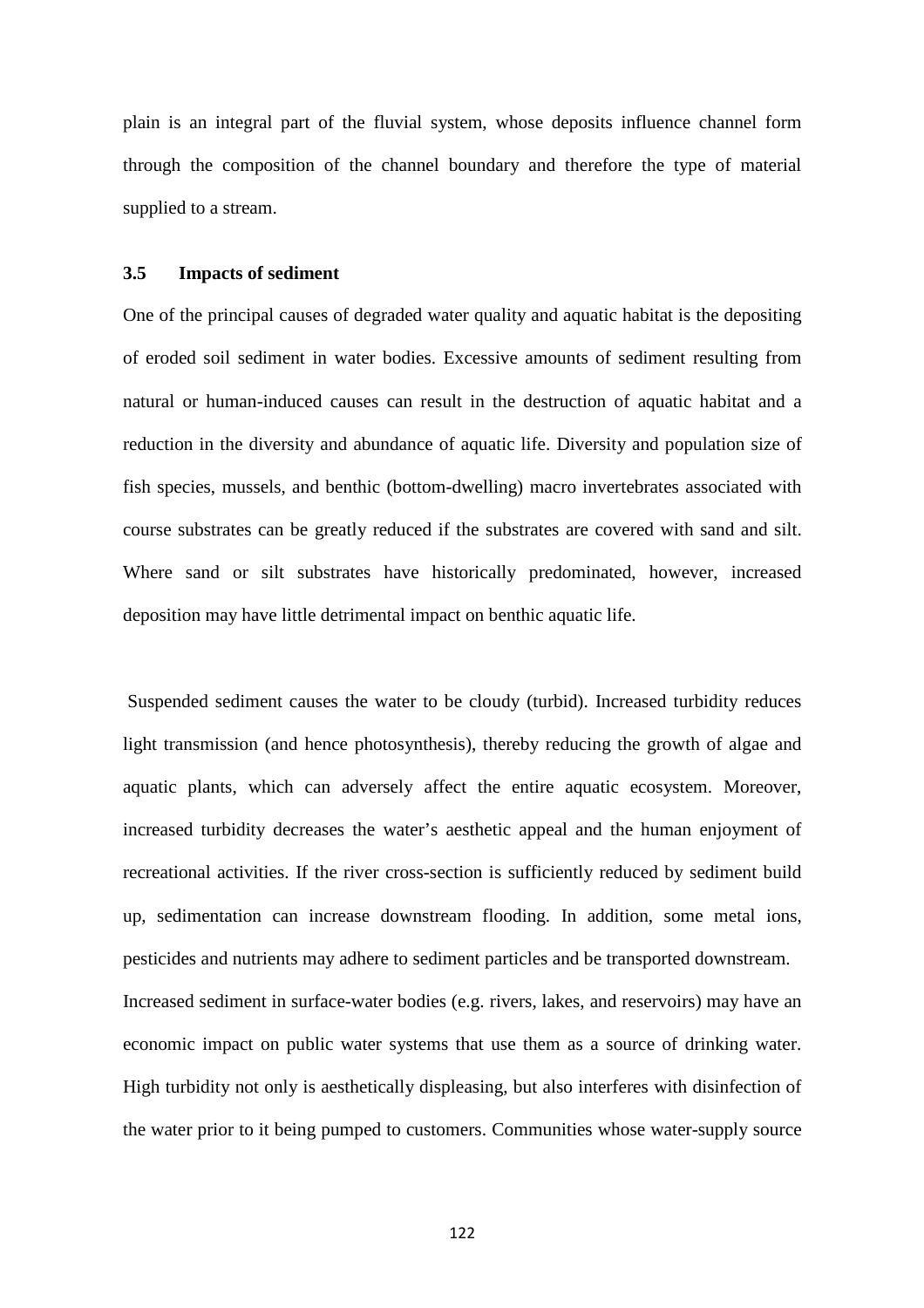plain is an integral part of the fluvial system, whose deposits influence channel form through the composition of the channel boundary and therefore the type of material supplied to a stream.

#### **3.5 Impacts of sediment**

One of the principal causes of degraded water quality and aquatic habitat is the depositing of eroded soil sediment in water bodies. Excessive amounts of sediment resulting from natural or human-induced causes can result in the destruction of aquatic habitat and a reduction in the diversity and abundance of aquatic life. Diversity and population size of fish species, mussels, and benthic (bottom-dwelling) macro invertebrates associated with course substrates can be greatly reduced if the substrates are covered with sand and silt. Where sand or silt substrates have historically predominated, however, increased deposition may have little detrimental impact on benthic aquatic life.

 Suspended sediment causes the water to be cloudy (turbid). Increased turbidity reduces light transmission (and hence photosynthesis), thereby reducing the growth of algae and aquatic plants, which can adversely affect the entire aquatic ecosystem. Moreover, increased turbidity decreases the water's aesthetic appeal and the human enjoyment of recreational activities. If the river cross-section is sufficiently reduced by sediment build up, sedimentation can increase downstream flooding. In addition, some metal ions, pesticides and nutrients may adhere to sediment particles and be transported downstream. Increased sediment in surface-water bodies (e.g. rivers, lakes, and reservoirs) may have an economic impact on public water systems that use them as a source of drinking water. High turbidity not only is aesthetically displeasing, but also interferes with disinfection of the water prior to it being pumped to customers. Communities whose water-supply source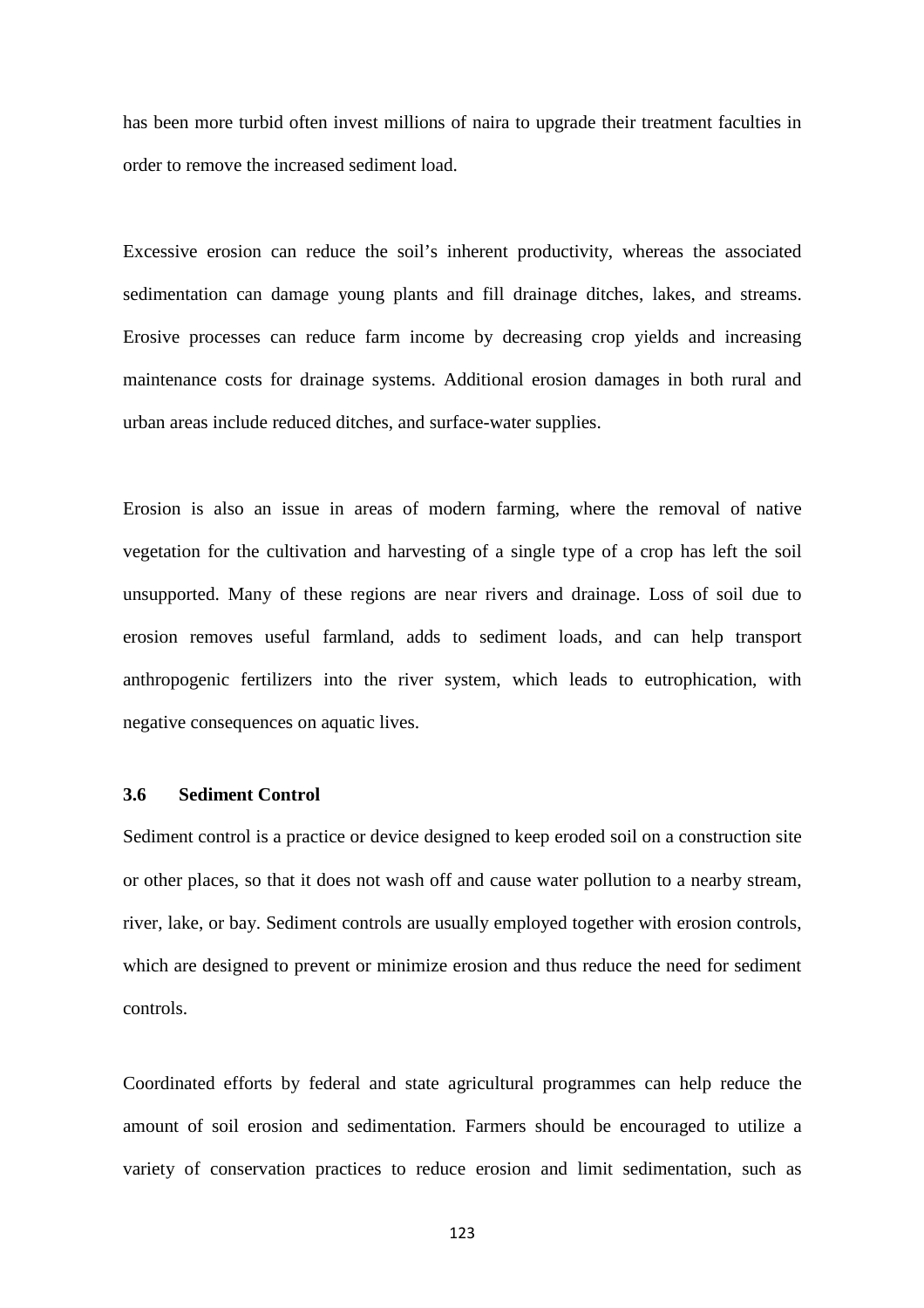has been more turbid often invest millions of naira to upgrade their treatment faculties in order to remove the increased sediment load.

Excessive erosion can reduce the soil's inherent productivity, whereas the associated sedimentation can damage young plants and fill drainage ditches, lakes, and streams. Erosive processes can reduce farm income by decreasing crop yields and increasing maintenance costs for drainage systems. Additional erosion damages in both rural and urban areas include reduced ditches, and surface-water supplies.

Erosion is also an issue in areas of modern farming, where the removal of native vegetation for the cultivation and harvesting of a single type of a crop has left the soil unsupported. Many of these regions are near rivers and drainage. Loss of soil due to erosion removes useful farmland, adds to sediment loads, and can help transport anthropogenic fertilizers into the river system, which leads to eutrophication, with negative consequences on aquatic lives.

## **3.6 Sediment Control**

Sediment control is a practice or device designed to keep eroded soil on a construction site or other places, so that it does not wash off and cause water pollution to a nearby stream, river, lake, or bay. Sediment controls are usually employed together with erosion controls, which are designed to prevent or minimize erosion and thus reduce the need for sediment controls.

Coordinated efforts by federal and state agricultural programmes can help reduce the amount of soil erosion and sedimentation. Farmers should be encouraged to utilize a variety of conservation practices to reduce erosion and limit sedimentation, such as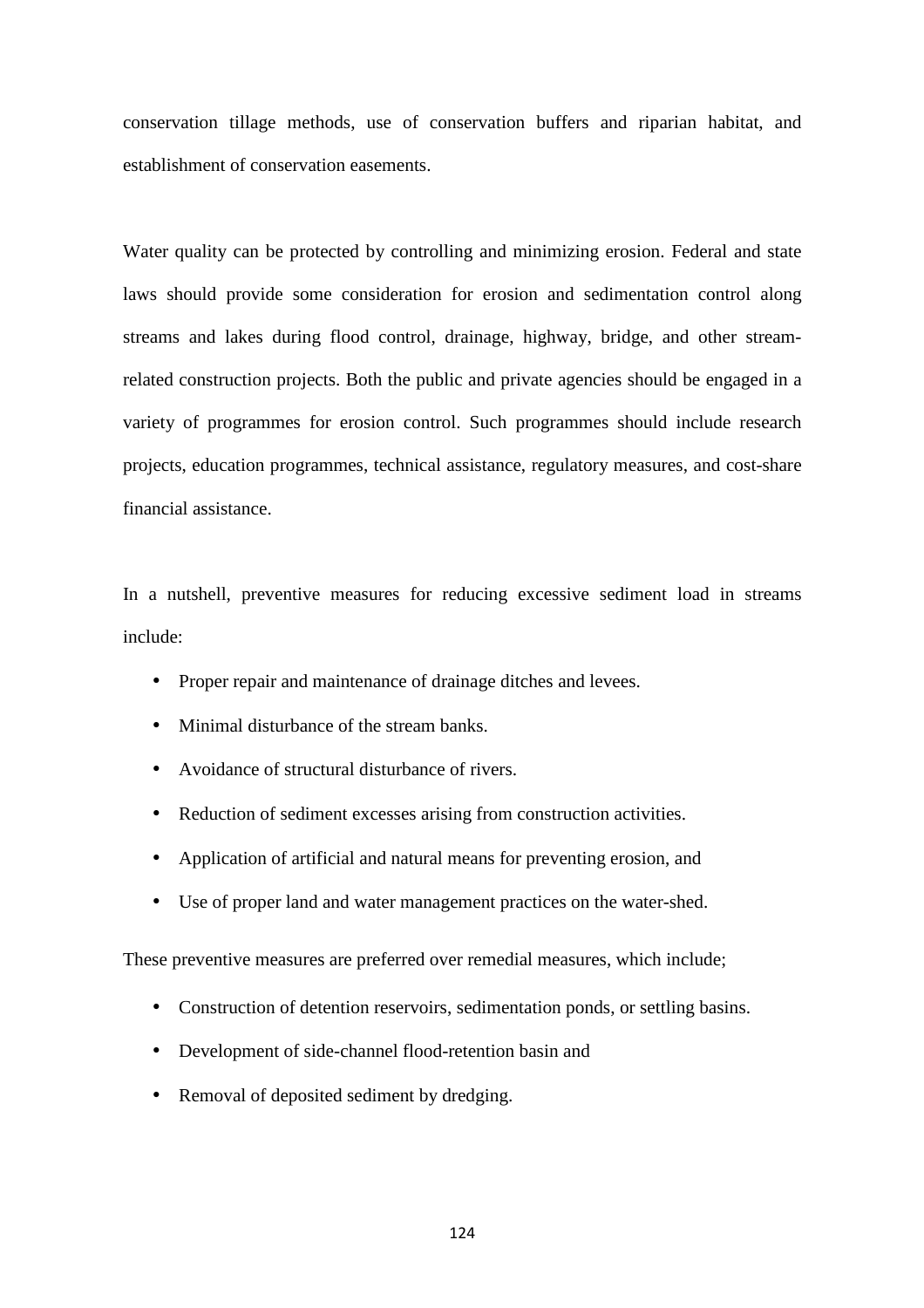conservation tillage methods, use of conservation buffers and riparian habitat, and establishment of conservation easements.

Water quality can be protected by controlling and minimizing erosion. Federal and state laws should provide some consideration for erosion and sedimentation control along streams and lakes during flood control, drainage, highway, bridge, and other streamrelated construction projects. Both the public and private agencies should be engaged in a variety of programmes for erosion control. Such programmes should include research projects, education programmes, technical assistance, regulatory measures, and cost-share financial assistance.

In a nutshell, preventive measures for reducing excessive sediment load in streams include:

- Proper repair and maintenance of drainage ditches and levees.
- Minimal disturbance of the stream banks.
- Avoidance of structural disturbance of rivers.
- Reduction of sediment excesses arising from construction activities.
- Application of artificial and natural means for preventing erosion, and
- Use of proper land and water management practices on the water-shed.

These preventive measures are preferred over remedial measures, which include;

- Construction of detention reservoirs, sedimentation ponds, or settling basins.
- Development of side-channel flood-retention basin and
- Removal of deposited sediment by dredging.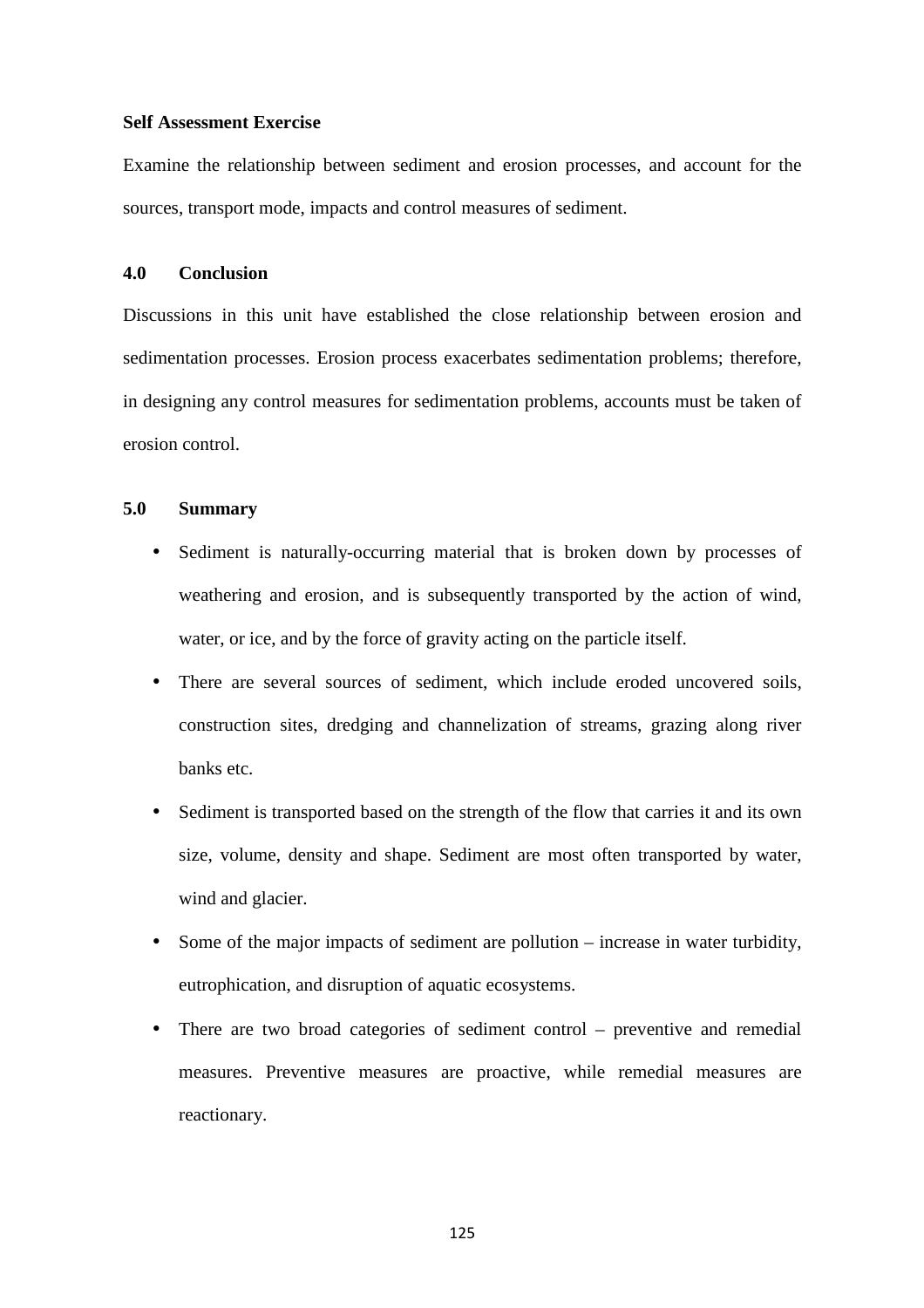#### **Self Assessment Exercise**

Examine the relationship between sediment and erosion processes, and account for the sources, transport mode, impacts and control measures of sediment.

### **4.0 Conclusion**

Discussions in this unit have established the close relationship between erosion and sedimentation processes. Erosion process exacerbates sedimentation problems; therefore, in designing any control measures for sedimentation problems, accounts must be taken of erosion control.

## **5.0 Summary**

- Sediment is naturally-occurring material that is broken down by processes of weathering and erosion, and is subsequently transported by the action of wind, water, or ice, and by the force of gravity acting on the particle itself.
- There are several sources of sediment, which include eroded uncovered soils, construction sites, dredging and channelization of streams, grazing along river banks etc.
- Sediment is transported based on the strength of the flow that carries it and its own size, volume, density and shape. Sediment are most often transported by water, wind and glacier.
- Some of the major impacts of sediment are pollution increase in water turbidity, eutrophication, and disruption of aquatic ecosystems.
- There are two broad categories of sediment control preventive and remedial measures. Preventive measures are proactive, while remedial measures are reactionary.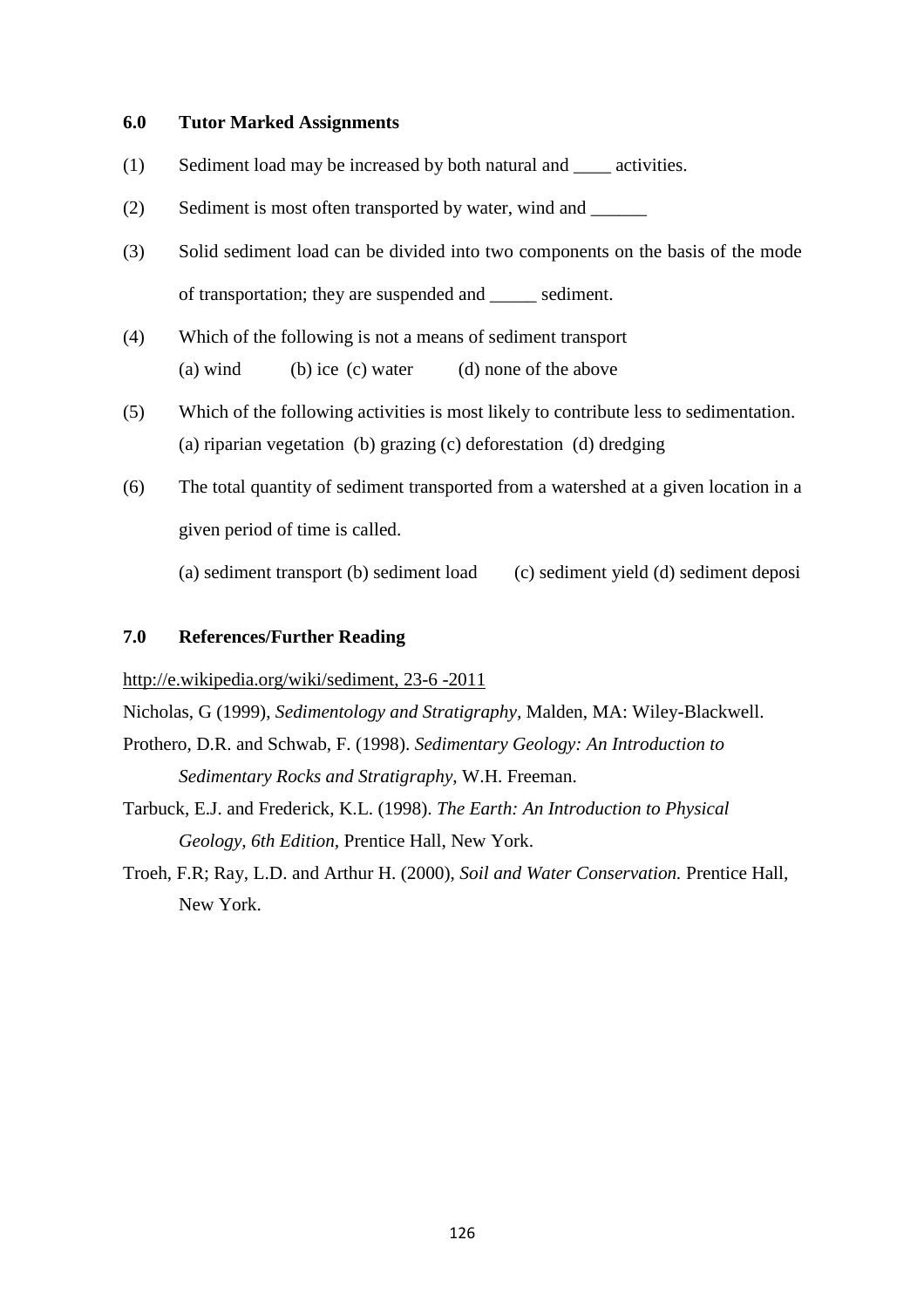#### **6.0 Tutor Marked Assignments**

- (1) Sediment load may be increased by both natural and activities.
- (2) Sediment is most often transported by water, wind and  $\qquad$
- (3) Solid sediment load can be divided into two components on the basis of the mode of transportation; they are suspended and \_\_\_\_\_ sediment.
- (4) Which of the following is not a means of sediment transport (a) wind (b) ice (c) water (d) none of the above
- (5) Which of the following activities is most likely to contribute less to sedimentation. (a) riparian vegetation (b) grazing (c) deforestation (d) dredging
- (6) The total quantity of sediment transported from a watershed at a given location in a given period of time is called.

(a) sediment transport (b) sediment load (c) sediment yield (d) sediment deposi

## **7.0 References/Further Reading**

http://e.wikipedia.org/wiki/sediment, 23-6 -2011

- Nicholas, G (1999), *Sedimentology and Stratigraphy,* Malden, MA: Wiley-Blackwell.
- Prothero, D.R. and Schwab, F. (1998). *Sedimentary Geology: An Introduction to Sedimentary Rocks and Stratigraphy,* W.H. Freeman.
- Tarbuck, E.J. and Frederick, K.L. (1998). *The Earth: An Introduction to Physical Geology, 6th Edition,* Prentice Hall, New York.
- Troeh, F.R; Ray, L.D. and Arthur H. (2000), *Soil and Water Conservation.* Prentice Hall, New York.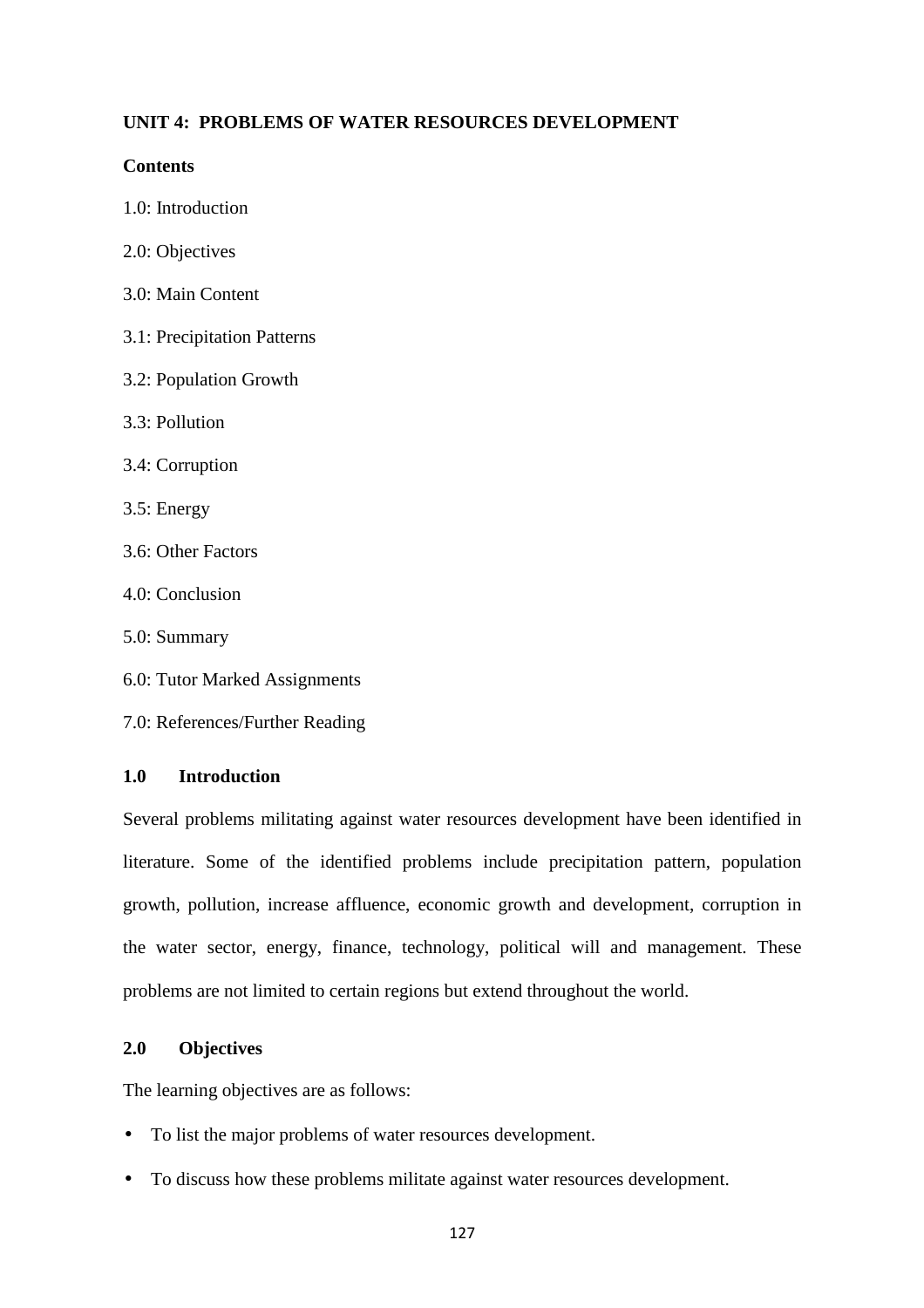# **UNIT 4: PROBLEMS OF WATER RESOURCES DEVELOPMENT**

### **Contents**

- 1.0: Introduction
- 2.0: Objectives
- 3.0: Main Content
- 3.1: Precipitation Patterns
- 3.2: Population Growth
- 3.3: Pollution
- 3.4: Corruption
- 3.5: Energy
- 3.6: Other Factors
- 4.0: Conclusion
- 5.0: Summary
- 6.0: Tutor Marked Assignments
- 7.0: References/Further Reading

# **1.0 Introduction**

Several problems militating against water resources development have been identified in literature. Some of the identified problems include precipitation pattern, population growth, pollution, increase affluence, economic growth and development, corruption in the water sector, energy, finance, technology, political will and management. These problems are not limited to certain regions but extend throughout the world.

## **2.0 Objectives**

The learning objectives are as follows:

- To list the major problems of water resources development.
- To discuss how these problems militate against water resources development.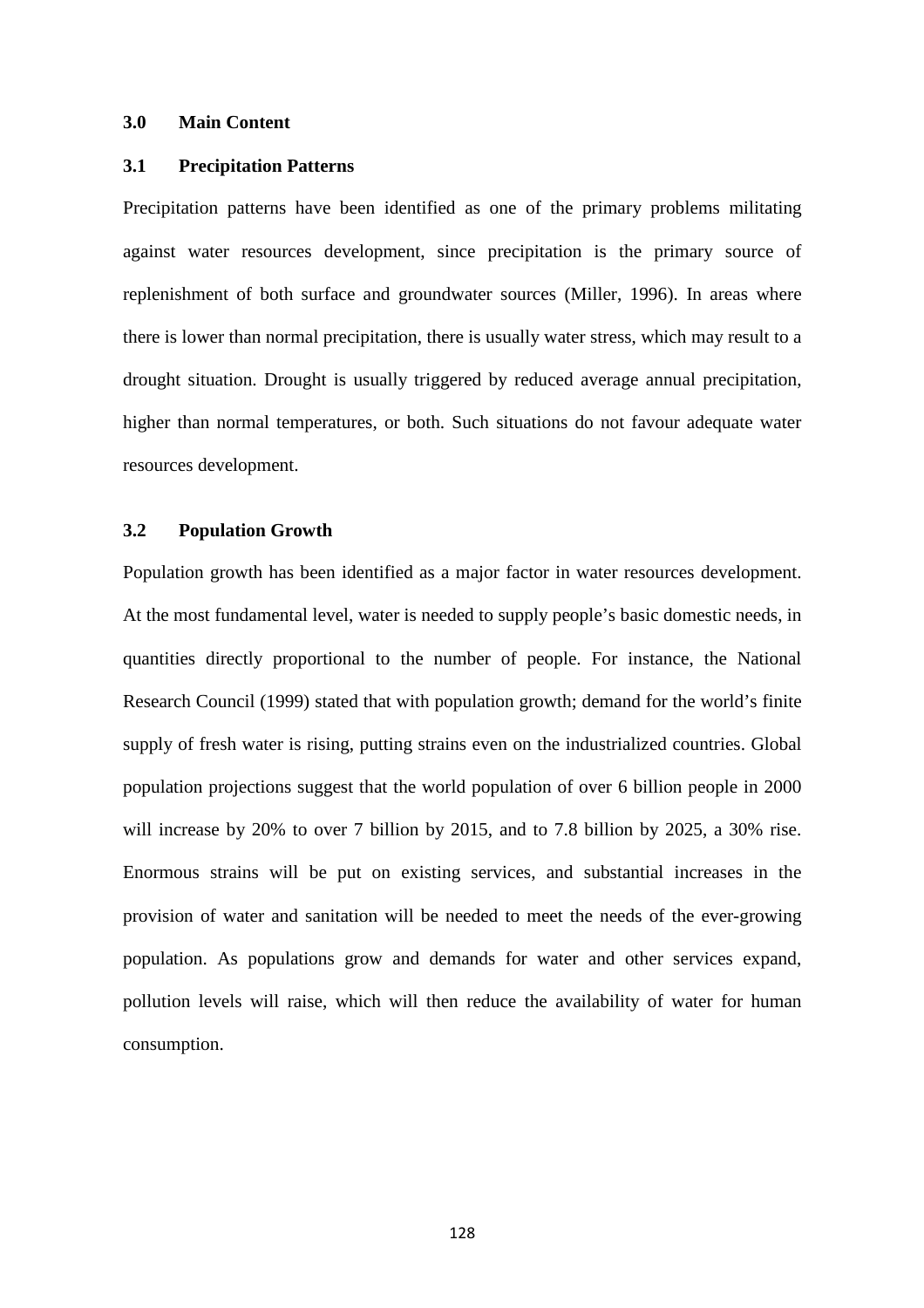#### **3.0 Main Content**

#### **3.1 Precipitation Patterns**

Precipitation patterns have been identified as one of the primary problems militating against water resources development, since precipitation is the primary source of replenishment of both surface and groundwater sources (Miller, 1996). In areas where there is lower than normal precipitation, there is usually water stress, which may result to a drought situation. Drought is usually triggered by reduced average annual precipitation, higher than normal temperatures, or both. Such situations do not favour adequate water resources development.

## **3.2 Population Growth**

Population growth has been identified as a major factor in water resources development. At the most fundamental level, water is needed to supply people's basic domestic needs, in quantities directly proportional to the number of people. For instance, the National Research Council (1999) stated that with population growth; demand for the world's finite supply of fresh water is rising, putting strains even on the industrialized countries. Global population projections suggest that the world population of over 6 billion people in 2000 will increase by 20% to over 7 billion by 2015, and to 7.8 billion by 2025, a 30% rise. Enormous strains will be put on existing services, and substantial increases in the provision of water and sanitation will be needed to meet the needs of the ever-growing population. As populations grow and demands for water and other services expand, pollution levels will raise, which will then reduce the availability of water for human consumption.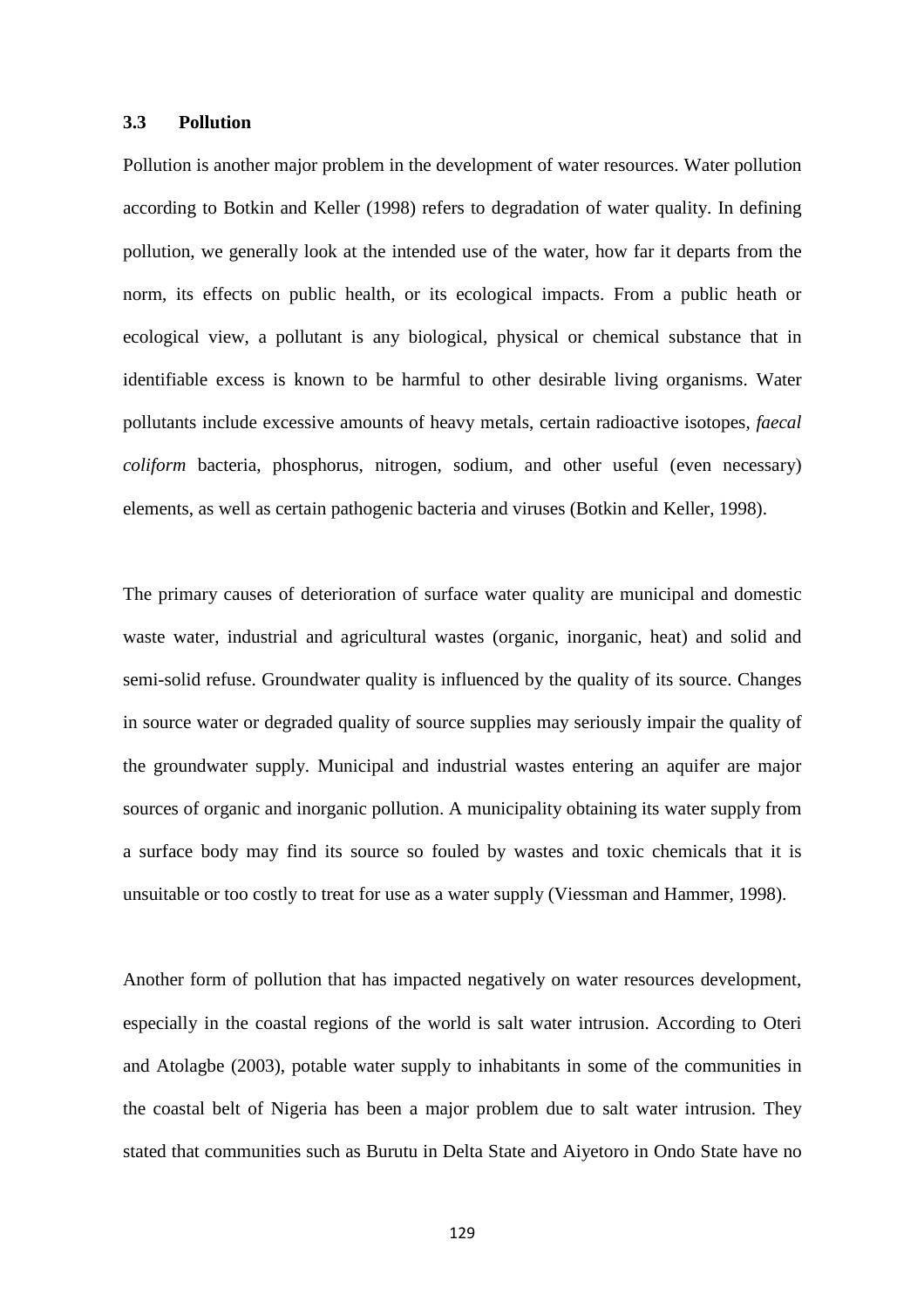#### **3.3 Pollution**

Pollution is another major problem in the development of water resources. Water pollution according to Botkin and Keller (1998) refers to degradation of water quality. In defining pollution, we generally look at the intended use of the water, how far it departs from the norm, its effects on public health, or its ecological impacts. From a public heath or ecological view, a pollutant is any biological, physical or chemical substance that in identifiable excess is known to be harmful to other desirable living organisms. Water pollutants include excessive amounts of heavy metals, certain radioactive isotopes, *faecal coliform* bacteria, phosphorus, nitrogen, sodium, and other useful (even necessary) elements, as well as certain pathogenic bacteria and viruses (Botkin and Keller, 1998).

The primary causes of deterioration of surface water quality are municipal and domestic waste water, industrial and agricultural wastes (organic, inorganic, heat) and solid and semi-solid refuse. Groundwater quality is influenced by the quality of its source. Changes in source water or degraded quality of source supplies may seriously impair the quality of the groundwater supply. Municipal and industrial wastes entering an aquifer are major sources of organic and inorganic pollution. A municipality obtaining its water supply from a surface body may find its source so fouled by wastes and toxic chemicals that it is unsuitable or too costly to treat for use as a water supply (Viessman and Hammer, 1998).

Another form of pollution that has impacted negatively on water resources development, especially in the coastal regions of the world is salt water intrusion. According to Oteri and Atolagbe (2003), potable water supply to inhabitants in some of the communities in the coastal belt of Nigeria has been a major problem due to salt water intrusion. They stated that communities such as Burutu in Delta State and Aiyetoro in Ondo State have no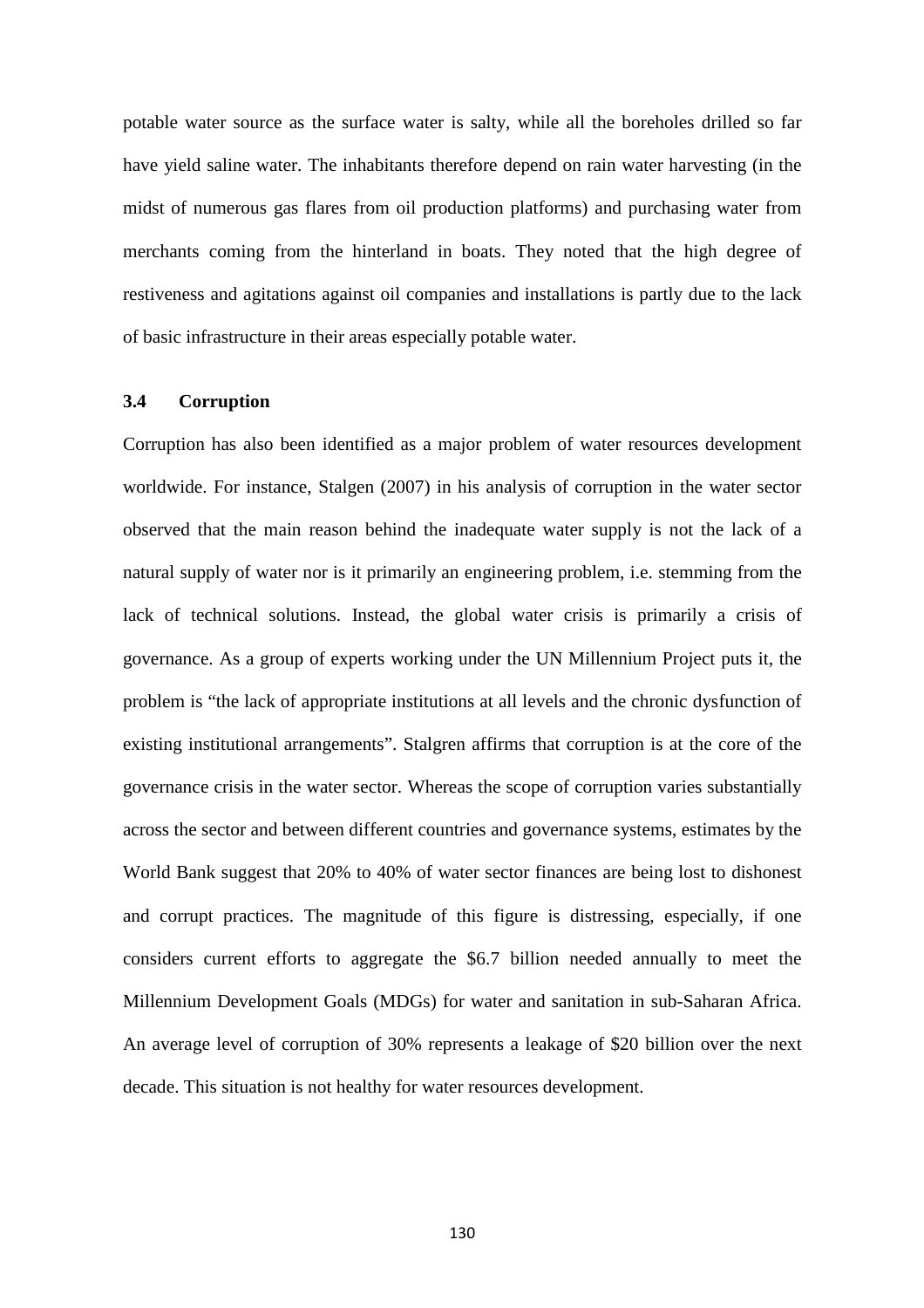potable water source as the surface water is salty, while all the boreholes drilled so far have yield saline water. The inhabitants therefore depend on rain water harvesting (in the midst of numerous gas flares from oil production platforms) and purchasing water from merchants coming from the hinterland in boats. They noted that the high degree of restiveness and agitations against oil companies and installations is partly due to the lack of basic infrastructure in their areas especially potable water.

### **3.4 Corruption**

Corruption has also been identified as a major problem of water resources development worldwide. For instance, Stalgen (2007) in his analysis of corruption in the water sector observed that the main reason behind the inadequate water supply is not the lack of a natural supply of water nor is it primarily an engineering problem, i.e. stemming from the lack of technical solutions. Instead, the global water crisis is primarily a crisis of governance. As a group of experts working under the UN Millennium Project puts it, the problem is "the lack of appropriate institutions at all levels and the chronic dysfunction of existing institutional arrangements". Stalgren affirms that corruption is at the core of the governance crisis in the water sector. Whereas the scope of corruption varies substantially across the sector and between different countries and governance systems, estimates by the World Bank suggest that 20% to 40% of water sector finances are being lost to dishonest and corrupt practices. The magnitude of this figure is distressing, especially, if one considers current efforts to aggregate the \$6.7 billion needed annually to meet the Millennium Development Goals (MDGs) for water and sanitation in sub-Saharan Africa. An average level of corruption of 30% represents a leakage of \$20 billion over the next decade. This situation is not healthy for water resources development.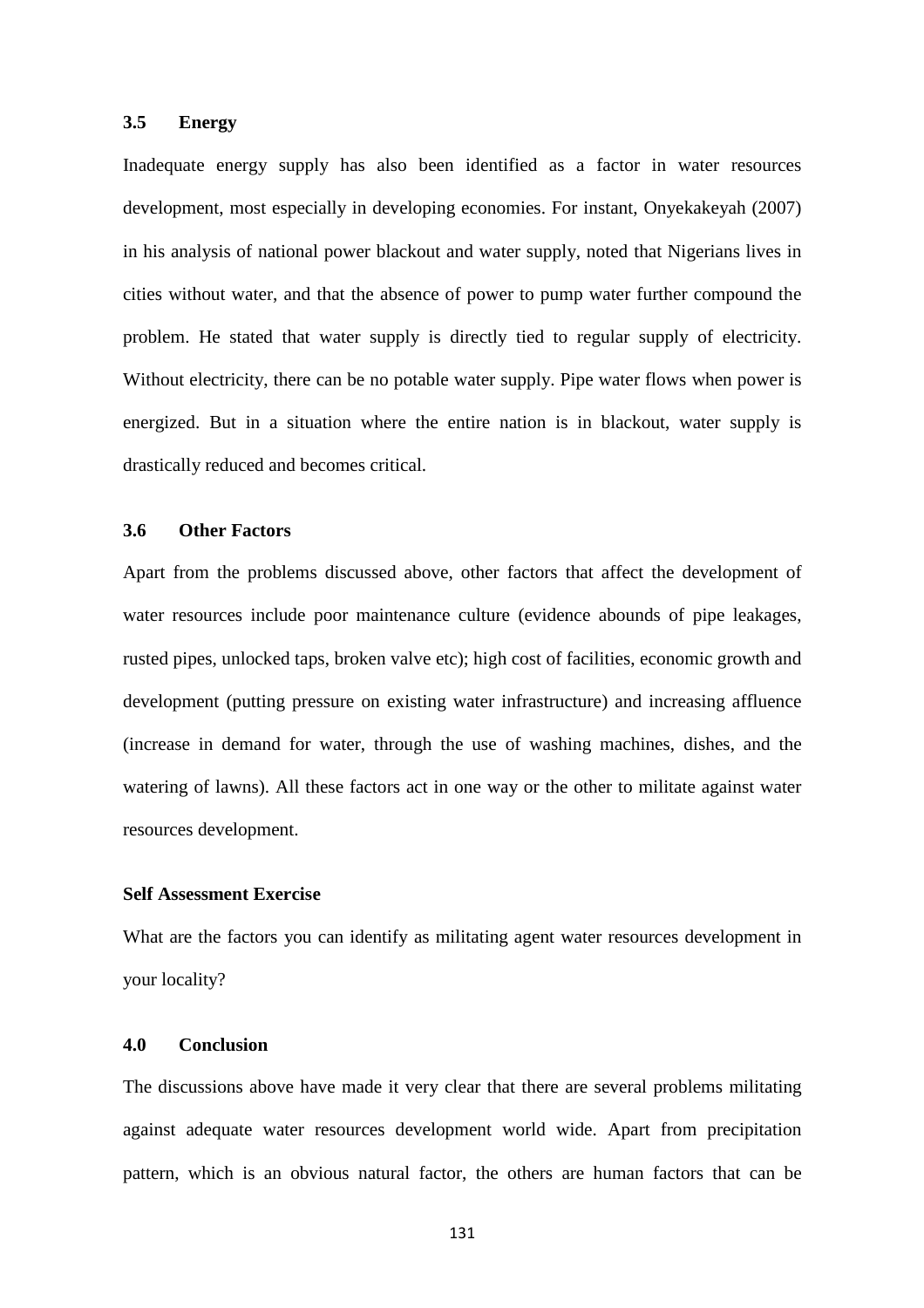#### **3.5 Energy**

Inadequate energy supply has also been identified as a factor in water resources development, most especially in developing economies. For instant, Onyekakeyah (2007) in his analysis of national power blackout and water supply, noted that Nigerians lives in cities without water, and that the absence of power to pump water further compound the problem. He stated that water supply is directly tied to regular supply of electricity. Without electricity, there can be no potable water supply. Pipe water flows when power is energized. But in a situation where the entire nation is in blackout, water supply is drastically reduced and becomes critical.

## **3.6 Other Factors**

Apart from the problems discussed above, other factors that affect the development of water resources include poor maintenance culture (evidence abounds of pipe leakages, rusted pipes, unlocked taps, broken valve etc); high cost of facilities, economic growth and development (putting pressure on existing water infrastructure) and increasing affluence (increase in demand for water, through the use of washing machines, dishes, and the watering of lawns). All these factors act in one way or the other to militate against water resources development.

#### **Self Assessment Exercise**

What are the factors you can identify as militating agent water resources development in your locality?

## **4.0 Conclusion**

The discussions above have made it very clear that there are several problems militating against adequate water resources development world wide. Apart from precipitation pattern, which is an obvious natural factor, the others are human factors that can be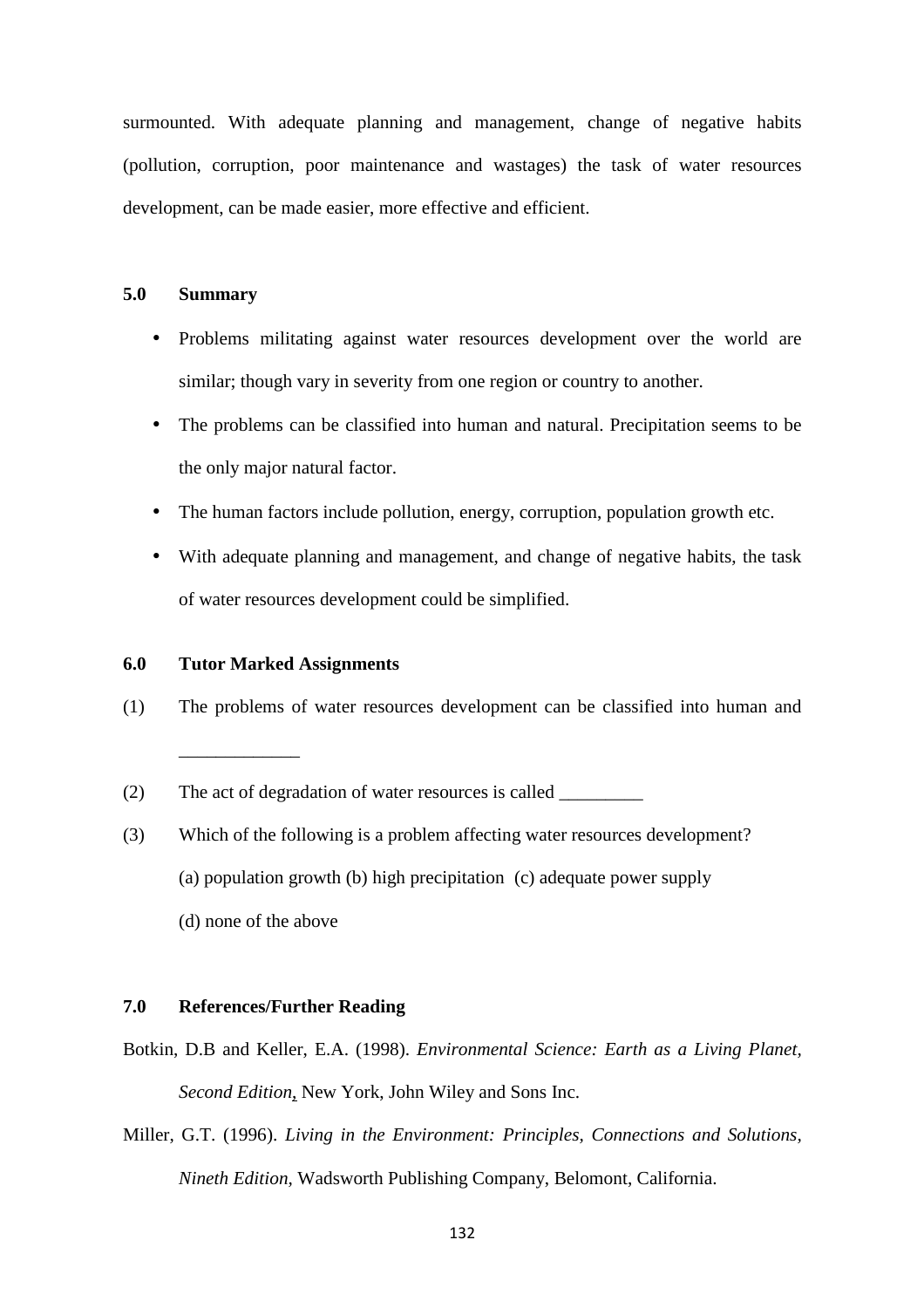surmounted. With adequate planning and management, change of negative habits (pollution, corruption, poor maintenance and wastages) the task of water resources development, can be made easier, more effective and efficient.

#### **5.0 Summary**

- Problems militating against water resources development over the world are similar; though vary in severity from one region or country to another.
- The problems can be classified into human and natural. Precipitation seems to be the only major natural factor.
- The human factors include pollution, energy, corruption, population growth etc.
- With adequate planning and management, and change of negative habits, the task of water resources development could be simplified.

### **6.0 Tutor Marked Assignments**

\_\_\_\_\_\_\_\_\_\_\_\_\_

(1) The problems of water resources development can be classified into human and

- (3) Which of the following is a problem affecting water resources development? (a) population growth (b) high precipitation (c) adequate power supply
	- (d) none of the above

## **7.0 References/Further Reading**

- Botkin, D.B and Keller, E.A. (1998). *Environmental Science: Earth as a Living Planet, Second Edition*, New York, John Wiley and Sons Inc.
- Miller, G.T. (1996). *Living in the Environment: Principles, Connections and Solutions, Nineth Edition,* Wadsworth Publishing Company, Belomont, California.

<sup>(2)</sup> The act of degradation of water resources is called \_\_\_\_\_\_\_\_\_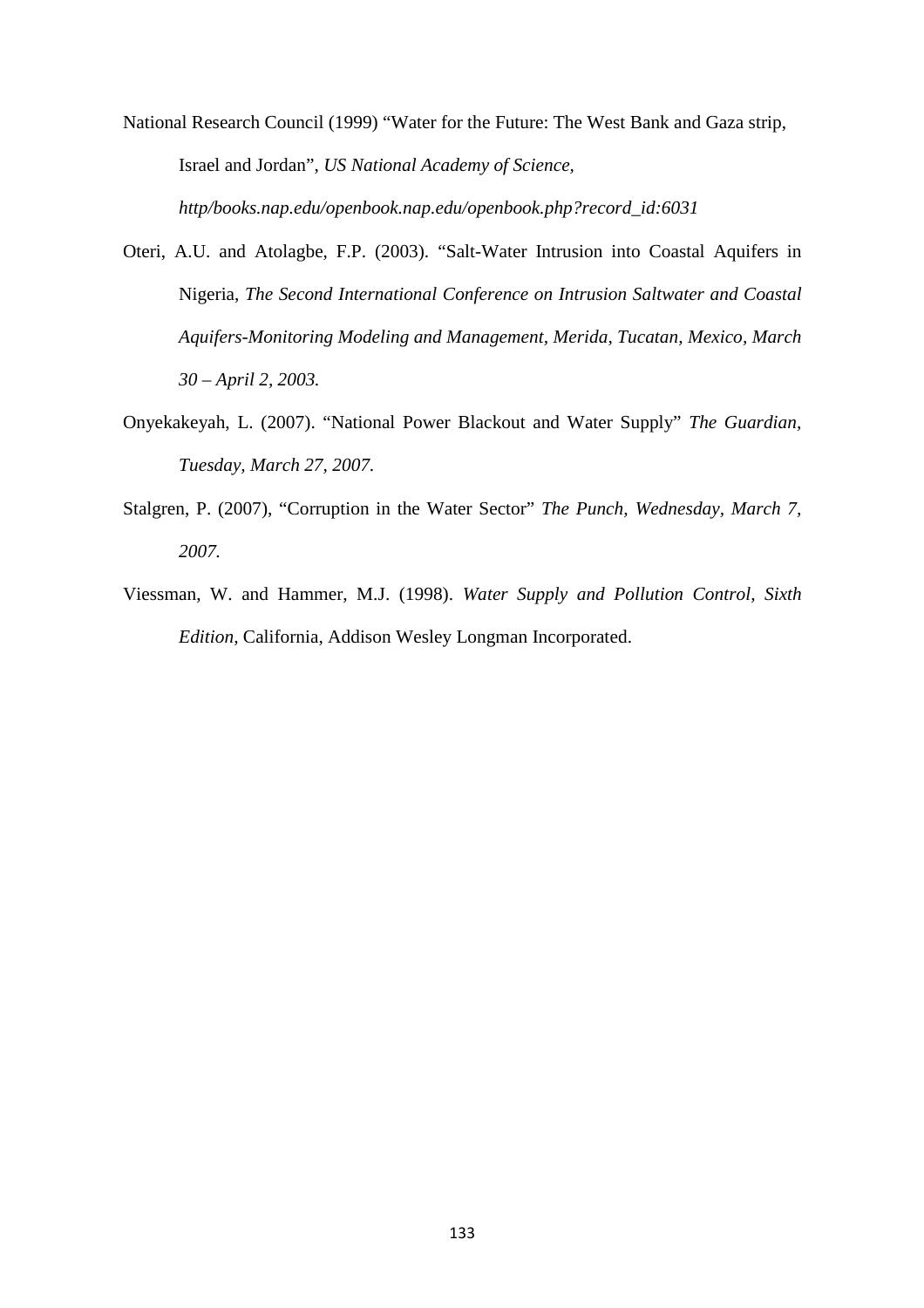National Research Council (1999) "Water for the Future: The West Bank and Gaza strip, Israel and Jordan", *US National Academy of Science, http/books.nap.edu/openbook.nap.edu/openbook.php?record\_id:6031*

- Oteri, A.U. and Atolagbe, F.P. (2003). "Salt-Water Intrusion into Coastal Aquifers in Nigeria, *The Second International Conference on Intrusion Saltwater and Coastal Aquifers-Monitoring Modeling and Management, Merida, Tucatan, Mexico, March 30 – April 2, 2003.*
- Onyekakeyah, L. (2007). "National Power Blackout and Water Supply" *The Guardian, Tuesday, March 27, 2007.*
- Stalgren, P. (2007), "Corruption in the Water Sector" *The Punch, Wednesday, March 7, 2007.*
- Viessman, W. and Hammer, M.J. (1998). *Water Supply and Pollution Control, Sixth Edition,* California, Addison Wesley Longman Incorporated.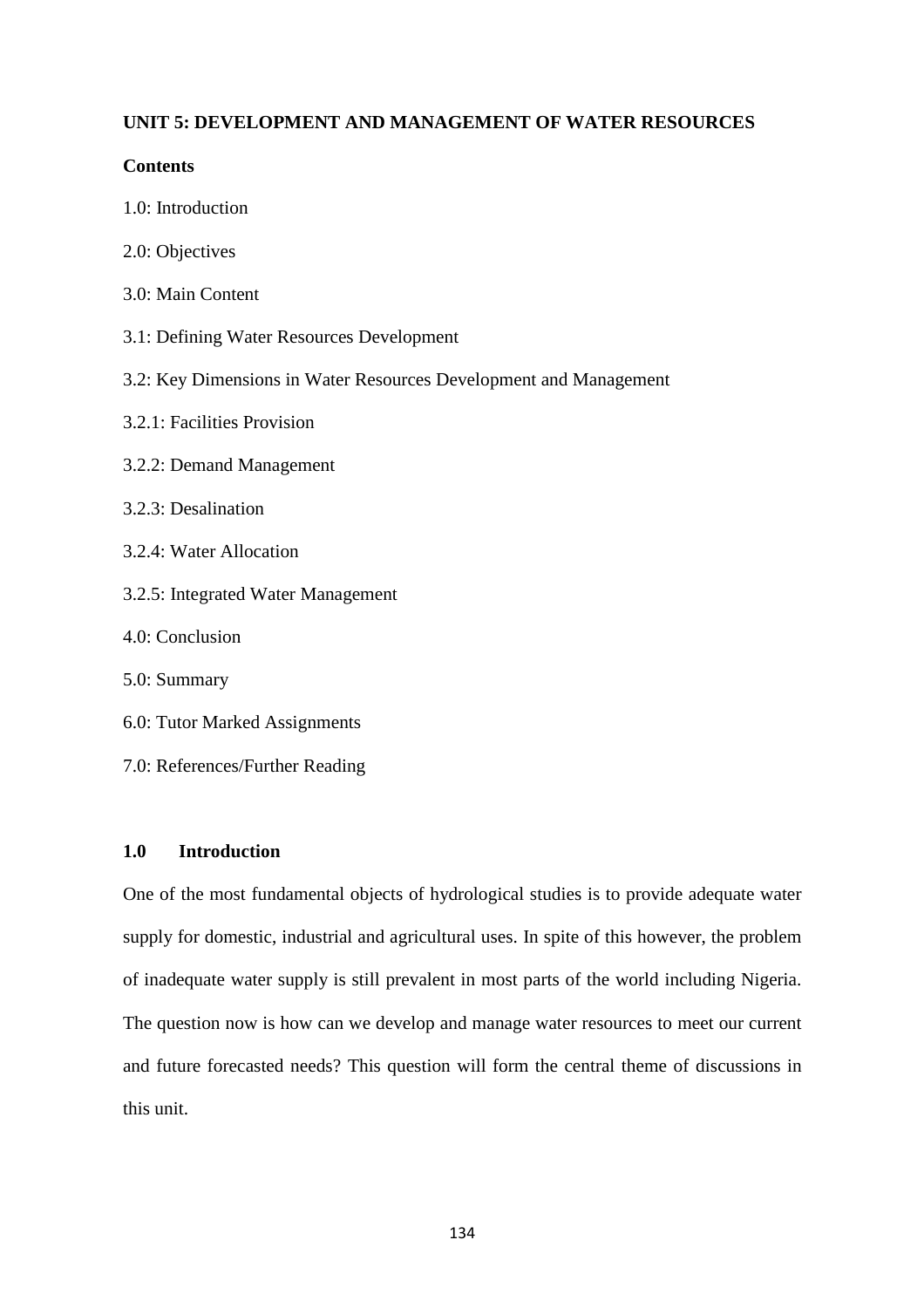### **UNIT 5: DEVELOPMENT AND MANAGEMENT OF WATER RESOURCES**

#### **Contents**

- 1.0: Introduction
- 2.0: Objectives
- 3.0: Main Content
- 3.1: Defining Water Resources Development
- 3.2: Key Dimensions in Water Resources Development and Management
- 3.2.1: Facilities Provision
- 3.2.2: Demand Management
- 3.2.3: Desalination
- 3.2.4: Water Allocation
- 3.2.5: Integrated Water Management
- 4.0: Conclusion
- 5.0: Summary
- 6.0: Tutor Marked Assignments
- 7.0: References/Further Reading

## **1.0 Introduction**

One of the most fundamental objects of hydrological studies is to provide adequate water supply for domestic, industrial and agricultural uses. In spite of this however, the problem of inadequate water supply is still prevalent in most parts of the world including Nigeria. The question now is how can we develop and manage water resources to meet our current and future forecasted needs? This question will form the central theme of discussions in this unit.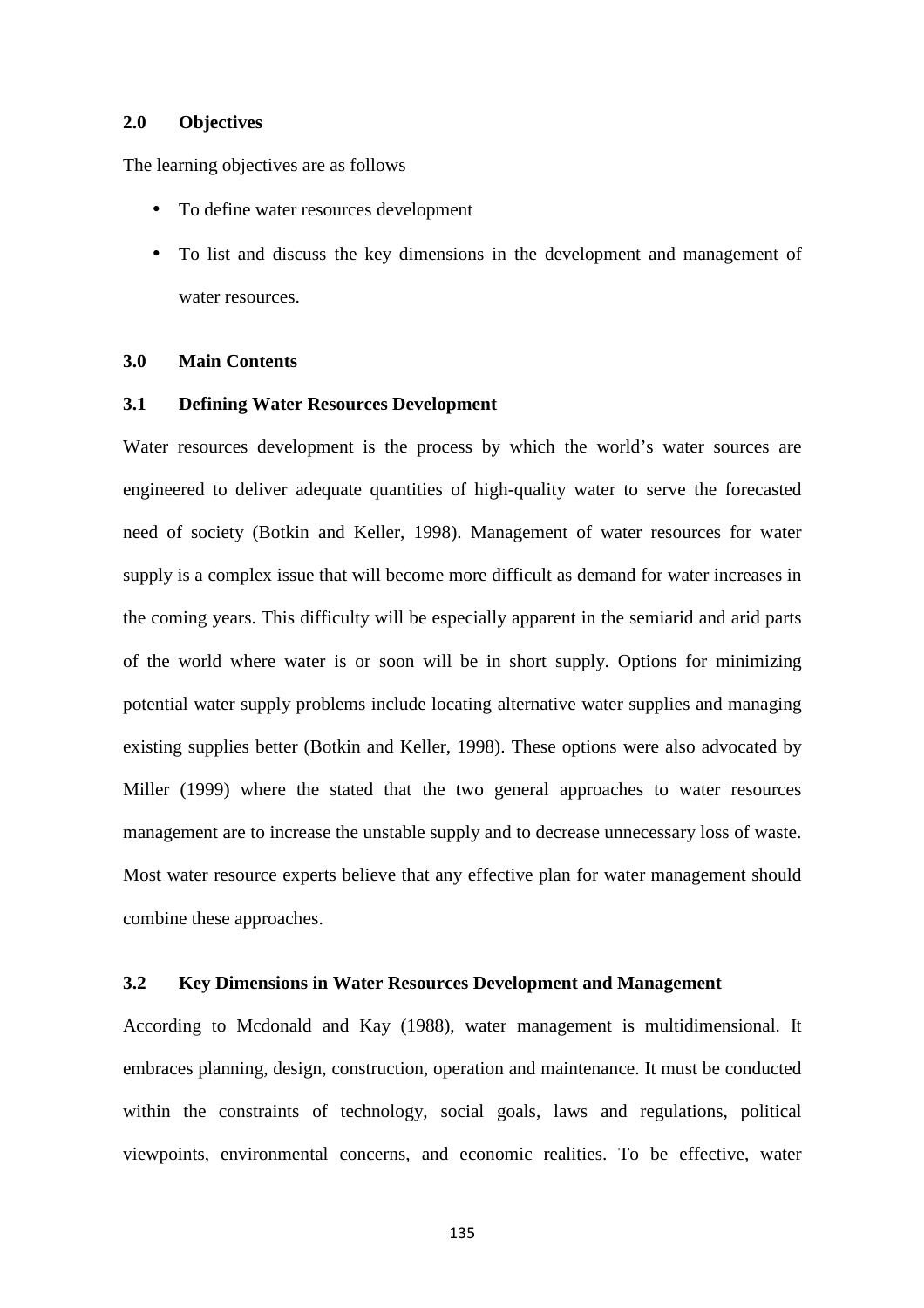#### **2.0 Objectives**

The learning objectives are as follows

- To define water resources development
- To list and discuss the key dimensions in the development and management of water resources.

## **3.0 Main Contents**

### **3.1 Defining Water Resources Development**

Water resources development is the process by which the world's water sources are engineered to deliver adequate quantities of high-quality water to serve the forecasted need of society (Botkin and Keller, 1998). Management of water resources for water supply is a complex issue that will become more difficult as demand for water increases in the coming years. This difficulty will be especially apparent in the semiarid and arid parts of the world where water is or soon will be in short supply. Options for minimizing potential water supply problems include locating alternative water supplies and managing existing supplies better (Botkin and Keller, 1998). These options were also advocated by Miller (1999) where the stated that the two general approaches to water resources management are to increase the unstable supply and to decrease unnecessary loss of waste. Most water resource experts believe that any effective plan for water management should combine these approaches.

#### **3.2 Key Dimensions in Water Resources Development and Management**

According to Mcdonald and Kay (1988), water management is multidimensional. It embraces planning, design, construction, operation and maintenance. It must be conducted within the constraints of technology, social goals, laws and regulations, political viewpoints, environmental concerns, and economic realities. To be effective, water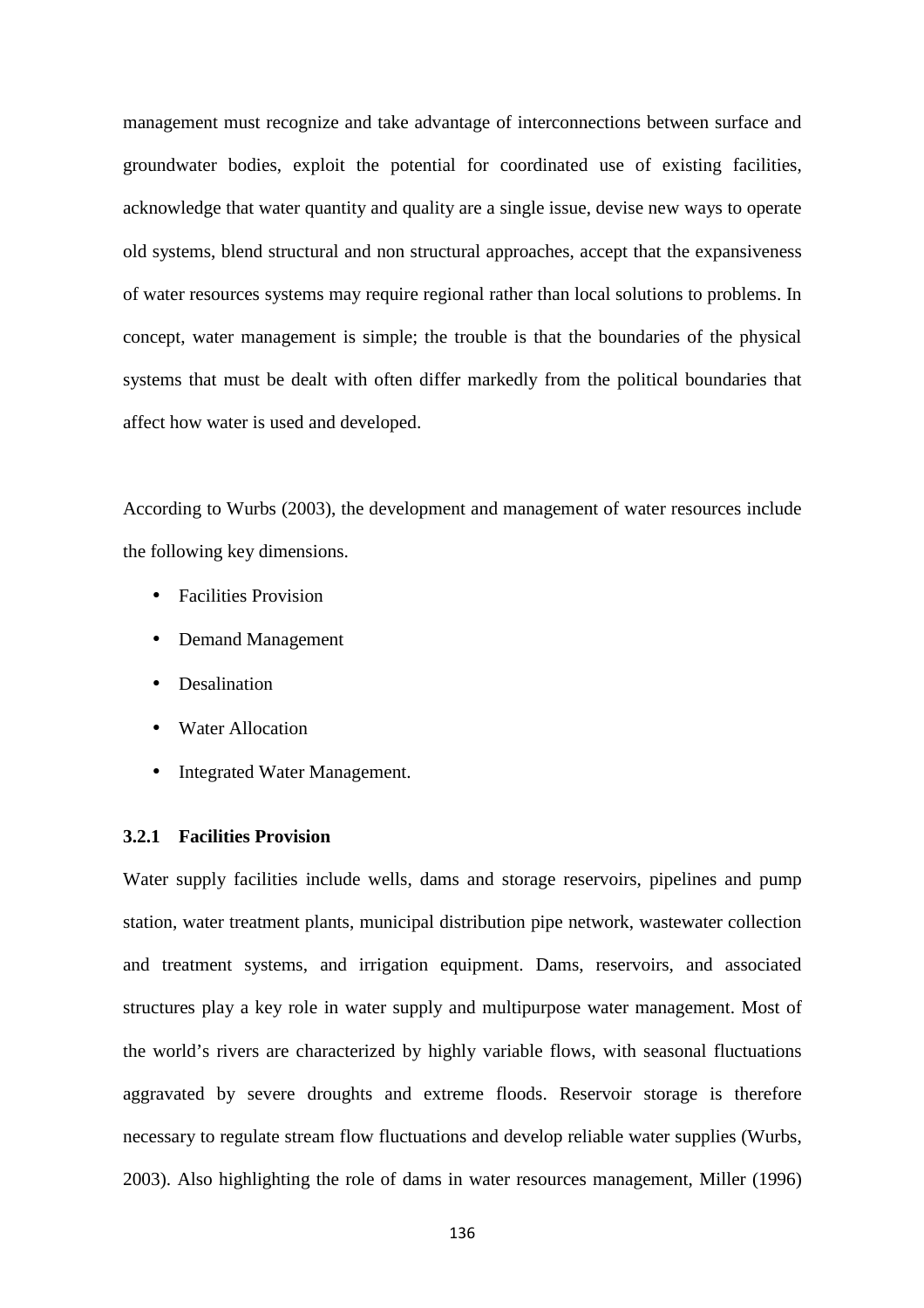management must recognize and take advantage of interconnections between surface and groundwater bodies, exploit the potential for coordinated use of existing facilities, acknowledge that water quantity and quality are a single issue, devise new ways to operate old systems, blend structural and non structural approaches, accept that the expansiveness of water resources systems may require regional rather than local solutions to problems. In concept, water management is simple; the trouble is that the boundaries of the physical systems that must be dealt with often differ markedly from the political boundaries that affect how water is used and developed.

According to Wurbs (2003), the development and management of water resources include the following key dimensions.

- Facilities Provision
- Demand Management
- Desalination
- Water Allocation
- Integrated Water Management.

#### **3.2.1 Facilities Provision**

Water supply facilities include wells, dams and storage reservoirs, pipelines and pump station, water treatment plants, municipal distribution pipe network, wastewater collection and treatment systems, and irrigation equipment. Dams, reservoirs, and associated structures play a key role in water supply and multipurpose water management. Most of the world's rivers are characterized by highly variable flows, with seasonal fluctuations aggravated by severe droughts and extreme floods. Reservoir storage is therefore necessary to regulate stream flow fluctuations and develop reliable water supplies (Wurbs, 2003). Also highlighting the role of dams in water resources management, Miller (1996)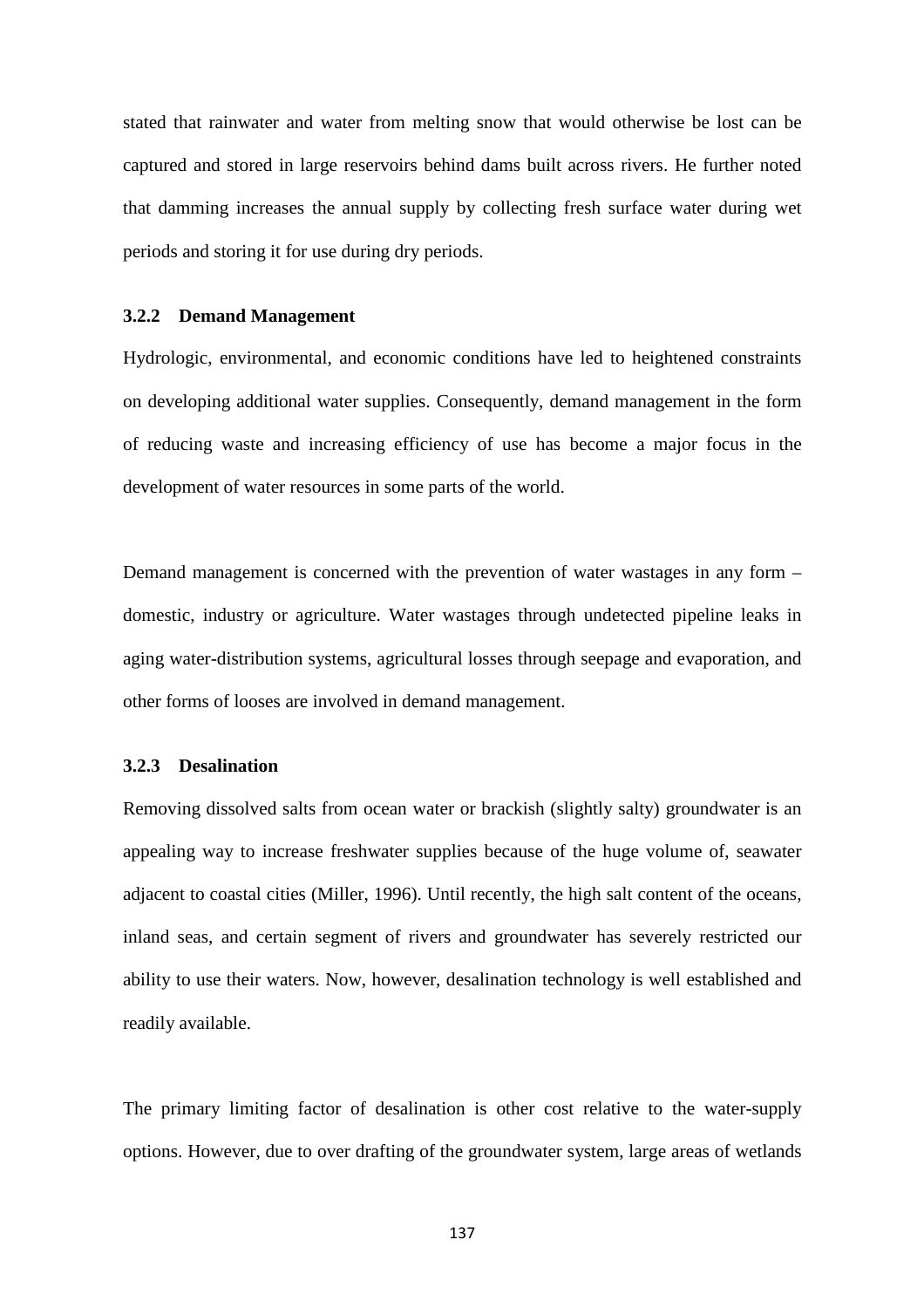stated that rainwater and water from melting snow that would otherwise be lost can be captured and stored in large reservoirs behind dams built across rivers. He further noted that damming increases the annual supply by collecting fresh surface water during wet periods and storing it for use during dry periods.

#### **3.2.2 Demand Management**

Hydrologic, environmental, and economic conditions have led to heightened constraints on developing additional water supplies. Consequently, demand management in the form of reducing waste and increasing efficiency of use has become a major focus in the development of water resources in some parts of the world.

Demand management is concerned with the prevention of water wastages in any form – domestic, industry or agriculture. Water wastages through undetected pipeline leaks in aging water-distribution systems, agricultural losses through seepage and evaporation, and other forms of looses are involved in demand management.

#### **3.2.3 Desalination**

Removing dissolved salts from ocean water or brackish (slightly salty) groundwater is an appealing way to increase freshwater supplies because of the huge volume of, seawater adjacent to coastal cities (Miller, 1996). Until recently, the high salt content of the oceans, inland seas, and certain segment of rivers and groundwater has severely restricted our ability to use their waters. Now, however, desalination technology is well established and readily available.

The primary limiting factor of desalination is other cost relative to the water-supply options. However, due to over drafting of the groundwater system, large areas of wetlands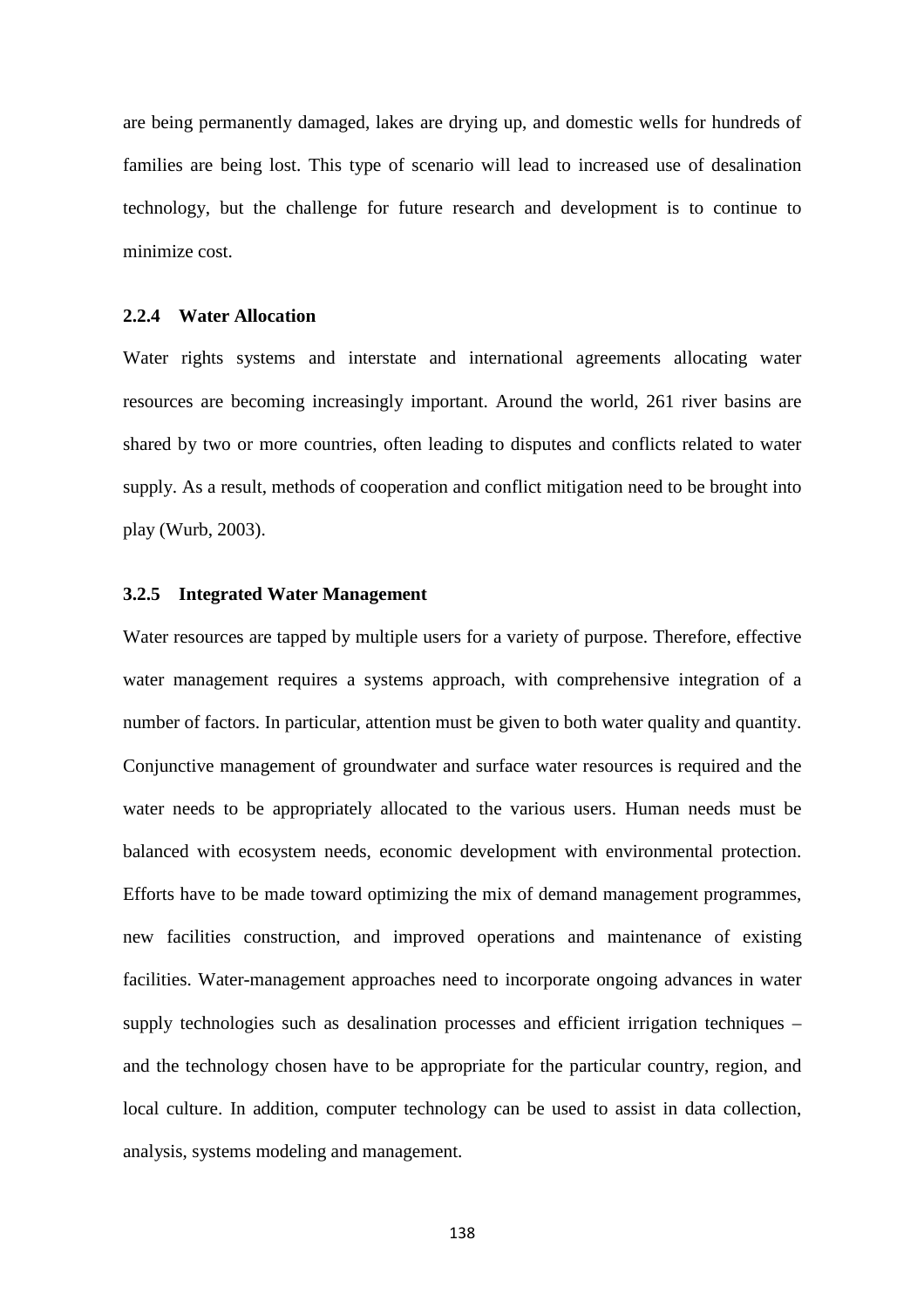are being permanently damaged, lakes are drying up, and domestic wells for hundreds of families are being lost. This type of scenario will lead to increased use of desalination technology, but the challenge for future research and development is to continue to minimize cost.

## **2.2.4 Water Allocation**

Water rights systems and interstate and international agreements allocating water resources are becoming increasingly important. Around the world, 261 river basins are shared by two or more countries, often leading to disputes and conflicts related to water supply. As a result, methods of cooperation and conflict mitigation need to be brought into play (Wurb, 2003).

#### **3.2.5 Integrated Water Management**

Water resources are tapped by multiple users for a variety of purpose. Therefore, effective water management requires a systems approach, with comprehensive integration of a number of factors. In particular, attention must be given to both water quality and quantity. Conjunctive management of groundwater and surface water resources is required and the water needs to be appropriately allocated to the various users. Human needs must be balanced with ecosystem needs, economic development with environmental protection. Efforts have to be made toward optimizing the mix of demand management programmes, new facilities construction, and improved operations and maintenance of existing facilities. Water-management approaches need to incorporate ongoing advances in water supply technologies such as desalination processes and efficient irrigation techniques – and the technology chosen have to be appropriate for the particular country, region, and local culture. In addition, computer technology can be used to assist in data collection, analysis, systems modeling and management.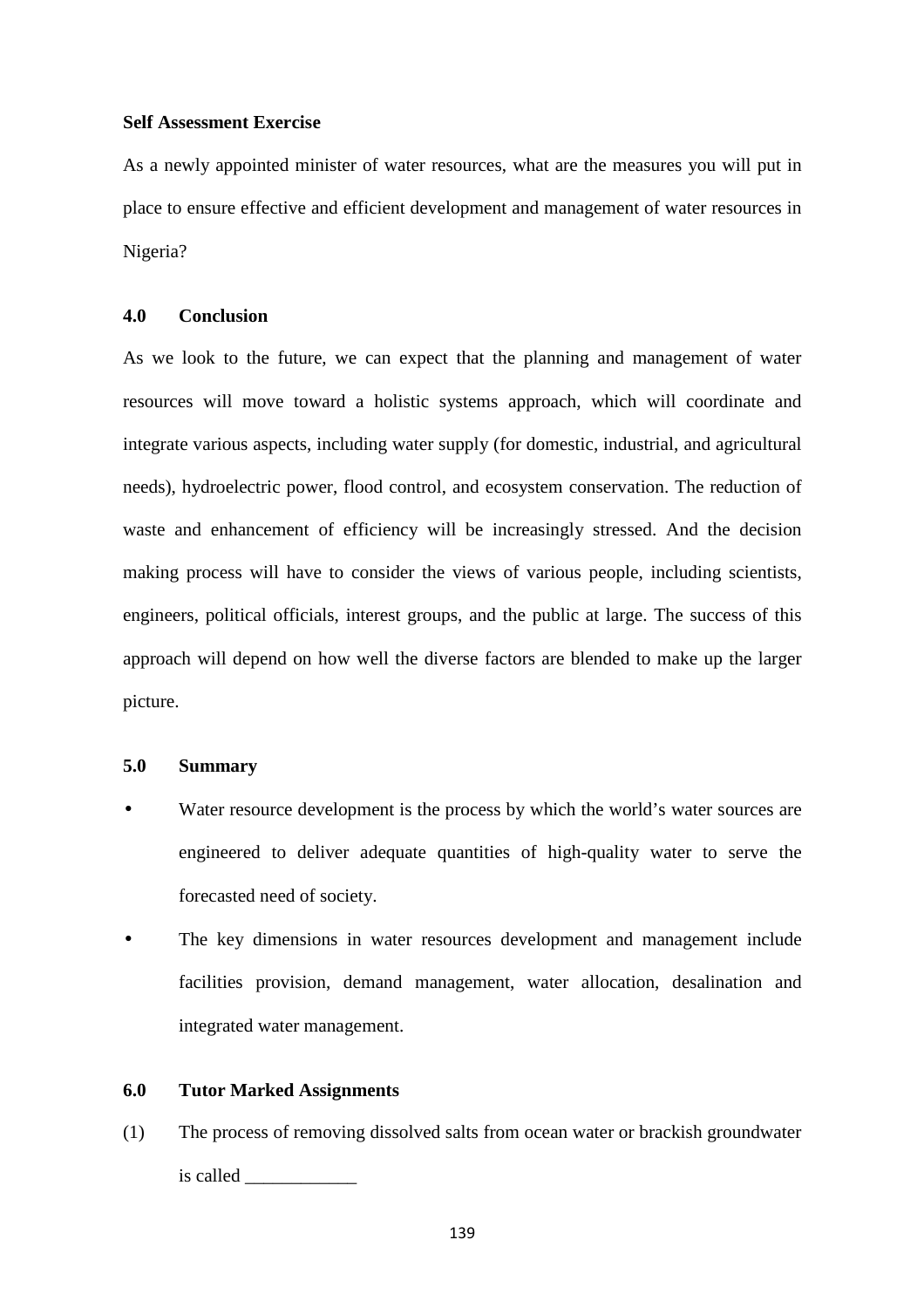#### **Self Assessment Exercise**

As a newly appointed minister of water resources, what are the measures you will put in place to ensure effective and efficient development and management of water resources in Nigeria?

## **4.0 Conclusion**

As we look to the future, we can expect that the planning and management of water resources will move toward a holistic systems approach, which will coordinate and integrate various aspects, including water supply (for domestic, industrial, and agricultural needs), hydroelectric power, flood control, and ecosystem conservation. The reduction of waste and enhancement of efficiency will be increasingly stressed. And the decision making process will have to consider the views of various people, including scientists, engineers, political officials, interest groups, and the public at large. The success of this approach will depend on how well the diverse factors are blended to make up the larger picture.

## **5.0 Summary**

- Water resource development is the process by which the world's water sources are engineered to deliver adequate quantities of high-quality water to serve the forecasted need of society.
- The key dimensions in water resources development and management include facilities provision, demand management, water allocation, desalination and integrated water management.

### **6.0 Tutor Marked Assignments**

(1) The process of removing dissolved salts from ocean water or brackish groundwater is called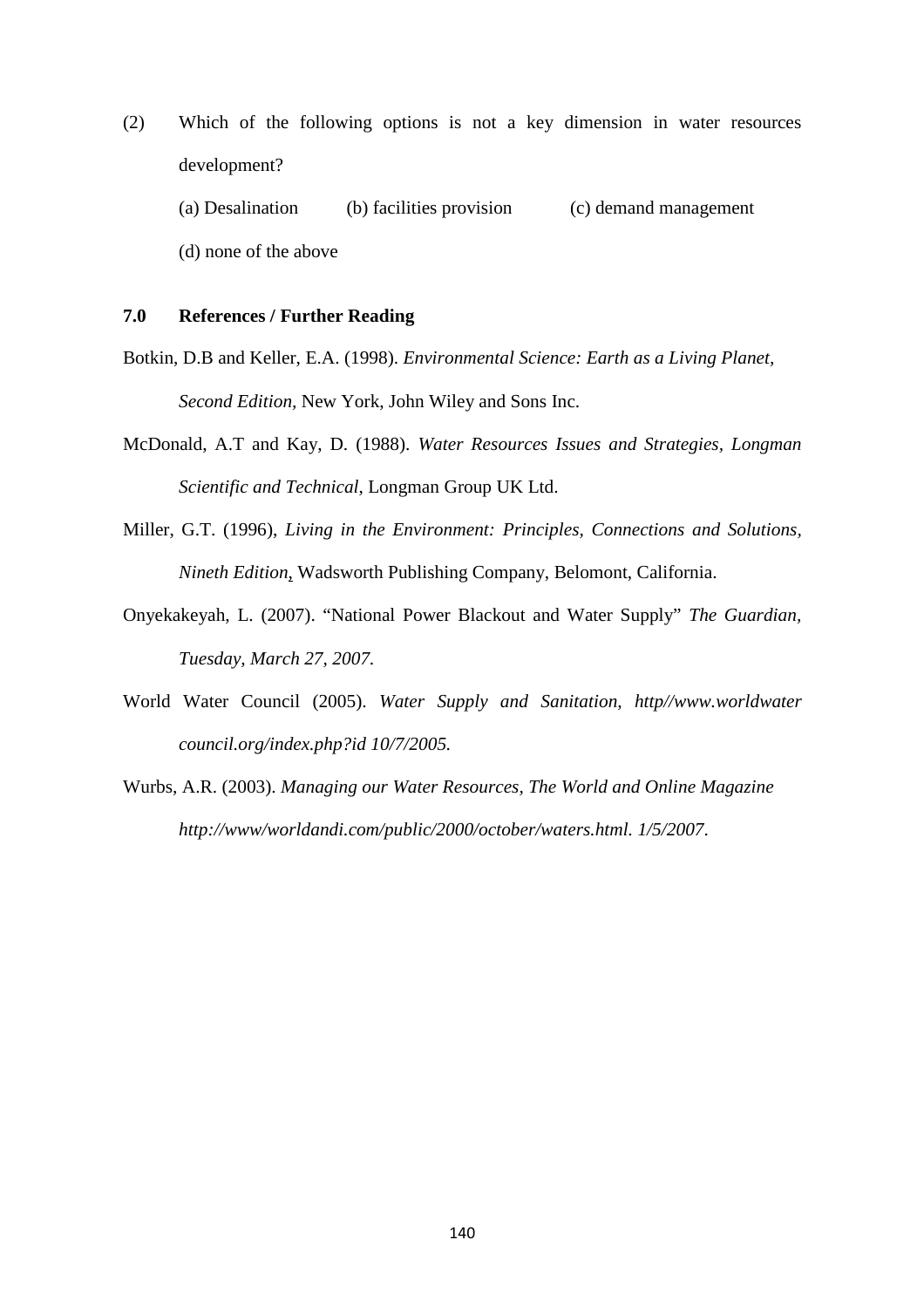(2) Which of the following options is not a key dimension in water resources development?

(a) Desalination (b) facilities provision (c) demand management (d) none of the above

## **7.0 References / Further Reading**

- Botkin, D.B and Keller, E.A. (1998). *Environmental Science: Earth as a Living Planet, Second Edition,* New York, John Wiley and Sons Inc.
- McDonald, A.T and Kay, D. (1988). *Water Resources Issues and Strategies, Longman Scientific and Technical*, Longman Group UK Ltd.
- Miller, G.T. (1996), *Living in the Environment: Principles, Connections and Solutions, Nineth Edition*, Wadsworth Publishing Company, Belomont, California.
- Onyekakeyah, L. (2007). "National Power Blackout and Water Supply" *The Guardian, Tuesday, March 27, 2007.*
- World Water Council (2005). *Water Supply and Sanitation, http//www.worldwater council.org/index.php?id 10/7/2005.*
- Wurbs, A.R. (2003). *Managing our Water Resources, The World and Online Magazine http://www/worldandi.com/public/2000/october/waters.html. 1/5/2007*.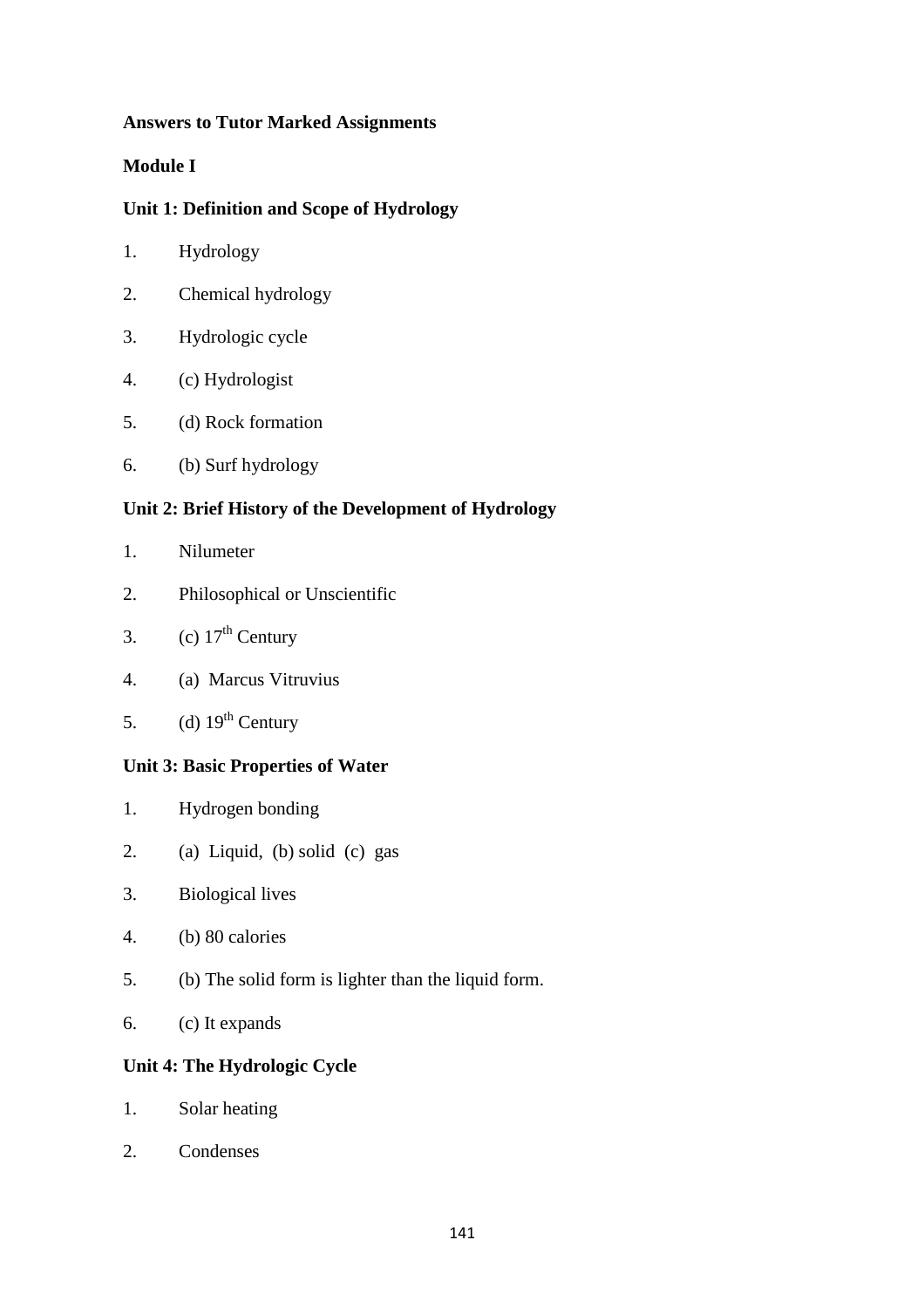# **Answers to Tutor Marked Assignments**

# **Module I**

# **Unit 1: Definition and Scope of Hydrology**

- 1. Hydrology
- 2. Chemical hydrology
- 3. Hydrologic cycle
- 4. (c) Hydrologist
- 5. (d) Rock formation
- 6. (b) Surf hydrology

# **Unit 2: Brief History of the Development of Hydrology**

- 1. Nilumeter
- 2. Philosophical or Unscientific
- 3. (c)  $17<sup>th</sup>$  Century
- 4. (a) Marcus Vitruvius
- 5. (d)  $19<sup>th</sup>$  Century

# **Unit 3: Basic Properties of Water**

- 1. Hydrogen bonding
- 2. (a) Liquid, (b) solid (c) gas
- 3. Biological lives
- 4. (b) 80 calories
- 5. (b) The solid form is lighter than the liquid form.
- 6. (c) It expands

# **Unit 4: The Hydrologic Cycle**

- 1. Solar heating
- 2. Condenses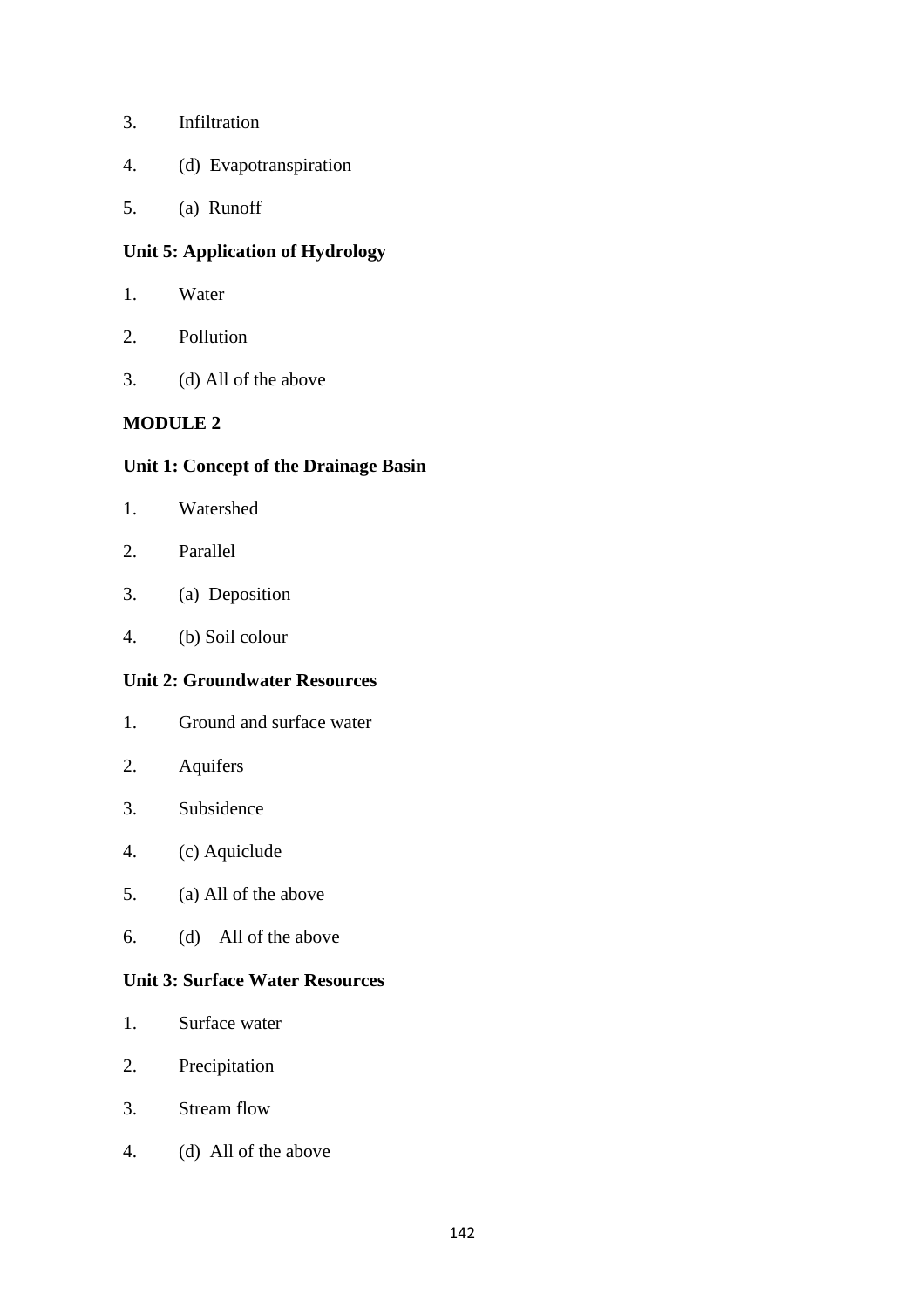- 3. Infiltration
- 4. (d) Evapotranspiration
- 5. (a) Runoff

# **Unit 5: Application of Hydrology**

- 1. Water
- 2. Pollution
- 3. (d) All of the above

# **MODULE 2**

## **Unit 1: Concept of the Drainage Basin**

- 1. Watershed
- 2. Parallel
- 3. (a) Deposition
- 4. (b) Soil colour

# **Unit 2: Groundwater Resources**

- 1. Ground and surface water
- 2. Aquifers
- 3. Subsidence
- 4. (c) Aquiclude
- 5. (a) All of the above
- 6. (d) All of the above

# **Unit 3: Surface Water Resources**

- 1. Surface water
- 2. Precipitation
- 3. Stream flow
- 4. (d) All of the above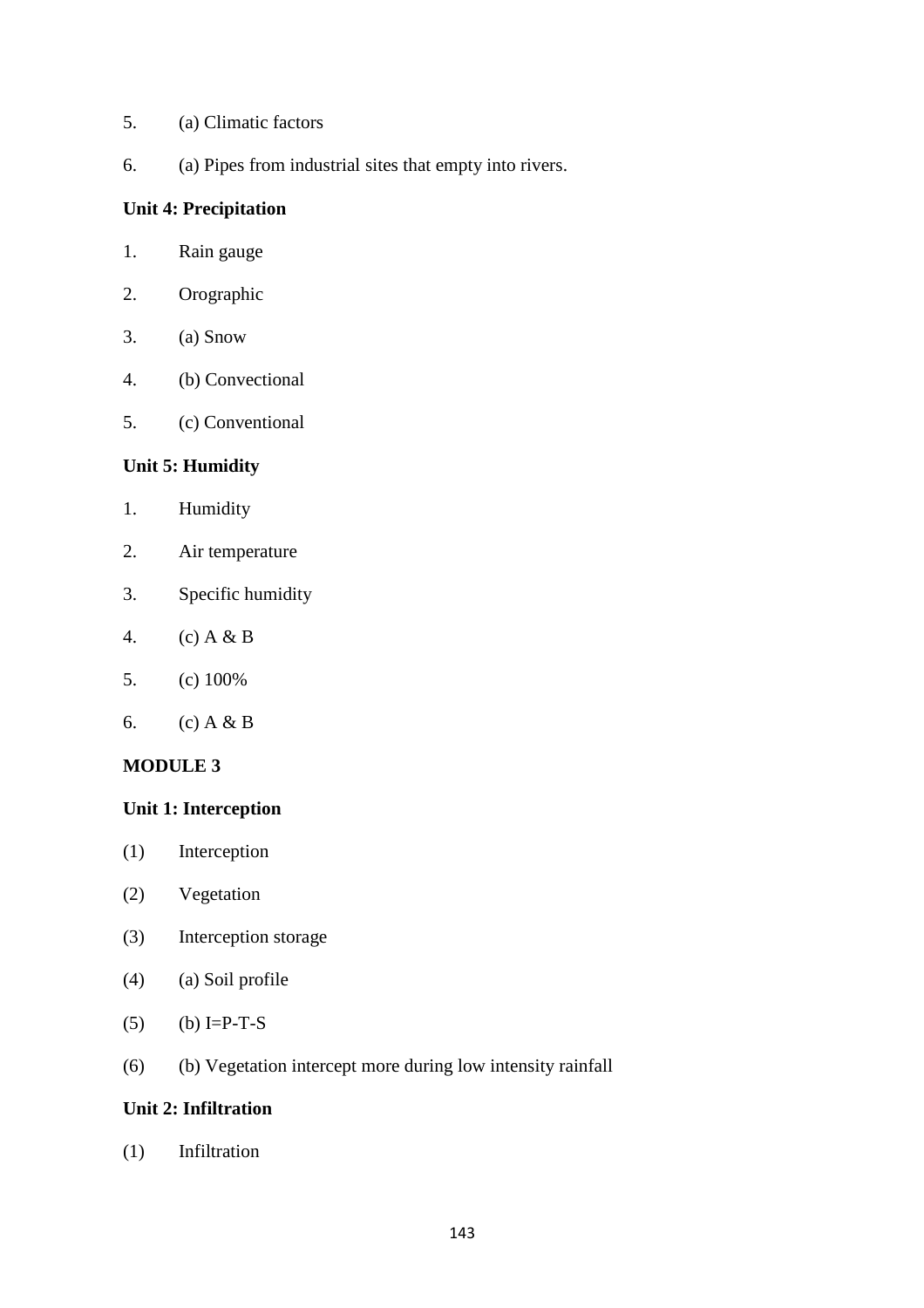- 5. (a) Climatic factors
- 6. (a) Pipes from industrial sites that empty into rivers.

## **Unit 4: Precipitation**

- 1. Rain gauge
- 2. Orographic
- 3. (a) Snow
- 4. (b) Convectional
- 5. (c) Conventional

# **Unit 5: Humidity**

- 1. Humidity
- 2. Air temperature
- 3. Specific humidity
- 4. (c) A & B
- 5. (c) 100%
- 6. (c) A & B

# **MODULE 3**

## **Unit 1: Interception**

- (1) Interception
- (2) Vegetation
- (3) Interception storage
- (4) (a) Soil profile
- (5) (b)  $I = P T S$
- (6) (b) Vegetation intercept more during low intensity rainfall

## **Unit 2: Infiltration**

(1) Infiltration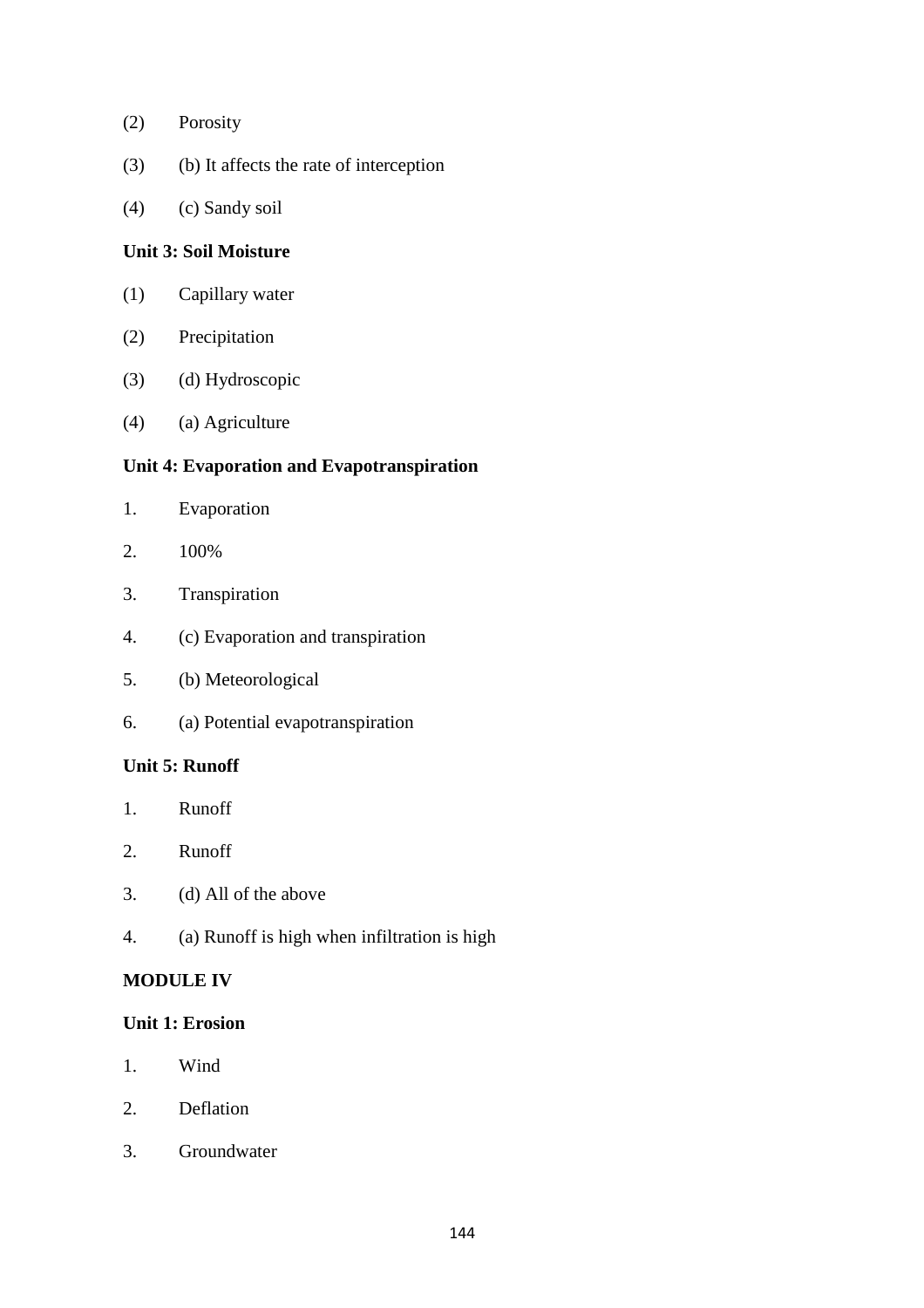- (2) Porosity
- (3) (b) It affects the rate of interception
- (4) (c) Sandy soil

## **Unit 3: Soil Moisture**

- (1) Capillary water
- (2) Precipitation
- (3) (d) Hydroscopic
- (4) (a) Agriculture

## **Unit 4: Evaporation and Evapotranspiration**

- 1. Evaporation
- 2. 100%
- 3. Transpiration
- 4. (c) Evaporation and transpiration
- 5. (b) Meteorological
- 6. (a) Potential evapotranspiration

# **Unit 5: Runoff**

- 1. Runoff
- 2. Runoff
- 3. (d) All of the above
- 4. (a) Runoff is high when infiltration is high

# **MODULE IV**

# **Unit 1: Erosion**

- 1. Wind
- 2. Deflation
- 3. Groundwater